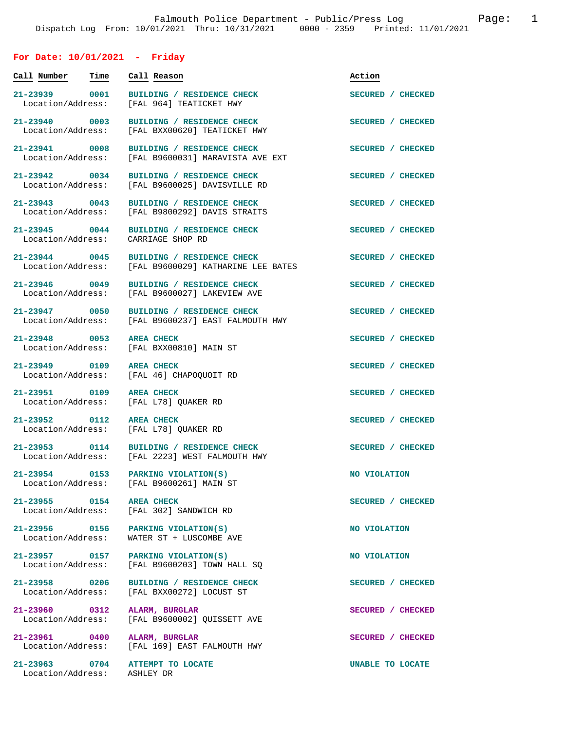## **For Date: 10/01/2021 - Friday**

| Call Number                                  | Time | Call Reason                                                                  | Action            |
|----------------------------------------------|------|------------------------------------------------------------------------------|-------------------|
| 21-23939 0001<br>Location/Address:           |      | BUILDING / RESIDENCE CHECK<br>[FAL 964] TEATICKET HWY                        | SECURED / CHECKED |
| 21-23940 0003<br>Location/Address:           |      | BUILDING / RESIDENCE CHECK<br>[FAL BXX00620] TEATICKET HWY                   | SECURED / CHECKED |
| 21-23941 0008<br>Location/Address:           |      | BUILDING / RESIDENCE CHECK<br>[FAL B9600031] MARAVISTA AVE EXT               | SECURED / CHECKED |
| 21-23942 0034<br>Location/Address:           |      | BUILDING / RESIDENCE CHECK<br>[FAL B9600025] DAVISVILLE RD                   | SECURED / CHECKED |
| 21-23943 0043<br>Location/Address:           |      | <b>BUILDING / RESIDENCE CHECK</b><br>[FAL B9800292] DAVIS STRAITS            | SECURED / CHECKED |
| 21-23945 0044<br>Location/Address:           |      | BUILDING / RESIDENCE CHECK<br>CARRIAGE SHOP RD                               | SECURED / CHECKED |
| 21-23944 0045<br>Location/Address:           |      | BUILDING / RESIDENCE CHECK<br>[FAL B9600029] KATHARINE LEE BATES             | SECURED / CHECKED |
| 21-23946 0049<br>Location/Address:           |      | BUILDING / RESIDENCE CHECK<br>[FAL B9600027] LAKEVIEW AVE                    | SECURED / CHECKED |
| 21-23947 0050<br>Location/Address:           |      | BUILDING / RESIDENCE CHECK<br>[FAL B9600237] EAST FALMOUTH HWY               | SECURED / CHECKED |
| 21-23948 0053<br>Location/Address:           |      | <b>AREA CHECK</b><br>[FAL BXX00810] MAIN ST                                  | SECURED / CHECKED |
| 21-23949 0109<br>Location/Address:           |      | <b>AREA CHECK</b><br>[FAL 46] CHAPOQUOIT RD                                  | SECURED / CHECKED |
| 21-23951 0109<br>Location/Address:           |      | <b>AREA CHECK</b><br>[FAL L78] QUAKER RD                                     | SECURED / CHECKED |
| 21-23952 0112<br>Location/Address:           |      | <b>AREA CHECK</b><br>[FAL L78] QUAKER RD                                     | SECURED / CHECKED |
| 21-23953 0114                                |      | BUILDING / RESIDENCE CHECK<br>Location/Address: [FAL 2223] WEST FALMOUTH HWY | SECURED / CHECKED |
| 21-23954 0153<br>Location/Address:           |      | PARKING VIOLATION(S)<br>[FAL B9600261] MAIN ST                               | NO VIOLATION      |
| 21-23955 0154 AREA CHECK                     |      | Location/Address: [FAL 302] SANDWICH RD                                      | SECURED / CHECKED |
| Location/Address:                            |      | 21-23956 0156 PARKING VIOLATION(S)<br>WATER ST + LUSCOMBE AVE                | NO VIOLATION      |
| Location/Address:                            |      | 21-23957 0157 PARKING VIOLATION(S)<br>[FAL B9600203] TOWN HALL SO            | NO VIOLATION      |
| 21-23958 0206<br>Location/Address:           |      | BUILDING / RESIDENCE CHECK<br>[FAL BXX00272] LOCUST ST                       | SECURED / CHECKED |
| 21-23960 0312<br>Location/Address:           |      | ALARM, BURGLAR<br>[FAL B9600002] QUISSETT AVE                                | SECURED / CHECKED |
| 21-23961 0400<br>Location/Address:           |      | ALARM, BURGLAR<br>[FAL 169] EAST FALMOUTH HWY                                | SECURED / CHECKED |
| 21-23963 0704<br>Location/Address: ASHLEY DR |      | ATTEMPT TO LOCATE                                                            | UNABLE TO LOCATE  |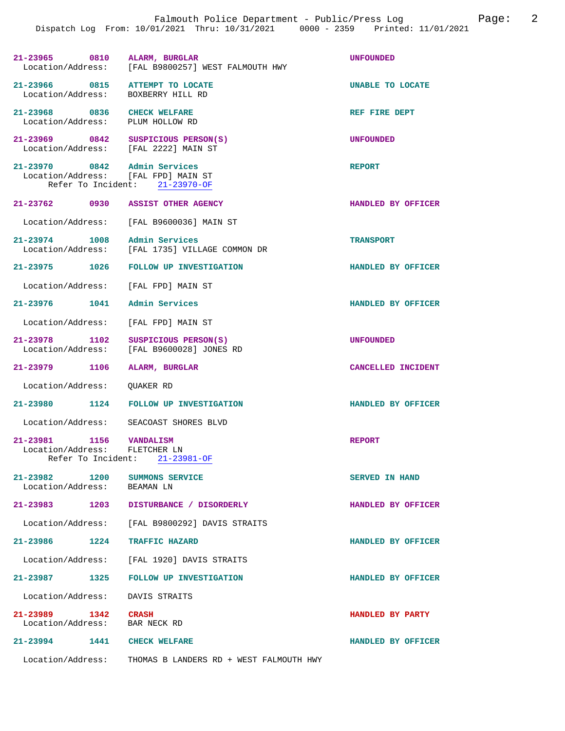| 21-23965 0810 ALARM, BURGLAR                                        | Location/Address: [FAL B9800257] WEST FALMOUTH HWY               | <b>UNFOUNDED</b>   |
|---------------------------------------------------------------------|------------------------------------------------------------------|--------------------|
| 21-23966 0815<br>Location/Address: BOXBERRY HILL RD                 | ATTEMPT TO LOCATE                                                | UNABLE TO LOCATE   |
| 21-23968 0836<br>Location/Address: PLUM HOLLOW RD                   | <b>CHECK WELFARE</b>                                             | REF FIRE DEPT      |
| 21-23969 0842<br>Location/Address: [FAL 2222] MAIN ST               | SUSPICIOUS PERSON(S)                                             | <b>UNFOUNDED</b>   |
| 21-23970 0842 Admin Services<br>Location/Address: [FAL FPD] MAIN ST | Refer To Incident: 21-23970-OF                                   | <b>REPORT</b>      |
| 21-23762 0930 ASSIST OTHER AGENCY                                   |                                                                  | HANDLED BY OFFICER |
|                                                                     | Location/Address: [FAL B9600036] MAIN ST                         |                    |
| 21-23974 1008                                                       | Admin Services<br>Location/Address: [FAL 1735] VILLAGE COMMON DR | <b>TRANSPORT</b>   |
|                                                                     | 21-23975 1026 FOLLOW UP INVESTIGATION                            | HANDLED BY OFFICER |
| Location/Address: [FAL FPD] MAIN ST                                 |                                                                  |                    |
| 21-23976 1041                                                       | Admin Services                                                   | HANDLED BY OFFICER |
| Location/Address:                                                   | [FAL FPD] MAIN ST                                                |                    |
| 21-23978 1102<br>Location/Address:                                  | SUSPICIOUS PERSON(S)<br>[FAL B9600028] JONES RD                  | UNFOUNDED          |
| 21-23979 1106                                                       | ALARM, BURGLAR                                                   | CANCELLED INCIDENT |
| Location/Address:                                                   | OUAKER RD                                                        |                    |
| 21-23980 1124                                                       | <b>FOLLOW UP INVESTIGATION</b>                                   | HANDLED BY OFFICER |
| Location/Address:                                                   | SEACOAST SHORES BLVD                                             |                    |
| $21-23981$ $1156$ VANDALISM<br>Location/Address: FLETCHER LN        | Refer To Incident: 21-23981-OF                                   | <b>REPORT</b>      |
| 21-23982 1200<br>Location/Address:                                  | SUMMONS SERVICE<br>BEAMAN LN                                     | SERVED IN HAND     |
|                                                                     | 21-23983 1203 DISTURBANCE / DISORDERLY                           | HANDLED BY OFFICER |
|                                                                     | Location/Address: [FAL B9800292] DAVIS STRAITS                   |                    |
| 21-23986 1224                                                       | TRAFFIC HAZARD                                                   | HANDLED BY OFFICER |
|                                                                     | Location/Address: [FAL 1920] DAVIS STRAITS                       |                    |
|                                                                     | 21-23987 1325 FOLLOW UP INVESTIGATION                            | HANDLED BY OFFICER |
| Location/Address: DAVIS STRAITS                                     |                                                                  |                    |
| 21-23989 1342 CRASH<br>Location/Address: BAR NECK RD                |                                                                  | HANDLED BY PARTY   |
| 21-23994 1441 CHECK WELFARE                                         |                                                                  | HANDLED BY OFFICER |
| Location/Address:                                                   | THOMAS B LANDERS RD + WEST FALMOUTH HWY                          |                    |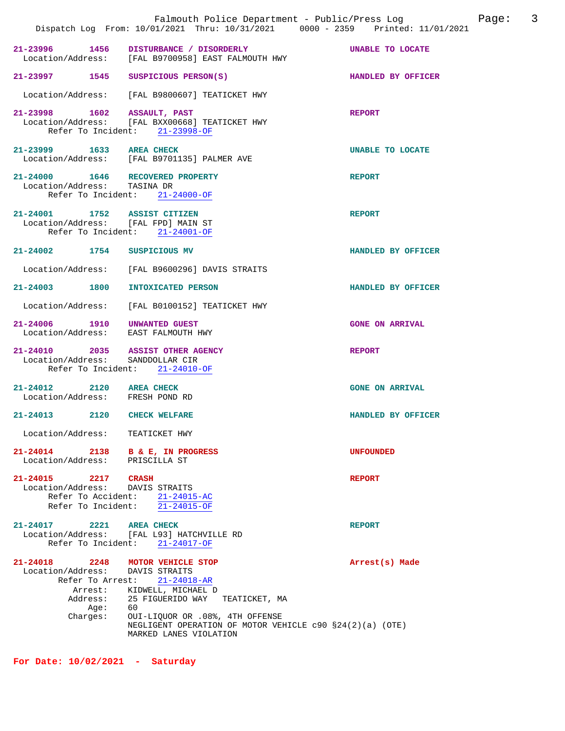|                                                                                                   | Falmouth Police Department - Public/Press Log<br>Dispatch Log From: 10/01/2021 Thru: 10/31/2021 0000 - 2359 Printed: 11/01/2021                                                                                                                        |                        | 3<br>Page: |
|---------------------------------------------------------------------------------------------------|--------------------------------------------------------------------------------------------------------------------------------------------------------------------------------------------------------------------------------------------------------|------------------------|------------|
| 21-23996 1456                                                                                     | DISTURBANCE / DISORDERLY<br>Location/Address: [FAL B9700958] EAST FALMOUTH HWY                                                                                                                                                                         | UNABLE TO LOCATE       |            |
| 21-23997 1545                                                                                     | SUSPICIOUS PERSON(S)                                                                                                                                                                                                                                   | HANDLED BY OFFICER     |            |
|                                                                                                   | Location/Address: [FAL B9800607] TEATICKET HWY                                                                                                                                                                                                         |                        |            |
| 21-23998 1602                                                                                     | ASSAULT, PAST<br>Location/Address: [FAL BXX00668] TEATICKET HWY<br>Refer To Incident: 21-23998-OF                                                                                                                                                      | <b>REPORT</b>          |            |
| 21–23999 1633                                                                                     | <b>AREA CHECK</b><br>Location/Address: [FAL B9701135] PALMER AVE                                                                                                                                                                                       | UNABLE TO LOCATE       |            |
| 21-24000 1646 RECOVERED PROPERTY<br>Location/Address: TASINA DR                                   | Refer To Incident: 21-24000-OF                                                                                                                                                                                                                         | <b>REPORT</b>          |            |
| 21-24001 1752 ASSIST CITIZEN<br>Location/Address: [FAL FPD] MAIN ST                               | Refer To Incident: 21-24001-OF                                                                                                                                                                                                                         | <b>REPORT</b>          |            |
| $21 - 24002$<br>1754                                                                              | SUSPICIOUS MV                                                                                                                                                                                                                                          | HANDLED BY OFFICER     |            |
| Location/Address:                                                                                 | [FAL B9600296] DAVIS STRAITS                                                                                                                                                                                                                           |                        |            |
| 21-24003 1800                                                                                     | INTOXICATED PERSON                                                                                                                                                                                                                                     | HANDLED BY OFFICER     |            |
| Location/Address:                                                                                 | [FAL B0100152] TEATICKET HWY                                                                                                                                                                                                                           |                        |            |
| 21-24006 1910<br>Location/Address: EAST FALMOUTH HWY                                              | UNWANTED GUEST                                                                                                                                                                                                                                         | <b>GONE ON ARRIVAL</b> |            |
| 21-24010 2035 ASSIST OTHER AGENCY<br>Location/Address: SANDDOLLAR CIR<br>Refer To Incident:       | 21-24010-OF                                                                                                                                                                                                                                            | <b>REPORT</b>          |            |
| $21 - 24012$<br>2120<br>Location/Address: FRESH POND RD                                           | <b>AREA CHECK</b>                                                                                                                                                                                                                                      | <b>GONE ON ARRIVAL</b> |            |
| 2120<br>$21 - 24013$                                                                              | <b>CHECK WELFARE</b>                                                                                                                                                                                                                                   | HANDLED BY OFFICER     |            |
| Location/Address: TEATICKET HWY                                                                   |                                                                                                                                                                                                                                                        |                        |            |
| 21-24014 2138<br>Location/Address: PRISCILLA ST                                                   | <b>B &amp; E, IN PROGRESS</b>                                                                                                                                                                                                                          | <b>UNFOUNDED</b>       |            |
| 21-24015 2217 CRASH<br>Location/Address: DAVIS STRAITS                                            | Refer To Accident: 21-24015-AC<br>Refer To Incident: 21-24015-OF                                                                                                                                                                                       | <b>REPORT</b>          |            |
| $21 - 24017$<br>2221<br>Refer To Incident:                                                        | <b>AREA CHECK</b><br>Location/Address: [FAL L93] HATCHVILLE RD<br>$21 - 24017 - OF$                                                                                                                                                                    | <b>REPORT</b>          |            |
| 21-24018 2248<br>Location/Address:<br>Refer To Arrest:<br>Arrest:<br>Address:<br>Age:<br>Charges: | MOTOR VEHICLE STOP<br>DAVIS STRAITS<br>$21 - 24018 - AR$<br>KIDWELL, MICHAEL D<br>25 FIGUERIDO WAY<br>TEATICKET, MA<br>60<br>OUI-LIQUOR OR .08%, 4TH OFFENSE<br>NEGLIGENT OPERATION OF MOTOR VEHICLE $c90$ $$24(2)(a)$ (OTE)<br>MARKED LANES VIOLATION | Arrest(s) Made         |            |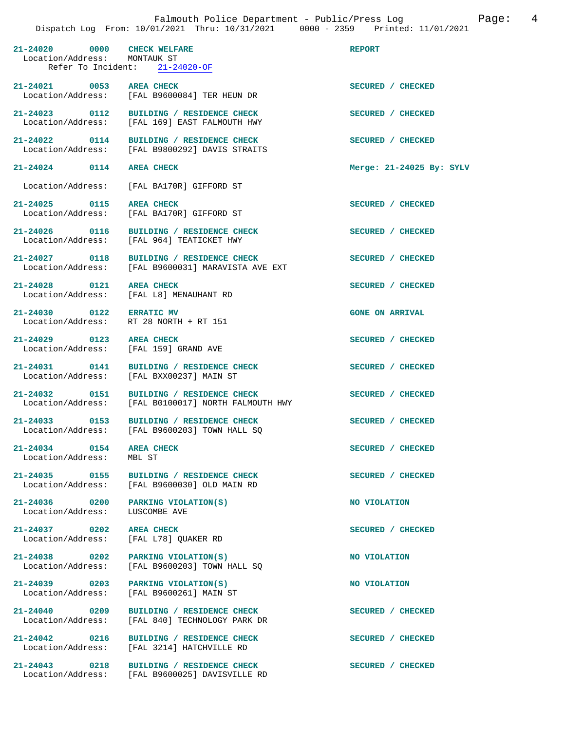|                                                             | TION' IV/VI/ZVZI INIU' IV/JI/ZVZI                                                               |                            |
|-------------------------------------------------------------|-------------------------------------------------------------------------------------------------|----------------------------|
| 21-24020 0000 CHECK WELFARE<br>Location/Address: MONTAUK ST | Refer To Incident: 21-24020-OF                                                                  | <b>REPORT</b>              |
|                                                             | 21-24021 0053 AREA CHECK<br>Location/Address: [FAL B9600084] TER HEUN DR                        | SECURED / CHECKED          |
|                                                             | 21-24023 0112 BUILDING / RESIDENCE CHECK<br>Location/Address: [FAL 169] EAST FALMOUTH HWY       | SECURED / CHECKED          |
|                                                             | 21-24022 0114 BUILDING / RESIDENCE CHECK<br>Location/Address: [FAL B9800292] DAVIS STRAITS      | SECURED / CHECKED          |
| 21-24024 0114 AREA CHECK                                    |                                                                                                 | Merge: $21-24025$ By: SYLV |
|                                                             | Location/Address: [FAL BA170R] GIFFORD ST                                                       |                            |
| 21-24025 0115 AREA CHECK                                    | Location/Address: [FAL BA170R] GIFFORD ST                                                       | SECURED / CHECKED          |
|                                                             | 21-24026 0116 BUILDING / RESIDENCE CHECK<br>Location/Address: [FAL 964] TEATICKET HWY           | SECURED / CHECKED          |
|                                                             | 21-24027 0118 BUILDING / RESIDENCE CHECK<br>Location/Address: [FAL B9600031] MARAVISTA AVE EXT  | SECURED / CHECKED          |
|                                                             | 21-24028 0121 AREA CHECK<br>Location/Address: [FAL L8] MENAUHANT RD                             | SECURED / CHECKED          |
| 21-24030 0122 ERRATIC MV                                    | Location/Address: RT 28 NORTH + RT 151                                                          | <b>GONE ON ARRIVAL</b>     |
| 21-24029 0123 AREA CHECK                                    | Location/Address: [FAL 159] GRAND AVE                                                           | SECURED / CHECKED          |
|                                                             | 21-24031 0141 BUILDING / RESIDENCE CHECK<br>Location/Address: [FAL BXX00237] MAIN ST            | SECURED / CHECKED          |
|                                                             | 21-24032 0151 BUILDING / RESIDENCE CHECK<br>Location/Address: [FAL B0100017] NORTH FALMOUTH HWY | SECURED / CHECKED          |
|                                                             | 21-24033 0153 BUILDING / RESIDENCE CHECK<br>Location/Address: [FAL B9600203] TOWN HALL SQ       | SECURED / CHECKED          |
| 21-24034 0154 AREA CHECK<br>Location/Address: MBL ST        |                                                                                                 | SECURED / CHECKED          |
|                                                             | 21-24035 0155 BUILDING / RESIDENCE CHECK<br>Location/Address: [FAL B9600030] OLD MAIN RD        | SECURED / CHECKED          |
|                                                             | 21-24036 0200 PARKING VIOLATION(S)<br>Location/Address: LUSCOMBE AVE                            | NO VIOLATION               |
| 21-24037 0202 AREA CHECK                                    | Location/Address: [FAL L78] QUAKER RD                                                           | SECURED / CHECKED          |
|                                                             | 21-24038 0202 PARKING VIOLATION(S)<br>Location/Address: [FAL B9600203] TOWN HALL SQ             | NO VIOLATION               |
|                                                             | 21-24039 0203 PARKING VIOLATION(S)<br>Location/Address: [FAL B9600261] MAIN ST                  | NO VIOLATION               |
|                                                             | 21-24040 0209 BUILDING / RESIDENCE CHECK<br>Location/Address: [FAL 840] TECHNOLOGY PARK DR      | SECURED / CHECKED          |
|                                                             | 21-24042 0216 BUILDING / RESIDENCE CHECK<br>Location/Address: [FAL 3214] HATCHVILLE RD          | SECURED / CHECKED          |
| 21-24043                                                    | 0218 BUILDING / RESIDENCE CHECK                                                                 | SECURED / CHECKED          |

Location/Address: [FAL B9600025] DAVISVILLE RD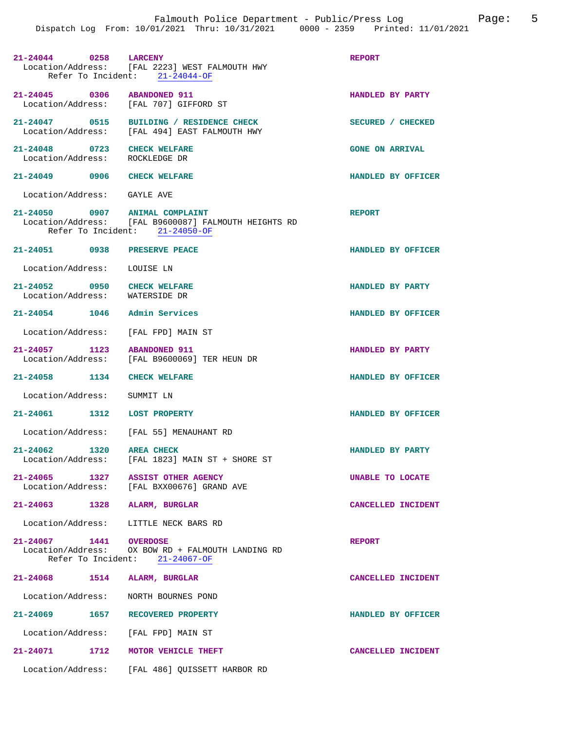| 21-24044 0258 LARCENY                                         | Location/Address: [FAL 2223] WEST FALMOUTH HWY<br>Refer To Incident: 21-24044-OF       | <b>REPORT</b>          |
|---------------------------------------------------------------|----------------------------------------------------------------------------------------|------------------------|
| 21-24045 0306 ABANDONED 911                                   | Location/Address: [FAL 707] GIFFORD ST                                                 | HANDLED BY PARTY       |
| Location/Address:                                             | 21-24047 0515 BUILDING / RESIDENCE CHECK<br>[FAL 494] EAST FALMOUTH HWY                | SECURED / CHECKED      |
| 21-24048 0723 CHECK WELFARE<br>Location/Address: ROCKLEDGE DR |                                                                                        | <b>GONE ON ARRIVAL</b> |
| 21-24049 0906 CHECK WELFARE                                   |                                                                                        | HANDLED BY OFFICER     |
| Location/Address: GAYLE AVE                                   |                                                                                        |                        |
| 21-24050 0907 ANIMAL COMPLAINT                                | Location/Address: [FAL B9600087] FALMOUTH HEIGHTS RD<br>Refer To Incident: 21-24050-OF | <b>REPORT</b>          |
| 21-24051 0938 PRESERVE PEACE                                  |                                                                                        | HANDLED BY OFFICER     |
| Location/Address: LOUISE LN                                   |                                                                                        |                        |
| 21-24052 0950<br>Location/Address: WATERSIDE DR               | <b>CHECK WELFARE</b>                                                                   | HANDLED BY PARTY       |
| 21-24054 1046 Admin Services                                  |                                                                                        | HANDLED BY OFFICER     |
| Location/Address: [FAL FPD] MAIN ST                           |                                                                                        |                        |
| 21-24057 1123 ABANDONED 911                                   |                                                                                        | HANDLED BY PARTY       |
|                                                               | Location/Address: [FAL B9600069] TER HEUN DR                                           |                        |
| 21-24058 1134                                                 | <b>CHECK WELFARE</b>                                                                   | HANDLED BY OFFICER     |
| Location/Address:                                             | SUMMIT LN                                                                              |                        |
| 21-24061 1312 LOST PROPERTY                                   |                                                                                        | HANDLED BY OFFICER     |
|                                                               | Location/Address: [FAL 55] MENAUHANT RD                                                |                        |
| $21 - 24062$<br>1320 AREA CHECK<br>Location/Address:          | [FAL 1823] MAIN ST + SHORE ST                                                          | HANDLED BY PARTY       |
| 21-24065 1327 ASSIST OTHER AGENCY                             | Location/Address: [FAL BXX00676] GRAND AVE                                             | UNABLE TO LOCATE       |
| 21-24063 1328 ALARM, BURGLAR                                  |                                                                                        | CANCELLED INCIDENT     |
| Location/Address: LITTLE NECK BARS RD                         |                                                                                        |                        |
| 21-24067 1441 OVERDOSE                                        | Location/Address: OX BOW RD + FALMOUTH LANDING RD<br>Refer To Incident: 21-24067-OF    | <b>REPORT</b>          |
| 21-24068 1514 ALARM, BURGLAR                                  |                                                                                        | CANCELLED INCIDENT     |
| Location/Address: NORTH BOURNES POND                          |                                                                                        |                        |
| 21-24069 1657 RECOVERED PROPERTY                              |                                                                                        | HANDLED BY OFFICER     |
| Location/Address: [FAL FPD] MAIN ST                           |                                                                                        |                        |
| 21-24071 1712 MOTOR VEHICLE THEFT                             |                                                                                        | CANCELLED INCIDENT     |
|                                                               | Location/Address: [FAL 486] QUISSETT HARBOR RD                                         |                        |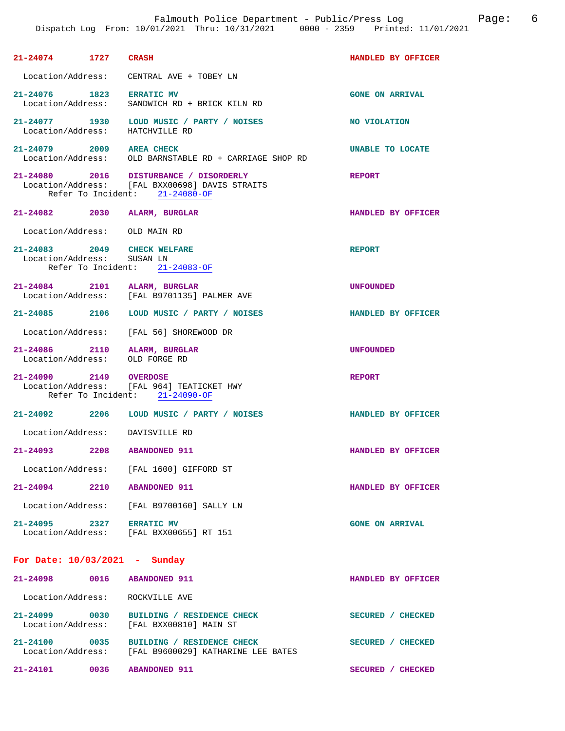| 21-24074 1727 CRASH                                       |                                                                                                                            | HANDLED BY OFFICER      |
|-----------------------------------------------------------|----------------------------------------------------------------------------------------------------------------------------|-------------------------|
|                                                           | Location/Address: CENTRAL AVE + TOBEY LN                                                                                   |                         |
| 21-24076 1823 ERRATIC MV<br>Location/Address:             | SANDWICH RD + BRICK KILN RD                                                                                                | <b>GONE ON ARRIVAL</b>  |
|                                                           | 21-24077 1930 LOUD MUSIC / PARTY / NOISES<br>Location/Address: HATCHVILLE RD                                               | NO VIOLATION            |
| 21-24079 2009 AREA CHECK                                  | Location/Address: OLD BARNSTABLE RD + CARRIAGE SHOP RD                                                                     | <b>UNABLE TO LOCATE</b> |
|                                                           | 21-24080 2016 DISTURBANCE / DISORDERLY<br>Location/Address: [FAL BXX00698] DAVIS STRAITS<br>Refer To Incident: 21-24080-OF | <b>REPORT</b>           |
|                                                           | 21-24082 2030 ALARM, BURGLAR                                                                                               | HANDLED BY OFFICER      |
| Location/Address: OLD MAIN RD                             |                                                                                                                            |                         |
| 21-24083 2049 CHECK WELFARE<br>Location/Address: SUSAN LN | Refer To Incident: 21-24083-OF                                                                                             | <b>REPORT</b>           |
|                                                           | 21-24084 2101 ALARM, BURGLAR<br>Location/Address: [FAL B9701135] PALMER AVE                                                | <b>UNFOUNDED</b>        |
|                                                           | 21-24085 2106 LOUD MUSIC / PARTY / NOISES                                                                                  | HANDLED BY OFFICER      |
|                                                           | Location/Address: [FAL 56] SHOREWOOD DR                                                                                    |                         |
| Location/Address:                                         | 21-24086 2110 ALARM, BURGLAR<br>OLD FORGE RD                                                                               | <b>UNFOUNDED</b>        |
| 21-24090 2149 OVERDOSE                                    | Location/Address: [FAL 964] TEATICKET HWY<br>Refer To Incident: 21-24090-OF                                                | REPORT                  |
|                                                           | 21-24092 2206 LOUD MUSIC / PARTY / NOISES                                                                                  | HANDLED BY OFFICER      |
|                                                           | Location/Address: DAVISVILLE RD                                                                                            |                         |
| 21-24093 2208 ABANDONED 911                               |                                                                                                                            | HANDLED BY OFFICER      |
|                                                           | Location/Address: [FAL 1600] GIFFORD ST                                                                                    |                         |
| 21-24094 2210 ABANDONED 911                               |                                                                                                                            | HANDLED BY OFFICER      |
|                                                           | Location/Address: [FAL B9700160] SALLY LN                                                                                  |                         |
| 21-24095 2327 ERRATIC MV                                  | Location/Address: [FAL BXX00655] RT 151                                                                                    | <b>GONE ON ARRIVAL</b>  |
| For Date: 10/03/2021 - Sunday                             |                                                                                                                            |                         |
| 21-24098 0016 ABANDONED 911                               |                                                                                                                            | HANDLED BY OFFICER      |
|                                                           | Location/Address: ROCKVILLE AVE                                                                                            |                         |
|                                                           | 21-24099 0030 BUILDING / RESIDENCE CHECK<br>Location/Address: [FAL BXX00810] MAIN ST                                       | SECURED / CHECKED       |
| 21.2122                                                   |                                                                                                                            |                         |

**21-24100 0035 BUILDING / RESIDENCE CHECK SECURED / CHECKED**  Location/Address: [FAL B9600029] KATHARINE LEE BATES **21-24101 0036 ABANDONED 911 SECURED / CHECKED**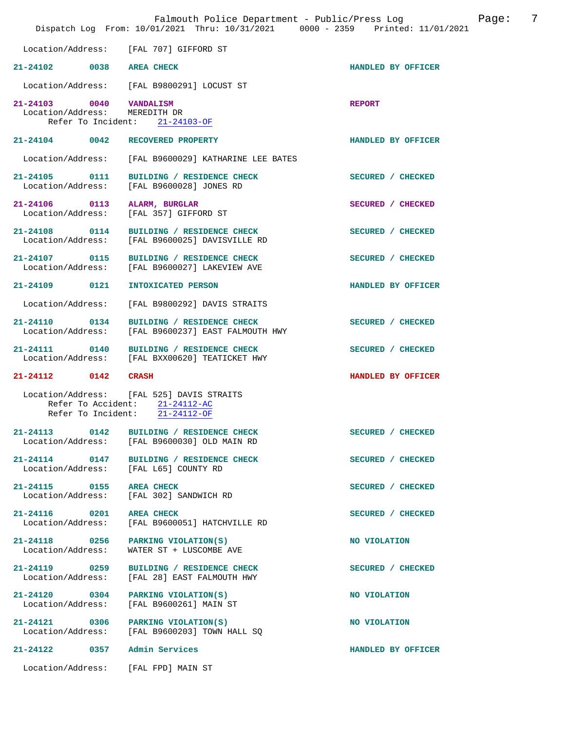| Falmouth Police Department - Public/Press Log<br>Page:<br>Dispatch Log From: 10/01/2021 Thru: 10/31/2021 0000 - 2359 Printed: 11/01/2021 |                                                                                                               |                    |
|------------------------------------------------------------------------------------------------------------------------------------------|---------------------------------------------------------------------------------------------------------------|--------------------|
| Location/Address:                                                                                                                        | [FAL 707] GIFFORD ST                                                                                          |                    |
| 21-24102 0038 AREA CHECK                                                                                                                 |                                                                                                               | HANDLED BY OFFICER |
| Location/Address:                                                                                                                        | [FAL B9800291] LOCUST ST                                                                                      |                    |
| 21-24103 0040 VANDALISM<br>Location/Address: MEREDITH DR<br>Refer To Incident:                                                           | 21-24103-OF                                                                                                   | <b>REPORT</b>      |
| 21-24104 0042                                                                                                                            | RECOVERED PROPERTY                                                                                            | HANDLED BY OFFICER |
| Location/Address:                                                                                                                        | [FAL B9600029] KATHARINE LEE BATES                                                                            |                    |
| 21-24105 0111<br>Location/Address:                                                                                                       | BUILDING / RESIDENCE CHECK<br>[FAL B9600028] JONES RD                                                         | SECURED / CHECKED  |
| 21-24106 0113<br>Location/Address:                                                                                                       | ALARM, BURGLAR<br>[FAL 357] GIFFORD ST                                                                        | SECURED / CHECKED  |
| 21-24108 0114<br>Location/Address:                                                                                                       | BUILDING / RESIDENCE CHECK<br>[FAL B9600025] DAVISVILLE RD                                                    | SECURED / CHECKED  |
| 21-24107 0115<br>Location/Address:                                                                                                       | BUILDING / RESIDENCE CHECK<br>[FAL B9600027] LAKEVIEW AVE                                                     | SECURED / CHECKED  |
| 21-24109 0121                                                                                                                            | <b>INTOXICATED PERSON</b>                                                                                     | HANDLED BY OFFICER |
| Location/Address:                                                                                                                        | [FAL B9800292] DAVIS STRAITS                                                                                  |                    |
| 21-24110 0134<br>Location/Address:                                                                                                       | BUILDING / RESIDENCE CHECK<br>[FAL B9600237] EAST FALMOUTH HWY                                                | SECURED / CHECKED  |
| 21-24111 0140<br>Location/Address:                                                                                                       | BUILDING / RESIDENCE CHECK<br>[FAL BXX00620] TEATICKET HWY                                                    | SECURED / CHECKED  |
| 21-24112 0142                                                                                                                            | <b>CRASH</b>                                                                                                  | HANDLED BY OFFICER |
|                                                                                                                                          | Location/Address: [FAL 525] DAVIS STRAITS<br>Refer To Accident: 21-24112-AC<br>Refer To Incident: 21-24112-OF |                    |
| 21-24113 0142<br>Location/Address:                                                                                                       | BUILDING / RESIDENCE CHECK<br>[FAL B9600030] OLD MAIN RD                                                      | SECURED / CHECKED  |
| 21-24114 0147<br>Location/Address:                                                                                                       | BUILDING / RESIDENCE CHECK<br>[FAL L65] COUNTY RD                                                             | SECURED / CHECKED  |
| 21-24115 0155<br>Location/Address:                                                                                                       | <b>AREA CHECK</b><br>[FAL 302] SANDWICH RD                                                                    | SECURED / CHECKED  |
| 21-24116 0201<br>Location/Address:                                                                                                       | <b>AREA CHECK</b><br>[FAL B9600051] HATCHVILLE RD                                                             | SECURED / CHECKED  |
| 21-24118 0256<br>Location/Address:                                                                                                       | PARKING VIOLATION(S)<br>WATER ST + LUSCOMBE AVE                                                               | NO VIOLATION       |
| 21-24119 0259<br>Location/Address:                                                                                                       | BUILDING / RESIDENCE CHECK<br>[FAL 28] EAST FALMOUTH HWY                                                      | SECURED / CHECKED  |
| 21-24120 0304<br>Location/Address:                                                                                                       | PARKING VIOLATION(S)<br>[FAL B9600261] MAIN ST                                                                | NO VIOLATION       |
| 21-24121 0306<br>Location/Address:                                                                                                       | PARKING VIOLATION(S)<br>[FAL B9600203] TOWN HALL SQ                                                           | NO VIOLATION       |
| 21-24122<br>0357                                                                                                                         | Admin Services                                                                                                | HANDLED BY OFFICER |
| Location/Address:                                                                                                                        | [FAL FPD] MAIN ST                                                                                             |                    |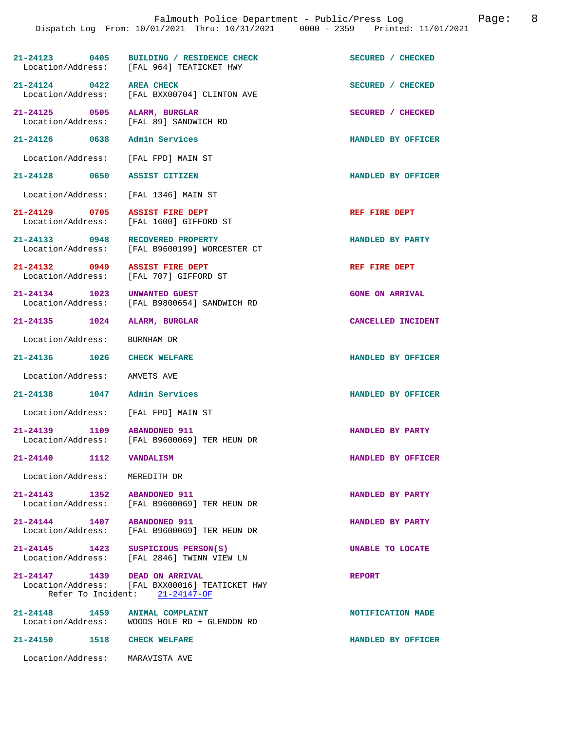|                              | Falmouth Police Department - Public/Press Log bage: 8<br>Dispatch Log From: 10/01/2021 Thru: 10/31/2021 0000 - 2359 Printed: 11/01/2021 |                        |  |
|------------------------------|-----------------------------------------------------------------------------------------------------------------------------------------|------------------------|--|
|                              | 21-24123 0405 BUILDING / RESIDENCE CHECK<br>Location/Address: [FAL 964] TEATICKET HWY                                                   | SECURED / CHECKED      |  |
| 21-24124 0422 AREA CHECK     | Location/Address: [FAL BXX00704] CLINTON AVE                                                                                            | SECURED / CHECKED      |  |
|                              | 21-24125 0505 ALARM, BURGLAR<br>Location/Address: [FAL 89] SANDWICH RD                                                                  | SECURED / CHECKED      |  |
|                              | 21-24126 0638 Admin Services                                                                                                            | HANDLED BY OFFICER     |  |
|                              | Location/Address: [FAL FPD] MAIN ST                                                                                                     |                        |  |
|                              | 21-24128 0650 ASSIST CITIZEN                                                                                                            | HANDLED BY OFFICER     |  |
|                              | Location/Address: [FAL 1346] MAIN ST                                                                                                    |                        |  |
|                              | 21-24129 0705 ASSIST FIRE DEPT<br>Location/Address: [FAL 1600] GIFFORD ST                                                               | REF FIRE DEPT          |  |
|                              | 21-24133 0948 RECOVERED PROPERTY<br>Location/Address: [FAL B9600199] WORCESTER CT                                                       | HANDLED BY PARTY       |  |
|                              | 21-24132 0949 ASSIST FIRE DEPT<br>Location/Address: [FAL 707] GIFFORD ST                                                                | REF FIRE DEPT          |  |
|                              | 21-24134 1023 UNWANTED GUEST<br>Location/Address: [FAL B9800654] SANDWICH RD                                                            | <b>GONE ON ARRIVAL</b> |  |
|                              | 21-24135 1024 ALARM, BURGLAR                                                                                                            | CANCELLED INCIDENT     |  |
| Location/Address: BURNHAM DR |                                                                                                                                         |                        |  |
|                              |                                                                                                                                         |                        |  |

**21-24136 1026 CHECK WELFARE HANDLED BY OFFICER** 

Location/Address: AMVETS AVE

**21-24138 1047 Admin Services HANDLED BY OFFICER** 

Location/Address: [FAL FPD] MAIN ST

**21-24139 1109 ABANDONED 911 HANDLED BY PARTY** 

Location/Address: MEREDITH DR

**21-24143 1352 ABANDONED 911 HANDLED BY PARTY**  Location/Address: [FAL B9600069] TER HEUN DR

**21-24144 1407 ABANDONED 911 HANDLED BY PARTY**  Location/Address: [FAL B9600069] TER HEUN DR

**21-24145 1423 SUSPICIOUS PERSON(S) UNABLE TO LOCATE**  [FAL 2846] TWINN VIEW LN

[FAL B9600069] TER HEUN DR

**21-24147 1439 DEAD ON ARRIVAL REPORT**  Location/Address: [FAL BXX00016] TEATICKET HWY Refer To Incident: 21-24147-OF

21-24148 1459 ANIMAL COMPLAINT **NOTIFICATION MADE Indiana** 1459 **ANIMAL COMPLAINT NOTIFICATION MADE** Location/Address: WOODS HOLE RD + GLENDON RD

**21-24150 1518 CHECK WELFARE HANDLED BY OFFICER** 

Location/Address: MARAVISTA AVE

**21-24140 1112 VANDALISM HANDLED BY OFFICER**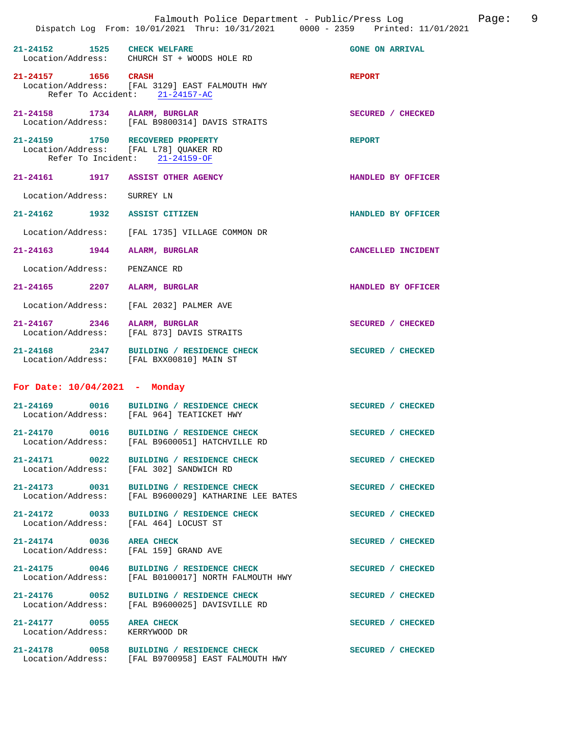|                                    |                                                                                                             | Falmouth Police Department - Public/Press Log<br>Dispatch Log From: 10/01/2021 Thru: 10/31/2021 0000 - 2359 Printed: 11/01/2021 | Page: 9 |  |
|------------------------------------|-------------------------------------------------------------------------------------------------------------|---------------------------------------------------------------------------------------------------------------------------------|---------|--|
| 21-24152 1525 CHECK WELFARE        | Location/Address: CHURCH ST + WOODS HOLE RD                                                                 | <b>GONE ON ARRIVAL</b>                                                                                                          |         |  |
| 21-24157 1656 CRASH                | Location/Address: [FAL 3129] EAST FALMOUTH HWY<br>Refer To Accident: 21-24157-AC                            | <b>REPORT</b>                                                                                                                   |         |  |
|                                    | 21-24158 1734 ALARM, BURGLAR<br>Location/Address: [FAL B9800314] DAVIS STRAITS                              | SECURED / CHECKED                                                                                                               |         |  |
|                                    | 21-24159 1750 RECOVERED PROPERTY<br>Location/Address: [FAL L78] QUAKER RD<br>Refer To Incident: 21-24159-OF | <b>REPORT</b>                                                                                                                   |         |  |
|                                    | 21-24161 1917 ASSIST OTHER AGENCY                                                                           | HANDLED BY OFFICER                                                                                                              |         |  |
| Location/Address: SURREY LN        |                                                                                                             |                                                                                                                                 |         |  |
| 21-24162 1932 ASSIST CITIZEN       |                                                                                                             | HANDLED BY OFFICER                                                                                                              |         |  |
|                                    | Location/Address: [FAL 1735] VILLAGE COMMON DR                                                              |                                                                                                                                 |         |  |
| 21-24163 1944 ALARM, BURGLAR       |                                                                                                             | CANCELLED INCIDENT                                                                                                              |         |  |
| Location/Address: PENZANCE RD      |                                                                                                             |                                                                                                                                 |         |  |
|                                    | 21-24165 2207 ALARM, BURGLAR                                                                                | HANDLED BY OFFICER                                                                                                              |         |  |
|                                    | Location/Address: [FAL 2032] PALMER AVE                                                                     |                                                                                                                                 |         |  |
|                                    | 21-24167 2346 ALARM, BURGLAR<br>Location/Address: [FAL 873] DAVIS STRAITS                                   | SECURED / CHECKED                                                                                                               |         |  |
|                                    | 21-24168 2347 BUILDING / RESIDENCE CHECK<br>Location/Address: [FAL BXX00810] MAIN ST                        | SECURED / CHECKED                                                                                                               |         |  |
| For Date: $10/04/2021$ - Monday    |                                                                                                             |                                                                                                                                 |         |  |
|                                    | 21-24169 0016 BUILDING / RESIDENCE CHECK<br>Location/Address: [FAL 964] TEATICKET HWY                       | SECURED / CHECKED                                                                                                               |         |  |
| 21-24170 0016<br>Location/Address: | BUILDING / RESIDENCE CHECK<br>[FAL B9600051] HATCHVILLE RD                                                  | SECURED / CHECKED                                                                                                               |         |  |
|                                    | 21-24171 0022 BUILDING / RESIDENCE CHECK<br>Location/Address: [FAL 302] SANDWICH RD                         | SECURED / CHECKED                                                                                                               |         |  |
| Location/Address:                  | 21-24173 0031 BUILDING / RESIDENCE CHECK<br>[FAL B9600029] KATHARINE LEE BATES                              | SECURED / CHECKED                                                                                                               |         |  |
| Location/Address:                  | 21-24172 0033 BUILDING / RESIDENCE CHECK<br>[FAL 464] LOCUST ST                                             | SECURED / CHECKED                                                                                                               |         |  |
| 21-24174 0036 AREA CHECK           | Location/Address: [FAL 159] GRAND AVE                                                                       | SECURED / CHECKED                                                                                                               |         |  |
|                                    | 21-24175 0046 BUILDING / RESIDENCE CHECK<br>Location/Address: [FAL B0100017] NORTH FALMOUTH HWY             | SECURED / CHECKED                                                                                                               |         |  |
|                                    |                                                                                                             |                                                                                                                                 |         |  |

21-24177 0055 AREA CHECK SECURED / CHECKED Location / Address: KERRYWOOD DR Location/Address:

**21-24178 0058 BUILDING / RESIDENCE CHECK SECURED / CHECKED**  Location/Address: [FAL B9700958] EAST FALMOUTH HWY

21-24176 0052 BUILDING / RESIDENCE CHECK SECURED / CHECKED Location/Address: [FAL B9600025] DAVISVILLE RD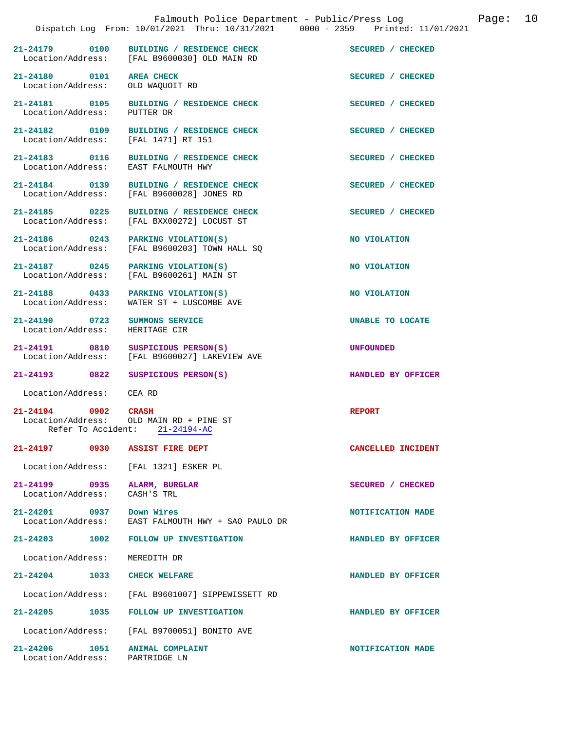|                                                                  | Dispatch Log From: 10/01/2021 Thru: 10/31/2021 0000 - 2359 Printed: 11/01/2021    |                    |
|------------------------------------------------------------------|-----------------------------------------------------------------------------------|--------------------|
| 21-24179 0100                                                    | <b>BUILDING / RESIDENCE CHECK</b><br>Location/Address: [FAL B9600030] OLD MAIN RD | SECURED / CHECKED  |
| 21-24180 0101<br>Location/Address:                               | <b>AREA CHECK</b><br>OLD WAQUOIT RD                                               | SECURED / CHECKED  |
| 21-24181 0105<br>Location/Address:                               | BUILDING / RESIDENCE CHECK<br>PUTTER DR                                           | SECURED / CHECKED  |
| 21-24182 0109<br>Location/Address:                               | BUILDING / RESIDENCE CHECK<br>[FAL 1471] RT 151                                   | SECURED / CHECKED  |
| 21-24183 0116<br>Location/Address:                               | BUILDING / RESIDENCE CHECK<br>EAST FALMOUTH HWY                                   | SECURED / CHECKED  |
| 21-24184 0139<br>Location/Address:                               | BUILDING / RESIDENCE CHECK<br>[FAL B9600028] JONES RD                             | SECURED / CHECKED  |
| $21 - 24185$ 0225<br>Location/Address:                           | BUILDING / RESIDENCE CHECK<br>[FAL BXX00272] LOCUST ST                            | SECURED / CHECKED  |
| $21-24186$ 0243 PARKING VIOLATION(S)<br>Location/Address:        | [FAL B9600203] TOWN HALL SQ                                                       | NO VIOLATION       |
| 21-24187 0245<br>Location/Address:                               | PARKING VIOLATION(S)<br>[FAL B9600261] MAIN ST                                    | NO VIOLATION       |
| Location/Address:                                                | 21-24188 0433 PARKING VIOLATION(S)<br>WATER ST + LUSCOMBE AVE                     | NO VIOLATION       |
| 21-24190 0723<br>Location/Address:                               | <b>SUMMONS SERVICE</b><br>HERITAGE CIR                                            | UNABLE TO LOCATE   |
| Location/Address:                                                | 21-24191 0810 SUSPICIOUS PERSON(S)<br>[FAL B9600027] LAKEVIEW AVE                 | <b>UNFOUNDED</b>   |
| 21-24193 0822                                                    | SUSPICIOUS PERSON(S)                                                              | HANDLED BY OFFICER |
| Location/Address: CEA RD                                         |                                                                                   |                    |
| 21-24194 0902 CRASH<br>Refer To Accident:                        | Location/Address: OLD MAIN RD + PINE ST<br>$21 - 24194 - AC$                      | <b>REPORT</b>      |
| 21-24197 0930                                                    | <b>ASSIST FIRE DEPT</b>                                                           | CANCELLED INCIDENT |
| Location/Address: [FAL 1321] ESKER PL                            |                                                                                   |                    |
| 21-24199 0935<br>Location/Address: CASH'S TRL                    | ALARM, BURGLAR                                                                    | SECURED / CHECKED  |
| 21-24201 0937 Down Wires                                         | Location/Address: EAST FALMOUTH HWY + SAO PAULO DR                                | NOTIFICATION MADE  |
|                                                                  | 21-24203 1002 FOLLOW UP INVESTIGATION                                             | HANDLED BY OFFICER |
| Location/Address: MEREDITH DR                                    |                                                                                   |                    |
| 21-24204 1033                                                    | <b>CHECK WELFARE</b>                                                              | HANDLED BY OFFICER |
|                                                                  | Location/Address: [FAL B9601007] SIPPEWISSETT RD                                  |                    |
|                                                                  | 21-24205 1035 FOLLOW UP INVESTIGATION                                             | HANDLED BY OFFICER |
|                                                                  | Location/Address: [FAL B9700051] BONITO AVE                                       |                    |
| 21-24206 1051 ANIMAL COMPLAINT<br>Location/Address: PARTRIDGE LN |                                                                                   | NOTIFICATION MADE  |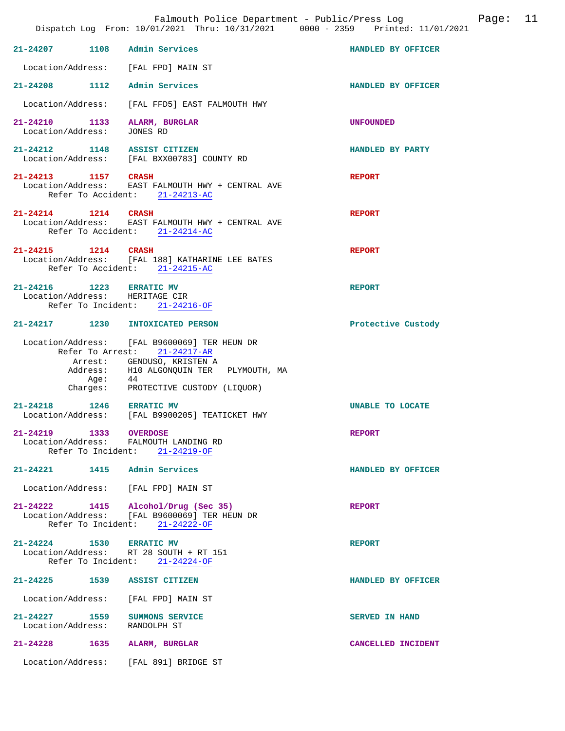|                                                                 | Falmouth Police Department - Public/Press Log<br>Dispatch Log From: 10/01/2021 Thru: 10/31/2021 0000 - 2359 Printed: 11/01/2021                                                                     |                       | Page: | 11 |
|-----------------------------------------------------------------|-----------------------------------------------------------------------------------------------------------------------------------------------------------------------------------------------------|-----------------------|-------|----|
| 21-24207 1108 Admin Services                                    |                                                                                                                                                                                                     | HANDLED BY OFFICER    |       |    |
| Location/Address: [FAL FPD] MAIN ST                             |                                                                                                                                                                                                     |                       |       |    |
| 21-24208 1112 Admin Services                                    |                                                                                                                                                                                                     | HANDLED BY OFFICER    |       |    |
| Location/Address:                                               | [FAL FFD5] EAST FALMOUTH HWY                                                                                                                                                                        |                       |       |    |
| 21-24210 1133 ALARM, BURGLAR<br>Location/Address:               | JONES RD                                                                                                                                                                                            | <b>UNFOUNDED</b>      |       |    |
| 21-24212 1148 ASSIST CITIZEN                                    | Location/Address: [FAL BXX00783] COUNTY RD                                                                                                                                                          | HANDLED BY PARTY      |       |    |
| 21-24213 1157 CRASH                                             | Location/Address: EAST FALMOUTH HWY + CENTRAL AVE<br>Refer To Accident: 21-24213-AC                                                                                                                 | <b>REPORT</b>         |       |    |
| 21-24214 1214 CRASH                                             | Location/Address: EAST FALMOUTH HWY + CENTRAL AVE<br>Refer To Accident: 21-24214-AC                                                                                                                 | <b>REPORT</b>         |       |    |
| 21-24215 1214 CRASH                                             | Location/Address: [FAL 188] KATHARINE LEE BATES<br>Refer To Accident: 21-24215-AC                                                                                                                   | <b>REPORT</b>         |       |    |
| 21-24216 1223 ERRATIC MV<br>Location/Address: HERITAGE CIR      | Refer To Incident: 21-24216-OF                                                                                                                                                                      | <b>REPORT</b>         |       |    |
| 21-24217 1230 INTOXICATED PERSON                                |                                                                                                                                                                                                     | Protective Custody    |       |    |
| Age:                                                            | Location/Address: [FAL B9600069] TER HEUN DR<br>Refer To Arrest: 21-24217-AR<br>Arrest: GENDUSO, KRISTEN A<br>Address: H10 ALGONQUIN TER PLYMOUTH, MA<br>44<br>Charges: PROTECTIVE CUSTODY (LIQUOR) |                       |       |    |
| 21-24218 1246 ERRATIC MV                                        | Location/Address: [FAL B9900205] TEATICKET HWY                                                                                                                                                      | UNABLE TO LOCATE      |       |    |
| 21-24219 1333 OVERDOSE<br>Location/Address: FALMOUTH LANDING RD | Refer To Incident: 21-24219-OF                                                                                                                                                                      | <b>REPORT</b>         |       |    |
| 21-24221                                                        | 1415 Admin Services                                                                                                                                                                                 | HANDLED BY OFFICER    |       |    |
| Location/Address: [FAL FPD] MAIN ST                             |                                                                                                                                                                                                     |                       |       |    |
|                                                                 | 21-24222 1415 Alcohol/Drug (Sec 35)<br>Location/Address: [FAL B9600069] TER HEUN DR<br>Refer To Incident: 21-24222-OF                                                                               | <b>REPORT</b>         |       |    |
| 21-24224 1530 ERRATIC MV                                        | Location/Address: RT 28 SOUTH + RT 151<br>Refer To Incident: $21-24224-OF$                                                                                                                          | <b>REPORT</b>         |       |    |
| 21-24225 1539 ASSIST CITIZEN                                    |                                                                                                                                                                                                     | HANDLED BY OFFICER    |       |    |
| Location/Address:                                               | [FAL FPD] MAIN ST                                                                                                                                                                                   |                       |       |    |
| 21-24227 1559<br>Location/Address:                              | SUMMONS SERVICE<br>RANDOLPH ST                                                                                                                                                                      | <b>SERVED IN HAND</b> |       |    |
| $21 - 24228$<br>1635                                            | ALARM, BURGLAR                                                                                                                                                                                      | CANCELLED INCIDENT    |       |    |
| Location/Address: [FAL 891] BRIDGE ST                           |                                                                                                                                                                                                     |                       |       |    |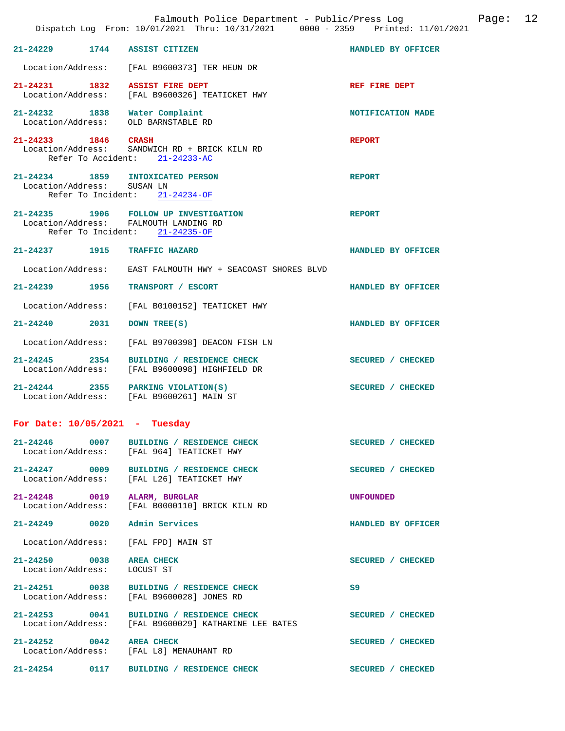|                                    |      | Falmouth Police Department - Public/Press Log bage:<br>Dispatch Log From: 10/01/2021 Thru: 10/31/2021 0000 - 2359 Printed: 11/01/2021 | 12                 |
|------------------------------------|------|---------------------------------------------------------------------------------------------------------------------------------------|--------------------|
|                                    |      | 21-24229 1744 ASSIST CITIZEN                                                                                                          | HANDLED BY OFFICER |
|                                    |      | Location/Address: [FAL B9600373] TER HEUN DR                                                                                          |                    |
|                                    |      | 21-24231 1832 ASSIST FIRE DEPT<br>Location/Address: [FAL B9600326] TEATICKET HWY                                                      | REF FIRE DEPT      |
|                                    |      | 21-24232 1838 Water Complaint<br>Location/Address: OLD BARNSTABLE RD                                                                  | NOTIFICATION MADE  |
| 21-24233 1846 CRASH                |      | Location/Address: SANDWICH RD + BRICK KILN RD<br>Refer To Accident: 21-24233-AC                                                       | <b>REPORT</b>      |
| Location/Address: SUSAN LN         |      | 21-24234 1859 INTOXICATED PERSON<br>Refer To Incident: 21-24234-OF                                                                    | <b>REPORT</b>      |
|                                    |      | 21-24235 1906 FOLLOW UP INVESTIGATION<br>Location/Address: FALMOUTH LANDING RD<br>Refer To Incident: 21-24235-OF                      | <b>REPORT</b>      |
|                                    |      | 21-24237 1915 TRAFFIC HAZARD                                                                                                          | HANDLED BY OFFICER |
| Location/Address:                  |      | EAST FALMOUTH HWY + SEACOAST SHORES BLVD                                                                                              |                    |
| 21-24239 1956                      |      | TRANSPORT / ESCORT                                                                                                                    | HANDLED BY OFFICER |
| Location/Address:                  |      | [FAL B0100152] TEATICKET HWY                                                                                                          |                    |
| 21-24240 2031                      |      | DOWN TREE(S)                                                                                                                          | HANDLED BY OFFICER |
| Location/Address:                  |      | [FAL B9700398] DEACON FISH LN                                                                                                         |                    |
| 21-24245 2354                      |      | BUILDING / RESIDENCE CHECK<br>Location/Address: [FAL B9600098] HIGHFIELD DR                                                           | SECURED / CHECKED  |
|                                    |      | $21-24244$ 2355 PARKING VIOLATION(S)<br>Location/Address: [FAL B9600261] MAIN ST                                                      | SECURED / CHECKED  |
| For Date: $10/05/2021$ - Tuesday   |      |                                                                                                                                       |                    |
| $21 - 24246$ 0007                  |      | BUILDING / RESIDENCE CHECK<br>Location/Address: [FAL 964] TEATICKET HWY                                                               | SECURED / CHECKED  |
|                                    |      | 21-24247 0009 BUILDING / RESIDENCE CHECK<br>Location/Address: [FAL L26] TEATICKET HWY                                                 | SECURED / CHECKED  |
| 21-24248 0019<br>Location/Address: |      | ALARM, BURGLAR<br>[FAL B0000110] BRICK KILN RD                                                                                        | <b>UNFOUNDED</b>   |
|                                    |      | 21-24249 0020 Admin Services                                                                                                          | HANDLED BY OFFICER |
| Location/Address:                  |      | [FAL FPD] MAIN ST                                                                                                                     |                    |
| 21-24250 0038<br>Location/Address: |      | <b>AREA CHECK</b><br>LOCUST ST                                                                                                        | SECURED / CHECKED  |
| 21-24251 0038<br>Location/Address: |      | BUILDING / RESIDENCE CHECK<br>[FAL B9600028] JONES RD                                                                                 | S9                 |
| Location/Address:                  |      | 21-24253 0041 BUILDING / RESIDENCE CHECK<br>[FAL B9600029] KATHARINE LEE BATES                                                        | SECURED / CHECKED  |
| 21-24252 0042 AREA CHECK           |      | Location/Address: [FAL L8] MENAUHANT RD                                                                                               | SECURED / CHECKED  |
| $21 - 24254$                       | 0117 | BUILDING / RESIDENCE CHECK                                                                                                            | SECURED / CHECKED  |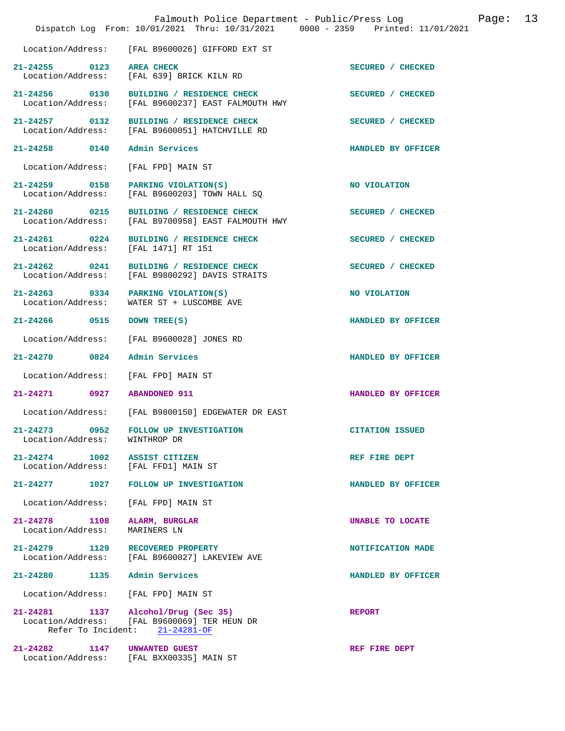|                                           | Falmouth Police Department - Public/Press Log<br>Dispatch Log From: 10/01/2021 Thru: 10/31/2021 0000 - 2359 Printed: 11/01/2021 |                        | Page: | 13 |
|-------------------------------------------|---------------------------------------------------------------------------------------------------------------------------------|------------------------|-------|----|
| Location/Address:                         | [FAL B9600026] GIFFORD EXT ST                                                                                                   |                        |       |    |
| $21 - 24255$ 0123<br>Location/Address:    | <b>AREA CHECK</b><br>[FAL 639] BRICK KILN RD                                                                                    | SECURED / CHECKED      |       |    |
| 21-24256 0130<br>Location/Address:        | BUILDING / RESIDENCE CHECK<br>[FAL B9600237] EAST FALMOUTH HWY                                                                  | SECURED / CHECKED      |       |    |
| $21 - 24257$ 0132<br>Location/Address:    | BUILDING / RESIDENCE CHECK<br>[FAL B9600051] HATCHVILLE RD                                                                      | SECURED / CHECKED      |       |    |
| 21-24258 0140                             | Admin Services                                                                                                                  | HANDLED BY OFFICER     |       |    |
| Location/Address:                         | [FAL FPD] MAIN ST                                                                                                               |                        |       |    |
| 21-24259 0158<br>Location/Address:        | PARKING VIOLATION(S)<br>[FAL B9600203] TOWN HALL SQ                                                                             | NO VIOLATION           |       |    |
| $21 - 24260$ 0215<br>Location/Address:    | BUILDING / RESIDENCE CHECK<br>[FAL B9700958] EAST FALMOUTH HWY                                                                  | SECURED / CHECKED      |       |    |
| $21 - 24261$ 0224<br>Location/Address:    | BUILDING / RESIDENCE CHECK<br>[FAL 1471] RT 151                                                                                 | SECURED / CHECKED      |       |    |
| $21 - 24262$ 0241<br>Location/Address:    | BUILDING / RESIDENCE CHECK<br>[FAL B9800292] DAVIS STRAITS                                                                      | SECURED / CHECKED      |       |    |
| 21-24263 0334<br>Location/Address:        | PARKING VIOLATION(S)<br>WATER ST + LUSCOMBE AVE                                                                                 | NO VIOLATION           |       |    |
| 21-24266 0515                             | DOWN TREE(S)                                                                                                                    | HANDLED BY OFFICER     |       |    |
| Location/Address:                         | [FAL B9600028] JONES RD                                                                                                         |                        |       |    |
| 0824<br>21-24270                          | Admin Services                                                                                                                  | HANDLED BY OFFICER     |       |    |
| Location/Address:                         | [FAL FPD] MAIN ST                                                                                                               |                        |       |    |
| 21-24271 0927                             | <b>ABANDONED 911</b>                                                                                                            | HANDLED BY OFFICER     |       |    |
|                                           | Location/Address: [FAL B9800150] EDGEWATER DR EAST                                                                              |                        |       |    |
| $21 - 24273$<br>0952<br>Location/Address: | <b>FOLLOW UP INVESTIGATION</b><br>WINTHROP DR                                                                                   | <b>CITATION ISSUED</b> |       |    |
| $21 - 24274$ 1002<br>Location/Address:    | ASSIST CITIZEN<br>[FAL FFD1] MAIN ST                                                                                            | REF FIRE DEPT          |       |    |
| 1027<br>21-24277                          | FOLLOW UP INVESTIGATION                                                                                                         | HANDLED BY OFFICER     |       |    |
| Location/Address:                         | [FAL FPD] MAIN ST                                                                                                               |                        |       |    |
| $21 - 24278$<br>1108<br>Location/Address: | ALARM, BURGLAR<br>MARINERS LN                                                                                                   | UNABLE TO LOCATE       |       |    |
| 21-24279 1129<br>Location/Address:        | RECOVERED PROPERTY<br>[FAL B9600027] LAKEVIEW AVE                                                                               | NOTIFICATION MADE      |       |    |
| $21 - 24280$<br>1135                      | Admin Services                                                                                                                  | HANDLED BY OFFICER     |       |    |
| Location/Address:                         | [FAL FPD] MAIN ST                                                                                                               |                        |       |    |
|                                           | 21-24281 1137 Alcohol/Drug (Sec 35)<br>Location/Address: [FAL B9600069] TER HEUN DR<br>Refer To Incident: 21-24281-OF           | <b>REPORT</b>          |       |    |
| 21-24282 1147                             | UNWANTED GUEST<br>Location/Address: [FAL BXX00335] MAIN ST                                                                      | REF FIRE DEPT          |       |    |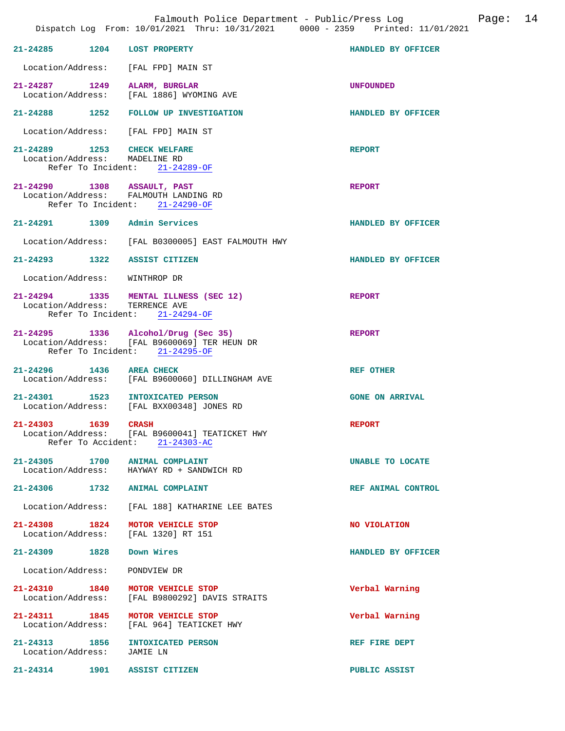|                            |      | Falmouth Police Department - Public/Press Log<br>Dispatch Log From: 10/01/2021 Thru: 10/31/2021 0000 - 2359 Printed: 11/01/2021 |                        | Page: 14 |  |
|----------------------------|------|---------------------------------------------------------------------------------------------------------------------------------|------------------------|----------|--|
|                            |      | 21-24285 1204 LOST PROPERTY                                                                                                     | HANDLED BY OFFICER     |          |  |
|                            |      | Location/Address: [FAL FPD] MAIN ST                                                                                             |                        |          |  |
|                            |      | 21-24287 1249 ALARM, BURGLAR<br>Location/Address: [FAL 1886] WYOMING AVE                                                        | <b>UNFOUNDED</b>       |          |  |
|                            |      | 21-24288 1252 FOLLOW UP INVESTIGATION                                                                                           | HANDLED BY OFFICER     |          |  |
|                            |      | Location/Address: [FAL FPD] MAIN ST                                                                                             |                        |          |  |
|                            |      | 21-24289 1253 CHECK WELFARE<br>Location/Address: MADELINE RD<br>Refer To Incident: 21-24289-OF                                  | <b>REPORT</b>          |          |  |
|                            |      | 21-24290 1308 ASSAULT, PAST<br>Location/Address: FALMOUTH LANDING RD<br>Refer To Incident: 21-24290-OF                          | <b>REPORT</b>          |          |  |
|                            |      | 21-24291 1309 Admin Services                                                                                                    | HANDLED BY OFFICER     |          |  |
|                            |      | Location/Address: [FAL B0300005] EAST FALMOUTH HWY                                                                              |                        |          |  |
|                            |      | 21-24293 1322 ASSIST CITIZEN                                                                                                    | HANDLED BY OFFICER     |          |  |
|                            |      | Location/Address: WINTHROP DR                                                                                                   |                        |          |  |
| Location/Address:          |      | 21-24294 1335 MENTAL ILLNESS (SEC 12)<br>TERRENCE AVE<br>Refer To Incident: 21-24294-OF                                         | <b>REPORT</b>          |          |  |
|                            |      | 21-24295 1336 Alcohol/Drug (Sec 35)<br>Location/Address: [FAL B9600069] TER HEUN DR<br>Refer To Incident: 21-24295-OF           | <b>REPORT</b>          |          |  |
|                            |      | 21-24296 1436 AREA CHECK<br>Location/Address: [FAL B9600060] DILLINGHAM AVE                                                     | <b>REF OTHER</b>       |          |  |
| 21-24301                   |      | 1523 INTOXICATED PERSON<br>Location/Address: [FAL BXX00348] JONES RD                                                            | <b>GONE ON ARRIVAL</b> |          |  |
| $21 - 24303$               | 1639 | <b>CRASH</b><br>Location/Address: [FAL B9600041] TEATICKET HWY<br>Refer To Accident: 21-24303-AC                                | <b>REPORT</b>          |          |  |
|                            |      | 21-24305 1700 ANIMAL COMPLAINT<br>Location/Address: HAYWAY RD + SANDWICH RD                                                     | UNABLE TO LOCATE       |          |  |
|                            |      | 21-24306 1732 ANIMAL COMPLAINT                                                                                                  | REF ANIMAL CONTROL     |          |  |
|                            |      | Location/Address: [FAL 188] KATHARINE LEE BATES                                                                                 |                        |          |  |
|                            |      | 21-24308 1824 MOTOR VEHICLE STOP<br>Location/Address: [FAL 1320] RT 151                                                         | NO VIOLATION           |          |  |
|                            |      | 21-24309 1828 Down Wires                                                                                                        | HANDLED BY OFFICER     |          |  |
|                            |      | Location/Address: PONDVIEW DR                                                                                                   |                        |          |  |
| Location/Address:          |      | 21-24310 1840 MOTOR VEHICLE STOP<br>[FAL B9800292] DAVIS STRAITS                                                                | Verbal Warning         |          |  |
|                            |      | 21-24311 1845 MOTOR VEHICLE STOP<br>Location/Address: [FAL 964] TEATICKET HWY                                                   | Verbal Warning         |          |  |
| Location/Address: JAMIE LN |      | 21-24313 1856 INTOXICATED PERSON                                                                                                | REF FIRE DEPT          |          |  |
| $21 - 24314$               |      | 1901 ASSIST CITIZEN                                                                                                             | PUBLIC ASSIST          |          |  |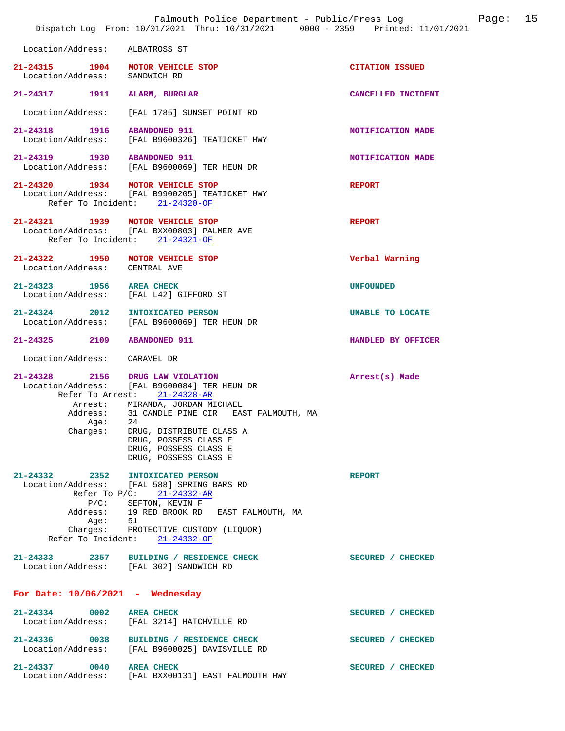|                                                                                         | Falmouth Police Department - Public/Press Log<br>Dispatch Log From: 10/01/2021 Thru: 10/31/2021 0000 - 2359 Printed: 11/01/2021                                                                                                                                               |                        | Page: | 15 |
|-----------------------------------------------------------------------------------------|-------------------------------------------------------------------------------------------------------------------------------------------------------------------------------------------------------------------------------------------------------------------------------|------------------------|-------|----|
| Location/Address:                                                                       | ALBATROSS ST                                                                                                                                                                                                                                                                  |                        |       |    |
| 21-24315 1904 MOTOR VEHICLE STOP<br>Location/Address: SANDWICH RD                       |                                                                                                                                                                                                                                                                               | <b>CITATION ISSUED</b> |       |    |
| 21-24317 1911                                                                           | ALARM, BURGLAR                                                                                                                                                                                                                                                                | CANCELLED INCIDENT     |       |    |
| Location/Address:                                                                       | [FAL 1785] SUNSET POINT RD                                                                                                                                                                                                                                                    |                        |       |    |
| 21-24318 1916                                                                           | <b>ABANDONED 911</b><br>Location/Address: [FAL B9600326] TEATICKET HWY                                                                                                                                                                                                        | NOTIFICATION MADE      |       |    |
| 21-24319 1930 ABANDONED 911                                                             | Location/Address: [FAL B9600069] TER HEUN DR                                                                                                                                                                                                                                  | NOTIFICATION MADE      |       |    |
| 21-24320 1934 MOTOR VEHICLE STOP                                                        | Location/Address: [FAL B9900205] TEATICKET HWY<br>Refer To Incident: 21-24320-OF                                                                                                                                                                                              | <b>REPORT</b>          |       |    |
| 21-24321 1939 MOTOR VEHICLE STOP                                                        | Location/Address: [FAL BXX00803] PALMER AVE<br>Refer To Incident: 21-24321-OF                                                                                                                                                                                                 | <b>REPORT</b>          |       |    |
| 21-24322 1950 MOTOR VEHICLE STOP<br>Location/Address: CENTRAL AVE                       |                                                                                                                                                                                                                                                                               | Verbal Warning         |       |    |
| 21-24323 1956 AREA CHECK<br>Location/Address: [FAL L42] GIFFORD ST                      |                                                                                                                                                                                                                                                                               | <b>UNFOUNDED</b>       |       |    |
| 21-24324 2012 INTOXICATED PERSON                                                        | Location/Address: [FAL B9600069] TER HEUN DR                                                                                                                                                                                                                                  | UNABLE TO LOCATE       |       |    |
| 21-24325 2109 ABANDONED 911                                                             |                                                                                                                                                                                                                                                                               | HANDLED BY OFFICER     |       |    |
| Location/Address: CARAVEL DR                                                            |                                                                                                                                                                                                                                                                               |                        |       |    |
| 21-24328 2156 DRUG LAW VIOLATION<br>Age:<br>Chargest:                                   | Location/Address: [FAL B9600084] TER HEUN DR<br>Refer To Arrest: 21-24328-AR<br>Arrest: MIRANDA, JORDAN MICHAEL<br>Address: 31 CANDLE PINE CIR EAST FALMOUTH, MA<br>24<br>DRUG, DISTRIBUTE CLASS A<br>DRUG, POSSESS CLASS E<br>DRUG, POSSESS CLASS E<br>DRUG, POSSESS CLASS E | Arrest(s) Made         |       |    |
| $21 - 24332$ 2352<br>Refer To P/C:<br>$P/C$ :<br>Address:<br>Age:<br>Refer To Incident: | <b>INTOXICATED PERSON</b><br>Location/Address: [FAL 588] SPRING BARS RD<br>$21 - 24332 - AR$<br>SEFTON, KEVIN F<br>19 RED BROOK RD EAST FALMOUTH, MA<br>51<br>Charges: PROTECTIVE CUSTODY (LIQUOR)<br>$21 - 24332 - OF$                                                       | <b>REPORT</b>          |       |    |
| 21-24333                                                                                | 2357 BUILDING / RESIDENCE CHECK<br>Location/Address: [FAL 302] SANDWICH RD                                                                                                                                                                                                    | SECURED / CHECKED      |       |    |
| For Date: $10/06/2021$ - Wednesday                                                      |                                                                                                                                                                                                                                                                               |                        |       |    |
| 21-24334<br>0002<br>Location/Address:                                                   | <b>AREA CHECK</b><br>[FAL 3214] HATCHVILLE RD                                                                                                                                                                                                                                 | SECURED / CHECKED      |       |    |
| 21-24336 0038<br>Location/Address:                                                      | BUILDING / RESIDENCE CHECK<br>[FAL B9600025] DAVISVILLE RD                                                                                                                                                                                                                    | SECURED / CHECKED      |       |    |
| 21-24337<br>0040<br>Location/Address:                                                   | <b>AREA CHECK</b><br>[FAL BXX00131] EAST FALMOUTH HWY                                                                                                                                                                                                                         | SECURED / CHECKED      |       |    |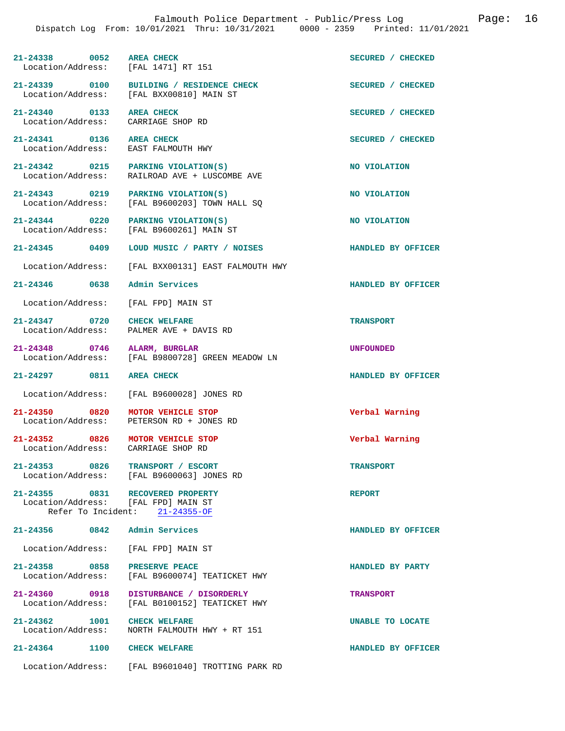| 21-24338 0052 AREA CHECK<br>Location/Address: [FAL 1471] RT 151         |                                                                                      | SECURED / CHECKED  |
|-------------------------------------------------------------------------|--------------------------------------------------------------------------------------|--------------------|
|                                                                         | 21-24339 0100 BUILDING / RESIDENCE CHECK<br>Location/Address: [FAL BXX00810] MAIN ST | SECURED / CHECKED  |
| 21-24340 0133 AREA CHECK<br>Location/Address: CARRIAGE SHOP RD          |                                                                                      | SECURED / CHECKED  |
| 21-24341 0136 AREA CHECK<br>Location/Address: EAST FALMOUTH HWY         |                                                                                      | SECURED / CHECKED  |
|                                                                         | 21-24342 0215 PARKING VIOLATION(S)<br>Location/Address: RAILROAD AVE + LUSCOMBE AVE  | NO VIOLATION       |
|                                                                         | 21-24343 0219 PARKING VIOLATION(S)<br>Location/Address: [FAL B9600203] TOWN HALL SQ  | NO VIOLATION       |
|                                                                         | 21-24344 0220 PARKING VIOLATION(S)<br>Location/Address: [FAL B9600261] MAIN ST       | NO VIOLATION       |
|                                                                         |                                                                                      | HANDLED BY OFFICER |
|                                                                         | Location/Address: [FAL BXX00131] EAST FALMOUTH HWY                                   |                    |
| 21-24346 0638 Admin Services                                            |                                                                                      | HANDLED BY OFFICER |
| Location/Address: [FAL FPD] MAIN ST                                     |                                                                                      |                    |
| 21-24347 0720 CHECK WELFARE                                             | Location/Address: PALMER AVE + DAVIS RD                                              | <b>TRANSPORT</b>   |
| 21-24348 0746 ALARM, BURGLAR                                            | Location/Address: [FAL B9800728] GREEN MEADOW LN                                     | <b>UNFOUNDED</b>   |
| 21-24297 0811 AREA CHECK                                                |                                                                                      | HANDLED BY OFFICER |
|                                                                         | Location/Address: [FAL B9600028] JONES RD                                            |                    |
| 21-24350 0820                                                           | MOTOR VEHICLE STOP<br>Location/Address: PETERSON RD + JONES RD                       | Verbal Warning     |
| 21-24352 0826 MOTOR VEHICLE STOP<br>Location/Address: CARRIAGE SHOP RD  |                                                                                      | Verbal Warning     |
| 0826<br>21-24353                                                        | TRANSPORT / ESCORT<br>Location/Address: [FAL B9600063] JONES RD                      | <b>TRANSPORT</b>   |
| 21-24355 0831 RECOVERED PROPERTY<br>Location/Address: [FAL FPD] MAIN ST | Refer To Incident: $21-24355-OF$                                                     | <b>REPORT</b>      |
| 21-24356 0842                                                           | Admin Services                                                                       | HANDLED BY OFFICER |
| Location/Address: [FAL FPD] MAIN ST                                     |                                                                                      |                    |
| 21-24358 0858<br>Location/Address:                                      | PRESERVE PEACE<br>[FAL B9600074] TEATICKET HWY                                       | HANDLED BY PARTY   |
| 21-24360 0918<br>Location/Address:                                      | DISTURBANCE / DISORDERLY<br>[FAL B0100152] TEATICKET HWY                             | <b>TRANSPORT</b>   |
| 21-24362 1001<br>Location/Address:                                      | <b>CHECK WELFARE</b><br>NORTH FALMOUTH HWY + RT 151                                  | UNABLE TO LOCATE   |

Location/Address: [FAL B9601040] TROTTING PARK RD

**21-24364 1100 CHECK WELFARE HANDLED BY OFFICER**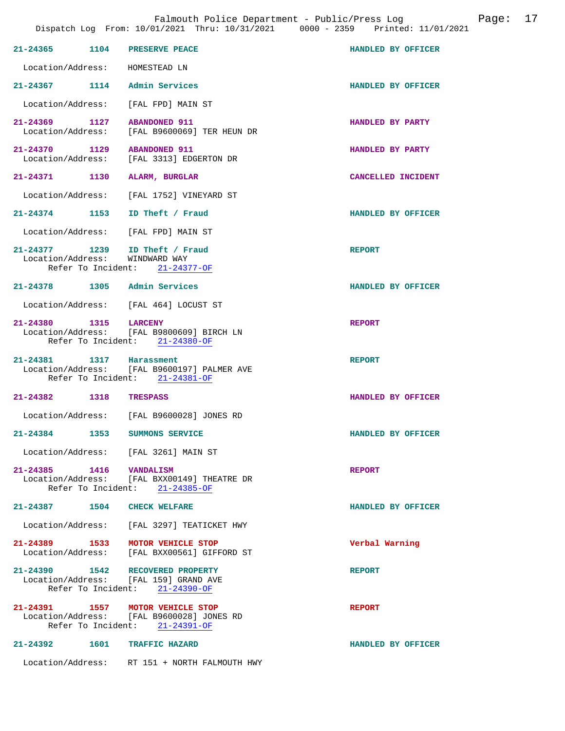Falmouth Police Department - Public/Press Log Page: 17

|                          | 21-24365 1104 PRESERVE PEACE                                                                                    | HANDLED BY OFFICER |
|--------------------------|-----------------------------------------------------------------------------------------------------------------|--------------------|
|                          | Location/Address: HOMESTEAD LN                                                                                  |                    |
|                          | 21-24367 1114 Admin Services                                                                                    | HANDLED BY OFFICER |
|                          | Location/Address: [FAL FPD] MAIN ST                                                                             |                    |
| 21-24369 1127            | <b>ABANDONED 911</b><br>Location/Address: [FAL B9600069] TER HEUN DR                                            | HANDLED BY PARTY   |
| 21-24370 1129            | <b>ABANDONED 911</b><br>Location/Address: [FAL 3313] EDGERTON DR                                                | HANDLED BY PARTY   |
|                          | 21-24371 1130 ALARM, BURGLAR                                                                                    | CANCELLED INCIDENT |
|                          | Location/Address: [FAL 1752] VINEYARD ST                                                                        |                    |
|                          | 21-24374 1153 ID Theft / Fraud                                                                                  | HANDLED BY OFFICER |
|                          | Location/Address: [FAL FPD] MAIN ST                                                                             |                    |
|                          | 21-24377 1239 ID Theft / Fraud<br>Location/Address: WINDWARD WAY<br>Refer To Incident: 21-24377-OF              | <b>REPORT</b>      |
|                          | 21-24378 1305 Admin Services                                                                                    | HANDLED BY OFFICER |
|                          | Location/Address: [FAL 464] LOCUST ST                                                                           |                    |
| 21-24380 1315 LARCENY    | Location/Address: [FAL B9800609] BIRCH LN<br>Refer To Incident: 21-24380-OF                                     | <b>REPORT</b>      |
| 21-24381 1317 Harassment | Location/Address: [FAL B9600197] PALMER AVE<br>Refer To Incident: 21-24381-OF                                   | <b>REPORT</b>      |
| 21-24382 1318 TRESPASS   |                                                                                                                 | HANDLED BY OFFICER |
|                          | Location/Address: [FAL B9600028] JONES RD                                                                       |                    |
|                          | 21-24384 1353 SUMMONS SERVICE                                                                                   | HANDLED BY OFFICER |
|                          | Location/Address: [FAL 3261] MAIN ST                                                                            |                    |
| 21-24385 1416 VANDALISM  | Location/Address: [FAL BXX00149] THEATRE DR<br>Refer To Incident: 21-24385-OF                                   | <b>REPORT</b>      |
|                          | 21-24387 1504 CHECK WELFARE                                                                                     | HANDLED BY OFFICER |
|                          | Location/Address: [FAL 3297] TEATICKET HWY                                                                      |                    |
|                          | 21-24389 1533 MOTOR VEHICLE STOP<br>Location/Address: [FAL BXX00561] GIFFORD ST                                 | Verbal Warning     |
|                          | 21-24390 1542 RECOVERED PROPERTY<br>Location/Address: [FAL 159] GRAND AVE<br>Refer To Incident: 21-24390-OF     | <b>REPORT</b>      |
|                          | 21-24391 1557 MOTOR VEHICLE STOP<br>Location/Address: [FAL B9600028] JONES RD<br>Refer To Incident: 21-24391-OF | <b>REPORT</b>      |
|                          | 21-24392 1601 TRAFFIC HAZARD                                                                                    | HANDLED BY OFFICER |
|                          | Location/Address: RT 151 + NORTH FALMOUTH HWY                                                                   |                    |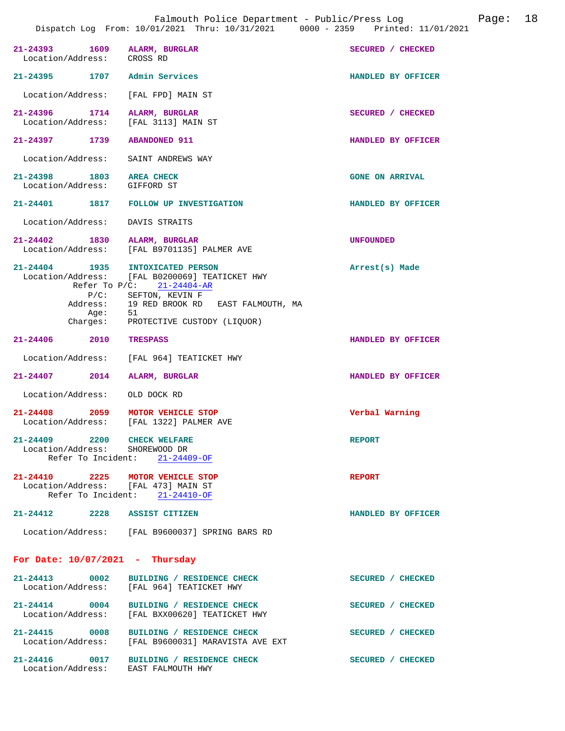| 21-24393 1609 ALARM, BURGLAR<br>Location/Address: CROSS RD              |                                                                                                                                                                                                                          | SECURED / CHECKED      |
|-------------------------------------------------------------------------|--------------------------------------------------------------------------------------------------------------------------------------------------------------------------------------------------------------------------|------------------------|
| 21-24395 1707 Admin Services                                            |                                                                                                                                                                                                                          | HANDLED BY OFFICER     |
| Location/Address: [FAL FPD] MAIN ST                                     |                                                                                                                                                                                                                          |                        |
| 21-24396 1714<br>Location/Address: [FAL 3113] MAIN ST                   | ALARM, BURGLAR                                                                                                                                                                                                           | SECURED / CHECKED      |
| 21-24397 1739                                                           | <b>ABANDONED 911</b>                                                                                                                                                                                                     | HANDLED BY OFFICER     |
| Location/Address:                                                       | SAINT ANDREWS WAY                                                                                                                                                                                                        |                        |
| 21-24398 1803 AREA CHECK<br>Location/Address: GIFFORD ST                |                                                                                                                                                                                                                          | <b>GONE ON ARRIVAL</b> |
|                                                                         | 21-24401 1817 FOLLOW UP INVESTIGATION                                                                                                                                                                                    | HANDLED BY OFFICER     |
| Location/Address: DAVIS STRAITS                                         |                                                                                                                                                                                                                          |                        |
| 21-24402 1830                                                           | ALARM, BURGLAR<br>Location/Address: [FAL B9701135] PALMER AVE                                                                                                                                                            | <b>UNFOUNDED</b>       |
| 21-24404 1935<br>Aqe:                                                   | INTOXICATED PERSON<br>Location/Address: [FAL B0200069] TEATICKET HWY<br>Refer To $P/C$ : 21-24404-AR<br>P/C: SEFTON, KEVIN F<br>Address: 19 RED BROOK RD EAST FALMOUTH, MA<br>51<br>Charges: PROTECTIVE CUSTODY (LIQUOR) | Arrest(s) Made         |
| 21-24406 2010 TRESPASS                                                  |                                                                                                                                                                                                                          | HANDLED BY OFFICER     |
|                                                                         | Location/Address: [FAL 964] TEATICKET HWY                                                                                                                                                                                |                        |
| $21 - 24407$ 2014                                                       | ALARM, BURGLAR                                                                                                                                                                                                           | HANDLED BY OFFICER     |
| Location/Address:                                                       | OLD DOCK RD                                                                                                                                                                                                              |                        |
| 21-24408 2059                                                           | MOTOR VEHICLE STOP<br>Location/Address: [FAL 1322] PALMER AVE                                                                                                                                                            | Verbal Warning         |
| 21-24409 2200<br>Location/Address: SHOREWOOD DR                         | <b>CHECK WELFARE</b><br>Refer To Incident: 21-24409-OF                                                                                                                                                                   | <b>REPORT</b>          |
| 21-24410 2225 MOTOR VEHICLE STOP<br>Location/Address: [FAL 473] MAIN ST | Refer To Incident: 21-24410-OF                                                                                                                                                                                           | <b>REPORT</b>          |
| 21-24412 2228 ASSIST CITIZEN                                            |                                                                                                                                                                                                                          | HANDLED BY OFFICER     |
|                                                                         | Location/Address: [FAL B9600037] SPRING BARS RD                                                                                                                                                                          |                        |
| For Date: $10/07/2021$ - Thursday                                       |                                                                                                                                                                                                                          |                        |
| $21 - 24413$ 0002                                                       | BUILDING / RESIDENCE CHECK<br>Location/Address: [FAL 964] TEATICKET HWY                                                                                                                                                  | SECURED / CHECKED      |
| 21-24414 0004                                                           | BUILDING / RESIDENCE CHECK<br>Location/Address: [FAL BXX00620] TEATICKET HWY                                                                                                                                             | SECURED / CHECKED      |
|                                                                         | 21-24415 0008 BUILDING / RESIDENCE CHECK<br>Location/Address: [FAL B9600031] MARAVISTA AVE EXT                                                                                                                           | SECURED / CHECKED      |
| Location/Address: EAST FALMOUTH HWY                                     | 21-24416 0017 BUILDING / RESIDENCE CHECK                                                                                                                                                                                 | SECURED / CHECKED      |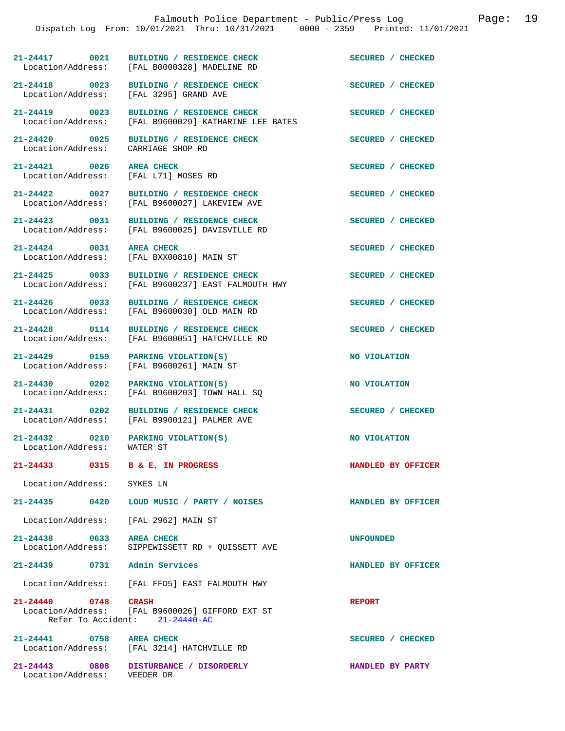**21-24417 0021 BUILDING / RESIDENCE CHECK SECURED / CHECKED** 

Location/Address: [FAL 3295] GRAND AVE

Location/Address: CARRIAGE SHOP RD

**21-24421 0026 AREA CHECK SECURED / CHECKED**  Location/Address: [FAL L71] MOSES RD

21-24424 0031 AREA CHECK SECURED / CHECKED Location/Address: [FAL BXX00810] MAIN ST

**21-24432** 0210 PARKING VIOLATION(S) NO VIOLATION Location/Address: WATER ST Location/Address:

**21-24433 0315 B & E, IN PROGRESS HANDLED BY OFFICER** 

Location/Address: SYKES LN

**21-24435 0420 LOUD MUSIC / PARTY / NOISES HANDLED BY OFFICER** 

**21-24439 0731 Admin Services HANDLED BY OFFICER** 

**21-24440 0748 CRASH CRASH REPORT** Location/Address: [FAL B9600026] GIFFORD EXT ST [FAL B9600026] GIFFORD EXT ST Refer To Accident: 21-24440-AC

**21-24441 0758 AREA CHECK SECURED / CHECKED**  Location/Address: [FAL 3214] HATCHVILLE RD

**21-24443 0808 DISTURBANCE / DISORDERLY HANDLED BY PARTY**  Location/Address: VEEDER DR

[FAL B0000328] MADELINE RD

**21-24418 0023 BUILDING / RESIDENCE CHECK SECURED / CHECKED** 

**21-24419 0023 BUILDING / RESIDENCE CHECK SECURED / CHECKED**  Location/Address: [FAL B9600029] KATHARINE LEE BATES

**21-24420 0025 BUILDING / RESIDENCE CHECK SECURED / CHECKED** 

21-24422 0027 BUILDING / RESIDENCE CHECK **SECURED** / CHECKED **SECURED** / CHECKED [FAL B9600027] LAKEVIEW AVE

21-24423 0031 BUILDING / RESIDENCE CHECK<br>
Location/Address: [FAL B9600025] DAVISVILLE RD [FAL B9600025] DAVISVILLE RD

[FAL BXX00810] MAIN ST

**21-24425 0033 BUILDING / RESIDENCE CHECK SECURED / CHECKED**  Location/Address: [FAL B9600237] EAST FALMOUTH HWY

**21-24426 0033 BUILDING / RESIDENCE CHECK SECURED / CHECKED**  Location/Address: [FAL B9600030] OLD MAIN RD

21-24428 0114 BUILDING / RESIDENCE CHECK<br>
Location/Address: [FAL B9600051] HATCHVILLE RD [FAL B9600051] HATCHVILLE RD

**21-24429** 0159 PARKING VIOLATION(S) NO VIOLATION<br>
Location/Address: [FAL B9600261] MAIN ST [FAL B9600261] MAIN ST

**21-24430 0202 PARKING VIOLATION(S) NO VIOLATION**  [FAL B9600203] TOWN HALL SQ

21-24431 0202 BUILDING / RESIDENCE CHECK **SECURED** / CHECKED Location/Address: [FAL B9900121] PALMER AVE [FAL B9900121] PALMER AVE

Location/Address: [FAL 2962] MAIN ST

**21-24438 0633 AREA CHECK UNFOUNDED**  Location/Address: SIPPEWISSETT RD + QUISSETT AVE

Location/Address: [FAL FFD5] EAST FALMOUTH HWY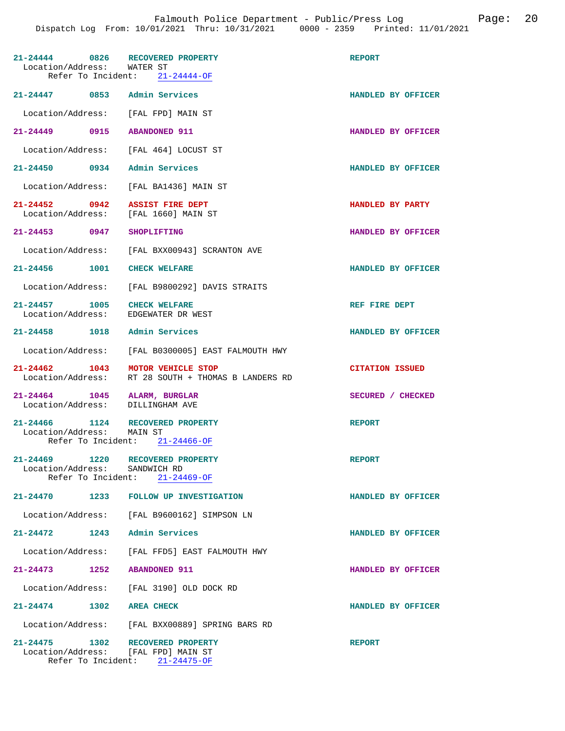| 21-24444 0826<br>Location/Address:                               | RECOVERED PROPERTY<br>WATER ST<br>Refer To Incident: 21-24444-OF | <b>REPORT</b>          |
|------------------------------------------------------------------|------------------------------------------------------------------|------------------------|
| 21-24447 0853                                                    | Admin Services                                                   | HANDLED BY OFFICER     |
| Location/Address: [FAL FPD] MAIN ST                              |                                                                  |                        |
| 21-24449 0915                                                    | <b>ABANDONED 911</b>                                             | HANDLED BY OFFICER     |
| Location/Address: [FAL 464] LOCUST ST                            |                                                                  |                        |
| 21-24450 0934                                                    | Admin Services                                                   | HANDLED BY OFFICER     |
|                                                                  | Location/Address: [FAL BA1436] MAIN ST                           |                        |
| $21 - 24452$ 0942<br>Location/Address: [FAL 1660] MAIN ST        | <b>ASSIST FIRE DEPT</b>                                          | HANDLED BY PARTY       |
| 21-24453 0947                                                    | <b>SHOPLIFTING</b>                                               | HANDLED BY OFFICER     |
|                                                                  | Location/Address: [FAL BXX00943] SCRANTON AVE                    |                        |
| 21-24456 1001 CHECK WELFARE                                      |                                                                  | HANDLED BY OFFICER     |
|                                                                  | Location/Address: [FAL B9800292] DAVIS STRAITS                   |                        |
| 21-24457 1005<br>Location/Address: EDGEWATER DR WEST             | <b>CHECK WELFARE</b>                                             | REF FIRE DEPT          |
| 21-24458 1018 Admin Services                                     |                                                                  | HANDLED BY OFFICER     |
| Location/Address:                                                | [FAL B0300005] EAST FALMOUTH HWY                                 |                        |
| 21-24462 1043<br>Location/Address:                               | MOTOR VEHICLE STOP<br>RT 28 SOUTH + THOMAS B LANDERS RD          | <b>CITATION ISSUED</b> |
| 21-24464 1045 ALARM, BURGLAR<br>Location/Address: DILLINGHAM AVE |                                                                  | SECURED / CHECKED      |
| 21-24466 1124 RECOVERED PROPERTY<br>Location/Address:            | MAIN ST<br>Refer To Incident: $21-24466-OF$                      | <b>REPORT</b>          |
| $21 - 24469$<br>1220                                             | RECOVERED PROPERTY                                               | <b>REPORT</b>          |
| Location/Address:<br>Refer To Incident:                          | SANDWICH RD<br>$21 - 24469 - OF$                                 |                        |
|                                                                  | 21-24470 1233 FOLLOW UP INVESTIGATION                            | HANDLED BY OFFICER     |
|                                                                  | Location/Address: [FAL B9600162] SIMPSON LN                      |                        |
| 1243<br>$21 - 24472$                                             | Admin Services                                                   | HANDLED BY OFFICER     |
|                                                                  | Location/Address: [FAL FFD5] EAST FALMOUTH HWY                   |                        |
| 21-24473 1252                                                    | <b>ABANDONED 911</b>                                             | HANDLED BY OFFICER     |
|                                                                  | Location/Address: [FAL 3190] OLD DOCK RD                         |                        |
| 21-24474 1302 AREA CHECK                                         |                                                                  | HANDLED BY OFFICER     |
|                                                                  | Location/Address: [FAL BXX00889] SPRING BARS RD                  |                        |
| 1302<br>21-24475<br>Location/Address: [FAL FPD] MAIN ST          | RECOVERED PROPERTY<br>Refer To Incident: 21-24475-OF             | <b>REPORT</b>          |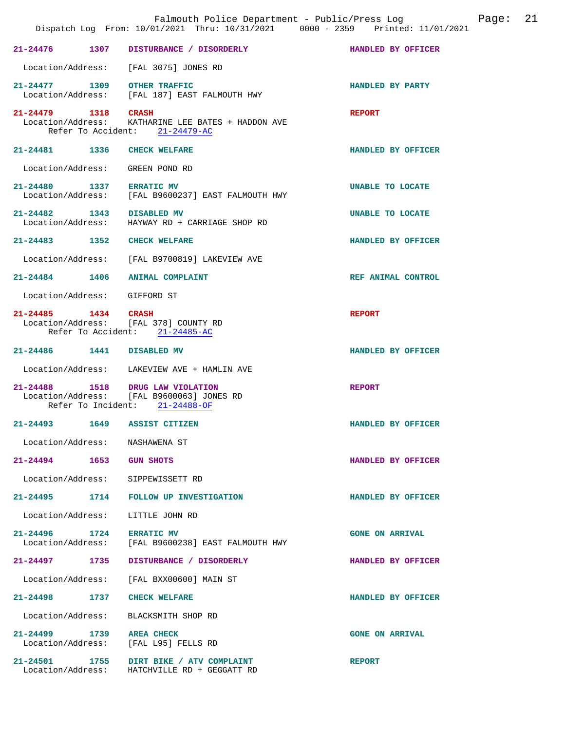|                              |      | Falmouth Police Department - Public/Press Log<br>Dispatch Log From: 10/01/2021 Thru: 10/31/2021 0000 - 2359 Printed: 11/01/2021 |                        | Page: 21 |  |
|------------------------------|------|---------------------------------------------------------------------------------------------------------------------------------|------------------------|----------|--|
| 21-24476 1307                |      | DISTURBANCE / DISORDERLY                                                                                                        | HANDLED BY OFFICER     |          |  |
|                              |      | Location/Address: [FAL 3075] JONES RD                                                                                           |                        |          |  |
|                              |      | 21-24477 1309 OTHER TRAFFIC<br>Location/Address: [FAL 187] EAST FALMOUTH HWY                                                    | HANDLED BY PARTY       |          |  |
| 21-24479 1318 CRASH          |      | Location/Address: KATHARINE LEE BATES + HADDON AVE<br>Refer To Accident: 21-24479-AC                                            | <b>REPORT</b>          |          |  |
|                              |      | 21-24481 1336 CHECK WELFARE                                                                                                     | HANDLED BY OFFICER     |          |  |
|                              |      | Location/Address: GREEN POND RD                                                                                                 |                        |          |  |
| 21-24480 1337 ERRATIC MV     |      | Location/Address: [FAL B9600237] EAST FALMOUTH HWY                                                                              | UNABLE TO LOCATE       |          |  |
| 21-24482 1343 DISABLED MV    |      | Location/Address: HAYWAY RD + CARRIAGE SHOP RD                                                                                  | UNABLE TO LOCATE       |          |  |
|                              |      | 21-24483 1352 CHECK WELFARE                                                                                                     | HANDLED BY OFFICER     |          |  |
|                              |      | Location/Address: [FAL B9700819] LAKEVIEW AVE                                                                                   |                        |          |  |
|                              |      | 21-24484 1406 ANIMAL COMPLAINT                                                                                                  | REF ANIMAL CONTROL     |          |  |
| Location/Address: GIFFORD ST |      |                                                                                                                                 |                        |          |  |
| 21-24485 1434 CRASH          |      | Location/Address: [FAL 378] COUNTY RD<br>Refer To Accident: 21-24485-AC                                                         | <b>REPORT</b>          |          |  |
| 21-24486 1441 DISABLED MV    |      |                                                                                                                                 | HANDLED BY OFFICER     |          |  |
|                              |      | Location/Address: LAKEVIEW AVE + HAMLIN AVE                                                                                     |                        |          |  |
|                              |      | 21-24488 1518 DRUG LAW VIOLATION<br>Location/Address: [FAL B9600063] JONES RD<br>Refer To Incident: 21-24488-OF                 | <b>REPORT</b>          |          |  |
| $21 - 24493$                 | 1649 | ASSIST CITIZEN                                                                                                                  | HANDLED BY OFFICER     |          |  |
|                              |      | Location/Address: NASHAWENA ST                                                                                                  |                        |          |  |
| 21-24494 1653 GUN SHOTS      |      |                                                                                                                                 | HANDLED BY OFFICER     |          |  |
|                              |      | Location/Address: SIPPEWISSETT RD                                                                                               |                        |          |  |
|                              |      | 21-24495 1714 FOLLOW UP INVESTIGATION                                                                                           | HANDLED BY OFFICER     |          |  |
|                              |      | Location/Address: LITTLE JOHN RD                                                                                                |                        |          |  |
| 21-24496 1724 ERRATIC MV     |      | Location/Address: [FAL B9600238] EAST FALMOUTH HWY                                                                              | <b>GONE ON ARRIVAL</b> |          |  |
|                              |      | 21-24497 1735 DISTURBANCE / DISORDERLY                                                                                          | HANDLED BY OFFICER     |          |  |
|                              |      | Location/Address: [FAL BXX00600] MAIN ST                                                                                        |                        |          |  |
| 21–24498 1737                |      | <b>CHECK WELFARE</b>                                                                                                            | HANDLED BY OFFICER     |          |  |
|                              |      | Location/Address: BLACKSMITH SHOP RD                                                                                            |                        |          |  |
| 21-24499 1739 AREA CHECK     |      | Location/Address: [FAL L95] FELLS RD                                                                                            | <b>GONE ON ARRIVAL</b> |          |  |
|                              |      | 21-24501 1755 DIRT BIKE / ATV COMPLAINT<br>Location/Address: HATCHVILLE RD + GEGGATT RD                                         | <b>REPORT</b>          |          |  |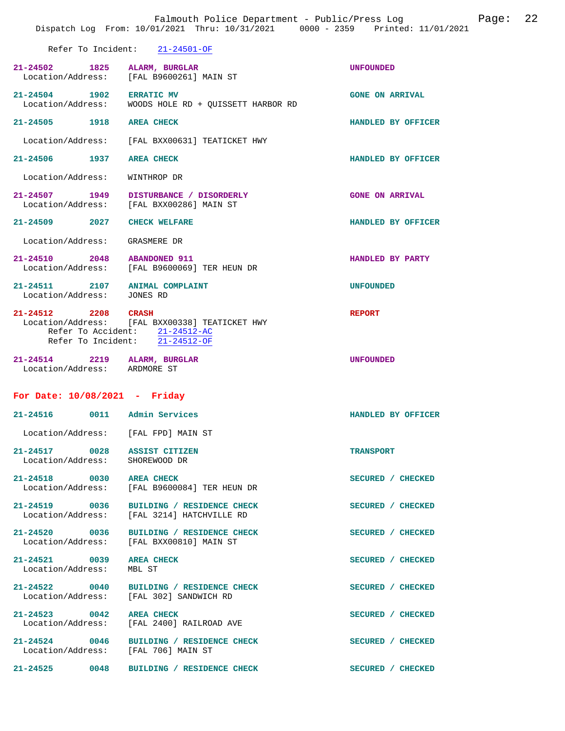|                                               | Falmouth Police Department - Public/Press Log <a>&gt;</a> Page: 22<br>Dispatch Log From: 10/01/2021 Thru: 10/31/2021 0000 - 2359 Printed: 11/01/2021 |                        |  |
|-----------------------------------------------|------------------------------------------------------------------------------------------------------------------------------------------------------|------------------------|--|
|                                               | Refer To Incident: 21-24501-OF                                                                                                                       |                        |  |
| 21-24502 1825                                 | ALARM, BURGLAR<br>Location/Address: [FAL B9600261] MAIN ST                                                                                           | <b>UNFOUNDED</b>       |  |
| 21-24504 1902 ERRATIC MV                      | Location/Address: WOODS HOLE RD + QUISSETT HARBOR RD                                                                                                 | <b>GONE ON ARRIVAL</b> |  |
| 21-24505 1918                                 | <b>AREA CHECK</b>                                                                                                                                    | HANDLED BY OFFICER     |  |
| Location/Address:                             | [FAL BXX00631] TEATICKET HWY                                                                                                                         |                        |  |
| 21-24506 1937 AREA CHECK                      |                                                                                                                                                      | HANDLED BY OFFICER     |  |
| Location/Address:                             | WINTHROP DR                                                                                                                                          |                        |  |
| 21-24507 1949                                 | DISTURBANCE / DISORDERLY<br>Location/Address: [FAL BXX00286] MAIN ST                                                                                 | <b>GONE ON ARRIVAL</b> |  |
| 21-24509 2027 CHECK WELFARE                   |                                                                                                                                                      | HANDLED BY OFFICER     |  |
| Location/Address:                             | GRASMERE DR                                                                                                                                          |                        |  |
| 21-24510 2048 ABANDONED 911                   | Location/Address: [FAL B9600069] TER HEUN DR                                                                                                         | HANDLED BY PARTY       |  |
| Location/Address: JONES RD                    | $21-24511 \hspace{1.5cm} 2107 \hspace{1.5cm} \text{ANIMAL COMPLAINT}$                                                                                | <b>UNFOUNDED</b>       |  |
| 21-24512 2208 CRASH                           | Location/Address: [FAL BXX00338] TEATICKET HWY<br>Refer To Accident: 21-24512-AC<br>Refer To Incident: 21-24512-OF                                   | <b>REPORT</b>          |  |
| Location/Address: ARDMORE ST                  | 21-24514 2219 ALARM, BURGLAR                                                                                                                         | <b>UNFOUNDED</b>       |  |
| For Date: 10/08/2021 - Friday                 |                                                                                                                                                      |                        |  |
|                                               | 21-24516 0011 Admin Services                                                                                                                         | HANDLED BY OFFICER     |  |
|                                               | Location/Address: [FAL FPD] MAIN ST                                                                                                                  |                        |  |
| Location/Address: SHOREWOOD DR                | 21-24517 0028 ASSIST CITIZEN                                                                                                                         | <b>TRANSPORT</b>       |  |
| 21-24518 0030 AREA CHECK                      | Location/Address: [FAL B9600084] TER HEUN DR                                                                                                         | SECURED / CHECKED      |  |
| Location/Address:                             | 21-24519 0036 BUILDING / RESIDENCE CHECK<br>[FAL 3214] HATCHVILLE RD                                                                                 | SECURED / CHECKED      |  |
|                                               | 21-24520 0036 BUILDING / RESIDENCE CHECK<br>Location/Address: [FAL BXX00810] MAIN ST                                                                 | SECURED / CHECKED      |  |
| 21-24521 0039 AREA CHECK<br>Location/Address: | MBL ST                                                                                                                                               | SECURED / CHECKED      |  |
|                                               | 21-24522 0040 BUILDING / RESIDENCE CHECK<br>Location/Address: [FAL 302] SANDWICH RD                                                                  | SECURED / CHECKED      |  |
| 21-24523 0042 AREA CHECK<br>Location/Address: | [FAL 2400] RAILROAD AVE                                                                                                                              | SECURED / CHECKED      |  |
|                                               | 21-24524 0046 BUILDING / RESIDENCE CHECK<br>Location/Address: [FAL 706] MAIN ST                                                                      | SECURED / CHECKED      |  |
| 21-24525 0048                                 | BUILDING / RESIDENCE CHECK                                                                                                                           | SECURED / CHECKED      |  |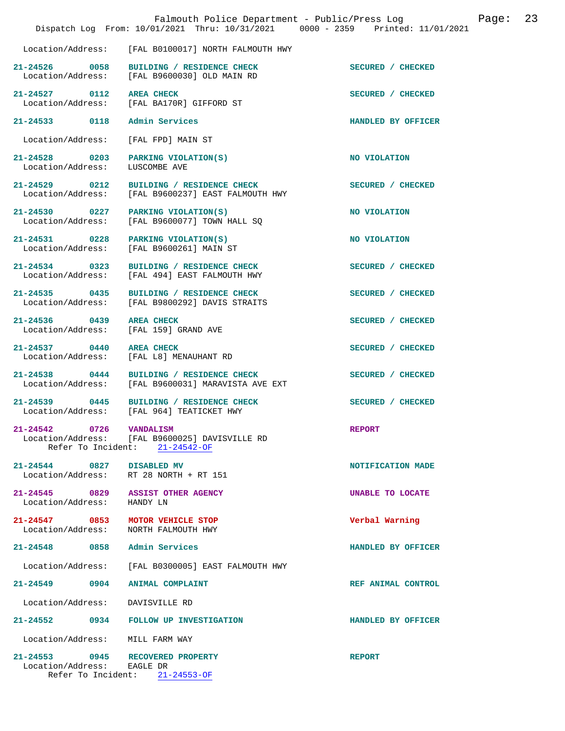|                                                                             | Falmouth Police Department - Public/Press Log<br>Dispatch Log From: 10/01/2021 Thru: 10/31/2021 0000 - 2359 Printed: 11/01/2021 |                    | Page: | 23 |
|-----------------------------------------------------------------------------|---------------------------------------------------------------------------------------------------------------------------------|--------------------|-------|----|
|                                                                             | Location/Address: [FAL B0100017] NORTH FALMOUTH HWY                                                                             |                    |       |    |
| 21-24526 0058                                                               | BUILDING / RESIDENCE CHECK<br>Location/Address: [FAL B9600030] OLD MAIN RD                                                      | SECURED / CHECKED  |       |    |
| $21 - 24527$ 0112                                                           | <b>AREA CHECK</b><br>Location/Address: [FAL BA170R] GIFFORD ST                                                                  | SECURED / CHECKED  |       |    |
| 21-24533 0118 Admin Services                                                |                                                                                                                                 | HANDLED BY OFFICER |       |    |
| Location/Address:                                                           | [FAL FPD] MAIN ST                                                                                                               |                    |       |    |
| 21-24528 0203<br>Location/Address:                                          | PARKING VIOLATION(S)<br>LUSCOMBE AVE                                                                                            | NO VIOLATION       |       |    |
| 21-24529 0212<br>Location/Address:                                          | BUILDING / RESIDENCE CHECK<br>[FAL B9600237] EAST FALMOUTH HWY                                                                  | SECURED / CHECKED  |       |    |
| 21-24530 0227                                                               | PARKING VIOLATION(S)<br>Location/Address: [FAL B9600077] TOWN HALL SQ                                                           | NO VIOLATION       |       |    |
| 21-24531 0228<br>Location/Address:                                          | PARKING VIOLATION(S)<br>[FAL B9600261] MAIN ST                                                                                  | NO VIOLATION       |       |    |
| 21-24534 0323                                                               | BUILDING / RESIDENCE CHECK<br>Location/Address: [FAL 494] EAST FALMOUTH HWY                                                     | SECURED / CHECKED  |       |    |
| 21-24535 0435<br>Location/Address:                                          | BUILDING / RESIDENCE CHECK<br>[FAL B9800292] DAVIS STRAITS                                                                      | SECURED / CHECKED  |       |    |
| 21-24536 0439<br>Location/Address:                                          | <b>AREA CHECK</b><br>[FAL 159] GRAND AVE                                                                                        | SECURED / CHECKED  |       |    |
| 21-24537 0440<br>Location/Address:                                          | <b>AREA CHECK</b><br>[FAL L8] MENAUHANT RD                                                                                      | SECURED / CHECKED  |       |    |
| 21-24538 0444                                                               | BUILDING / RESIDENCE CHECK<br>Location/Address: [FAL B9600031] MARAVISTA AVE EXT                                                | SECURED / CHECKED  |       |    |
|                                                                             | 21-24539 0445 BUILDING / RESIDENCE CHECK<br>Location/Address: [FAL 964] TEATICKET HWY                                           | SECURED / CHECKED  |       |    |
| 21-24542<br>0726                                                            | <b>VANDALISM</b><br>Location/Address: [FAL B9600025] DAVISVILLE RD<br>Refer To Incident: 21-24542-OF                            | <b>REPORT</b>      |       |    |
| 21-24544 0827 DISABLED MV                                                   | Location/Address: RT 28 NORTH + RT 151                                                                                          | NOTIFICATION MADE  |       |    |
| 21-24545 0829<br>Location/Address: HANDY LN                                 | <b>ASSIST OTHER AGENCY</b>                                                                                                      | UNABLE TO LOCATE   |       |    |
| 21-24547 0853<br>Location/Address:                                          | MOTOR VEHICLE STOP<br>NORTH FALMOUTH HWY                                                                                        | Verbal Warning     |       |    |
| 21-24548 0858 Admin Services                                                |                                                                                                                                 | HANDLED BY OFFICER |       |    |
| Location/Address:                                                           | [FAL B0300005] EAST FALMOUTH HWY                                                                                                |                    |       |    |
| $21 - 24549$<br>0904                                                        | <b>ANIMAL COMPLAINT</b>                                                                                                         | REF ANIMAL CONTROL |       |    |
| Location/Address:                                                           | DAVISVILLE RD                                                                                                                   |                    |       |    |
|                                                                             | 21-24552 0934 FOLLOW UP INVESTIGATION                                                                                           | HANDLED BY OFFICER |       |    |
| Location/Address: MILL FARM WAY                                             |                                                                                                                                 |                    |       |    |
| 21-24553 0945 RECOVERED PROPERTY<br>Location/Address:<br>Refer To Incident: | EAGLE DR<br>$21 - 24553 - OF$                                                                                                   | <b>REPORT</b>      |       |    |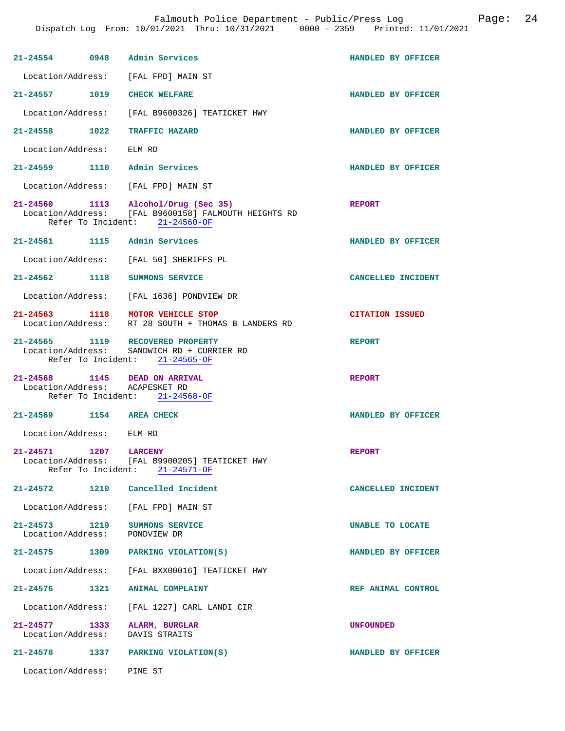Falmouth Police Department - Public/Press Log Page: 24

|                                    | 21-24554 0948 Admin Services                                                                                       | HANDLED BY OFFICER     |
|------------------------------------|--------------------------------------------------------------------------------------------------------------------|------------------------|
|                                    | Location/Address: [FAL FPD] MAIN ST                                                                                |                        |
| 21-24557 1019                      | <b>CHECK WELFARE</b>                                                                                               | HANDLED BY OFFICER     |
| Location/Address:                  | [FAL B9600326] TEATICKET HWY                                                                                       |                        |
| 21-24558 1022                      | TRAFFIC HAZARD                                                                                                     | HANDLED BY OFFICER     |
| Location/Address:                  | ELM RD                                                                                                             |                        |
|                                    | 21-24559 1110 Admin Services                                                                                       | HANDLED BY OFFICER     |
|                                    | Location/Address: [FAL FPD] MAIN ST                                                                                |                        |
| 21-24560 1113                      | Alcohol/Drug (Sec 35)<br>Location/Address: [FAL B9600158] FALMOUTH HEIGHTS RD<br>Refer To Incident: $21-24560-OF$  | <b>REPORT</b>          |
| 21-24561 1115                      | Admin Services                                                                                                     | HANDLED BY OFFICER     |
|                                    | Location/Address: [FAL 50] SHERIFFS PL                                                                             |                        |
| 21-24562 1118                      | SUMMONS SERVICE                                                                                                    | CANCELLED INCIDENT     |
|                                    | Location/Address: [FAL 1636] PONDVIEW DR                                                                           |                        |
| 21-24563 1118<br>Location/Address: | MOTOR VEHICLE STOP<br>RT 28 SOUTH + THOMAS B LANDERS RD                                                            | <b>CITATION ISSUED</b> |
|                                    | 21-24565 1119 RECOVERED PROPERTY<br>Location/Address: SANDWICH RD + CURRIER RD<br>Refer To Incident: $21-24565-OF$ | <b>REPORT</b>          |
|                                    | 21-24568 1145 DEAD ON ARRIVAL<br>Location/Address: ACAPESKET RD<br>Refer To Incident: 21-24568-OF                  | <b>REPORT</b>          |
| 21-24569 1154                      | <b>AREA CHECK</b>                                                                                                  | HANDLED BY OFFICER     |
| Location/Address:                  | ELM RD                                                                                                             |                        |
| 21-24571 1207                      | <b>LARCENY</b><br>Location/Address: [FAL B9900205] TEATICKET HWY<br>Refer To Incident: 21-24571-OF                 | <b>REPORT</b>          |
|                                    | 21-24572 1210 Cancelled Incident                                                                                   | CANCELLED INCIDENT     |
|                                    | Location/Address: [FAL FPD] MAIN ST                                                                                |                        |
| Location/Address:                  | 21-24573 1219 SUMMONS SERVICE<br>PONDVIEW DR                                                                       | UNABLE TO LOCATE       |
|                                    | 21-24575 1309 PARKING VIOLATION(S)                                                                                 | HANDLED BY OFFICER     |
|                                    | Location/Address: [FAL BXX00016] TEATICKET HWY                                                                     |                        |
|                                    | 21-24576 1321 ANIMAL COMPLAINT                                                                                     | REF ANIMAL CONTROL     |
|                                    | Location/Address: [FAL 1227] CARL LANDI CIR                                                                        |                        |
| 21-24577 1333<br>Location/Address: | ALARM, BURGLAR<br>DAVIS STRAITS                                                                                    | UNFOUNDED              |
|                                    | 21-24578 1337 PARKING VIOLATION(S)                                                                                 | HANDLED BY OFFICER     |
|                                    | Location/Address: PINE ST                                                                                          |                        |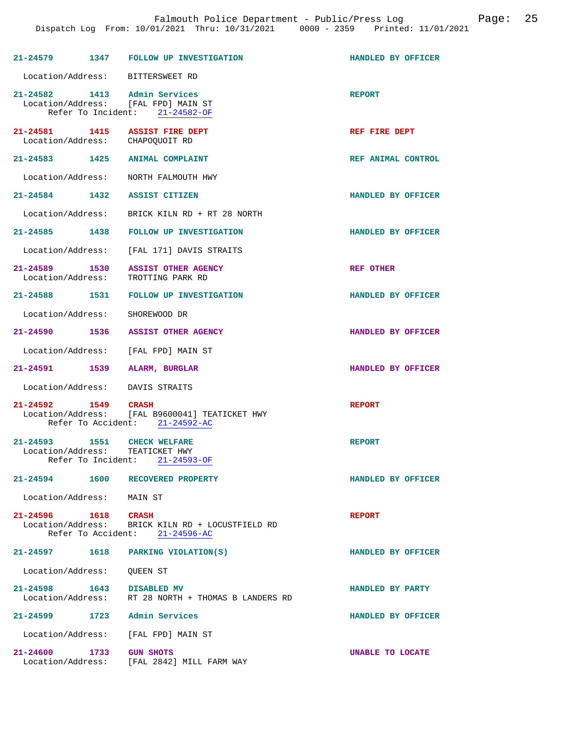|                                |      | 21-24579 1347 FOLLOW UP INVESTIGATION                                              | HANDLED BY OFFICER |
|--------------------------------|------|------------------------------------------------------------------------------------|--------------------|
|                                |      | Location/Address: BITTERSWEET RD                                                   |                    |
| 21-24582 1413 Admin Services   |      | Location/Address: [FAL FPD] MAIN ST<br>Refer To Incident: 21-24582-OF              | <b>REPORT</b>      |
|                                |      | 21-24581 1415 ASSIST FIRE DEPT<br>Location/Address: CHAPOQUOIT RD                  | REF FIRE DEPT      |
|                                |      | 21-24583 1425 ANIMAL COMPLAINT                                                     | REF ANIMAL CONTROL |
|                                |      | Location/Address: NORTH FALMOUTH HWY                                               |                    |
| 21-24584 1432 ASSIST CITIZEN   |      |                                                                                    | HANDLED BY OFFICER |
|                                |      | Location/Address: BRICK KILN RD + RT 28 NORTH                                      |                    |
|                                |      | 21-24585 1438 FOLLOW UP INVESTIGATION                                              | HANDLED BY OFFICER |
|                                |      | Location/Address: [FAL 171] DAVIS STRAITS                                          |                    |
|                                |      | 21-24589 1530 ASSIST OTHER AGENCY<br>Location/Address: TROTTING PARK RD            | REF OTHER          |
|                                |      | 21-24588 1531 FOLLOW UP INVESTIGATION                                              | HANDLED BY OFFICER |
| Location/Address: SHOREWOOD DR |      |                                                                                    |                    |
|                                |      | 21-24590 1536 ASSIST OTHER AGENCY                                                  | HANDLED BY OFFICER |
|                                |      | Location/Address: [FAL FPD] MAIN ST                                                |                    |
| 21-24591 1539 ALARM, BURGLAR   |      |                                                                                    | HANDLED BY OFFICER |
|                                |      | Location/Address: DAVIS STRAITS                                                    |                    |
| 21-24592 1549 CRASH            |      | Location/Address: [FAL B9600041] TEATICKET HWY<br>Refer To Accident: 21-24592-AC   | <b>REPORT</b>      |
| 21-24593 1551 CHECK WELFARE    |      | Location/Address: TEATICKET HWY<br>Refer To Incident: 21-24593-OF                  | <b>REPORT</b>      |
| 21-24594                       | 1600 | RECOVERED PROPERTY                                                                 | HANDLED BY OFFICER |
| Location/Address: MAIN ST      |      |                                                                                    |                    |
| 21-24596 1618 CRASH            |      | Location/Address: BRICK KILN RD + LOCUSTFIELD RD<br>Refer To Accident: 21-24596-AC | <b>REPORT</b>      |
|                                |      | 21-24597 1618 PARKING VIOLATION(S)                                                 | HANDLED BY OFFICER |
| Location/Address: OUEEN ST     |      |                                                                                    |                    |
| 21-24598 1643                  |      | <b>DISABLED MV</b><br>Location/Address: RT 28 NORTH + THOMAS B LANDERS RD          | HANDLED BY PARTY   |
| 21-24599 1723                  |      | Admin Services                                                                     | HANDLED BY OFFICER |
| Location/Address:              |      | [FAL FPD] MAIN ST                                                                  |                    |
| $21 - 24600$                   | 1733 | <b>GUN SHOTS</b><br>Location/Address: [FAL 2842] MILL FARM WAY                     | UNABLE TO LOCATE   |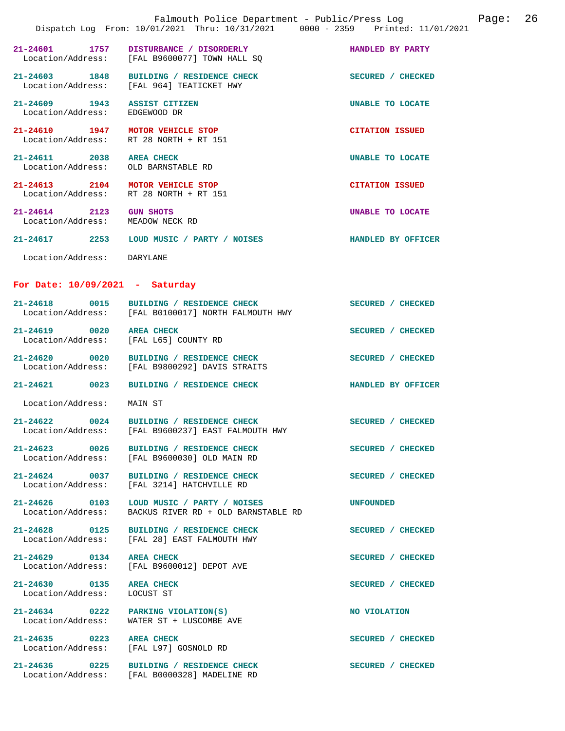|                                                       | Falmouth Police Department - Public/Press Log Fage: 26<br>Dispatch Log From: 10/01/2021 Thru: 10/31/2021 0000 - 2359 Printed: 11/01/2021 |                          |  |
|-------------------------------------------------------|------------------------------------------------------------------------------------------------------------------------------------------|--------------------------|--|
| 21-24601 1757                                         | DISTURBANCE / DISORDERLY<br>Location/Address: [FAL B9600077] TOWN HALL SQ                                                                | HANDLED BY PARTY         |  |
|                                                       | 21-24603 1848 BUILDING / RESIDENCE CHECK<br>Location/Address: [FAL 964] TEATICKET HWY                                                    | SECURED / CHECKED        |  |
| 21-24609 1943<br>Location/Address:                    | <b>ASSIST CITIZEN</b><br>EDGEWOOD DR                                                                                                     | UNABLE TO LOCATE         |  |
| 21-24610 1947 MOTOR VEHICLE STOP                      | Location/Address: RT 28 NORTH + RT 151                                                                                                   | <b>CITATION ISSUED</b>   |  |
| 21-24611 2038<br>Location/Address: OLD BARNSTABLE RD  | <b>AREA CHECK</b>                                                                                                                        | UNABLE TO LOCATE         |  |
| 21-24613 2104 MOTOR VEHICLE STOP                      | Location/Address: RT 28 NORTH + RT 151                                                                                                   | <b>CITATION ISSUED</b>   |  |
| $21 - 24614$ 2123<br>Location/Address: MEADOW NECK RD | <b>GUN SHOTS</b>                                                                                                                         | UNABLE TO LOCATE         |  |
|                                                       | 21-24617 2253 LOUD MUSIC / PARTY / NOISES                                                                                                | HANDLED BY OFFICER       |  |
| Location/Address: DARYLANE                            |                                                                                                                                          |                          |  |
| For Date: $10/09/2021$ - Saturday                     |                                                                                                                                          |                          |  |
| 21-24618 0015                                         | BUILDING / RESIDENCE CHECK<br>Location/Address: [FAL B0100017] NORTH FALMOUTH HWY                                                        | SECURED / CHECKED        |  |
| 21-24619 0020 AREA CHECK                              | Location/Address: [FAL L65] COUNTY RD                                                                                                    | SECURED / CHECKED        |  |
| 21-24620 0020                                         | BUILDING / RESIDENCE CHECK<br>Location/Address: [FAL B9800292] DAVIS STRAITS                                                             | SECURED / CHECKED        |  |
| $21 - 24621$<br>0023                                  | BUILDING / RESIDENCE CHECK                                                                                                               | HANDLED BY OFFICER       |  |
| Location/Address:                                     | MAIN ST                                                                                                                                  |                          |  |
|                                                       | 21-24622 0024 BUILDING / RESIDENCE CHECK<br>Location/Address: [FAL B9600237] EAST FALMOUTH HWY                                           | <b>SECURED / CHECKED</b> |  |
|                                                       | 21-24623 0026 BUILDING / RESIDENCE CHECK<br>Location/Address: [FAL B9600030] OLD MAIN RD                                                 | SECURED / CHECKED        |  |
|                                                       | 21-24624 0037 BUILDING / RESIDENCE CHECK<br>Location/Address: [FAL 3214] HATCHVILLE RD                                                   | SECURED / CHECKED        |  |
|                                                       | 21-24626 0103 LOUD MUSIC / PARTY / NOISES<br>Location/Address: BACKUS RIVER RD + OLD BARNSTABLE RD                                       | UNFOUNDED                |  |
| 21-24628 0125                                         | BUILDING / RESIDENCE CHECK<br>Location/Address: [FAL 28] EAST FALMOUTH HWY                                                               | SECURED / CHECKED        |  |
| 21-24629 0134 AREA CHECK                              | Location/Address: [FAL B9600012] DEPOT AVE                                                                                               | SECURED / CHECKED        |  |
| 21-24630 0135<br>Location/Address: LOCUST ST          | <b>AREA CHECK</b>                                                                                                                        | SECURED / CHECKED        |  |
|                                                       | 21-24634 0222 PARKING VIOLATION(S)<br>Location/Address: WATER ST + LUSCOMBE AVE                                                          | NO VIOLATION             |  |
| $21 - 24635$ 0223                                     | <b>AREA CHECK</b><br>Location/Address: [FAL L97] GOSNOLD RD                                                                              | SECURED / CHECKED        |  |
| 21-24636 0225                                         | BUILDING / RESIDENCE CHECK<br>Location/Address: [FAL B0000328] MADELINE RD                                                               | SECURED / CHECKED        |  |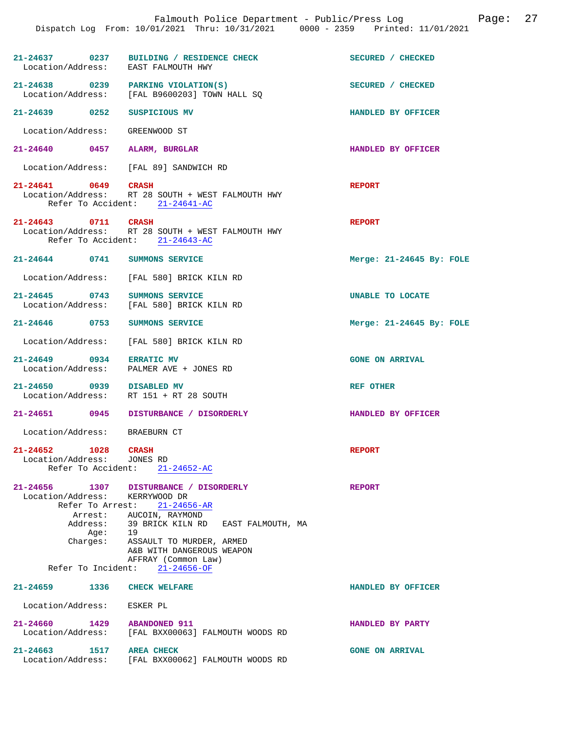|                                                   |                                                                     | 21-24637 0237 BUILDING / RESIDENCE CHECK<br>Location/Address: EAST FALMOUTH HWY                                                                                                                              | SECURED / CHECKED          |
|---------------------------------------------------|---------------------------------------------------------------------|--------------------------------------------------------------------------------------------------------------------------------------------------------------------------------------------------------------|----------------------------|
|                                                   |                                                                     | 21-24638 0239 PARKING VIOLATION(S)<br>Location/Address: [FAL B9600203] TOWN HALL SQ                                                                                                                          | SECURED / CHECKED          |
|                                                   |                                                                     | 21-24639 0252 SUSPICIOUS MV                                                                                                                                                                                  | HANDLED BY OFFICER         |
|                                                   |                                                                     | Location/Address: GREENWOOD ST                                                                                                                                                                               |                            |
|                                                   |                                                                     | 21-24640 0457 ALARM, BURGLAR                                                                                                                                                                                 | HANDLED BY OFFICER         |
|                                                   |                                                                     | Location/Address: [FAL 89] SANDWICH RD                                                                                                                                                                       |                            |
| 21-24641 0649 CRASH                               |                                                                     | Location/Address: RT 28 SOUTH + WEST FALMOUTH HWY<br>Refer To Accident: 21-24641-AC                                                                                                                          | <b>REPORT</b>              |
| 21-24643 0711 CRASH                               |                                                                     | Location/Address: RT 28 SOUTH + WEST FALMOUTH HWY<br>Refer To Accident: 21-24643-AC                                                                                                                          | <b>REPORT</b>              |
|                                                   |                                                                     | 21-24644 0741 SUMMONS SERVICE                                                                                                                                                                                | Merge: $21-24645$ By: FOLE |
|                                                   |                                                                     | Location/Address: [FAL 580] BRICK KILN RD                                                                                                                                                                    |                            |
|                                                   |                                                                     | 21-24645 0743 SUMMONS SERVICE<br>Location/Address: [FAL 580] BRICK KILN RD                                                                                                                                   | UNABLE TO LOCATE           |
|                                                   |                                                                     | 21-24646 0753 SUMMONS SERVICE                                                                                                                                                                                | Merge: $21-24645$ By: FOLE |
|                                                   |                                                                     | Location/Address: [FAL 580] BRICK KILN RD                                                                                                                                                                    |                            |
| 21-24649 0934 ERRATIC MV                          |                                                                     | Location/Address: PALMER AVE + JONES RD                                                                                                                                                                      | <b>GONE ON ARRIVAL</b>     |
|                                                   |                                                                     | 21-24650 0939 DISABLED MV<br>Location/Address: RT 151 + RT 28 SOUTH                                                                                                                                          | <b>REF OTHER</b>           |
|                                                   |                                                                     | 21-24651 0945 DISTURBANCE / DISORDERLY                                                                                                                                                                       | HANDLED BY OFFICER         |
|                                                   |                                                                     | Location/Address: BRAEBURN CT                                                                                                                                                                                |                            |
| 21-24652 1028 CRASH<br>Location/Address: JONES RD |                                                                     | Refer To Accident: 21-24652-AC                                                                                                                                                                               | <b>REPORT</b>              |
| 21-24656<br>Location/Address:                     | 1307<br>Refer To Arrest:<br>Arrest:<br>Address:<br>Age:<br>Charges: | DISTURBANCE / DISORDERLY<br>KERRYWOOD DR<br>$21 - 24656 - AR$<br>AUCOIN, RAYMOND<br>39 BRICK KILN RD EAST FALMOUTH, MA<br>19<br>ASSAULT TO MURDER, ARMED<br>A&B WITH DANGEROUS WEAPON<br>AFFRAY (Common Law) | <b>REPORT</b>              |
|                                                   |                                                                     | Refer To Incident: 21-24656-OF                                                                                                                                                                               |                            |
| 21-24659                                          | 1336                                                                | <b>CHECK WELFARE</b>                                                                                                                                                                                         | HANDLED BY OFFICER         |
| Location/Address:                                 |                                                                     | ESKER PL                                                                                                                                                                                                     |                            |
| 21-24660 1429<br>Location/Address:                |                                                                     | <b>ABANDONED 911</b><br>[FAL BXX00063] FALMOUTH WOODS RD                                                                                                                                                     | HANDLED BY PARTY           |
| 21-24663                                          | 1517                                                                | <b>AREA CHECK</b>                                                                                                                                                                                            | <b>GONE ON ARRIVAL</b>     |

Location/Address: [FAL BXX00062] FALMOUTH WOODS RD

Falmouth Police Department - Public/Press Log Page: 27

Dispatch Log From: 10/01/2021 Thru: 10/31/2021 0000 - 2359 Printed: 11/01/2021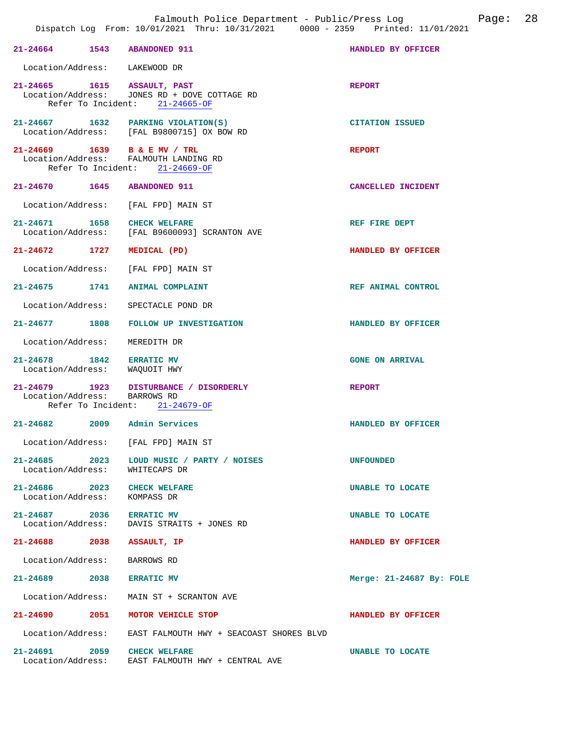| 21-24664 1543 ABANDONED 911                                 |                                                                                                               | HANDLED BY OFFICER       |
|-------------------------------------------------------------|---------------------------------------------------------------------------------------------------------------|--------------------------|
| Location/Address: LAKEWOOD DR                               |                                                                                                               |                          |
|                                                             | 21-24665 1615 ASSAULT, PAST<br>Location/Address: JONES RD + DOVE COTTAGE RD<br>Refer To Incident: 21-24665-OF | <b>REPORT</b>            |
|                                                             | 21-24667 1632 PARKING VIOLATION(S)<br>Location/Address: [FAL B9800715] OX BOW RD                              | <b>CITATION ISSUED</b>   |
|                                                             | 21-24669 1639 B & E MV / TRL<br>Location/Address: FALMOUTH LANDING RD<br>Refer To Incident: 21-24669-OF       | <b>REPORT</b>            |
| 21-24670 1645 ABANDONED 911                                 |                                                                                                               | CANCELLED INCIDENT       |
|                                                             | Location/Address: [FAL FPD] MAIN ST                                                                           |                          |
| 21-24671 1658 CHECK WELFARE                                 | Location/Address: [FAL B9600093] SCRANTON AVE                                                                 | REF FIRE DEPT            |
| 21-24672 1727 MEDICAL (PD)                                  |                                                                                                               | HANDLED BY OFFICER       |
|                                                             | Location/Address: [FAL FPD] MAIN ST                                                                           |                          |
|                                                             | 21-24675 1741 ANIMAL COMPLAINT                                                                                | REF ANIMAL CONTROL       |
|                                                             | Location/Address: SPECTACLE POND DR                                                                           |                          |
|                                                             | 21-24677 1808 FOLLOW UP INVESTIGATION                                                                         | HANDLED BY OFFICER       |
| Location/Address: MEREDITH DR                               |                                                                                                               |                          |
| 21-24678 1842 ERRATIC MV<br>Location/Address: WAQUOIT HWY   |                                                                                                               | <b>GONE ON ARRIVAL</b>   |
| Location/Address: BARROWS RD                                | 21-24679 1923 DISTURBANCE / DISORDERLY<br>Refer To Incident: 21-24679-OF                                      | <b>REPORT</b>            |
|                                                             | 21-24682 2009 Admin Services                                                                                  | HANDLED BY OFFICER       |
|                                                             | Location/Address: [FAL FPD] MAIN ST                                                                           |                          |
| $21 - 24685$ 2023<br>Location/Address:                      | LOUD MUSIC / PARTY / NOISES<br>WHITECAPS DR                                                                   | <b>UNFOUNDED</b>         |
| 21-24686 2023 CHECK WELFARE<br>Location/Address: KOMPASS DR |                                                                                                               | UNABLE TO LOCATE         |
| 21-24687 2036                                               | <b>ERRATIC MV</b><br>Location/Address: DAVIS STRAITS + JONES RD                                               | UNABLE TO LOCATE         |
| 21-24688 2038 ASSAULT, IP                                   |                                                                                                               | HANDLED BY OFFICER       |
| Location/Address: BARROWS RD                                |                                                                                                               |                          |
| 21-24689 2038 ERRATIC MV                                    |                                                                                                               | Merge: 21-24687 By: FOLE |
|                                                             | Location/Address: MAIN ST + SCRANTON AVE                                                                      |                          |
|                                                             | 21-24690 2051 MOTOR VEHICLE STOP                                                                              | HANDLED BY OFFICER       |
|                                                             | Location/Address: EAST FALMOUTH HWY + SEACOAST SHORES BLVD                                                    |                          |
| 21-24691                                                    | 2059 CHECK WELFARE<br>Location/Address: EAST FALMOUTH HWY + CENTRAL AVE                                       | UNABLE TO LOCATE         |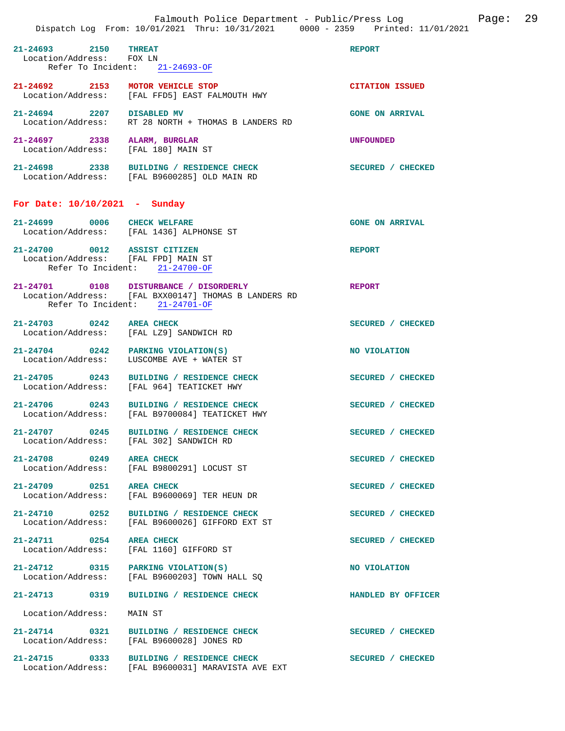|                                                                     | Falmouth Police Department - Public/Press Log<br>Dispatch Log From: 10/01/2021 Thru: 10/31/2021 0000 - 2359 Printed: 11/01/2021  |                        | Page: | 29 |
|---------------------------------------------------------------------|----------------------------------------------------------------------------------------------------------------------------------|------------------------|-------|----|
| 21-24693 2150 THREAT<br>Location/Address: FOX LN                    | Refer To Incident: 21-24693-OF                                                                                                   | <b>REPORT</b>          |       |    |
| 21-24692 2153 MOTOR VEHICLE STOP                                    | Location/Address: [FAL FFD5] EAST FALMOUTH HWY                                                                                   | <b>CITATION ISSUED</b> |       |    |
| 21-24694 2207 DISABLED MV                                           | Location/Address: RT 28 NORTH + THOMAS B LANDERS RD                                                                              | <b>GONE ON ARRIVAL</b> |       |    |
| 21-24697 2338 ALARM, BURGLAR<br>Location/Address: [FAL 180] MAIN ST |                                                                                                                                  | <b>UNFOUNDED</b>       |       |    |
|                                                                     | 21-24698 2338 BUILDING / RESIDENCE CHECK<br>Location/Address: [FAL B9600285] OLD MAIN RD                                         | SECURED / CHECKED      |       |    |
| For Date: $10/10/2021$ - Sunday                                     |                                                                                                                                  |                        |       |    |
|                                                                     | 21-24699 0006 CHECK WELFARE<br>Location/Address: [FAL 1436] ALPHONSE ST                                                          | <b>GONE ON ARRIVAL</b> |       |    |
| 21-24700 0012 ASSIST CITIZEN<br>Location/Address: [FAL FPD] MAIN ST | Refer To Incident: 21-24700-OF                                                                                                   | <b>REPORT</b>          |       |    |
|                                                                     | 21-24701 0108 DISTURBANCE / DISORDERLY<br>Location/Address: [FAL BXX00147] THOMAS B LANDERS RD<br>Refer To Incident: 21-24701-OF | <b>REPORT</b>          |       |    |
| 21-24703 0242 AREA CHECK                                            | Location/Address: [FAL LZ9] SANDWICH RD                                                                                          | SECURED / CHECKED      |       |    |
|                                                                     | $21-24704$ 0242 PARKING VIOLATION(S)<br>Location/Address: LUSCOMBE AVE + WATER ST                                                | NO VIOLATION           |       |    |
|                                                                     | 21-24705 0243 BUILDING / RESIDENCE CHECK<br>Location/Address: [FAL 964] TEATICKET HWY                                            | SECURED / CHECKED      |       |    |
|                                                                     | 21-24706 0243 BUILDING / RESIDENCE CHECK<br>Location/Address: [FAL B9700084] TEATICKET HWY                                       | SECURED / CHECKED      |       |    |
| 21-24707 0245<br>Location/Address:                                  | BUILDING / RESIDENCE CHECK<br>[FAL 302] SANDWICH RD                                                                              | SECURED / CHECKED      |       |    |
| 21-24708 0249<br>Location/Address:                                  | <b>AREA CHECK</b><br>[FAL B9800291] LOCUST ST                                                                                    | SECURED / CHECKED      |       |    |
| 21-24709 0251 AREA CHECK<br>Location/Address:                       | [FAL B9600069] TER HEUN DR                                                                                                       | SECURED / CHECKED      |       |    |
| 21-24710 0252<br>Location/Address:                                  | BUILDING / RESIDENCE CHECK<br>[FAL B9600026] GIFFORD EXT ST                                                                      | SECURED / CHECKED      |       |    |
| 21-24711 0254 AREA CHECK<br>Location/Address:                       | [FAL 1160] GIFFORD ST                                                                                                            | SECURED / CHECKED      |       |    |
|                                                                     | 21-24712 0315 PARKING VIOLATION(S)<br>Location/Address: [FAL B9600203] TOWN HALL SQ                                              | NO VIOLATION           |       |    |
| 21-24713 0319                                                       | BUILDING / RESIDENCE CHECK                                                                                                       | HANDLED BY OFFICER     |       |    |
| Location/Address:                                                   | MAIN ST                                                                                                                          |                        |       |    |
| 21-24714 0321<br>Location/Address:                                  | BUILDING / RESIDENCE CHECK<br>[FAL B9600028] JONES RD                                                                            | SECURED / CHECKED      |       |    |
|                                                                     | 21-24715 0333 BUILDING / RESIDENCE CHECK<br>Location/Address: [FAL B9600031] MARAVISTA AVE EXT                                   | SECURED / CHECKED      |       |    |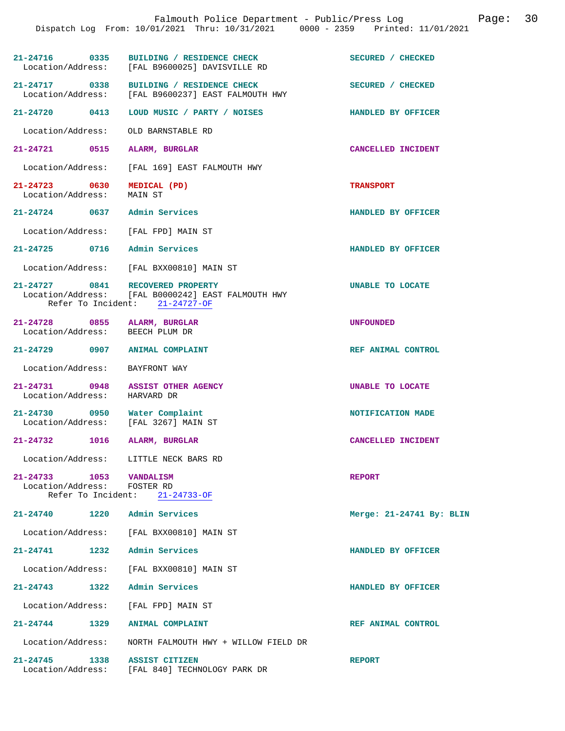|                                                                    | Dispatch Log From: 10/01/2021 Thru: 10/31/2021 0000 - 2359 Printed: 11/01/2021                                           | Page: 30<br>Falmouth Police Department - Public/Press Log |  |
|--------------------------------------------------------------------|--------------------------------------------------------------------------------------------------------------------------|-----------------------------------------------------------|--|
|                                                                    | 21-24716 0335 BUILDING / RESIDENCE CHECK<br>Location/Address: [FAL B9600025] DAVISVILLE RD                               | SECURED / CHECKED                                         |  |
|                                                                    | 21-24717 0338 BUILDING / RESIDENCE CHECK<br>Location/Address: [FAL B9600237] EAST FALMOUTH HWY                           | SECURED / CHECKED                                         |  |
| 21-24720 0413                                                      | LOUD MUSIC / PARTY / NOISES                                                                                              | HANDLED BY OFFICER                                        |  |
| Location/Address:                                                  | OLD BARNSTABLE RD                                                                                                        |                                                           |  |
| 21-24721 0515                                                      | ALARM, BURGLAR                                                                                                           | CANCELLED INCIDENT                                        |  |
| Location/Address:                                                  | [FAL 169] EAST FALMOUTH HWY                                                                                              |                                                           |  |
| 21-24723 0630<br>Location/Address:                                 | MEDICAL (PD)<br>MAIN ST                                                                                                  | <b>TRANSPORT</b>                                          |  |
|                                                                    | 21-24724 0637 Admin Services                                                                                             | HANDLED BY OFFICER                                        |  |
| Location/Address:                                                  | [FAL FPD] MAIN ST                                                                                                        |                                                           |  |
|                                                                    | 21-24725 0716 Admin Services                                                                                             | HANDLED BY OFFICER                                        |  |
| Location/Address:                                                  | [FAL BXX00810] MAIN ST                                                                                                   |                                                           |  |
|                                                                    | 21-24727 0841 RECOVERED PROPERTY<br>Location/Address: [FAL B0000242] EAST FALMOUTH HWY<br>Refer To Incident: 21-24727-OF | UNABLE TO LOCATE                                          |  |
|                                                                    | 21-24728 0855 ALARM, BURGLAR<br>Location/Address: BEECH PLUM DR                                                          | <b>UNFOUNDED</b>                                          |  |
|                                                                    | 21-24729 0907 ANIMAL COMPLAINT                                                                                           | REF ANIMAL CONTROL                                        |  |
| Location/Address:                                                  | BAYFRONT WAY                                                                                                             |                                                           |  |
| Location/Address: HARVARD DR                                       | 21-24731 0948 ASSIST OTHER AGENCY                                                                                        | UNABLE TO LOCATE                                          |  |
|                                                                    | 21-24730 0950 Water Complaint<br>Location/Address: [FAL 3267] MAIN ST                                                    | NOTIFICATION MADE                                         |  |
| 21-24732                                                           | 1016 ALARM, BURGLAR                                                                                                      | CANCELLED INCIDENT                                        |  |
|                                                                    | Location/Address: LITTLE NECK BARS RD                                                                                    |                                                           |  |
| 21-24733 1053 VANDALISM<br>Location/Address:<br>Refer To Incident: | FOSTER RD<br>$21 - 24733 - OF$                                                                                           | <b>REPORT</b>                                             |  |
| $21 - 24740$ 1220                                                  | Admin Services                                                                                                           | Merge: 21-24741 By: BLIN                                  |  |
| Location/Address:                                                  | [FAL BXX00810] MAIN ST                                                                                                   |                                                           |  |
| $21 - 24741$                                                       | Admin Services<br>1232                                                                                                   | HANDLED BY OFFICER                                        |  |
| Location/Address:                                                  | [FAL BXX00810] MAIN ST                                                                                                   |                                                           |  |
| 21-24743 1322                                                      | Admin Services                                                                                                           | HANDLED BY OFFICER                                        |  |
| Location/Address:                                                  | [FAL FPD] MAIN ST                                                                                                        |                                                           |  |
| 21-24744 1329                                                      | <b>ANIMAL COMPLAINT</b>                                                                                                  | REF ANIMAL CONTROL                                        |  |
| Location/Address:                                                  | NORTH FALMOUTH HWY + WILLOW FIELD DR                                                                                     |                                                           |  |
| 21-24745<br>Location/Address:                                      | 1338<br><b>ASSIST CITIZEN</b><br>[FAL 840] TECHNOLOGY PARK DR                                                            | <b>REPORT</b>                                             |  |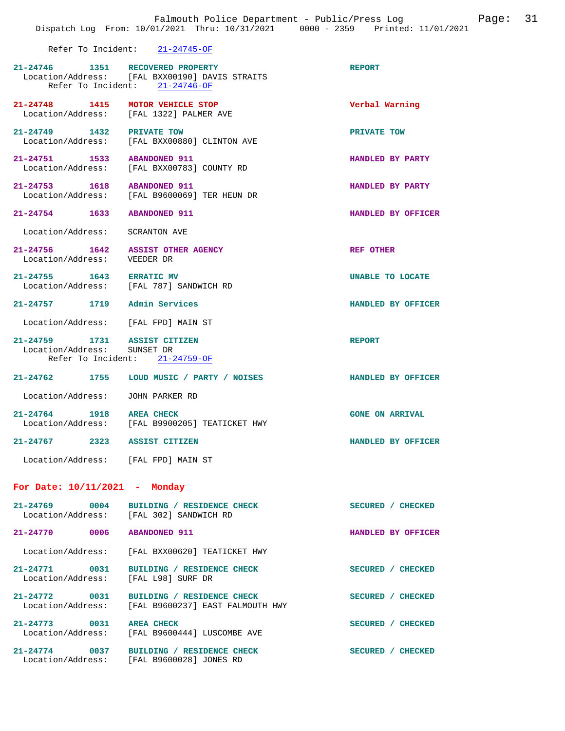|                                                             | Refer To Incident: $21-24745-OF$                                                               |                        |  |
|-------------------------------------------------------------|------------------------------------------------------------------------------------------------|------------------------|--|
| 21-24746 1351 RECOVERED PROPERTY                            | Location/Address: [FAL BXX00190] DAVIS STRAITS<br>Refer To Incident: 21-24746-OF               | <b>REPORT</b>          |  |
| 21-24748 1415 MOTOR VEHICLE STOP                            | Location/Address: [FAL 1322] PALMER AVE                                                        | Verbal Warning         |  |
| 21-24749 1432 PRIVATE TOW                                   | Location/Address: [FAL BXX00880] CLINTON AVE                                                   | PRIVATE TOW            |  |
| 21-24751 1533 ABANDONED 911                                 | Location/Address: [FAL BXX00783] COUNTY RD                                                     | HANDLED BY PARTY       |  |
| 21-24753 1618 ABANDONED 911                                 | Location/Address: [FAL B9600069] TER HEUN DR                                                   | HANDLED BY PARTY       |  |
| 21-24754 1633 ABANDONED 911                                 |                                                                                                | HANDLED BY OFFICER     |  |
| Location/Address: SCRANTON AVE                              |                                                                                                |                        |  |
| Location/Address: VEEDER DR                                 | 21-24756 1642 ASSIST OTHER AGENCY                                                              | REF OTHER              |  |
| 21-24755 1643 ERRATIC MV                                    | Location/Address: [FAL 787] SANDWICH RD                                                        | UNABLE TO LOCATE       |  |
| 21-24757 1719 Admin Services                                |                                                                                                | HANDLED BY OFFICER     |  |
| Location/Address: [FAL FPD] MAIN ST                         |                                                                                                |                        |  |
| 21-24759 1731 ASSIST CITIZEN<br>Location/Address: SUNSET DR | Refer To Incident: $21-24759-OF$                                                               | <b>REPORT</b>          |  |
|                                                             | 21-24762 1755 LOUD MUSIC / PARTY / NOISES                                                      | HANDLED BY OFFICER     |  |
| Location/Address: JOHN PARKER RD                            |                                                                                                |                        |  |
| 21-24764 1918 AREA CHECK                                    | Location/Address: [FAL B9900205] TEATICKET HWY                                                 | <b>GONE ON ARRIVAL</b> |  |
| 21-24767 2323 ASSIST CITIZEN                                |                                                                                                | HANDLED BY OFFICER     |  |
| Location/Address: [FAL FPD] MAIN ST                         |                                                                                                |                        |  |
| For Date: 10/11/2021 - Monday                               |                                                                                                |                        |  |
|                                                             | 21-24769 0004 BUILDING / RESIDENCE CHECK<br>Location/Address: [FAL 302] SANDWICH RD            | SECURED / CHECKED      |  |
| 21-24770 0006 ABANDONED 911                                 |                                                                                                | HANDLED BY OFFICER     |  |
|                                                             | Location/Address: [FAL BXX00620] TEATICKET HWY                                                 |                        |  |
| Location/Address: [FAL L98] SURF DR                         | 21-24771 0031 BUILDING / RESIDENCE CHECK                                                       | SECURED / CHECKED      |  |
|                                                             | 21-24772 0031 BUILDING / RESIDENCE CHECK<br>Location/Address: [FAL B9600237] EAST FALMOUTH HWY | SECURED / CHECKED      |  |
| 21-24773 0031 AREA CHECK                                    | Location/Address: [FAL B9600444] LUSCOMBE AVE                                                  | SECURED / CHECKED      |  |
|                                                             | 21-24774 0037 BUILDING / RESIDENCE CHECK<br>Location/Address: [FAL B9600028] JONES RD          | SECURED / CHECKED      |  |

Falmouth Police Department - Public/Press Log Page: 31

Dispatch Log From: 10/01/2021 Thru: 10/31/2021 0000 - 2359 Printed: 11/01/2021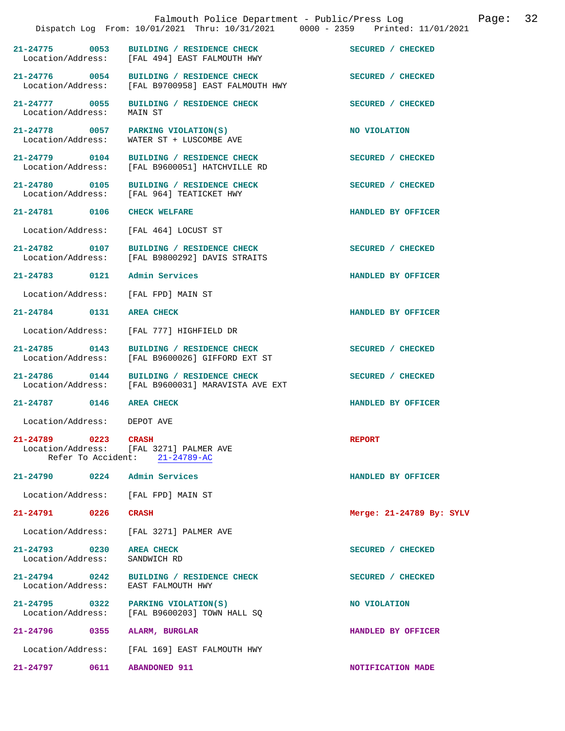|                                        | Dispatch Log From: 10/01/2021 Thru: 10/31/2021 0000 - 2359 Printed: 11/01/2021                 | Falmouth Police Department - Public/Press Log Cage: | 32 |
|----------------------------------------|------------------------------------------------------------------------------------------------|-----------------------------------------------------|----|
|                                        | 21-24775 0053 BUILDING / RESIDENCE CHECK<br>Location/Address: [FAL 494] EAST FALMOUTH HWY      | SECURED / CHECKED                                   |    |
|                                        | 21-24776 0054 BUILDING / RESIDENCE CHECK<br>Location/Address: [FAL B9700958] EAST FALMOUTH HWY | SECURED / CHECKED                                   |    |
| 21-24777 0055<br>Location/Address:     | BUILDING / RESIDENCE CHECK<br>MAIN ST                                                          | SECURED / CHECKED                                   |    |
| Location/Address:                      | 21-24778 0057 PARKING VIOLATION(S)<br>WATER ST + LUSCOMBE AVE                                  | NO VIOLATION                                        |    |
|                                        | 21-24779 0104 BUILDING / RESIDENCE CHECK<br>Location/Address: [FAL B9600051] HATCHVILLE RD     | SECURED / CHECKED                                   |    |
|                                        | 21-24780 0105 BUILDING / RESIDENCE CHECK<br>Location/Address: [FAL 964] TEATICKET HWY          | SECURED / CHECKED                                   |    |
| 21-24781 0106                          | <b>CHECK WELFARE</b>                                                                           | HANDLED BY OFFICER                                  |    |
|                                        | Location/Address: [FAL 464] LOCUST ST                                                          |                                                     |    |
|                                        | 21-24782 0107 BUILDING / RESIDENCE CHECK<br>Location/Address: [FAL B9800292] DAVIS STRAITS     | SECURED / CHECKED                                   |    |
| 21-24783 0121 Admin Services           |                                                                                                | HANDLED BY OFFICER                                  |    |
| Location/Address: [FAL FPD] MAIN ST    |                                                                                                |                                                     |    |
| 21-24784 0131                          | <b>AREA CHECK</b>                                                                              | HANDLED BY OFFICER                                  |    |
|                                        | Location/Address: [FAL 777] HIGHFIELD DR                                                       |                                                     |    |
|                                        | 21-24785 0143 BUILDING / RESIDENCE CHECK<br>Location/Address: [FAL B9600026] GIFFORD EXT ST    | SECURED / CHECKED                                   |    |
| 21-24786 0144                          | BUILDING / RESIDENCE CHECK<br>Location/Address: [FAL B9600031] MARAVISTA AVE EXT               | SECURED / CHECKED                                   |    |
| 21-24787 0146 AREA CHECK               |                                                                                                | HANDLED BY OFFICER                                  |    |
| Location/Address:                      | DEPOT AVE                                                                                      |                                                     |    |
| $21 - 24789$<br>0223                   | <b>CRASH</b><br>Location/Address: [FAL 3271] PALMER AVE<br>Refer To Accident: 21-24789-AC      | <b>REPORT</b>                                       |    |
| 21-24790 0224 Admin Services           |                                                                                                | HANDLED BY OFFICER                                  |    |
| Location/Address:                      | [FAL FPD] MAIN ST                                                                              |                                                     |    |
| 21-24791 0226                          | <b>CRASH</b>                                                                                   | Merge: 21-24789 By: SYLV                            |    |
| Location/Address:                      | [FAL 3271] PALMER AVE                                                                          |                                                     |    |
| 21-24793 0230<br>Location/Address:     | <b>AREA CHECK</b><br>SANDWICH RD                                                               | SECURED / CHECKED                                   |    |
| $21 - 24794$ 0242<br>Location/Address: | BUILDING / RESIDENCE CHECK<br>EAST FALMOUTH HWY                                                | SECURED / CHECKED                                   |    |
| 21-24795 0322                          | PARKING VIOLATION(S)<br>Location/Address: [FAL B9600203] TOWN HALL SO                          | NO VIOLATION                                        |    |
| 21-24796 0355                          | ALARM, BURGLAR                                                                                 | HANDLED BY OFFICER                                  |    |
| Location/Address:                      | [FAL 169] EAST FALMOUTH HWY                                                                    |                                                     |    |
| 0611<br>21-24797                       | <b>ABANDONED 911</b>                                                                           | NOTIFICATION MADE                                   |    |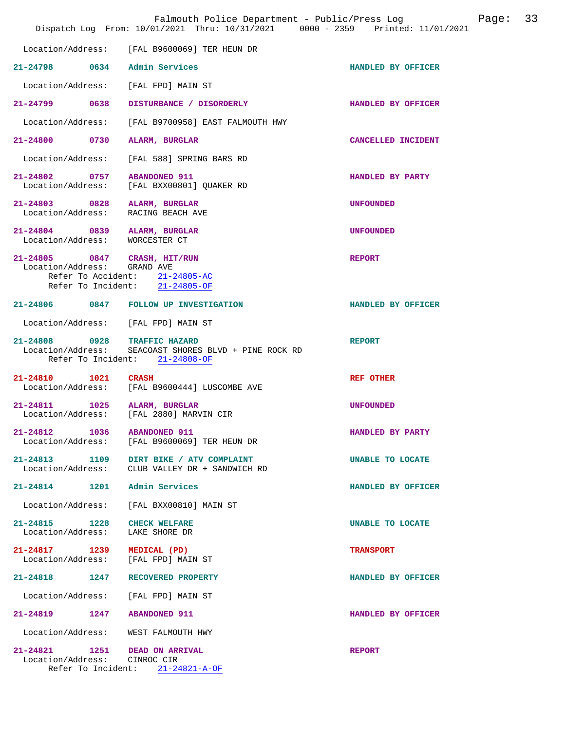|                                                                | Falmouth Police Department - Public/Press Log<br>Dispatch Log From: 10/01/2021 Thru: 10/31/2021 0000 - 2359 Printed: 11/01/2021 |                    | Page: | 33 |
|----------------------------------------------------------------|---------------------------------------------------------------------------------------------------------------------------------|--------------------|-------|----|
| Location/Address:                                              | [FAL B9600069] TER HEUN DR                                                                                                      |                    |       |    |
| 21-24798 0634 Admin Services                                   |                                                                                                                                 | HANDLED BY OFFICER |       |    |
| Location/Address:                                              | [FAL FPD] MAIN ST                                                                                                               |                    |       |    |
| 21-24799 0638                                                  | DISTURBANCE / DISORDERLY                                                                                                        | HANDLED BY OFFICER |       |    |
| Location/Address:                                              | [FAL B9700958] EAST FALMOUTH HWY                                                                                                |                    |       |    |
| 21-24800 0730                                                  | ALARM, BURGLAR                                                                                                                  | CANCELLED INCIDENT |       |    |
| Location/Address:                                              | [FAL 588] SPRING BARS RD                                                                                                        |                    |       |    |
| 21-24802 0757<br>Location/Address:                             | <b>ABANDONED 911</b><br>[FAL BXX00801] QUAKER RD                                                                                | HANDLED BY PARTY   |       |    |
| 21-24803 0828<br>Location/Address:                             | ALARM, BURGLAR<br>RACING BEACH AVE                                                                                              | <b>UNFOUNDED</b>   |       |    |
| 21-24804 0839 ALARM, BURGLAR<br>Location/Address: WORCESTER CT |                                                                                                                                 | <b>UNFOUNDED</b>   |       |    |
| 21-24805 0847 CRASH, HIT/RUN<br>Location/Address: GRAND AVE    | Refer To Accident: 21-24805-AC<br>Refer To Incident: 21-24805-OF                                                                | <b>REPORT</b>      |       |    |
|                                                                | 21-24806 0847 FOLLOW UP INVESTIGATION                                                                                           | HANDLED BY OFFICER |       |    |
| Location/Address: [FAL FPD] MAIN ST                            |                                                                                                                                 |                    |       |    |
| 21-24808 0928 TRAFFIC HAZARD<br>Location/Address:              | SEACOAST SHORES BLVD + PINE ROCK RD<br>Refer To Incident: 21-24808-OF                                                           | <b>REPORT</b>      |       |    |
| 21-24810<br>1021                                               | <b>CRASH</b><br>Location/Address: [FAL B9600444] LUSCOMBE AVE                                                                   | REF OTHER          |       |    |
| 21-24811 1025 ALARM, BURGLAR<br>Location/Address:              | [FAL 2880] MARVIN CIR                                                                                                           | <b>UNFOUNDED</b>   |       |    |
| 21-24812 1036<br>Location/Address:                             | <b>ABANDONED 911</b><br>[FAL B9600069] TER HEUN DR                                                                              | HANDLED BY PARTY   |       |    |
|                                                                | 21-24813 1109 DIRT BIKE / ATV COMPLAINT<br>Location/Address: CLUB VALLEY DR + SANDWICH RD                                       | UNABLE TO LOCATE   |       |    |
| 21-24814 1201 Admin Services                                   |                                                                                                                                 | HANDLED BY OFFICER |       |    |
| Location/Address:                                              | [FAL BXX00810] MAIN ST                                                                                                          |                    |       |    |
| 21-24815 1228<br>Location/Address:                             | <b>CHECK WELFARE</b><br>LAKE SHORE DR                                                                                           | UNABLE TO LOCATE   |       |    |
| 21-24817 1239<br>Location/Address:                             | MEDICAL (PD)<br>[FAL FPD] MAIN ST                                                                                               | <b>TRANSPORT</b>   |       |    |
| 21-24818 1247                                                  | RECOVERED PROPERTY                                                                                                              | HANDLED BY OFFICER |       |    |
| Location/Address:                                              | [FAL FPD] MAIN ST                                                                                                               |                    |       |    |
| 21-24819 1247 ABANDONED 911                                    |                                                                                                                                 | HANDLED BY OFFICER |       |    |
| Location/Address:                                              | WEST FALMOUTH HWY                                                                                                               |                    |       |    |
| 21-24821 1251 DEAD ON ARRIVAL<br>Location/Address: CINROC CIR  | Refer To Incident: 21-24821-A-OF                                                                                                | <b>REPORT</b>      |       |    |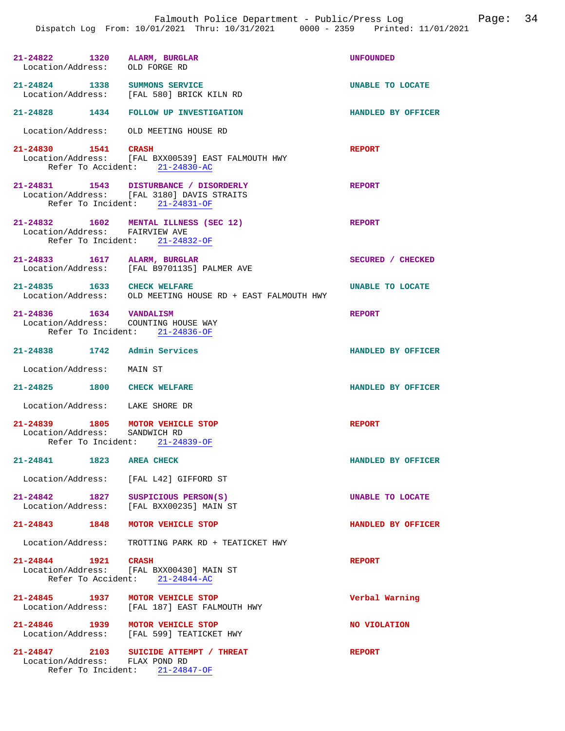| 21-24822 1320 ALARM, BURGLAR<br>Location/Address: OLD FORGE RD    |                                                                                                                        | <b>UNFOUNDED</b>   |
|-------------------------------------------------------------------|------------------------------------------------------------------------------------------------------------------------|--------------------|
|                                                                   | 21-24824 1338 SUMMONS SERVICE<br>Location/Address: [FAL 580] BRICK KILN RD                                             | UNABLE TO LOCATE   |
|                                                                   | 21-24828 1434 FOLLOW UP INVESTIGATION                                                                                  | HANDLED BY OFFICER |
| Location/Address: OLD MEETING HOUSE RD                            |                                                                                                                        |                    |
| 21-24830 1541                                                     | CRASH<br>Location/Address: [FAL BXX00539] EAST FALMOUTH HWY<br>Refer To Accident: 21-24830-AC                          | <b>REPORT</b>      |
|                                                                   | 21-24831 1543 DISTURBANCE / DISORDERLY<br>Location/Address: [FAL 3180] DAVIS STRAITS<br>Refer To Incident: 21-24831-OF | <b>REPORT</b>      |
| Location/Address: FAIRVIEW AVE                                    | 21-24832 1602 MENTAL ILLNESS (SEC 12)<br>Refer To Incident: 21-24832-OF                                                | <b>REPORT</b>      |
| 21-24833 1617 ALARM, BURGLAR                                      | Location/Address: [FAL B9701135] PALMER AVE                                                                            | SECURED / CHECKED  |
| 21-24835 1633 CHECK WELFARE                                       | Location/Address: OLD MEETING HOUSE RD + EAST FALMOUTH HWY                                                             | UNABLE TO LOCATE   |
| 21-24836 1634 VANDALISM<br>Location/Address: COUNTING HOUSE WAY   | Refer To Incident: 21-24836-OF                                                                                         | <b>REPORT</b>      |
| 21-24838 1742 Admin Services                                      |                                                                                                                        | HANDLED BY OFFICER |
| Location/Address: MAIN ST                                         |                                                                                                                        |                    |
| 21-24825 1800 CHECK WELFARE                                       |                                                                                                                        | HANDLED BY OFFICER |
| Location/Address: LAKE SHORE DR                                   |                                                                                                                        |                    |
| 21-24839 1805 MOTOR VEHICLE STOP<br>Location/Address: SANDWICH RD | Refer To Incident: 21-24839-OF                                                                                         | <b>REPORT</b>      |
| 21-24841 1823 AREA CHECK                                          |                                                                                                                        | HANDLED BY OFFICER |
|                                                                   | Location/Address: [FAL L42] GIFFORD ST                                                                                 |                    |
| 21-24842 1827 SUSPICIOUS PERSON(S)                                | Location/Address: [FAL BXX00235] MAIN ST                                                                               | UNABLE TO LOCATE   |
| 21-24843 1848 MOTOR VEHICLE STOP                                  |                                                                                                                        | HANDLED BY OFFICER |
|                                                                   | Location/Address: TROTTING PARK RD + TEATICKET HWY                                                                     |                    |
| 21-24844 1921 CRASH                                               | Location/Address: [FAL BXX00430] MAIN ST<br>Refer To Accident: 21-24844-AC                                             | <b>REPORT</b>      |
| 21-24845 1937 MOTOR VEHICLE STOP                                  | Location/Address: [FAL 187] EAST FALMOUTH HWY                                                                          | Verbal Warning     |
| 21-24846 1939                                                     | MOTOR VEHICLE STOP<br>Location/Address: [FAL 599] TEATICKET HWY                                                        | NO VIOLATION       |
| Location/Address: FLAX POND RD                                    | 21-24847 2103 SUICIDE ATTEMPT / THREAT<br>Refer To Incident: 21-24847-OF                                               | <b>REPORT</b>      |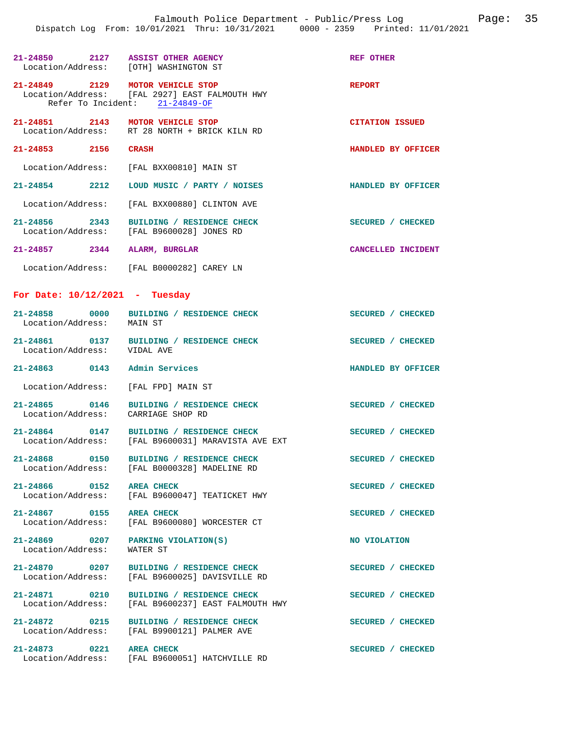|                                     | 21-24850 2127 ASSIST OTHER AGENCY<br>Location/Address: [OTH] WASHINGTON ST                     | REF OTHER                 |
|-------------------------------------|------------------------------------------------------------------------------------------------|---------------------------|
| 21-24849 2129 MOTOR VEHICLE STOP    | Location/Address: [FAL 2927] EAST FALMOUTH HWY<br>Refer To Incident: 21-24849-OF               | <b>REPORT</b>             |
|                                     | 21-24851 2143 MOTOR VEHICLE STOP<br>Location/Address: RT 28 NORTH + BRICK KILN RD              | <b>CITATION ISSUED</b>    |
| 21-24853 2156 CRASH                 |                                                                                                | HANDLED BY OFFICER        |
|                                     | Location/Address: [FAL BXX00810] MAIN ST                                                       |                           |
|                                     | 21-24854 2212 LOUD MUSIC / PARTY / NOISES                                                      | <b>HANDLED BY OFFICER</b> |
|                                     | Location/Address: [FAL BXX00880] CLINTON AVE                                                   |                           |
|                                     | 21-24856 2343 BUILDING / RESIDENCE CHECK<br>Location/Address: [FAL B9600028] JONES RD          | SECURED / CHECKED         |
| 21-24857 2344 ALARM, BURGLAR        |                                                                                                | CANCELLED INCIDENT        |
|                                     | Location/Address: [FAL B0000282] CAREY LN                                                      |                           |
| For Date: $10/12/2021$ - Tuesday    |                                                                                                |                           |
| Location/Address: MAIN ST           | 21-24858 0000 BUILDING / RESIDENCE CHECK                                                       | SECURED / CHECKED         |
| Location/Address: VIDAL AVE         | 21-24861 0137 BUILDING / RESIDENCE CHECK                                                       | SECURED / CHECKED         |
| 21-24863 0143 Admin Services        |                                                                                                | HANDLED BY OFFICER        |
| Location/Address: [FAL FPD] MAIN ST |                                                                                                |                           |
|                                     | 21-24865 0146 BUILDING / RESIDENCE CHECK<br>Location/Address: CARRIAGE SHOP RD                 | SECURED / CHECKED         |
|                                     | 21-24864 0147 BUILDING / RESIDENCE CHECK<br>Location/Address: [FAL B9600031] MARAVISTA AVE EXT | SECURED / CHECKED         |
| 21-24868 0150                       | BUILDING / RESIDENCE CHECK<br>Location/Address: [FAL B0000328] MADELINE RD                     | SECURED / CHECKED         |
| 21-24866 0152                       | <b>AREA CHECK</b><br>Location/Address: [FAL B9600047] TEATICKET HWY                            | SECURED / CHECKED         |
| 21-24867 0155 AREA CHECK            | Location/Address: [FAL B9600080] WORCESTER CT                                                  | SECURED / CHECKED         |
| Location/Address:                   | 21-24869 0207 PARKING VIOLATION(S)<br>WATER ST                                                 | NO VIOLATION              |
|                                     | 21-24870 0207 BUILDING / RESIDENCE CHECK<br>Location/Address: [FAL B9600025] DAVISVILLE RD     | SECURED / CHECKED         |
| 21-24871 0210                       | BUILDING / RESIDENCE CHECK<br>Location/Address: [FAL B9600237] EAST FALMOUTH HWY               | SECURED / CHECKED         |
|                                     | 21-24872 0215 BUILDING / RESIDENCE CHECK<br>Location/Address: [FAL B9900121] PALMER AVE        | SECURED / CHECKED         |
| 21-24873 0221                       | <b>AREA CHECK</b><br>Location/Address: [FAL B9600051] HATCHVILLE RD                            | SECURED / CHECKED         |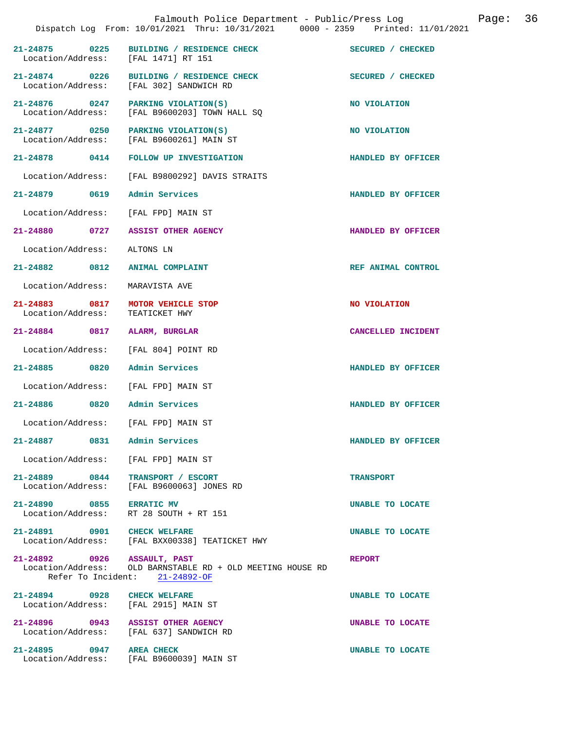|                                                       | Falmouth Police Department - Public/Press Log<br>Dispatch Log From: 10/01/2021 Thru: 10/31/2021 0000 - 2359 Printed: 11/01/2021 |                    | Page: | 36 |
|-------------------------------------------------------|---------------------------------------------------------------------------------------------------------------------------------|--------------------|-------|----|
| Location/Address: [FAL 1471] RT 151                   | 21-24875 0225 BUILDING / RESIDENCE CHECK                                                                                        | SECURED / CHECKED  |       |    |
|                                                       | 21-24874 0226 BUILDING / RESIDENCE CHECK<br>Location/Address: [FAL 302] SANDWICH RD                                             | SECURED / CHECKED  |       |    |
|                                                       | 21-24876 0247 PARKING VIOLATION(S)<br>Location/Address: [FAL B9600203] TOWN HALL SQ                                             | NO VIOLATION       |       |    |
|                                                       | 21-24877 0250 PARKING VIOLATION(S)<br>Location/Address: [FAL B9600261] MAIN ST                                                  | NO VIOLATION       |       |    |
| 21-24878 0414                                         | FOLLOW UP INVESTIGATION                                                                                                         | HANDLED BY OFFICER |       |    |
| Location/Address:                                     | [FAL B9800292] DAVIS STRAITS                                                                                                    |                    |       |    |
| 21-24879 0619 Admin Services                          |                                                                                                                                 | HANDLED BY OFFICER |       |    |
| Location/Address: [FAL FPD] MAIN ST                   |                                                                                                                                 |                    |       |    |
|                                                       | 21-24880 0727 ASSIST OTHER AGENCY                                                                                               | HANDLED BY OFFICER |       |    |
| Location/Address:                                     | ALTONS LN                                                                                                                       |                    |       |    |
| 21-24882 0812                                         | ANIMAL COMPLAINT                                                                                                                | REF ANIMAL CONTROL |       |    |
| Location/Address:                                     | MARAVISTA AVE                                                                                                                   |                    |       |    |
| 21-24883 0817 MOTOR VEHICLE STOP<br>Location/Address: | TEATICKET HWY                                                                                                                   | NO VIOLATION       |       |    |
| 21-24884 0817 ALARM, BURGLAR                          |                                                                                                                                 | CANCELLED INCIDENT |       |    |
| Location/Address:                                     | [FAL 804] POINT RD                                                                                                              |                    |       |    |
| 21-24885 0820                                         | Admin Services                                                                                                                  | HANDLED BY OFFICER |       |    |
| Location/Address: [FAL FPD] MAIN ST                   |                                                                                                                                 |                    |       |    |
| 21-24886 0820 Admin Services                          |                                                                                                                                 | HANDLED BY OFFICER |       |    |
| Location/Address: [FAL FPD] MAIN ST                   |                                                                                                                                 |                    |       |    |
| 21-24887 0831 Admin Services                          |                                                                                                                                 | HANDLED BY OFFICER |       |    |
| Location/Address: [FAL FPD] MAIN ST                   |                                                                                                                                 |                    |       |    |
| 21-24889 0844<br>Location/Address:                    | TRANSPORT / ESCORT<br>[FAL B9600063] JONES RD                                                                                   | <b>TRANSPORT</b>   |       |    |
| 21-24890 0855 ERRATIC MV                              | Location/Address: RT 28 SOUTH + RT 151                                                                                          | UNABLE TO LOCATE   |       |    |
| 21-24891 0901 CHECK WELFARE                           | Location/Address: [FAL BXX00338] TEATICKET HWY                                                                                  | UNABLE TO LOCATE   |       |    |
| 21-24892 0926 ASSAULT, PAST                           | Location/Address: OLD BARNSTABLE RD + OLD MEETING HOUSE RD<br>Refer To Incident: $21-24892-OF$                                  | <b>REPORT</b>      |       |    |
| 21-24894 0928 CHECK WELFARE                           | Location/Address: [FAL 2915] MAIN ST                                                                                            | UNABLE TO LOCATE   |       |    |
|                                                       | 21-24896 0943 ASSIST OTHER AGENCY<br>Location/Address: [FAL 637] SANDWICH RD                                                    | UNABLE TO LOCATE   |       |    |
| 21-24895 0947 AREA CHECK                              | Location/Address: [FAL B9600039] MAIN ST                                                                                        | UNABLE TO LOCATE   |       |    |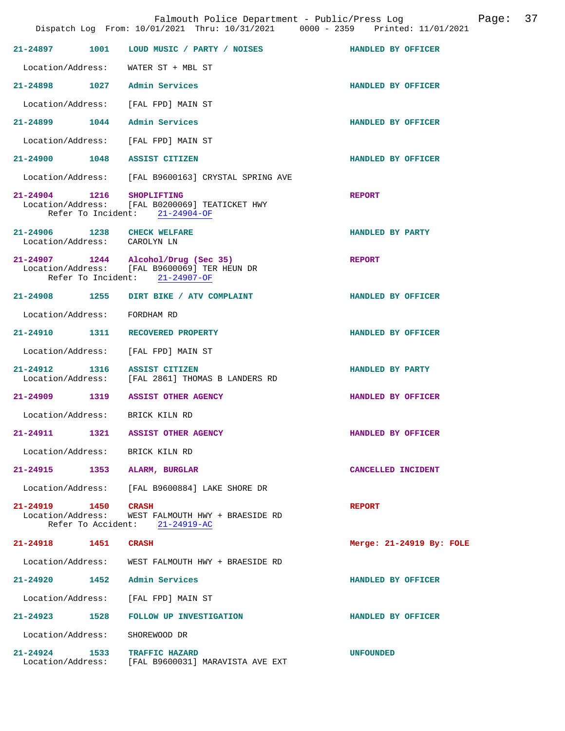|                                                             |      | Falmouth Police Department - Public/Press Log<br>Dispatch Log From: 10/01/2021 Thru: 10/31/2021 0000 - 2359 Printed: 11/01/2021 | Page: 37                 |  |
|-------------------------------------------------------------|------|---------------------------------------------------------------------------------------------------------------------------------|--------------------------|--|
|                                                             |      | 21-24897 1001 LOUD MUSIC / PARTY / NOISES HANDLED BY OFFICER                                                                    |                          |  |
|                                                             |      | Location/Address: WATER ST + MBL ST                                                                                             |                          |  |
|                                                             |      | 21-24898 1027 Admin Services                                                                                                    | HANDLED BY OFFICER       |  |
|                                                             |      | Location/Address: [FAL FPD] MAIN ST                                                                                             |                          |  |
|                                                             |      | 21-24899 1044 Admin Services                                                                                                    | HANDLED BY OFFICER       |  |
|                                                             |      | Location/Address: [FAL FPD] MAIN ST                                                                                             |                          |  |
|                                                             |      | 21-24900 1048 ASSIST CITIZEN                                                                                                    | HANDLED BY OFFICER       |  |
|                                                             |      | Location/Address: [FAL B9600163] CRYSTAL SPRING AVE                                                                             |                          |  |
| 21-24904 1216 SHOPLIFTING                                   |      | Location/Address: [FAL B0200069] TEATICKET HWY<br>Refer To Incident: 21-24904-OF                                                | <b>REPORT</b>            |  |
| 21-24906 1238 CHECK WELFARE<br>Location/Address: CAROLYN LN |      |                                                                                                                                 | HANDLED BY PARTY         |  |
|                                                             |      | 21-24907 1244 Alcohol/Drug (Sec 35)<br>Location/Address: [FAL B9600069] TER HEUN DR<br>Refer To Incident: 21-24907-OF           | <b>REPORT</b>            |  |
|                                                             |      | 21-24908 1255 DIRT BIKE / ATV COMPLAINT                                                                                         | HANDLED BY OFFICER       |  |
| Location/Address: FORDHAM RD                                |      |                                                                                                                                 |                          |  |
|                                                             |      | 21-24910 1311 RECOVERED PROPERTY                                                                                                | HANDLED BY OFFICER       |  |
|                                                             |      | Location/Address: [FAL FPD] MAIN ST                                                                                             |                          |  |
|                                                             |      | 21-24912 1316 ASSIST CITIZEN<br>Location/Address: [FAL 2861] THOMAS B LANDERS RD                                                | HANDLED BY PARTY         |  |
|                                                             |      | 21-24909 1319 ASSIST OTHER AGENCY                                                                                               | HANDLED BY OFFICER       |  |
| Location/Address: BRICK KILN RD                             |      |                                                                                                                                 |                          |  |
| $21 - 24911$                                                | 1321 | ASSIST OTHER AGENCY                                                                                                             | HANDLED BY OFFICER       |  |
| Location/Address: BRICK KILN RD                             |      |                                                                                                                                 |                          |  |
|                                                             |      | 21-24915 1353 ALARM, BURGLAR                                                                                                    | CANCELLED INCIDENT       |  |
|                                                             |      | Location/Address: [FAL B9600884] LAKE SHORE DR                                                                                  |                          |  |
| 21-24919 1450<br>Location/Address:                          |      | CRASH<br>WEST FALMOUTH HWY + BRAESIDE RD<br>Refer To Accident: 21-24919-AC                                                      | <b>REPORT</b>            |  |
| 21-24918 1451                                               |      | <b>CRASH</b>                                                                                                                    | Merge: 21-24919 By: FOLE |  |
|                                                             |      | Location/Address: WEST FALMOUTH HWY + BRAESIDE RD                                                                               |                          |  |
|                                                             |      | 21-24920 1452 Admin Services                                                                                                    | HANDLED BY OFFICER       |  |
| Location/Address:                                           |      | [FAL FPD] MAIN ST                                                                                                               |                          |  |
|                                                             |      | 21-24923 1528 FOLLOW UP INVESTIGATION                                                                                           | HANDLED BY OFFICER       |  |
| Location/Address:                                           |      | SHOREWOOD DR                                                                                                                    |                          |  |
|                                                             |      | 21-24924 1533 TRAFFIC HAZARD<br>Location/Address: [FAL B9600031] MARAVISTA AVE EXT                                              | <b>UNFOUNDED</b>         |  |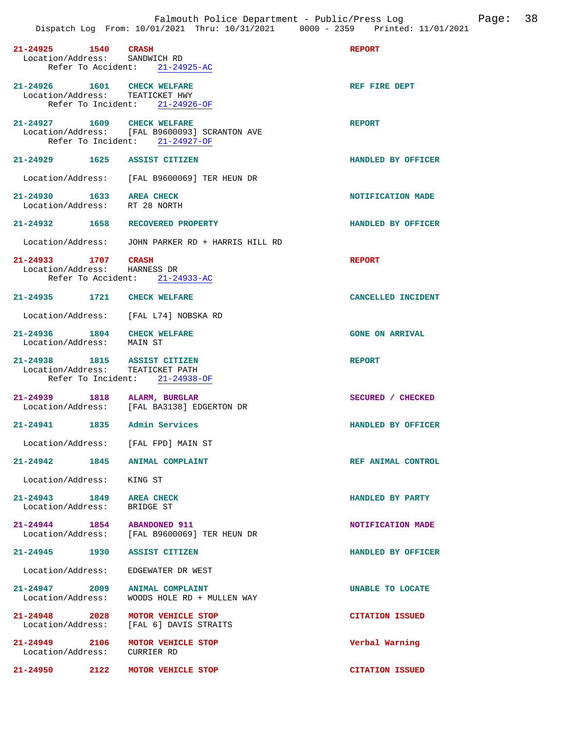| 21-24925 1540 CRASH<br>Location/Address: SANDWICH RD             | Refer To Accident: 21-24925-AC                                                  | <b>REPORT</b>           |
|------------------------------------------------------------------|---------------------------------------------------------------------------------|-------------------------|
| 21-24926 1601 CHECK WELFARE<br>Location/Address: TEATICKET HWY   | Refer To Incident: 21-24926-OF                                                  | REF FIRE DEPT           |
| 21-24927 1609 CHECK WELFARE                                      | Location/Address: [FAL B9600093] SCRANTON AVE<br>Refer To Incident: 21-24927-OF | <b>REPORT</b>           |
| 21-24929 1625 ASSIST CITIZEN                                     |                                                                                 | HANDLED BY OFFICER      |
|                                                                  | Location/Address: [FAL B9600069] TER HEUN DR                                    |                         |
| 21-24930 1633 AREA CHECK<br>Location/Address: RT 28 NORTH        |                                                                                 | NOTIFICATION MADE       |
| 21-24932 1658 RECOVERED PROPERTY                                 |                                                                                 | HANDLED BY OFFICER      |
|                                                                  | Location/Address: JOHN PARKER RD + HARRIS HILL RD                               |                         |
| 21-24933 1707 CRASH<br>Location/Address: HARNESS DR              | Refer To Accident: 21-24933-AC                                                  | <b>REPORT</b>           |
| 21-24935 1721 CHECK WELFARE                                      |                                                                                 | CANCELLED INCIDENT      |
|                                                                  | Location/Address: [FAL L74] NOBSKA RD                                           |                         |
| 21-24936 1804 CHECK WELFARE<br>Location/Address: MAIN ST         |                                                                                 | <b>GONE ON ARRIVAL</b>  |
| 21-24938 1815 ASSIST CITIZEN<br>Location/Address: TEATICKET PATH | Refer To Incident: 21-24938-OF                                                  | <b>REPORT</b>           |
| 21-24939 1818 ALARM, BURGLAR                                     | Location/Address: [FAL BA3138] EDGERTON DR                                      | SECURED / CHECKED       |
| 21-24941 1835 Admin Services                                     |                                                                                 | HANDLED BY OFFICER      |
| Location/Address: [FAL FPD] MAIN ST                              |                                                                                 |                         |
| 21-24942 1845 ANIMAL COMPLAINT                                   |                                                                                 | REF ANIMAL CONTROL      |
| Location/Address: KING ST                                        |                                                                                 |                         |
| 21-24943 1849 AREA CHECK<br>Location/Address: BRIDGE ST          |                                                                                 | HANDLED BY PARTY        |
| 21-24944 1854 ABANDONED 911                                      | Location/Address: [FAL B9600069] TER HEUN DR                                    | NOTIFICATION MADE       |
| 21-24945 1930 ASSIST CITIZEN                                     |                                                                                 | HANDLED BY OFFICER      |
| Location/Address:                                                | EDGEWATER DR WEST                                                               |                         |
| 21-24947 2009 ANIMAL COMPLAINT<br>Location/Address:              | WOODS HOLE RD + MULLEN WAY                                                      | <b>UNABLE TO LOCATE</b> |
| 21-24948 2028                                                    |                                                                                 |                         |
|                                                                  | MOTOR VEHICLE STOP<br>Location/Address: [FAL 6] DAVIS STRAITS                   | <b>CITATION ISSUED</b>  |
| 21-24949 2106 MOTOR VEHICLE STOP<br>Location/Address: CURRIER RD |                                                                                 | Verbal Warning          |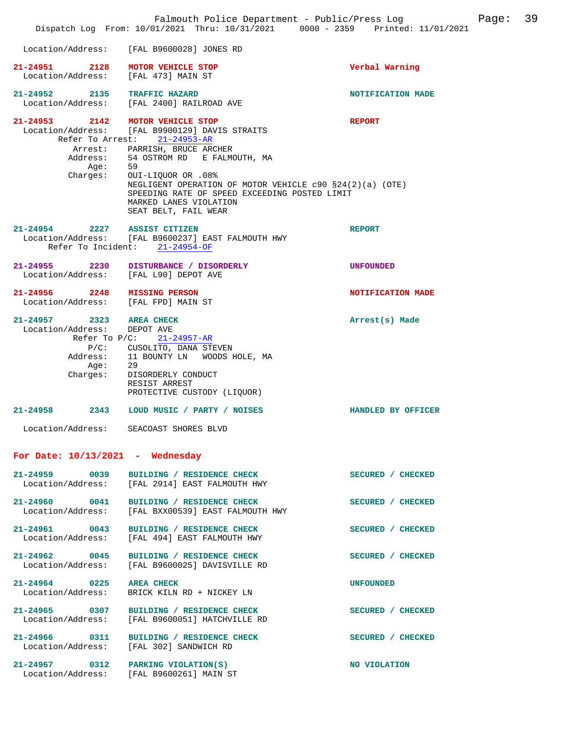|                                                                                         |                                                                                                                                                                                                                                                                                                                                                    | Falmouth Police Department - Public/Press Log<br>Dispatch Log From: 10/01/2021 Thru: 10/31/2021 0000 - 2359 Printed: 11/01/2021 | Page: 39 |
|-----------------------------------------------------------------------------------------|----------------------------------------------------------------------------------------------------------------------------------------------------------------------------------------------------------------------------------------------------------------------------------------------------------------------------------------------------|---------------------------------------------------------------------------------------------------------------------------------|----------|
|                                                                                         | Location/Address: [FAL B9600028] JONES RD                                                                                                                                                                                                                                                                                                          |                                                                                                                                 |          |
| 21-24951 2128 MOTOR VEHICLE STOP<br>Location/Address: [FAL 473] MAIN ST                 |                                                                                                                                                                                                                                                                                                                                                    | Verbal Warning                                                                                                                  |          |
| 21-24952 2135 TRAFFIC HAZARD                                                            | Location/Address: [FAL 2400] RAILROAD AVE                                                                                                                                                                                                                                                                                                          | NOTIFICATION MADE                                                                                                               |          |
| 21-24953 2142 MOTOR VEHICLE STOP<br>Aqe:<br>Charges:                                    | Location/Address: [FAL B9900129] DAVIS STRAITS<br>Refer To Arrest: 21-24953-AR<br>Arrest: PARRISH, BRUCE ARCHER<br>Address: 54 OSTROM RD E FALMOUTH, MA<br>59<br>OUI-LIQUOR OR .08%<br>NEGLIGENT OPERATION OF MOTOR VEHICLE c90 §24(2)(a) (OTE)<br>SPEEDING RATE OF SPEED EXCEEDING POSTED LIMIT<br>MARKED LANES VIOLATION<br>SEAT BELT, FAIL WEAR | <b>REPORT</b>                                                                                                                   |          |
| 21-24954 2227 ASSIST CITIZEN                                                            | Location/Address: [FAL B9600237] EAST FALMOUTH HWY<br>Refer To Incident: 21-24954-OF                                                                                                                                                                                                                                                               | <b>REPORT</b>                                                                                                                   |          |
|                                                                                         | 21-24955 2230 DISTURBANCE / DISORDERLY<br>Location/Address: [FAL L90] DEPOT AVE                                                                                                                                                                                                                                                                    | <b>UNFOUNDED</b>                                                                                                                |          |
| 21-24956 2248 MISSING PERSON<br>Location/Address: [FAL FPD] MAIN ST                     |                                                                                                                                                                                                                                                                                                                                                    | NOTIFICATION MADE                                                                                                               |          |
| 21-24957 2323 AREA CHECK<br>Location/Address: DEPOT AVE<br>Address:<br>Age:<br>Charges: | Refer To $P/C$ : 21-24957-AR<br>P/C: CUSOLITO, DANA STEVEN<br>11 BOUNTY LN WOODS HOLE, MA<br>29<br>DISORDERLY CONDUCT<br>RESIST ARREST<br>PROTECTIVE CUSTODY (LIQUOR)                                                                                                                                                                              | Arrest(s) Made                                                                                                                  |          |
|                                                                                         | 21-24958 2343 LOUD MUSIC / PARTY / NOISES<br>Location/Address: SEACOAST SHORES BLVD                                                                                                                                                                                                                                                                | HANDLED BY OFFICER                                                                                                              |          |
| For Date: $10/13/2021$ - Wednesday                                                      |                                                                                                                                                                                                                                                                                                                                                    |                                                                                                                                 |          |
|                                                                                         | 21-24959 0039 BUILDING / RESIDENCE CHECK<br>Location/Address: [FAL 2914] EAST FALMOUTH HWY                                                                                                                                                                                                                                                         | SECURED / CHECKED                                                                                                               |          |
|                                                                                         | 21-24960 0041 BUILDING / RESIDENCE CHECK<br>Location/Address: [FAL BXX00539] EAST FALMOUTH HWY                                                                                                                                                                                                                                                     | SECURED / CHECKED                                                                                                               |          |
|                                                                                         | 21-24961 0043 BUILDING / RESIDENCE CHECK<br>Location/Address: [FAL 494] EAST FALMOUTH HWY                                                                                                                                                                                                                                                          | SECURED / CHECKED                                                                                                               |          |
|                                                                                         | 21-24962 0045 BUILDING / RESIDENCE CHECK<br>Location/Address: [FAL B9600025] DAVISVILLE RD                                                                                                                                                                                                                                                         | SECURED / CHECKED                                                                                                               |          |
| 21-24964 0225 AREA CHECK                                                                | Location/Address: BRICK KILN RD + NICKEY LN                                                                                                                                                                                                                                                                                                        | <b>UNFOUNDED</b>                                                                                                                |          |
| Location/Address:                                                                       | 21-24965 0307 BUILDING / RESIDENCE CHECK<br>[FAL B9600051] HATCHVILLE RD                                                                                                                                                                                                                                                                           | SECURED / CHECKED                                                                                                               |          |
|                                                                                         | 21-24966 0311 BUILDING / RESIDENCE CHECK<br>Location/Address: [FAL 302] SANDWICH RD                                                                                                                                                                                                                                                                | SECURED / CHECKED                                                                                                               |          |
|                                                                                         | 21-24967 0312 PARKING VIOLATION(S)<br>Location/Address: [FAL B9600261] MAIN ST                                                                                                                                                                                                                                                                     | NO VIOLATION                                                                                                                    |          |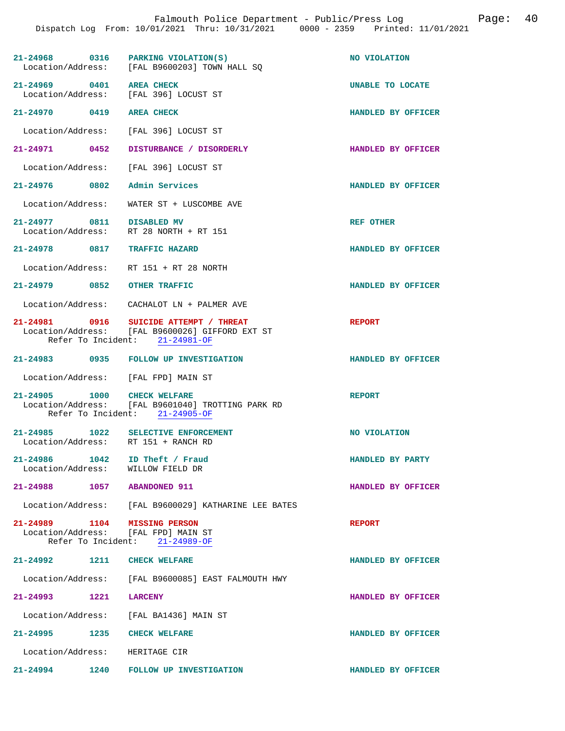| $21-24968$ 0316 PARKING VIOLATION(S)                                       | Location/Address: [FAL B9600203] TOWN HALL SQ                                                                               | NO VIOLATION        |
|----------------------------------------------------------------------------|-----------------------------------------------------------------------------------------------------------------------------|---------------------|
| 21-24969 0401 AREA CHECK<br>Location/Address: [FAL 396] LOCUST ST          |                                                                                                                             | UNABLE TO LOCATE    |
| 21-24970 0419 AREA CHECK                                                   |                                                                                                                             | HANDLED BY OFFICER  |
| Location/Address: [FAL 396] LOCUST ST                                      |                                                                                                                             |                     |
| 21-24971 0452                                                              | DISTURBANCE / DISORDERLY                                                                                                    | HANDLED BY OFFICER  |
| Location/Address: [FAL 396] LOCUST ST                                      |                                                                                                                             |                     |
| 21-24976 0802                                                              | Admin Services                                                                                                              | HANDLED BY OFFICER  |
| Location/Address:                                                          | WATER ST + LUSCOMBE AVE                                                                                                     |                     |
| 21-24977 0811 DISABLED MV<br>Location/Address:                             | RT 28 NORTH + RT 151                                                                                                        | REF OTHER           |
| 21-24978 0817 TRAFFIC HAZARD                                               |                                                                                                                             | HANDLED BY OFFICER  |
| Location/Address: RT 151 + RT 28 NORTH                                     |                                                                                                                             |                     |
| 21-24979 0852 OTHER TRAFFIC                                                |                                                                                                                             | HANDLED BY OFFICER  |
|                                                                            | Location/Address: CACHALOT LN + PALMER AVE                                                                                  |                     |
|                                                                            | 21-24981 0916 SUICIDE ATTEMPT / THREAT<br>Location/Address: [FAL B9600026] GIFFORD EXT ST<br>Refer To Incident: 21-24981-OF | <b>REPORT</b>       |
|                                                                            | 21-24983 0935 FOLLOW UP INVESTIGATION                                                                                       | HANDLED BY OFFICER  |
| Location/Address: [FAL FPD] MAIN ST                                        |                                                                                                                             |                     |
| 21-24905 1000 CHECK WELFARE                                                | Location/Address: [FAL B9601040] TROTTING PARK RD<br>Refer To Incident: 21-24905-OF                                         | <b>REPORT</b>       |
| 21-24985 1022 SELECTIVE ENFORCEMENT<br>Location/Address: RT 151 + RANCH RD |                                                                                                                             | <b>NO VIOLATION</b> |
| $21 - 24986$<br>1042<br>Location/Address:                                  | ID Theft / Fraud<br>WILLOW FIELD DR                                                                                         | HANDLED BY PARTY    |
| 21-24988                                                                   | 1057 ABANDONED 911                                                                                                          | HANDLED BY OFFICER  |
|                                                                            | Location/Address: [FAL B9600029] KATHARINE LEE BATES                                                                        |                     |
| 21-24989 1104 MISSING PERSON<br>Location/Address: [FAL FPD] MAIN ST        | Refer To Incident: 21-24989-OF                                                                                              | <b>REPORT</b>       |
| 21-24992 1211 CHECK WELFARE                                                |                                                                                                                             | HANDLED BY OFFICER  |
|                                                                            | Location/Address: [FAL B9600085] EAST FALMOUTH HWY                                                                          |                     |
| 1221<br>21-24993                                                           | <b>LARCENY</b>                                                                                                              | HANDLED BY OFFICER  |
| Location/Address: [FAL BA1436] MAIN ST                                     |                                                                                                                             |                     |
| 21-24995<br>1235                                                           | <b>CHECK WELFARE</b>                                                                                                        | HANDLED BY OFFICER  |
| Location/Address: HERITAGE CIR                                             |                                                                                                                             |                     |
| 21-24994<br>1240                                                           | FOLLOW UP INVESTIGATION                                                                                                     | HANDLED BY OFFICER  |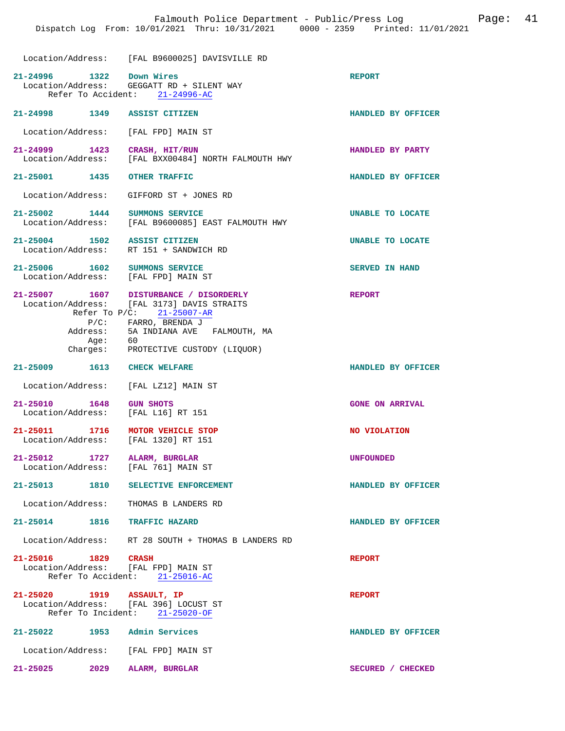Location/Address: [FAL B9600025] DAVISVILLE RD

|                                                   | LOCALION/AQQIESS: [FAL B9600025] DAVISVILLE RD                                       |                        |
|---------------------------------------------------|--------------------------------------------------------------------------------------|------------------------|
| 21-24996 1322 Down Wires                          | Location/Address: GEGGATT RD + SILENT WAY<br>Refer To Accident: 21-24996-AC          | <b>REPORT</b>          |
|                                                   |                                                                                      |                        |
| 21-24998 1349 ASSIST CITIZEN                      |                                                                                      | HANDLED BY OFFICER     |
|                                                   | Location/Address: [FAL FPD] MAIN ST                                                  |                        |
| Location/Address:                                 | 21-24999 1423 CRASH, HIT/RUN<br>[FAL BXX00484] NORTH FALMOUTH HWY                    | HANDLED BY PARTY       |
| 21-25001 1435 OTHER TRAFFIC                       |                                                                                      | HANDLED BY OFFICER     |
|                                                   | Location/Address: GIFFORD ST + JONES RD                                              |                        |
|                                                   | 21-25002 1444 SUMMONS SERVICE<br>Location/Address: [FAL B9600085] EAST FALMOUTH HWY  | UNABLE TO LOCATE       |
|                                                   |                                                                                      |                        |
| 21-25004 1502 ASSIST CITIZEN                      |                                                                                      | UNABLE TO LOCATE       |
| Location/Address:                                 | RT 151 + SANDWICH RD                                                                 |                        |
|                                                   | 21-25006 1602 SUMMONS SERVICE                                                        | <b>SERVED IN HAND</b>  |
|                                                   | Location/Address: [FAL FPD] MAIN ST                                                  |                        |
|                                                   |                                                                                      |                        |
|                                                   | 21-25007 1607 DISTURBANCE / DISORDERLY<br>Location/Address: [FAL 3173] DAVIS STRAITS | <b>REPORT</b>          |
|                                                   | Refer To P/C: 21-25007-AR                                                            |                        |
|                                                   | P/C: FARRO, BRENDA J                                                                 |                        |
|                                                   | Address: 5A INDIANA AVE FALMOUTH, MA                                                 |                        |
|                                                   | Age: 60<br>Charges: PROTECTIVE CUSTODY (LIQUOR)                                      |                        |
|                                                   |                                                                                      |                        |
| 21-25009 1613 CHECK WELFARE                       |                                                                                      | HANDLED BY OFFICER     |
| Location/Address:                                 | [FAL LZ12] MAIN ST                                                                   |                        |
| 21-25010 1648 GUN SHOTS                           | Location/Address: [FAL L16] RT 151                                                   | <b>GONE ON ARRIVAL</b> |
| Location/Address:                                 | 21-25011 1716 MOTOR VEHICLE STOP<br>[FAL 1320] RT 151                                | NO VIOLATION           |
| 21-25012 1727 ALARM, BURGLAR<br>Location/Address: | [FAL 761] MAIN ST                                                                    | <b>UNFOUNDED</b>       |
|                                                   | 21-25013 1810 SELECTIVE ENFORCEMENT                                                  | HANDLED BY OFFICER     |
|                                                   | Location/Address: THOMAS B LANDERS RD                                                |                        |
| 21-25014 1816 TRAFFIC HAZARD                      |                                                                                      | HANDLED BY OFFICER     |
|                                                   | Location/Address: RT 28 SOUTH + THOMAS B LANDERS RD                                  |                        |
| 21-25016 1829 CRASH                               | Location/Address: [FAL FPD] MAIN ST<br>Refer To Accident: 21-25016-AC                | <b>REPORT</b>          |
| 21-25020 1919 ASSAULT, IP                         | Location/Address: [FAL 396] LOCUST ST<br>Refer To Incident: 21-25020-OF              | <b>REPORT</b>          |
| 21-25022 1953 Admin Services                      |                                                                                      | HANDLED BY OFFICER     |
|                                                   | Location/Address: [FAL FPD] MAIN ST                                                  |                        |
| 21-25025 2029 ALARM, BURGLAR                      |                                                                                      | SECURED / CHECKED      |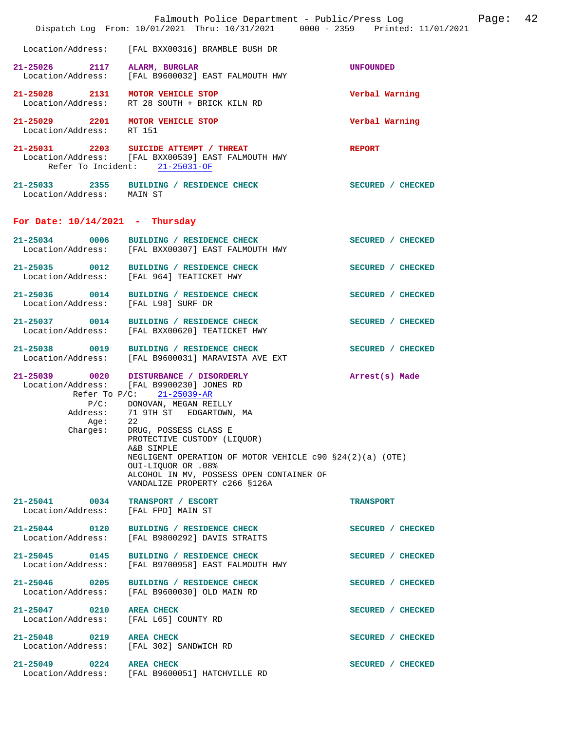|                                                              | Falmouth Police Department - Public/Press Log<br>Dispatch Log From: 10/01/2021 Thru: 10/31/2021 0000 - 2359 Printed: 11/01/2021                                                                                                                                                                                                                                                                                                    |                   | Page: | 42 |
|--------------------------------------------------------------|------------------------------------------------------------------------------------------------------------------------------------------------------------------------------------------------------------------------------------------------------------------------------------------------------------------------------------------------------------------------------------------------------------------------------------|-------------------|-------|----|
| Location/Address:                                            | [FAL BXX00316] BRAMBLE BUSH DR                                                                                                                                                                                                                                                                                                                                                                                                     |                   |       |    |
| 21-25026 2117 ALARM, BURGLAR                                 | Location/Address: [FAL B9600032] EAST FALMOUTH HWY                                                                                                                                                                                                                                                                                                                                                                                 | <b>UNFOUNDED</b>  |       |    |
| 21-25028 2131 MOTOR VEHICLE STOP<br>Location/Address:        | RT 28 SOUTH + BRICK KILN RD                                                                                                                                                                                                                                                                                                                                                                                                        | Verbal Warning    |       |    |
| 21-25029 2201 MOTOR VEHICLE STOP<br>Location/Address: RT 151 |                                                                                                                                                                                                                                                                                                                                                                                                                                    | Verbal Warning    |       |    |
|                                                              | 21-25031 2203 SUICIDE ATTEMPT / THREAT<br>Location/Address: [FAL BXX00539] EAST FALMOUTH HWY<br>Refer To Incident: 21-25031-OF                                                                                                                                                                                                                                                                                                     | <b>REPORT</b>     |       |    |
| Location/Address: MAIN ST                                    | 21-25033 2355 BUILDING / RESIDENCE CHECK                                                                                                                                                                                                                                                                                                                                                                                           | SECURED / CHECKED |       |    |
| For Date: $10/14/2021$ - Thursday                            |                                                                                                                                                                                                                                                                                                                                                                                                                                    |                   |       |    |
|                                                              | 21-25034 0006 BUILDING / RESIDENCE CHECK<br>Location/Address: [FAL BXX00307] EAST FALMOUTH HWY                                                                                                                                                                                                                                                                                                                                     | SECURED / CHECKED |       |    |
|                                                              | 21-25035 0012 BUILDING / RESIDENCE CHECK<br>Location/Address: [FAL 964] TEATICKET HWY                                                                                                                                                                                                                                                                                                                                              | SECURED / CHECKED |       |    |
| 21-25036 0014<br>Location/Address:                           | BUILDING / RESIDENCE CHECK<br>[FAL L98] SURF DR                                                                                                                                                                                                                                                                                                                                                                                    | SECURED / CHECKED |       |    |
|                                                              | 21-25037 0014 BUILDING / RESIDENCE CHECK<br>Location/Address: [FAL BXX00620] TEATICKET HWY                                                                                                                                                                                                                                                                                                                                         | SECURED / CHECKED |       |    |
| Location/Address:                                            | 21-25038 0019 BUILDING / RESIDENCE CHECK<br>[FAL B9600031] MARAVISTA AVE EXT                                                                                                                                                                                                                                                                                                                                                       | SECURED / CHECKED |       |    |
| Age:<br>Charges:                                             | 21-25039 0020 DISTURBANCE / DISORDERLY<br>Location/Address: [FAL B9900230] JONES RD<br>Refer To P/C: 21-25039-AR<br>P/C: DONOVAN, MEGAN REILLY<br>Address: 71 9TH ST EDGARTOWN, MA<br>22<br>DRUG, POSSESS CLASS E<br>PROTECTIVE CUSTODY (LIQUOR)<br>A&B SIMPLE<br>NEGLIGENT OPERATION OF MOTOR VEHICLE $c90$ $$24(2)(a)$ (OTE)<br>OUI-LIQUOR OR .08%<br>ALCOHOL IN MV, POSSESS OPEN CONTAINER OF<br>VANDALIZE PROPERTY c266 \$126A | Arrest(s) Made    |       |    |
| 21-25041 0034<br>Location/Address:                           | TRANSPORT / ESCORT<br>[FAL FPD] MAIN ST                                                                                                                                                                                                                                                                                                                                                                                            | <b>TRANSPORT</b>  |       |    |
| 21-25044 0120<br>Location/Address:                           | BUILDING / RESIDENCE CHECK<br>[FAL B9800292] DAVIS STRAITS                                                                                                                                                                                                                                                                                                                                                                         | SECURED / CHECKED |       |    |
| 21-25045 0145<br>Location/Address:                           | BUILDING / RESIDENCE CHECK<br>[FAL B9700958] EAST FALMOUTH HWY                                                                                                                                                                                                                                                                                                                                                                     | SECURED / CHECKED |       |    |
| 21-25046 0205<br>Location/Address:                           | BUILDING / RESIDENCE CHECK<br>[FAL B9600030] OLD MAIN RD                                                                                                                                                                                                                                                                                                                                                                           | SECURED / CHECKED |       |    |
| 21-25047 0210<br>Location/Address:                           | <b>AREA CHECK</b><br>[FAL L65] COUNTY RD                                                                                                                                                                                                                                                                                                                                                                                           | SECURED / CHECKED |       |    |
| 21-25048 0219<br>Location/Address:                           | <b>AREA CHECK</b><br>[FAL 302] SANDWICH RD                                                                                                                                                                                                                                                                                                                                                                                         | SECURED / CHECKED |       |    |
| 21-25049 0224<br>Location/Address:                           | <b>AREA CHECK</b><br>[FAL B9600051] HATCHVILLE RD                                                                                                                                                                                                                                                                                                                                                                                  | SECURED / CHECKED |       |    |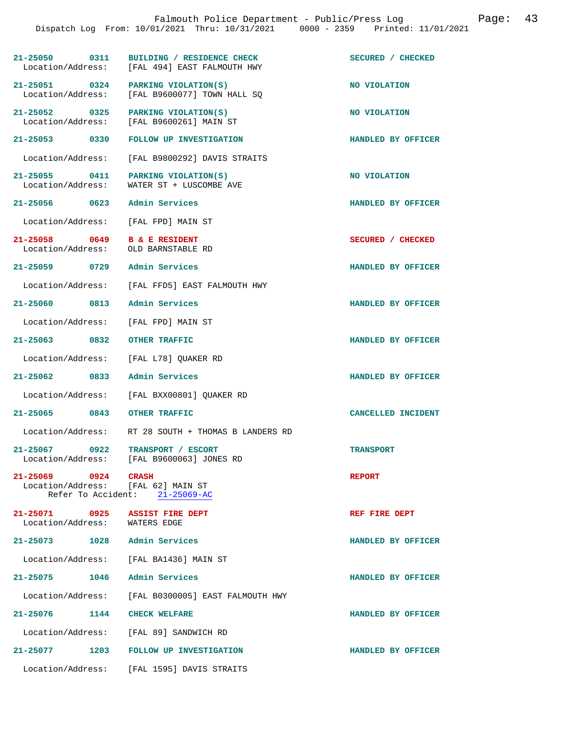|                     | Falmouth Police Department - Public/Press Log<br>Dispatch Log From: 10/01/2021 Thru: 10/31/2021 0000 - 2359 Printed: 11/01/2021 |                    | Page: 43 |  |
|---------------------|---------------------------------------------------------------------------------------------------------------------------------|--------------------|----------|--|
|                     | 21-25050 0311 BUILDING / RESIDENCE CHECK<br>Location/Address: [FAL 494] EAST FALMOUTH HWY                                       | SECURED / CHECKED  |          |  |
|                     | $21-25051$ 0324 PARKING VIOLATION(S)<br>Location/Address: [FAL B9600077] TOWN HALL SQ                                           | NO VIOLATION       |          |  |
|                     | 21-25052 0325 PARKING VIOLATION(S)<br>Location/Address: [FAL B9600261] MAIN ST                                                  | NO VIOLATION       |          |  |
|                     | 21-25053 0330 FOLLOW UP INVESTIGATION                                                                                           | HANDLED BY OFFICER |          |  |
| Location/Address:   | [FAL B9800292] DAVIS STRAITS                                                                                                    |                    |          |  |
| Location/Address:   | 21-25055 0411 PARKING VIOLATION(S)<br>WATER ST + LUSCOMBE AVE                                                                   | NO VIOLATION       |          |  |
|                     | 21-25056 0623 Admin Services                                                                                                    | HANDLED BY OFFICER |          |  |
| Location/Address:   | [FAL FPD] MAIN ST                                                                                                               |                    |          |  |
| 21-25058 0649       | <b>B &amp; E RESIDENT</b><br>Location/Address: OLD BARNSTABLE RD                                                                | SECURED / CHECKED  |          |  |
|                     | 21-25059 0729 Admin Services                                                                                                    | HANDLED BY OFFICER |          |  |
|                     | Location/Address: [FAL FFD5] EAST FALMOUTH HWY                                                                                  |                    |          |  |
|                     | 21-25060 0813 Admin Services                                                                                                    | HANDLED BY OFFICER |          |  |
| Location/Address:   | [FAL FPD] MAIN ST                                                                                                               |                    |          |  |
| 21-25063 0832       | OTHER TRAFFIC                                                                                                                   | HANDLED BY OFFICER |          |  |
| Location/Address:   | [FAL L78] QUAKER RD                                                                                                             |                    |          |  |
|                     | 21-25062 0833 Admin Services                                                                                                    | HANDLED BY OFFICER |          |  |
| Location/Address:   | [FAL BXX00801] QUAKER RD                                                                                                        |                    |          |  |
| 21-25065 0843       | <b>OTHER TRAFFIC</b>                                                                                                            | CANCELLED INCIDENT |          |  |
|                     | Location/Address: RT 28 SOUTH + THOMAS B LANDERS RD                                                                             |                    |          |  |
|                     | 21-25067 0922 TRANSPORT / ESCORT<br>Location/Address: [FAL B9600063] JONES RD                                                   | <b>TRANSPORT</b>   |          |  |
| 21-25069 0924 CRASH | Location/Address: [FAL 62] MAIN ST<br>Refer To Accident: 21-25069-AC                                                            | <b>REPORT</b>      |          |  |
|                     | 21-25071 0925 ASSIST FIRE DEPT<br>Location/Address: WATERS EDGE                                                                 | REF FIRE DEPT      |          |  |
|                     | 21-25073 1028 Admin Services                                                                                                    | HANDLED BY OFFICER |          |  |
|                     | Location/Address: [FAL BA1436] MAIN ST                                                                                          |                    |          |  |
|                     | 21-25075 1046 Admin Services                                                                                                    | HANDLED BY OFFICER |          |  |
| Location/Address:   | [FAL B0300005] EAST FALMOUTH HWY                                                                                                |                    |          |  |
|                     | 21-25076 1144 CHECK WELFARE                                                                                                     | HANDLED BY OFFICER |          |  |
|                     | Location/Address: [FAL 89] SANDWICH RD                                                                                          |                    |          |  |
|                     | 21-25077 1203 FOLLOW UP INVESTIGATION                                                                                           | HANDLED BY OFFICER |          |  |
|                     | Location/Address: [FAL 1595] DAVIS STRAITS                                                                                      |                    |          |  |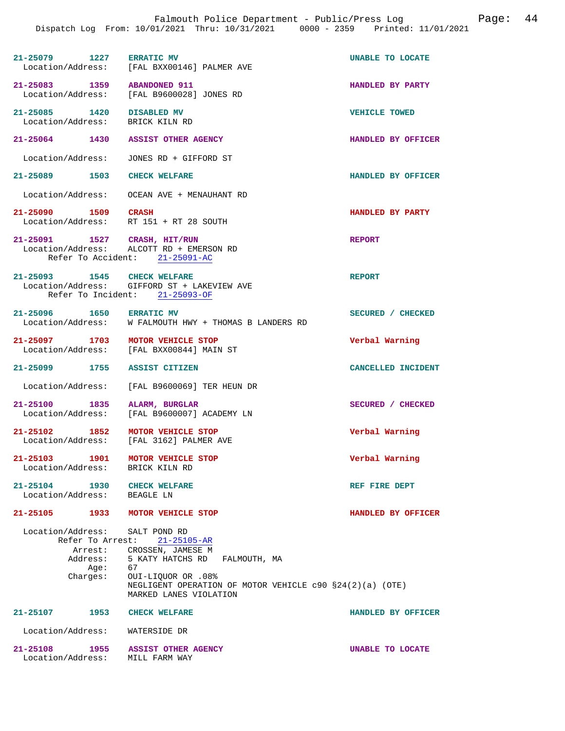| $21 - 25079$      | 1227 | <b>ERRATIC MV</b>         | UNABLE TO LOCATE |  |
|-------------------|------|---------------------------|------------------|--|
| Location/Address: |      | [FAL BXX00146] PALMER AVE |                  |  |

**21-25083 1359 ABANDONED 911 HANDLED BY PARTY**  [FAL B9600028] JONES RD

**21-25085 1420 DISABLED MV VEHICLE TOWED**  Location/Address:

**21-25064 1430 ASSIST OTHER AGENCY HANDLED BY OFFICER** 

Location/Address: JONES RD + GIFFORD ST

**21-25089 1503 CHECK WELFARE HANDLED BY OFFICER** 

Location/Address: OCEAN AVE + MENAUHANT RD

**21-25090 1509 CRASH HANDLED BY PARTY**  Location/Address: RT 151 + RT 28 SOUTH

**21-25091 1527 CRASH, HIT/RUN REPORT**  ALCOTT RD + EMERSON RD Refer To Accident: 21-25091-AC

**21-25093 1545 CHECK WELFARE REPORT**  Location/Address: GIFFORD ST + LAKEVIEW AVE Refer To Incident: 21-25093-OF

21-25096 1650 ERRATIC MV **SECURED** / CHECKED<br>Location/Address: W FALMOUTH HWY + THOMAS B LANDERS RD W FALMOUTH HWY + THOMAS B LANDERS RD

**21-25097 1703 MOTOR VEHICLE STOP Verbal Warning**  [FAL BXX00844] MAIN ST

**21-25099 1755 ASSIST CITIZEN CANCELLED INCIDENT** 

Location/Address: [FAL B9600069] TER HEUN DR

**21-25100 1835 ALARM, BURGLAR SECURED / CHECKED**  [FAL B9600007] ACADEMY LN

**21-25102 1852 MOTOR VEHICLE STOP Verbal Warning**  [FAL 3162] PALMER AVE

**21-25103 1901 MOTOR VEHICLE STOP Verbal Warning**  Location/Address:

**21-25104 1930 CHECK WELFARE REF FIRE DEPT** 

Location/Address: BEAGLE LN

**21-25105 1933 MOTOR VEHICLE STOP HANDLED BY OFFICER** 

 Location/Address: SALT POND RD Refer To Arrest: 21-25105-AR Arrest: CROSSEN, JAMESE M<br>Address: 5 KATY HATCHS RD

5 KATY HATCHS RD FALMOUTH, MA<br>67 OUI-LIQUOR OR .08% NEGLIGENT OPERATION OF MOTOR VEHICLE c90 §24(2)(a) (OTE) MARKED LANES VIOLATION

**21-25107 1953 CHECK WELFARE HANDLED BY OFFICER** 

Location/Address: WATERSIDE DR

Age:<br>:Charges

**21-25108 1955 ASSIST OTHER AGENCY UNABLE TO LOCATE**  Location/Address: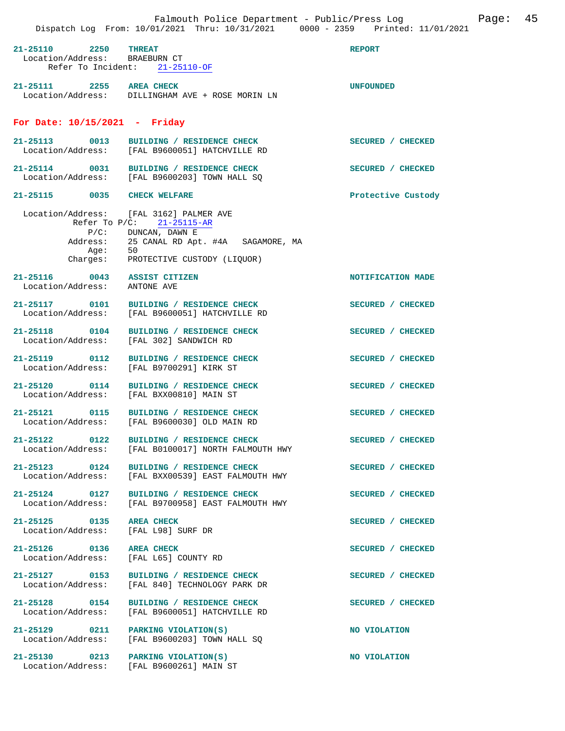| Falmouth Police Department - Public/Press Log<br>Page:<br>Dispatch Log From: 10/01/2021 Thru: 10/31/2021 0000 - 2359 Printed: 11/01/2021 |                                                                                                                                                                         |                    |  |
|------------------------------------------------------------------------------------------------------------------------------------------|-------------------------------------------------------------------------------------------------------------------------------------------------------------------------|--------------------|--|
| $21 - 25110$<br>2250<br>Location/Address: BRAEBURN CT                                                                                    | <b>THREAT</b><br>Refer To Incident: 21-25110-OF                                                                                                                         | <b>REPORT</b>      |  |
| 21-25111 2255 AREA CHECK                                                                                                                 | Location/Address: DILLINGHAM AVE + ROSE MORIN LN                                                                                                                        | <b>UNFOUNDED</b>   |  |
| For Date: $10/15/2021$ - Friday                                                                                                          |                                                                                                                                                                         |                    |  |
| 21-25113 0013                                                                                                                            | BUILDING / RESIDENCE CHECK<br>Location/Address: [FAL B9600051] HATCHVILLE RD                                                                                            | SECURED / CHECKED  |  |
|                                                                                                                                          | 21-25114 0031 BUILDING / RESIDENCE CHECK<br>Location/Address: [FAL B9600203] TOWN HALL SQ                                                                               | SECURED / CHECKED  |  |
| 21-25115 0035 CHECK WELFARE                                                                                                              |                                                                                                                                                                         | Protective Custody |  |
| Address:<br>Age:<br>Charges:                                                                                                             | Location/Address: [FAL 3162] PALMER AVE<br>Refer To P/C: 21-25115-AR<br>$P/C:$ DUNCAN, DAWN E<br>25 CANAL RD Apt. #4A SAGAMORE, MA<br>50<br>PROTECTIVE CUSTODY (LIQUOR) |                    |  |
| 21-25116 0043 ASSIST CITIZEN<br>Location/Address: ANTONE AVE                                                                             |                                                                                                                                                                         | NOTIFICATION MADE  |  |
|                                                                                                                                          | 21-25117 0101 BUILDING / RESIDENCE CHECK<br>Location/Address: [FAL B9600051] HATCHVILLE RD                                                                              | SECURED / CHECKED  |  |
| 21-25118 0104<br>Location/Address:                                                                                                       | BUILDING / RESIDENCE CHECK<br>[FAL 302] SANDWICH RD                                                                                                                     | SECURED / CHECKED  |  |
| 21-25119 0112<br>Location/Address:                                                                                                       | BUILDING / RESIDENCE CHECK<br>[FAL B9700291] KIRK ST                                                                                                                    | SECURED / CHECKED  |  |
| 21-25120 0114                                                                                                                            | BUILDING / RESIDENCE CHECK<br>Location/Address: [FAL BXX00810] MAIN ST                                                                                                  | SECURED / CHECKED  |  |
|                                                                                                                                          | 21-25121 0115 BUILDING / RESIDENCE CHECK<br>Location/Address: [FAL B9600030] OLD MAIN RD                                                                                | SECURED / CHECKED  |  |
|                                                                                                                                          | 21-25122 0122 BUILDING / RESIDENCE CHECK<br>Location/Address: [FAL B0100017] NORTH FALMOUTH HWY                                                                         | SECURED / CHECKED  |  |
| 21-25123 0124<br>Location/Address:                                                                                                       | BUILDING / RESIDENCE CHECK<br>[FAL BXX00539] EAST FALMOUTH HWY                                                                                                          | SECURED / CHECKED  |  |
| $21 - 25124$ 0127                                                                                                                        | BUILDING / RESIDENCE CHECK<br>Location/Address: [FAL B9700958] EAST FALMOUTH HWY                                                                                        | SECURED / CHECKED  |  |
| 21-25125 0135<br>Location/Address:                                                                                                       | <b>AREA CHECK</b><br>[FAL L98] SURF DR                                                                                                                                  | SECURED / CHECKED  |  |
| 21-25126 0136<br>Location/Address:                                                                                                       | <b>AREA CHECK</b><br>[FAL L65] COUNTY RD                                                                                                                                | SECURED / CHECKED  |  |
| 21-25127 0153<br>Location/Address:                                                                                                       | BUILDING / RESIDENCE CHECK<br>[FAL 840] TECHNOLOGY PARK DR                                                                                                              | SECURED / CHECKED  |  |
| 21-25128 0154<br>Location/Address:                                                                                                       | BUILDING / RESIDENCE CHECK<br>[FAL B9600051] HATCHVILLE RD                                                                                                              | SECURED / CHECKED  |  |
| 21-25129 0211 PARKING VIOLATION(S)<br>Location/Address:                                                                                  | [FAL B9600203] TOWN HALL SO                                                                                                                                             | NO VIOLATION       |  |
| 21-25130 0213 PARKING VIOLATION(S)                                                                                                       | Location/Address: [FAL B9600261] MAIN ST                                                                                                                                | NO VIOLATION       |  |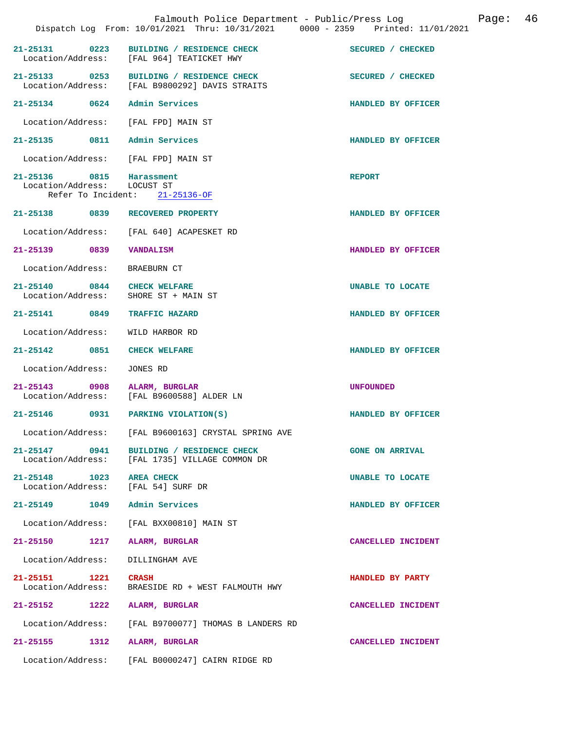|                                                         |      | Dispatch Log From: 10/01/2021 Thru: 10/31/2021 0000 - 2359 Printed: 11/01/2021             |                        |
|---------------------------------------------------------|------|--------------------------------------------------------------------------------------------|------------------------|
|                                                         |      | 21-25131 0223 BUILDING / RESIDENCE CHECK<br>Location/Address: [FAL 964] TEATICKET HWY      | SECURED / CHECKED      |
|                                                         |      | 21-25133 0253 BUILDING / RESIDENCE CHECK<br>Location/Address: [FAL B9800292] DAVIS STRAITS | SECURED / CHECKED      |
|                                                         |      | 21-25134 0624 Admin Services                                                               | HANDLED BY OFFICER     |
|                                                         |      | Location/Address: [FAL FPD] MAIN ST                                                        |                        |
|                                                         |      | 21-25135 0811 Admin Services                                                               | HANDLED BY OFFICER     |
|                                                         |      | Location/Address: [FAL FPD] MAIN ST                                                        |                        |
| 21-25136 0815 Harassment<br>Location/Address: LOCUST ST |      | Refer To Incident: $21-25136-OF$                                                           | <b>REPORT</b>          |
|                                                         |      | 21-25138 0839 RECOVERED PROPERTY                                                           | HANDLED BY OFFICER     |
|                                                         |      | Location/Address: [FAL 640] ACAPESKET RD                                                   |                        |
| 21-25139 0839                                           |      | VANDALISM                                                                                  | HANDLED BY OFFICER     |
| Location/Address: BRAEBURN CT                           |      |                                                                                            |                        |
| 21-25140 0844 CHECK WELFARE                             |      | Location/Address: SHORE ST + MAIN ST                                                       | UNABLE TO LOCATE       |
| 21-25141 0849                                           |      | <b>TRAFFIC HAZARD</b>                                                                      | HANDLED BY OFFICER     |
|                                                         |      | Location/Address: WILD HARBOR RD                                                           |                        |
| 21-25142 0851 CHECK WELFARE                             |      |                                                                                            | HANDLED BY OFFICER     |
| Location/Address:                                       |      | JONES RD                                                                                   |                        |
| 21-25143 0908                                           |      | ALARM, BURGLAR<br>Location/Address: [FAL B9600588] ALDER LN                                | <b>UNFOUNDED</b>       |
| 21-25146                                                |      | 0931 PARKING VIOLATION(S)                                                                  | HANDLED BY OFFICER     |
|                                                         |      | Location/Address: [FAL B9600163] CRYSTAL SPRING AVE                                        |                        |
| 21-25147 0941                                           |      | BUILDING / RESIDENCE CHECK<br>Location/Address: [FAL 1735] VILLAGE COMMON DR               | <b>GONE ON ARRIVAL</b> |
| 21-25148 1023 AREA CHECK                                |      | Location/Address: [FAL 54] SURF DR                                                         | UNABLE TO LOCATE       |
|                                                         |      | 21-25149    1049    Admin Services                                                         | HANDLED BY OFFICER     |
|                                                         |      | Location/Address: [FAL BXX00810] MAIN ST                                                   |                        |
| $21 - 25150$                                            | 1217 | <b>ALARM, BURGLAR</b>                                                                      | CANCELLED INCIDENT     |
| Location/Address:                                       |      | DILLINGHAM AVE                                                                             |                        |
| 21-25151 1221<br>Location/Address:                      |      | <b>CRASH</b><br>BRAESIDE RD + WEST FALMOUTH HWY                                            | HANDLED BY PARTY       |
| 21-25152 1222                                           |      | ALARM, BURGLAR                                                                             | CANCELLED INCIDENT     |
| Location/Address:                                       |      | [FAL B9700077] THOMAS B LANDERS RD                                                         |                        |
| 21-25155                                                | 1312 | ALARM, BURGLAR                                                                             | CANCELLED INCIDENT     |
|                                                         |      | Location/Address: [FAL B0000247] CAIRN RIDGE RD                                            |                        |

Falmouth Police Department - Public/Press Log Fage: 46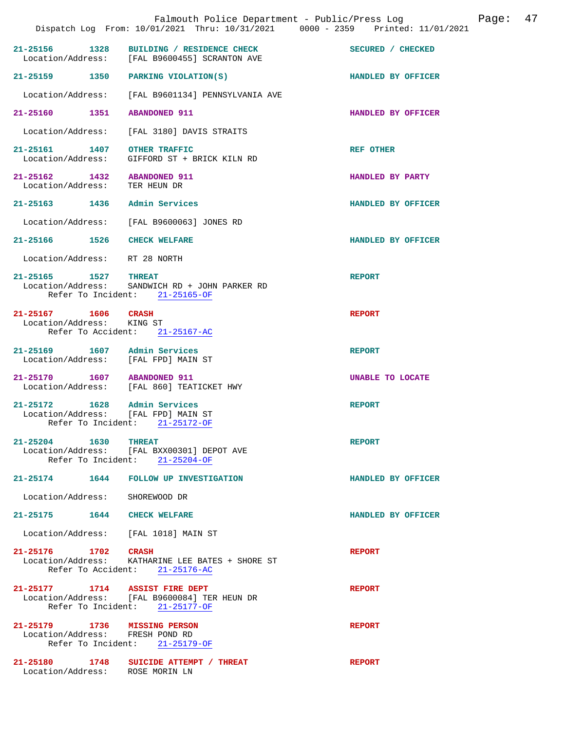|                                                                     | Falmouth Police Department - Public/Press Log<br>Dispatch Log From: 10/01/2021 Thru: 10/31/2021 0000 - 2359 Printed: 11/01/2021 |                    | Page: | 47 |
|---------------------------------------------------------------------|---------------------------------------------------------------------------------------------------------------------------------|--------------------|-------|----|
|                                                                     | 21-25156 1328 BUILDING / RESIDENCE CHECK<br>Location/Address: [FAL B9600455] SCRANTON AVE                                       | SECURED / CHECKED  |       |    |
|                                                                     | 21-25159 1350 PARKING VIOLATION(S)                                                                                              | HANDLED BY OFFICER |       |    |
|                                                                     | Location/Address: [FAL B9601134] PENNSYLVANIA AVE                                                                               |                    |       |    |
| 21-25160 1351                                                       | <b>ABANDONED 911</b>                                                                                                            | HANDLED BY OFFICER |       |    |
| Location/Address:                                                   | [FAL 3180] DAVIS STRAITS                                                                                                        |                    |       |    |
| 21-25161 1407 OTHER TRAFFIC<br>Location/Address:                    | GIFFORD ST + BRICK KILN RD                                                                                                      | <b>REF OTHER</b>   |       |    |
| 21-25162 1432 ABANDONED 911<br>Location/Address: TER HEUN DR        |                                                                                                                                 | HANDLED BY PARTY   |       |    |
| 21-25163 1436                                                       | Admin Services                                                                                                                  | HANDLED BY OFFICER |       |    |
|                                                                     | Location/Address: [FAL B9600063] JONES RD                                                                                       |                    |       |    |
| 21-25166 1526 CHECK WELFARE                                         |                                                                                                                                 | HANDLED BY OFFICER |       |    |
| Location/Address: RT 28 NORTH                                       |                                                                                                                                 |                    |       |    |
| 21-25165 1527                                                       | <b>THREAT</b><br>Location/Address: SANDWICH RD + JOHN PARKER RD<br>Refer To Incident: 21-25165-OF                               | <b>REPORT</b>      |       |    |
| 21-25167 1606 CRASH<br>Location/Address: KING ST                    | Refer To Accident: 21-25167-AC                                                                                                  | <b>REPORT</b>      |       |    |
| 21-25169 1607 Admin Services<br>Location/Address: [FAL FPD] MAIN ST |                                                                                                                                 | <b>REPORT</b>      |       |    |
| 21-25170   1607   ABANDONED   911                                   | Location/Address: [FAL 860] TEATICKET HWY                                                                                       | UNABLE TO LOCATE   |       |    |
| 21-25172 1628 Admin Services<br>Location/Address: [FAL FPD] MAIN ST | Refer To Incident: 21-25172-OF                                                                                                  | <b>REPORT</b>      |       |    |
| 21-25204 1630 THREAT                                                | Location/Address: [FAL BXX00301] DEPOT AVE<br>Refer To Incident: 21-25204-OF                                                    | <b>REPORT</b>      |       |    |
|                                                                     | 21-25174 1644 FOLLOW UP INVESTIGATION                                                                                           | HANDLED BY OFFICER |       |    |
| Location/Address: SHOREWOOD DR                                      |                                                                                                                                 |                    |       |    |
| 21-25175 1644 CHECK WELFARE                                         |                                                                                                                                 | HANDLED BY OFFICER |       |    |
| Location/Address: [FAL 1018] MAIN ST                                |                                                                                                                                 |                    |       |    |
| 21-25176 1702 CRASH                                                 | Location/Address: KATHARINE LEE BATES + SHORE ST<br>Refer To Accident: 21-25176-AC                                              | <b>REPORT</b>      |       |    |
| 21-25177 1714 ASSIST FIRE DEPT                                      | Location/Address: [FAL B9600084] TER HEUN DR<br>Refer To Incident: 21-25177-OF                                                  | <b>REPORT</b>      |       |    |
| 21-25179 1736 MISSING PERSON<br>Location/Address: FRESH POND RD     | Refer To Incident: $21-25179-OF$                                                                                                | <b>REPORT</b>      |       |    |
| Location/Address: ROSE MORIN LN                                     | 21-25180 1748 SUICIDE ATTEMPT / THREAT                                                                                          | <b>REPORT</b>      |       |    |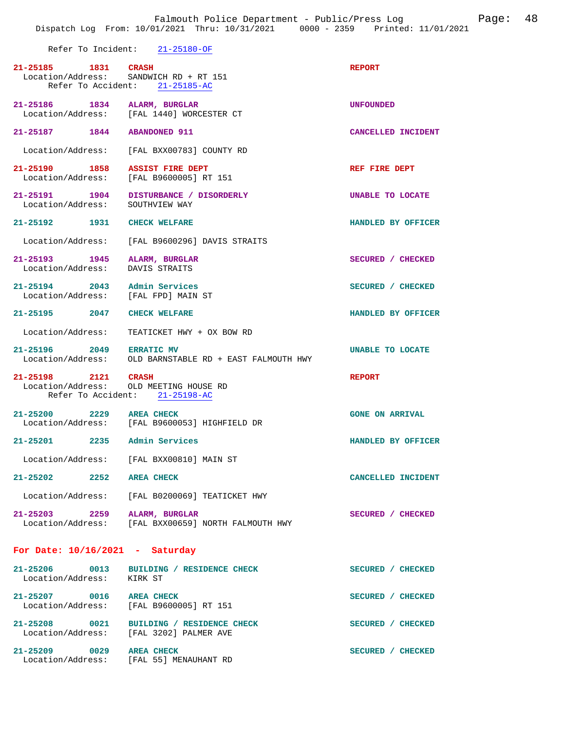Refer To Incident: 21-25180-OF

|                                                                     | 21-25185 1831 CRASH<br>Location/Address: SANDWICH RD + RT 151<br>Refer To Accident: 21-25185-AC | <b>REPORT</b>          |
|---------------------------------------------------------------------|-------------------------------------------------------------------------------------------------|------------------------|
| 21-25186 1834 ALARM, BURGLAR                                        | Location/Address: [FAL 1440] WORCESTER CT                                                       | UNFOUNDED              |
| 21-25187 1844 ABANDONED 911                                         |                                                                                                 | CANCELLED INCIDENT     |
|                                                                     | Location/Address: [FAL BXX00783] COUNTY RD                                                      |                        |
| 21-25190 1858 ASSIST FIRE DEPT                                      | Location/Address: [FAL B9600005] RT 151                                                         | REF FIRE DEPT          |
|                                                                     | 21-25191 1904 DISTURBANCE / DISORDERLY<br>Location/Address: SOUTHVIEW WAY                       | UNABLE TO LOCATE       |
| 21-25192 1931 CHECK WELFARE                                         |                                                                                                 | HANDLED BY OFFICER     |
|                                                                     | Location/Address: [FAL B9600296] DAVIS STRAITS                                                  |                        |
| 21-25193 1945 ALARM, BURGLAR<br>Location/Address: DAVIS STRAITS     |                                                                                                 | SECURED / CHECKED      |
| 21-25194 2043 Admin Services<br>Location/Address: [FAL FPD] MAIN ST |                                                                                                 | SECURED / CHECKED      |
| 21-25195 2047 CHECK WELFARE                                         |                                                                                                 | HANDLED BY OFFICER     |
|                                                                     | Location/Address: TEATICKET HWY + OX BOW RD                                                     |                        |
|                                                                     | 21-25196 2049 ERRATIC MV<br>Location/Address: OLD BARNSTABLE RD + EAST FALMOUTH HWY             | UNABLE TO LOCATE       |
| 21-25198 2121 CRASH                                                 | Location/Address: OLD MEETING HOUSE RD<br>Refer To Accident: 21-25198-AC                        | <b>REPORT</b>          |
| 21-25200 2229 AREA CHECK                                            | Location/Address: [FAL B9600053] HIGHFIELD DR                                                   | <b>GONE ON ARRIVAL</b> |
| 21-25201 2235 Admin Services                                        |                                                                                                 | HANDLED BY OFFICER     |
|                                                                     | Location/Address: [FAL BXX00810] MAIN ST                                                        |                        |
| 21-25202 2252 AREA CHECK                                            |                                                                                                 | CANCELLED INCIDENT     |
|                                                                     | Location/Address: [FAL B0200069] TEATICKET HWY                                                  |                        |
| 21-25203 2259 ALARM, BURGLAR                                        | Location/Address: [FAL BXX00659] NORTH FALMOUTH HWY                                             | SECURED / CHECKED      |
| For Date: $10/16/2021$ - Saturday                                   |                                                                                                 |                        |
| Location/Address: KIRK ST                                           | 21-25206 0013 BUILDING / RESIDENCE CHECK                                                        | SECURED / CHECKED      |
| 21-25207 0016 AREA CHECK                                            | Location/Address: [FAL B9600005] RT 151                                                         | SECURED / CHECKED      |
|                                                                     |                                                                                                 |                        |

**21-25208 0021 BUILDING / RESIDENCE CHECK SECURED / CHECKED**  Location/Address: [FAL 3202] PALMER AVE 21-25209 0029 AREA CHECK SECURED / CHECKED Location/Address: [FAL 55] MENAUHANT RD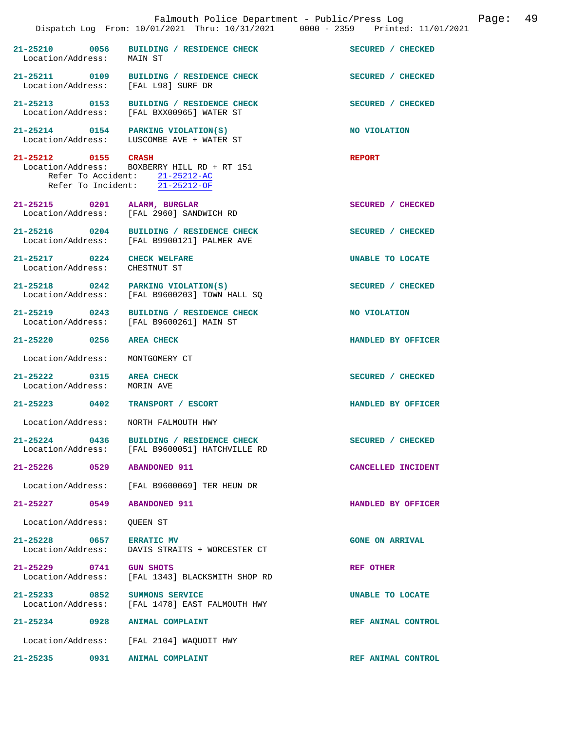|                                                              |                                                                                                                 | Falmouth Police Department - Public/Press Log<br>Dispatch Log From: 10/01/2021 Thru: 10/31/2021 0000 - 2359 Printed: 11/01/2021 | 49<br>Page: |
|--------------------------------------------------------------|-----------------------------------------------------------------------------------------------------------------|---------------------------------------------------------------------------------------------------------------------------------|-------------|
| Location/Address:                                            | 21-25210 0056 BUILDING / RESIDENCE CHECK<br>MAIN ST                                                             | SECURED / CHECKED                                                                                                               |             |
| 21-25211 0109                                                | BUILDING / RESIDENCE CHECK<br>Location/Address: [FAL L98] SURF DR                                               | SECURED / CHECKED                                                                                                               |             |
|                                                              | 21-25213 0153 BUILDING / RESIDENCE CHECK<br>Location/Address: [FAL BXX00965] WATER ST                           | SECURED / CHECKED                                                                                                               |             |
|                                                              | 21-25214 0154 PARKING VIOLATION(S)<br>Location/Address: LUSCOMBE AVE + WATER ST                                 | NO VIOLATION                                                                                                                    |             |
| 21-25212 0155 CRASH                                          | Location/Address: BOXBERRY HILL RD + RT 151<br>Refer To Accident: 21-25212-AC<br>Refer To Incident: 21-25212-OF | <b>REPORT</b>                                                                                                                   |             |
| 21-25215 0201 ALARM, BURGLAR                                 | Location/Address: [FAL 2960] SANDWICH RD                                                                        | SECURED / CHECKED                                                                                                               |             |
|                                                              | 21-25216 0204 BUILDING / RESIDENCE CHECK<br>Location/Address: [FAL B9900121] PALMER AVE                         | SECURED / CHECKED                                                                                                               |             |
| 21-25217 0224 CHECK WELFARE<br>Location/Address: CHESTNUT ST |                                                                                                                 | <b>UNABLE TO LOCATE</b>                                                                                                         |             |
|                                                              | 21-25218 0242 PARKING VIOLATION(S)<br>Location/Address: [FAL B9600203] TOWN HALL SQ                             | SECURED / CHECKED                                                                                                               |             |
| 21-25219 0243                                                | <b>BUILDING / RESIDENCE CHECK</b><br>Location/Address: [FAL B9600261] MAIN ST                                   | NO VIOLATION                                                                                                                    |             |
| 21-25220 0256                                                | <b>AREA CHECK</b>                                                                                               | HANDLED BY OFFICER                                                                                                              |             |
| Location/Address:                                            | MONTGOMERY CT                                                                                                   |                                                                                                                                 |             |
| 21-25222 0315<br>Location/Address:                           | <b>AREA CHECK</b><br>MORIN AVE                                                                                  | SECURED / CHECKED                                                                                                               |             |
| 21-25223 0402                                                | TRANSPORT / ESCORT                                                                                              | HANDLED BY OFFICER                                                                                                              |             |
| Location/Address:                                            | NORTH FALMOUTH HWY                                                                                              |                                                                                                                                 |             |
| 21-25224 0436                                                | BUILDING / RESIDENCE CHECK<br>Location/Address: [FAL B9600051] HATCHVILLE RD                                    | SECURED / CHECKED                                                                                                               |             |
| 21-25226 0529                                                | <b>ABANDONED 911</b>                                                                                            | CANCELLED INCIDENT                                                                                                              |             |
| Location/Address:                                            | [FAL B9600069] TER HEUN DR                                                                                      |                                                                                                                                 |             |
| 21-25227 0549                                                | <b>ABANDONED 911</b>                                                                                            | HANDLED BY OFFICER                                                                                                              |             |
| Location/Address:                                            | <b>OUEEN ST</b>                                                                                                 |                                                                                                                                 |             |
| 21-25228 0657<br>Location/Address:                           | <b>ERRATIC MV</b><br>DAVIS STRAITS + WORCESTER CT                                                               | <b>GONE ON ARRIVAL</b>                                                                                                          |             |
| 21-25229 0741<br>Location/Address:                           | <b>GUN SHOTS</b><br>[FAL 1343] BLACKSMITH SHOP RD                                                               | <b>REF OTHER</b>                                                                                                                |             |
| 21-25233 0852<br>Location/Address:                           | SUMMONS SERVICE<br>[FAL 1478] EAST FALMOUTH HWY                                                                 | UNABLE TO LOCATE                                                                                                                |             |
| 21-25234 0928                                                | <b>ANIMAL COMPLAINT</b>                                                                                         | REF ANIMAL CONTROL                                                                                                              |             |
| Location/Address:                                            | [FAL 2104] WAQUOIT HWY                                                                                          |                                                                                                                                 |             |
| 0931<br>21-25235                                             | ANIMAL COMPLAINT                                                                                                | REF ANIMAL CONTROL                                                                                                              |             |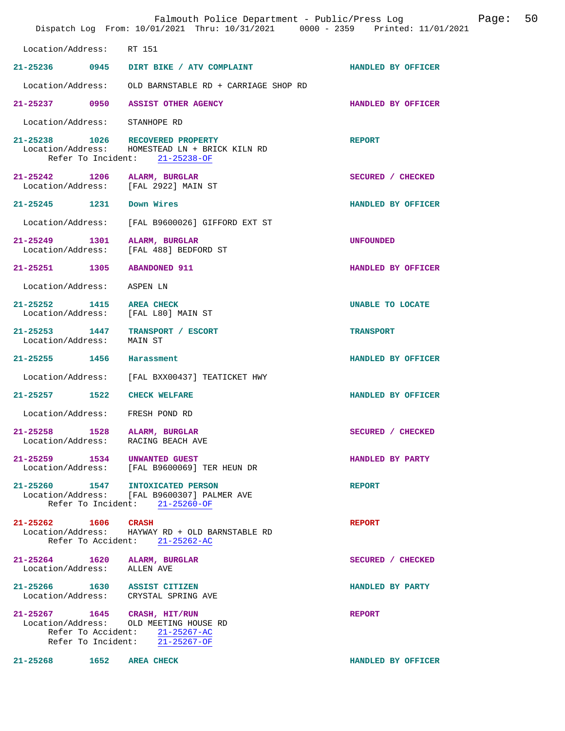|                                               |                                                                                                                                            | Falmouth Police Department - Public/Press Log<br>Dispatch Log From: 10/01/2021 Thru: 10/31/2021 0000 - 2359 Printed: 11/01/2021 | 50<br>Page: |
|-----------------------------------------------|--------------------------------------------------------------------------------------------------------------------------------------------|---------------------------------------------------------------------------------------------------------------------------------|-------------|
| Location/Address:                             | RT 151                                                                                                                                     |                                                                                                                                 |             |
|                                               | 21-25236 0945 DIRT BIKE / ATV COMPLAINT                                                                                                    | HANDLED BY OFFICER                                                                                                              |             |
| Location/Address:                             | OLD BARNSTABLE RD + CARRIAGE SHOP RD                                                                                                       |                                                                                                                                 |             |
| 21-25237 0950                                 | <b>ASSIST OTHER AGENCY</b>                                                                                                                 | HANDLED BY OFFICER                                                                                                              |             |
| Location/Address:                             | STANHOPE RD                                                                                                                                |                                                                                                                                 |             |
|                                               | 21-25238 1026 RECOVERED PROPERTY<br>Location/Address: HOMESTEAD LN + BRICK KILN RD<br>Refer To Incident: 21-25238-OF                       | <b>REPORT</b>                                                                                                                   |             |
|                                               | 21-25242 1206 ALARM, BURGLAR<br>Location/Address: [FAL 2922] MAIN ST                                                                       | SECURED / CHECKED                                                                                                               |             |
| 21-25245 1231 Down Wires                      |                                                                                                                                            | HANDLED BY OFFICER                                                                                                              |             |
| Location/Address:                             | [FAL B9600026] GIFFORD EXT ST                                                                                                              |                                                                                                                                 |             |
| 21-25249 1301<br>Location/Address:            | ALARM, BURGLAR<br>[FAL 488] BEDFORD ST                                                                                                     | <b>UNFOUNDED</b>                                                                                                                |             |
| 21-25251 1305                                 | <b>ABANDONED 911</b>                                                                                                                       | HANDLED BY OFFICER                                                                                                              |             |
| Location/Address:                             | ASPEN LN                                                                                                                                   |                                                                                                                                 |             |
| 21-25252 1415 AREA CHECK<br>Location/Address: | [FAL L80] MAIN ST                                                                                                                          | UNABLE TO LOCATE                                                                                                                |             |
| Location/Address:                             | 21-25253 1447 TRANSPORT / ESCORT<br>MAIN ST                                                                                                | <b>TRANSPORT</b>                                                                                                                |             |
| 21-25255 1456                                 | Harassment                                                                                                                                 | HANDLED BY OFFICER                                                                                                              |             |
| Location/Address:                             | [FAL BXX00437] TEATICKET HWY                                                                                                               |                                                                                                                                 |             |
| $21 - 25257$ 1522                             | <b>CHECK WELFARE</b>                                                                                                                       | HANDLED BY OFFICER                                                                                                              |             |
|                                               | Location/Address: FRESH POND RD                                                                                                            |                                                                                                                                 |             |
| Location/Address:                             | 21-25258 1528 ALARM, BURGLAR<br>RACING BEACH AVE                                                                                           | SECURED / CHECKED                                                                                                               |             |
|                                               | 21-25259 1534 UNWANTED GUEST<br>Location/Address: [FAL B9600069] TER HEUN DR                                                               | HANDLED BY PARTY                                                                                                                |             |
|                                               | 21-25260 1547 INTOXICATED PERSON<br>Location/Address: [FAL B9600307] PALMER AVE<br>Refer To Incident: 21-25260-OF                          | <b>REPORT</b>                                                                                                                   |             |
| 21-25262 1606 CRASH                           | Location/Address:    HAYWAY RD + OLD BARNSTABLE RD<br>Refer To Accident: 21-25262-AC                                                       | <b>REPORT</b>                                                                                                                   |             |
| Location/Address: ALLEN AVE                   | 21-25264 1620 ALARM, BURGLAR                                                                                                               | SECURED / CHECKED                                                                                                               |             |
|                                               | 21-25266 1630 ASSIST CITIZEN<br>Location/Address: CRYSTAL SPRING AVE                                                                       | HANDLED BY PARTY                                                                                                                |             |
|                                               | 21-25267 1645 CRASH, HIT/RUN<br>Location/Address: OLD MEETING HOUSE RD<br>Refer To Accident: 21-25267-AC<br>Refer To Incident: 21-25267-OF | <b>REPORT</b>                                                                                                                   |             |
| 21-25268 1652 AREA CHECK                      |                                                                                                                                            | HANDLED BY OFFICER                                                                                                              |             |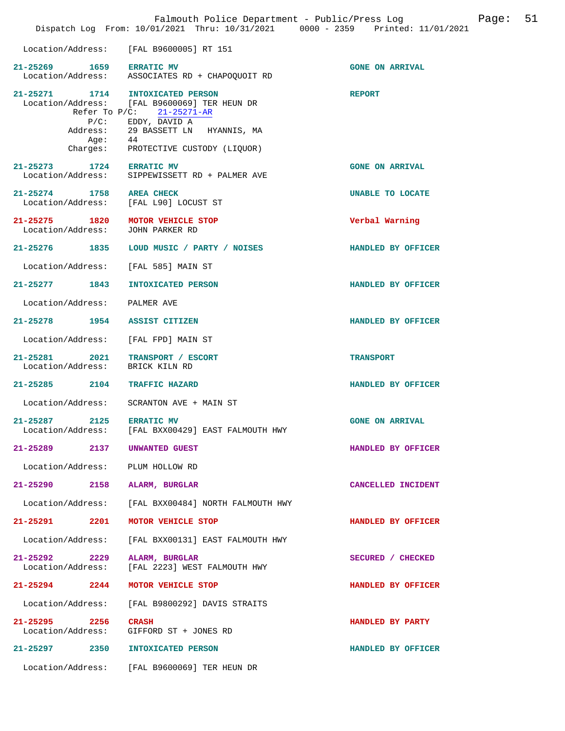|                               |                             | Dispatch Log From: 10/01/2021 Thru: 10/31/2021 0000 - 2359 Printed: 11/01/2021                                                                                                                            |                        |
|-------------------------------|-----------------------------|-----------------------------------------------------------------------------------------------------------------------------------------------------------------------------------------------------------|------------------------|
|                               |                             | Location/Address: [FAL B9600005] RT 151                                                                                                                                                                   |                        |
| 21-25269 1659 ERRATIC MV      |                             | Location/Address: ASSOCIATES RD + CHAPOQUOIT RD                                                                                                                                                           | <b>GONE ON ARRIVAL</b> |
|                               | $P/C$ :<br>Address:<br>Age: | 21-25271 1714 INTOXICATED PERSON<br>Location/Address: [FAL B9600069] TER HEUN DR<br>Refer To P/C: 21-25271-AR<br>EDDY, DAVID A<br>29 BASSETT LN HYANNIS, MA<br>44<br>Charges: PROTECTIVE CUSTODY (LIQUOR) | <b>REPORT</b>          |
| 21-25273 1724 ERRATIC MV      |                             | Location/Address: SIPPEWISSETT RD + PALMER AVE                                                                                                                                                            | <b>GONE ON ARRIVAL</b> |
| 21-25274 1758 AREA CHECK      |                             | Location/Address: [FAL L90] LOCUST ST                                                                                                                                                                     | UNABLE TO LOCATE       |
|                               |                             | 21-25275 1820 MOTOR VEHICLE STOP<br>Location/Address: JOHN PARKER RD                                                                                                                                      | Verbal Warning         |
| 21-25276 1835                 |                             | LOUD MUSIC / PARTY / NOISES                                                                                                                                                                               | HANDLED BY OFFICER     |
|                               |                             | Location/Address: [FAL 585] MAIN ST                                                                                                                                                                       |                        |
|                               |                             | 21-25277 1843 INTOXICATED PERSON                                                                                                                                                                          | HANDLED BY OFFICER     |
| Location/Address: PALMER AVE  |                             |                                                                                                                                                                                                           |                        |
|                               |                             | 21-25278 1954 ASSIST CITIZEN                                                                                                                                                                              | HANDLED BY OFFICER     |
|                               |                             | Location/Address: [FAL FPD] MAIN ST                                                                                                                                                                       |                        |
|                               |                             | 21-25281 2021 TRANSPORT / ESCORT<br>Location/Address: BRICK KILN RD                                                                                                                                       | <b>TRANSPORT</b>       |
|                               |                             | 21-25285 2104 TRAFFIC HAZARD                                                                                                                                                                              | HANDLED BY OFFICER     |
| Location/Address:             |                             | SCRANTON AVE + MAIN ST                                                                                                                                                                                    |                        |
| 21-25287 2125 ERRATIC MV      |                             | Location/Address: [FAL BXX00429] EAST FALMOUTH HWY                                                                                                                                                        | <b>GONE ON ARRIVAL</b> |
| 21-25289                      | 2137                        | UNWANTED GUEST                                                                                                                                                                                            | HANDLED BY OFFICER     |
|                               |                             | Location/Address: PLUM HOLLOW RD                                                                                                                                                                          |                        |
| 21-25290                      |                             | 2158 ALARM, BURGLAR                                                                                                                                                                                       | CANCELLED INCIDENT     |
| Location/Address:             |                             | [FAL BXX00484] NORTH FALMOUTH HWY                                                                                                                                                                         |                        |
| 21-25291                      | 2201                        | MOTOR VEHICLE STOP                                                                                                                                                                                        | HANDLED BY OFFICER     |
| Location/Address:             |                             | [FAL BXX00131] EAST FALMOUTH HWY                                                                                                                                                                          |                        |
| 21-25292<br>Location/Address: | 2229                        | ALARM, BURGLAR<br>[FAL 2223] WEST FALMOUTH HWY                                                                                                                                                            | SECURED / CHECKED      |
| 21-25294                      | 2244                        | MOTOR VEHICLE STOP                                                                                                                                                                                        | HANDLED BY OFFICER     |
| Location/Address:             |                             | [FAL B9800292] DAVIS STRAITS                                                                                                                                                                              |                        |
| 21-25295<br>Location/Address: | 2256                        | <b>CRASH</b><br>GIFFORD ST + JONES RD                                                                                                                                                                     | HANDLED BY PARTY       |
| 21-25297 2350                 |                             | <b>INTOXICATED PERSON</b>                                                                                                                                                                                 | HANDLED BY OFFICER     |
|                               |                             | Location/Address: [FAL B9600069] TER HEUN DR                                                                                                                                                              |                        |

Falmouth Police Department - Public/Press Log Page: 51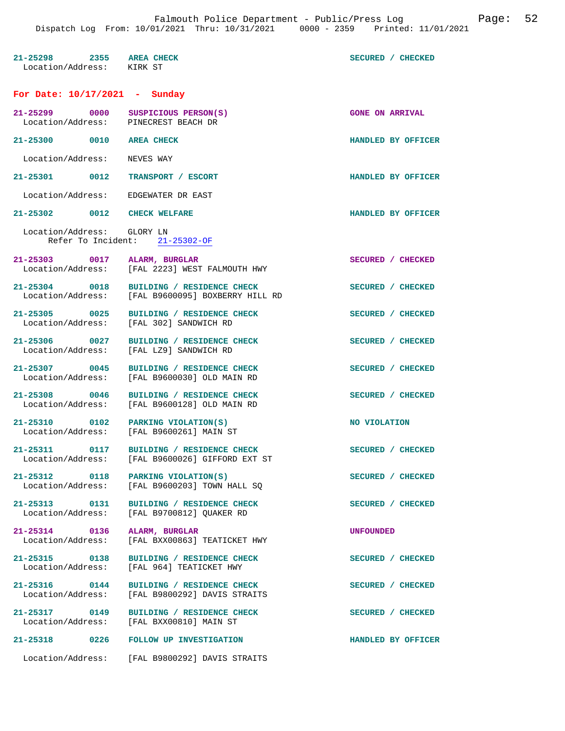| 21-25298 2355 AREA CHECK<br>Location/Address: KIRK ST                      |                                                                                               | SECURED / CHECKED      |
|----------------------------------------------------------------------------|-----------------------------------------------------------------------------------------------|------------------------|
| For Date: $10/17/2021$ - Sunday                                            |                                                                                               |                        |
| 21-25299 0000 SUSPICIOUS PERSON(S)<br>Location/Address: PINECREST BEACH DR |                                                                                               | <b>GONE ON ARRIVAL</b> |
| 21-25300 0010 AREA CHECK                                                   |                                                                                               | HANDLED BY OFFICER     |
| Location/Address: NEVES WAY                                                |                                                                                               |                        |
| 21-25301 0012 TRANSPORT / ESCORT                                           |                                                                                               | HANDLED BY OFFICER     |
| Location/Address: EDGEWATER DR EAST                                        |                                                                                               |                        |
| 21-25302 0012 CHECK WELFARE                                                |                                                                                               | HANDLED BY OFFICER     |
| Location/Address: GLORY LN                                                 | Refer To Incident: 21-25302-OF                                                                |                        |
| 21-25303 0017 ALARM, BURGLAR                                               |                                                                                               | SECURED / CHECKED      |
|                                                                            | Location/Address: [FAL 2223] WEST FALMOUTH HWY                                                |                        |
|                                                                            | 21-25304 0018 BUILDING / RESIDENCE CHECK<br>Location/Address: [FAL B9600095] BOXBERRY HILL RD | SECURED / CHECKED      |
|                                                                            | 21-25305 0025 BUILDING / RESIDENCE CHECK<br>Location/Address: [FAL 302] SANDWICH RD           | SECURED / CHECKED      |
| 21-25306 0027<br>Location/Address:                                         | BUILDING / RESIDENCE CHECK<br>[FAL LZ9] SANDWICH RD                                           | SECURED / CHECKED      |
|                                                                            | 21-25307 0045 BUILDING / RESIDENCE CHECK<br>Location/Address: [FAL B9600030] OLD MAIN RD      | SECURED / CHECKED      |
| 21-25308 0046                                                              | BUILDING / RESIDENCE CHECK<br>Location/Address: [FAL B9600128] OLD MAIN RD                    | SECURED / CHECKED      |
| 21-25310 0102 PARKING VIOLATION(S)                                         | Location/Address: [FAL B9600261] MAIN ST                                                      | NO VIOLATION           |
|                                                                            | 21-25311 0117 BUILDING / RESIDENCE CHECK<br>Location/Address: [FAL B9600026] GIFFORD EXT ST   | SECURED / CHECKED      |
| 21-25312 0118 PARKING VIOLATION(S)                                         | Location/Address: [FAL B9600203] TOWN HALL SQ                                                 | SECURED / CHECKED      |
|                                                                            | 21-25313 0131 BUILDING / RESIDENCE CHECK<br>Location/Address: [FAL B9700812] QUAKER RD        | SECURED / CHECKED      |
| 21-25314 0136 ALARM, BURGLAR<br>Location/Address:                          | [FAL BXX00863] TEATICKET HWY                                                                  | <b>UNFOUNDED</b>       |
| 21-25315 0138<br>Location/Address:                                         | BUILDING / RESIDENCE CHECK<br>[FAL 964] TEATICKET HWY                                         | SECURED / CHECKED      |
| 21-25316 0144                                                              | BUILDING / RESIDENCE CHECK<br>Location/Address: [FAL B9800292] DAVIS STRAITS                  | SECURED / CHECKED      |
| 21-25317 0149                                                              | BUILDING / RESIDENCE CHECK<br>Location/Address: [FAL BXX00810] MAIN ST                        | SECURED / CHECKED      |
| $21 - 25318$                                                               | 0226 FOLLOW UP INVESTIGATION                                                                  | HANDLED BY OFFICER     |
|                                                                            | Location/Address: [FAL B9800292] DAVIS STRAITS                                                |                        |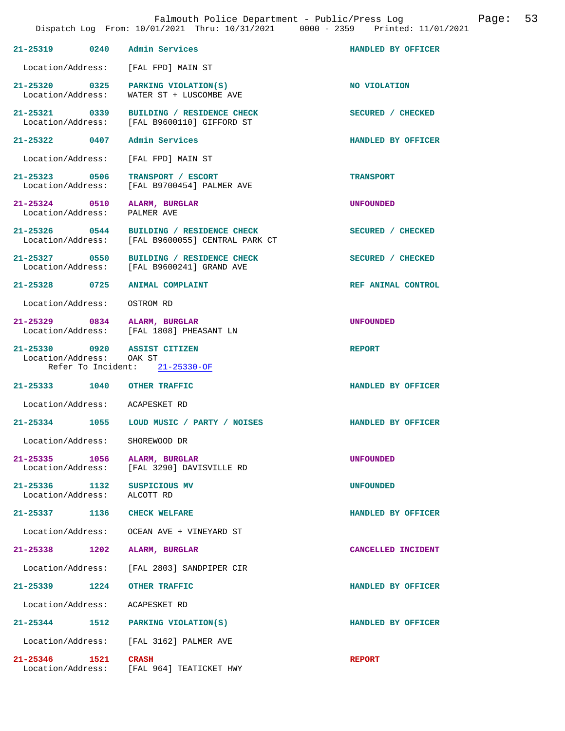|                                    |      | Falmouth Police Department - Public/Press Log<br>Dispatch Log From: 10/01/2021 Thru: 10/31/2021 0000 - 2359 Printed: 11/01/2021 |                    | Page: | 53 |
|------------------------------------|------|---------------------------------------------------------------------------------------------------------------------------------|--------------------|-------|----|
| 21-25319 0240                      |      | Admin Services                                                                                                                  | HANDLED BY OFFICER |       |    |
| Location/Address:                  |      | [FAL FPD] MAIN ST                                                                                                               |                    |       |    |
| 21-25320 0325<br>Location/Address: |      | PARKING VIOLATION(S)<br>WATER ST + LUSCOMBE AVE                                                                                 | NO VIOLATION       |       |    |
| 21-25321 0339                      |      | BUILDING / RESIDENCE CHECK<br>Location/Address: [FAL B9600110] GIFFORD ST                                                       | SECURED / CHECKED  |       |    |
| 21-25322 0407                      |      | Admin Services                                                                                                                  | HANDLED BY OFFICER |       |    |
| Location/Address:                  |      | [FAL FPD] MAIN ST                                                                                                               |                    |       |    |
| 21-25323 0506<br>Location/Address: |      | TRANSPORT / ESCORT<br>[FAL B9700454] PALMER AVE                                                                                 | <b>TRANSPORT</b>   |       |    |
| 21-25324 0510<br>Location/Address: |      | ALARM, BURGLAR<br>PALMER AVE                                                                                                    | <b>UNFOUNDED</b>   |       |    |
| 21-25326 0544<br>Location/Address: |      | BUILDING / RESIDENCE CHECK<br>[FAL B9600055] CENTRAL PARK CT                                                                    | SECURED / CHECKED  |       |    |
| 21-25327 0550<br>Location/Address: |      | BUILDING / RESIDENCE CHECK<br>[FAL B9600241] GRAND AVE                                                                          | SECURED / CHECKED  |       |    |
| 21-25328 0725                      |      | ANIMAL COMPLAINT                                                                                                                | REF ANIMAL CONTROL |       |    |
| Location/Address:                  |      | OSTROM RD                                                                                                                       |                    |       |    |
|                                    |      | 21-25329 0834 ALARM, BURGLAR<br>Location/Address: [FAL 1808] PHEASANT LN                                                        | <b>UNFOUNDED</b>   |       |    |
| Location/Address: OAK ST           |      | 21-25330 0920 ASSIST CITIZEN<br>Refer To Incident: 21-25330-OF                                                                  | <b>REPORT</b>      |       |    |
|                                    |      | 21-25333 1040 OTHER TRAFFIC                                                                                                     | HANDLED BY OFFICER |       |    |
| Location/Address:                  |      | ACAPESKET RD                                                                                                                    |                    |       |    |
| 21-25334                           | 1055 | LOUD MUSIC / PARTY / NOISES                                                                                                     | HANDLED BY OFFICER |       |    |
| Location/Address:                  |      | SHOREWOOD DR                                                                                                                    |                    |       |    |
| $21 - 25335$<br>Location/Address:  | 1056 | ALARM, BURGLAR<br>[FAL 3290] DAVISVILLE RD                                                                                      | <b>UNFOUNDED</b>   |       |    |
| $21 - 25336$<br>Location/Address:  | 1132 | SUSPICIOUS MV<br>ALCOTT RD                                                                                                      | <b>UNFOUNDED</b>   |       |    |
| 21-25337 1136                      |      | <b>CHECK WELFARE</b>                                                                                                            | HANDLED BY OFFICER |       |    |
| Location/Address:                  |      | OCEAN AVE + VINEYARD ST                                                                                                         |                    |       |    |
| 21-25338                           | 1202 | ALARM, BURGLAR                                                                                                                  | CANCELLED INCIDENT |       |    |
| Location/Address:                  |      | [FAL 2803] SANDPIPER CIR                                                                                                        |                    |       |    |
| $21 - 25339$                       | 1224 | OTHER TRAFFIC                                                                                                                   | HANDLED BY OFFICER |       |    |
| Location/Address:                  |      | ACAPESKET RD                                                                                                                    |                    |       |    |
| 21-25344 1512                      |      | PARKING VIOLATION(S)                                                                                                            | HANDLED BY OFFICER |       |    |
| Location/Address:                  |      | [FAL 3162] PALMER AVE                                                                                                           |                    |       |    |
| 21-25346<br>Location/Address:      | 1521 | <b>CRASH</b><br>[FAL 964] TEATICKET HWY                                                                                         | <b>REPORT</b>      |       |    |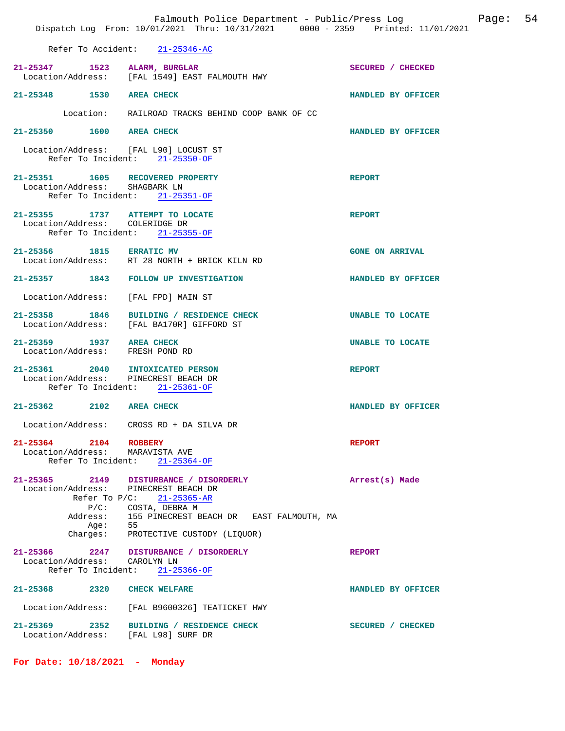|                                                                          | Falmouth Police Department - Public/Press Log<br>Dispatch Log From: 10/01/2021 Thru: 10/31/2021 0000 - 2359 Printed: 11/01/2021                 | Page: 54               |
|--------------------------------------------------------------------------|-------------------------------------------------------------------------------------------------------------------------------------------------|------------------------|
|                                                                          | Refer To Accident: 21-25346-AC                                                                                                                  |                        |
| 21-25347 1523 ALARM, BURGLAR                                             | Location/Address: [FAL 1549] EAST FALMOUTH HWY                                                                                                  | SECURED / CHECKED      |
| 21-25348 1530 AREA CHECK                                                 |                                                                                                                                                 | HANDLED BY OFFICER     |
|                                                                          | Location: RAILROAD TRACKS BEHIND COOP BANK OF CC                                                                                                |                        |
| 21-25350 1600 AREA CHECK                                                 |                                                                                                                                                 | HANDLED BY OFFICER     |
| Location/Address: [FAL L90] LOCUST ST                                    | Refer To Incident: 21-25350-OF                                                                                                                  |                        |
| 21-25351 1605 RECOVERED PROPERTY<br>Location/Address: SHAGBARK LN        | Refer To Incident: 21-25351-OF                                                                                                                  | <b>REPORT</b>          |
| 21-25355 1737 ATTEMPT TO LOCATE<br>Location/Address: COLERIDGE DR        | Refer To Incident: 21-25355-OF                                                                                                                  | <b>REPORT</b>          |
| 21-25356 1815 ERRATIC MV                                                 | Location/Address: RT 28 NORTH + BRICK KILN RD                                                                                                   | <b>GONE ON ARRIVAL</b> |
|                                                                          | 21-25357 1843 FOLLOW UP INVESTIGATION                                                                                                           | HANDLED BY OFFICER     |
| Location/Address: [FAL FPD] MAIN ST                                      |                                                                                                                                                 |                        |
|                                                                          | 21-25358 1846 BUILDING / RESIDENCE CHECK<br>Location/Address: [FAL BA170R] GIFFORD ST                                                           | UNABLE TO LOCATE       |
| 21-25359 1937 AREA CHECK<br>Location/Address: FRESH POND RD              |                                                                                                                                                 | UNABLE TO LOCATE       |
| 21-25361 2040 INTOXICATED PERSON<br>Location/Address: PINECREST BEACH DR | Refer To Incident: 21-25361-OF                                                                                                                  | <b>REPORT</b>          |
| 21-25362 2102 AREA CHECK                                                 |                                                                                                                                                 | HANDLED BY OFFICER     |
|                                                                          | Location/Address: CROSS RD + DA SILVA DR                                                                                                        |                        |
| 21-25364 2104 ROBBERY<br>Location/Address: MARAVISTA AVE                 | Refer To Incident: 21-25364-OF                                                                                                                  | <b>REPORT</b>          |
| Location/Address: PINECREST BEACH DR<br>Age: 55                          | 21-25365 2149 DISTURBANCE / DISORDERLY<br>Refer To P/C: 21-25365-AR<br>P/C: COSTA, DEBRA M<br>Address: 155 PINECREST BEACH DR EAST FALMOUTH, MA | Arrest(s) Made         |
| Location/Address: CAROLYN LN                                             | Charges: PROTECTIVE CUSTODY (LIQUOR)<br>21-25366 2247 DISTURBANCE / DISORDERLY<br>Refer To Incident: 21-25366-OF                                | <b>REPORT</b>          |
| 21-25368 2320 CHECK WELFARE                                              |                                                                                                                                                 | HANDLED BY OFFICER     |
|                                                                          | Location/Address: [FAL B9600326] TEATICKET HWY                                                                                                  |                        |
| Location/Address: [FAL L98] SURF DR                                      | 21-25369 2352 BUILDING / RESIDENCE CHECK                                                                                                        | SECURED / CHECKED      |
|                                                                          |                                                                                                                                                 |                        |

**For Date: 10/18/2021 - Monday**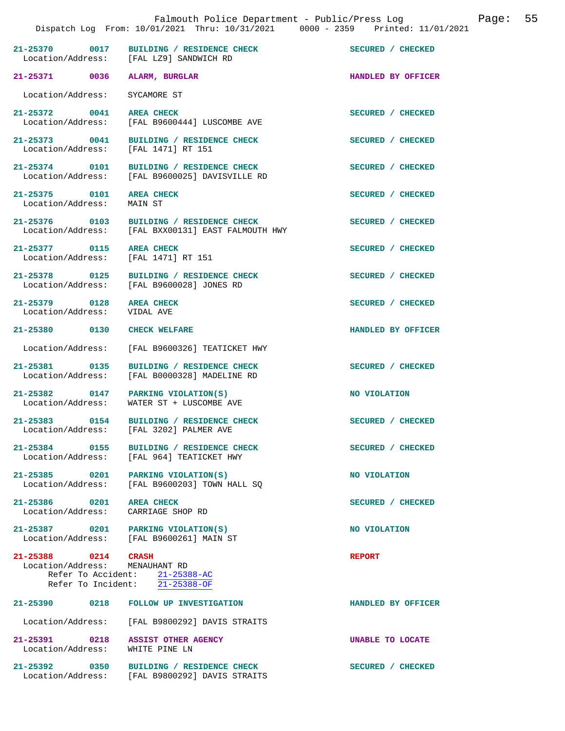|                                                       |                                                                                                | Dispatch Log From: 10/01/2021 Thru: 10/31/2021 0000 - 2359 Printed: 11/01/2021 |
|-------------------------------------------------------|------------------------------------------------------------------------------------------------|--------------------------------------------------------------------------------|
|                                                       | 21-25370 0017 BUILDING / RESIDENCE CHECK<br>Location/Address: [FAL LZ9] SANDWICH RD            | SECURED / CHECKED                                                              |
| 21-25371 0036 ALARM, BURGLAR                          |                                                                                                | HANDLED BY OFFICER                                                             |
| Location/Address:                                     | SYCAMORE ST                                                                                    |                                                                                |
| 21-25372 0041 AREA CHECK                              | Location/Address: [FAL B9600444] LUSCOMBE AVE                                                  | SECURED / CHECKED                                                              |
| Location/Address:                                     | 21-25373 0041 BUILDING / RESIDENCE CHECK<br>[FAL 1471] RT 151                                  | SECURED / CHECKED                                                              |
|                                                       | 21-25374 0101 BUILDING / RESIDENCE CHECK<br>Location/Address: [FAL B9600025] DAVISVILLE RD     | SECURED / CHECKED                                                              |
| 21-25375 0101 AREA CHECK<br>Location/Address: MAIN ST |                                                                                                | SECURED / CHECKED                                                              |
|                                                       | 21-25376 0103 BUILDING / RESIDENCE CHECK<br>Location/Address: [FAL BXX00131] EAST FALMOUTH HWY | SECURED / CHECKED                                                              |
| 21-25377 0115<br>Location/Address: [FAL 1471] RT 151  | <b>AREA CHECK</b>                                                                              | SECURED / CHECKED                                                              |
| 21-25378 0125                                         | BUILDING / RESIDENCE CHECK<br>Location/Address: [FAL B9600028] JONES RD                        | SECURED / CHECKED                                                              |
| 21-25379 0128<br>Location/Address: VIDAL AVE          | <b>AREA CHECK</b>                                                                              | SECURED / CHECKED                                                              |
| 21-25380 0130 CHECK WELFARE                           |                                                                                                | HANDLED BY OFFICER                                                             |
|                                                       | Location/Address: [FAL B9600326] TEATICKET HWY                                                 |                                                                                |
| 21-25381 0135                                         | BUILDING / RESIDENCE CHECK<br>Location/Address: [FAL B0000328] MADELINE RD                     | SECURED / CHECKED                                                              |
|                                                       | 21-25382 0147 PARKING VIOLATION(S)<br>Location/Address: WATER ST + LUSCOMBE AVE                | NO VIOLATION                                                                   |
|                                                       | 21-25383 0154 BUILDING / RESIDENCE CHECK<br>Location/Address: [FAL 3202] PALMER AVE            | SECURED / CHECKED                                                              |
| 21-25384 0155                                         | BUILDING / RESIDENCE CHECK<br>Location/Address: [FAL 964] TEATICKET HWY                        | SECURED / CHECKED                                                              |
|                                                       | 21-25385 0201 PARKING VIOLATION(S)<br>Location/Address: [FAL B9600203] TOWN HALL SQ            | <b>NO VIOLATION</b>                                                            |
| 21-25386 0201<br>Location/Address: CARRIAGE SHOP RD   | <b>AREA CHECK</b>                                                                              | SECURED / CHECKED                                                              |
|                                                       | 21-25387 0201 PARKING VIOLATION(S)<br>Location/Address: [FAL B9600261] MAIN ST                 | NO VIOLATION                                                                   |
| 21-25388 0214 CRASH<br>Location/Address: MENAUHANT RD | Refer To Accident: $\frac{21-25388-AC}{21-2538}$<br>Refer To Incident: 21-25388-OF             | <b>REPORT</b>                                                                  |
|                                                       | 21-25390 0218 FOLLOW UP INVESTIGATION                                                          | HANDLED BY OFFICER                                                             |
|                                                       | Location/Address: [FAL B9800292] DAVIS STRAITS                                                 |                                                                                |
| 21-25391 0218<br>Location/Address: WHITE PINE LN      | <b>ASSIST OTHER AGENCY</b>                                                                     | UNABLE TO LOCATE                                                               |
| 21-25392 0350                                         | <b>BUILDING / RESIDENCE CHECK</b><br>Location/Address: [FAL B9800292] DAVIS STRAITS            | SECURED / CHECKED                                                              |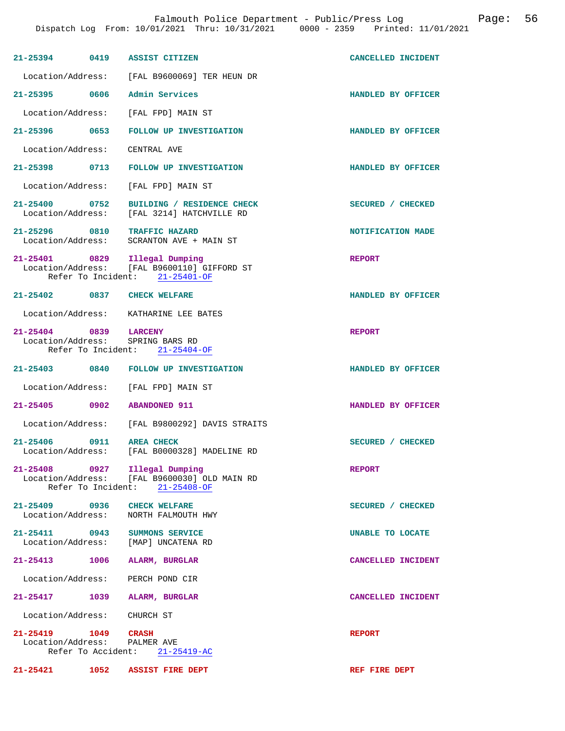| $21 - 25394$                                        | 0419 | <b>ASSIST CITIZEN</b>                                                                            | CANCELLED INCIDENT |
|-----------------------------------------------------|------|--------------------------------------------------------------------------------------------------|--------------------|
| Location/Address:                                   |      | [FAL B9600069] TER HEUN DR                                                                       |                    |
| 21-25395 0606                                       |      | Admin Services                                                                                   | HANDLED BY OFFICER |
| Location/Address:                                   |      | [FAL FPD] MAIN ST                                                                                |                    |
| 21-25396 0653                                       |      | <b>FOLLOW UP INVESTIGATION</b>                                                                   | HANDLED BY OFFICER |
| Location/Address:                                   |      | CENTRAL AVE                                                                                      |                    |
| $21 - 25398$                                        | 0713 | <b>FOLLOW UP INVESTIGATION</b>                                                                   | HANDLED BY OFFICER |
| Location/Address:                                   |      | [FAL FPD] MAIN ST                                                                                |                    |
| 21-25400 0752<br>Location/Address:                  |      | BUILDING / RESIDENCE CHECK<br>[FAL 3214] HATCHVILLE RD                                           | SECURED / CHECKED  |
| $21 - 25296$ 0810<br>Location/Address:              |      | <b>TRAFFIC HAZARD</b><br>SCRANTON AVE + MAIN ST                                                  | NOTIFICATION MADE  |
| 21-25401 0829                                       |      | Illegal Dumping<br>Location/Address: [FAL B9600110] GIFFORD ST<br>Refer To Incident: 21-25401-OF | <b>REPORT</b>      |
| 21-25402 0837 CHECK WELFARE                         |      |                                                                                                  | HANDLED BY OFFICER |
|                                                     |      | Location/Address: KATHARINE LEE BATES                                                            |                    |
| $21 - 25404$<br>0839<br>Location/Address:           |      | <b>LARCENY</b><br>SPRING BARS RD<br>Refer To Incident: 21-25404-OF                               | <b>REPORT</b>      |
| 21-25403 0840                                       |      | FOLLOW UP INVESTIGATION                                                                          | HANDLED BY OFFICER |
| Location/Address:                                   |      | [FAL FPD] MAIN ST                                                                                |                    |
| $21 - 25405$ 0902                                   |      | <b>ABANDONED 911</b>                                                                             | HANDLED BY OFFICER |
|                                                     |      | Location/Address: [FAL B9800292] DAVIS STRAITS                                                   |                    |
| $21 - 25406$<br>Location/Address:                   | 0911 | <b>AREA CHECK</b><br>[FAL B0000328] MADELINE RD                                                  | SECURED / CHECKED  |
| 21-25408 0927 Illegal Dumping                       |      | Location/Address: [FAL B9600030] OLD MAIN RD<br>Refer To Incident: 21-25408-OF                   | <b>REPORT</b>      |
| 21-25409 0936 CHECK WELFARE<br>Location/Address:    |      | NORTH FALMOUTH HWY                                                                               | SECURED / CHECKED  |
| 21-25411 0943                                       |      | <b>SUMMONS SERVICE</b><br>Location/Address: [MAP] UNCATENA RD                                    | UNABLE TO LOCATE   |
| 21-25413                                            | 1006 | ALARM, BURGLAR                                                                                   | CANCELLED INCIDENT |
| Location/Address:                                   |      | PERCH POND CIR                                                                                   |                    |
| 21-25417 1039                                       |      | ALARM, BURGLAR                                                                                   | CANCELLED INCIDENT |
| Location/Address: CHURCH ST                         |      |                                                                                                  |                    |
| 21-25419 1049 CRASH<br>Location/Address: PALMER AVE |      | Refer To Accident: 21-25419-AC                                                                   | <b>REPORT</b>      |
| 21-25421                                            | 1052 | <b>ASSIST FIRE DEPT</b>                                                                          | REF FIRE DEPT      |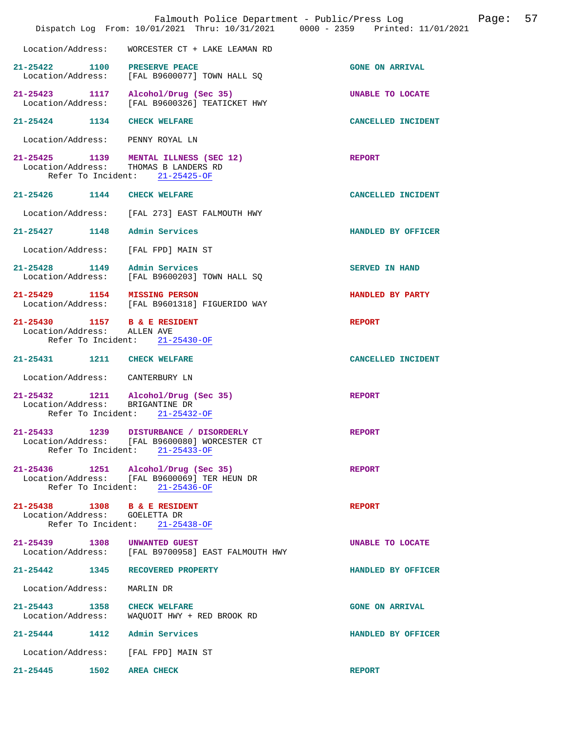|                                                               | Falmouth Police Department - Public/Press Log<br>Dispatch Log From: 10/01/2021 Thru: 10/31/2021 0000 - 2359 Printed: 11/01/2021 |                        | Page: | 57 |
|---------------------------------------------------------------|---------------------------------------------------------------------------------------------------------------------------------|------------------------|-------|----|
|                                                               | Location/Address: WORCESTER CT + LAKE LEAMAN RD                                                                                 |                        |       |    |
| 21-25422 1100 PRESERVE PEACE                                  | Location/Address: [FAL B9600077] TOWN HALL SQ                                                                                   | <b>GONE ON ARRIVAL</b> |       |    |
|                                                               | 21-25423 1117 Alcohol/Drug (Sec 35)<br>Location/Address: [FAL B9600326] TEATICKET HWY                                           | UNABLE TO LOCATE       |       |    |
| 21-25424 1134 CHECK WELFARE                                   |                                                                                                                                 | CANCELLED INCIDENT     |       |    |
| Location/Address: PENNY ROYAL LN                              |                                                                                                                                 |                        |       |    |
| Location/Address: THOMAS B LANDERS RD                         | 21-25425 1139 MENTAL ILLNESS (SEC 12)<br>Refer To Incident: 21-25425-OF                                                         | <b>REPORT</b>          |       |    |
| 21-25426 1144 CHECK WELFARE                                   |                                                                                                                                 | CANCELLED INCIDENT     |       |    |
|                                                               | Location/Address: [FAL 273] EAST FALMOUTH HWY                                                                                   |                        |       |    |
| 21-25427 1148 Admin Services                                  |                                                                                                                                 | HANDLED BY OFFICER     |       |    |
| Location/Address: [FAL FPD] MAIN ST                           |                                                                                                                                 |                        |       |    |
|                                                               | 21-25428 1149 Admin Services<br>Location/Address: [FAL B9600203] TOWN HALL SQ                                                   | <b>SERVED IN HAND</b>  |       |    |
| 21-25429 1154 MISSING PERSON                                  | Location/Address: [FAL B9601318] FIGUERIDO WAY                                                                                  | HANDLED BY PARTY       |       |    |
| 21-25430 1157 B & E RESIDENT<br>Location/Address: ALLEN AVE   | Refer To Incident: 21-25430-OF                                                                                                  | <b>REPORT</b>          |       |    |
| 21-25431 1211 CHECK WELFARE                                   |                                                                                                                                 | CANCELLED INCIDENT     |       |    |
| Location/Address: CANTERBURY LN                               |                                                                                                                                 |                        |       |    |
| Location/Address: BRIGANTINE DR                               | 21-25432 1211 Alcohol/Drug (Sec 35)<br>Refer To Incident: 21-25432-OF                                                           | <b>REPORT</b>          |       |    |
|                                                               | 21-25433 1239 DISTURBANCE / DISORDERLY<br>Location/Address: [FAL B9600080] WORCESTER CT<br>Refer To Incident: 21-25433-OF       | <b>REPORT</b>          |       |    |
|                                                               | 21-25436 1251 Alcohol/Drug (Sec 35)<br>Location/Address: [FAL B9600069] TER HEUN DR<br>Refer To Incident: 21-25436-OF           | <b>REPORT</b>          |       |    |
| 21-25438 1308 B & E RESIDENT<br>Location/Address: GOELETTA DR | Refer To Incident: 21-25438-OF                                                                                                  | <b>REPORT</b>          |       |    |
| 21-25439 1308 UNWANTED GUEST                                  | Location/Address: [FAL B9700958] EAST FALMOUTH HWY                                                                              | UNABLE TO LOCATE       |       |    |
| 21-25442 1345 RECOVERED PROPERTY                              |                                                                                                                                 | HANDLED BY OFFICER     |       |    |
| Location/Address:                                             | MARLIN DR                                                                                                                       |                        |       |    |
| 21-25443 1358 CHECK WELFARE                                   | Location/Address: WAQUOIT HWY + RED BROOK RD                                                                                    | <b>GONE ON ARRIVAL</b> |       |    |
| 21-25444 1412 Admin Services                                  |                                                                                                                                 | HANDLED BY OFFICER     |       |    |
| Location/Address: [FAL FPD] MAIN ST                           |                                                                                                                                 |                        |       |    |
| 21-25445 1502                                                 | <b>AREA CHECK</b>                                                                                                               | <b>REPORT</b>          |       |    |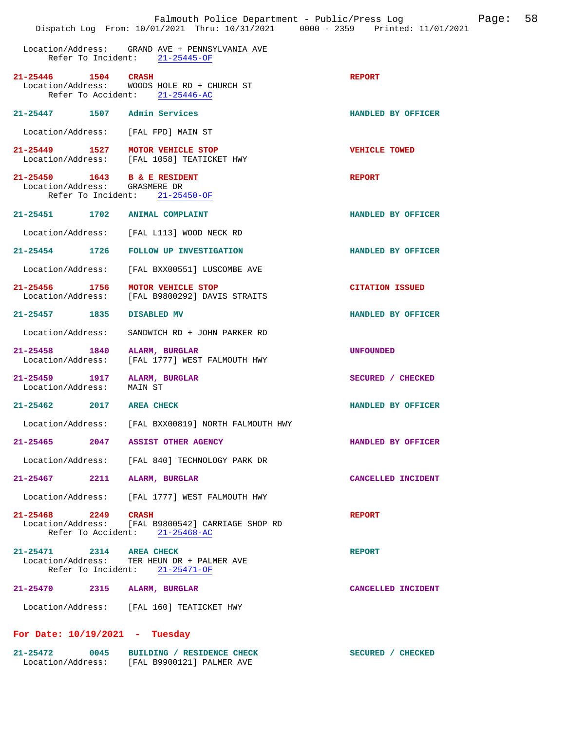Location/Address: GRAND AVE + PENNSYLVANIA AVE Refer To Incident: 21-25445-OF

| 21-25446 | 1504 | <b>CRASH</b> | Location/Address: WOODS HOLE RD + CHURCH ST<br>Refer To Accident: $21-25446-AC$ | <b>REPORT</b>      |
|----------|------|--------------|---------------------------------------------------------------------------------|--------------------|
| 21-25447 | 1507 |              | Admin Services                                                                  | HANDLED BY OFFICER |

Location/Address: [FAL FPD] MAIN ST

**21-25449 1527 MOTOR VEHICLE STOP CONCLUSION VEHICLE TOWED**<br>
Location/Address: [FAL 1058] TEATICKET HWY Location/Address:

**21-25450 1643 B & E RESIDENT REPORT REPORT LOCALION/Address:** GRASMERE DR Location/Address: Refer To Incident: 21-25450-OF

- **21-25451 1702 ANIMAL COMPLAINT HANDLED BY OFFICER**
- Location/Address: [FAL L113] WOOD NECK RD
- **21-25454 1726 FOLLOW UP INVESTIGATION HANDLED BY OFFICER** 
	- Location/Address: [FAL BXX00551] LUSCOMBE AVE
- **21-25456 1756 MOTOR VEHICLE STOP CITATION ISSUED**<br>
Location/Address: [FAL B9800292] DAVIS STRAITS [FAL B9800292] DAVIS STRAITS
- **21-25457 1835 DISABLED MV HANDLED BY OFFICER**
- Location/Address: SANDWICH RD + JOHN PARKER RD
- **21-25458 1840 ALARM, BURGLAR UNFOUNDED**  [FAL 1777] WEST FALMOUTH HWY
- **21-25459 1917 ALARM, BURGLAR SECURED / CHECKED**  Location/Address:

- Location/Address: [FAL BXX00819] NORTH FALMOUTH HWY
- **21-25465 2047 ASSIST OTHER AGENCY HANDLED BY OFFICER** 
	- Location/Address: [FAL 840] TECHNOLOGY PARK DR
- **21-25467 2211 ALARM, BURGLAR CANCELLED INCIDENT** 
	- Location/Address: [FAL 1777] WEST FALMOUTH HWY
- **21-25468 2249 CRASH REPORT**  Location/Address: [FAL B9800542] CARRIAGE SHOP RD Refer To Accident: 21-25468-AC

21-25471 2314 AREA CHECK **REPORT** Location/Address: TER HEUN DR + PALMER AVE TER HEUN DR + PALMER AVE Refer To Incident: 21-25471-OF

**21-25470 2315 ALARM, BURGLAR CANCELLED INCIDENT** 

Location/Address: [FAL 160] TEATICKET HWY

## **For Date: 10/19/2021 - Tuesday**

| 21-25472          | 0045 | BUILDING / RESIDENCE CHECK | SECURED / CHECKED |
|-------------------|------|----------------------------|-------------------|
| Location/Address: |      | [FAL B9900121] PALMER AVE  |                   |

**21-25462 2017 AREA CHECK HANDLED BY OFFICER**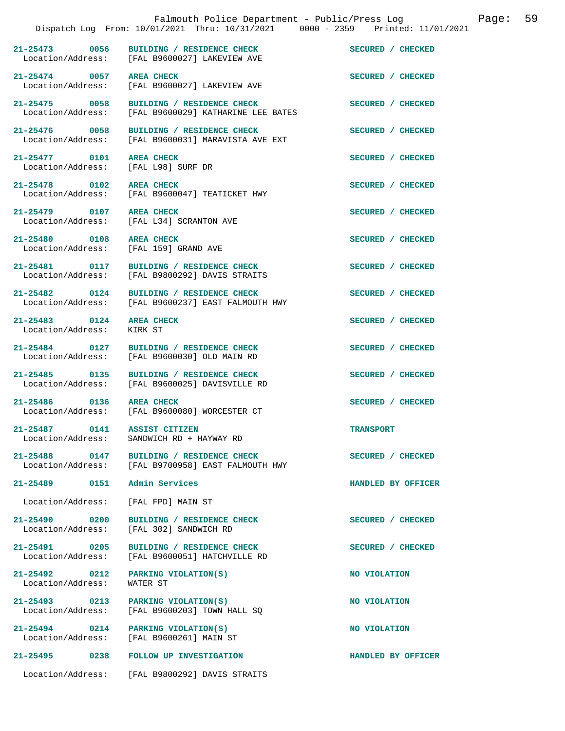|                                                      | Dispatch Log From: 10/01/2021 Thru: 10/31/2021 0000 - 2359 Printed: 11/01/2021   |                    |
|------------------------------------------------------|----------------------------------------------------------------------------------|--------------------|
| 21-25473 0056                                        | BUILDING / RESIDENCE CHECK<br>Location/Address: [FAL B9600027] LAKEVIEW AVE      | SECURED / CHECKED  |
| 21-25474 0057                                        | <b>AREA CHECK</b><br>Location/Address: [FAL B9600027] LAKEVIEW AVE               | SECURED / CHECKED  |
| 21-25475 0058<br>Location/Address:                   | BUILDING / RESIDENCE CHECK<br>[FAL B9600029] KATHARINE LEE BATES                 | SECURED / CHECKED  |
| 21-25476 0058<br>Location/Address:                   | BUILDING / RESIDENCE CHECK<br>[FAL B9600031] MARAVISTA AVE EXT                   | SECURED / CHECKED  |
| 21-25477 0101<br>Location/Address: [FAL L98] SURF DR | <b>AREA CHECK</b>                                                                | SECURED / CHECKED  |
| 21-25478 0102                                        | <b>AREA CHECK</b><br>Location/Address: [FAL B9600047] TEATICKET HWY              | SECURED / CHECKED  |
| 21-25479 0107                                        | <b>AREA CHECK</b><br>Location/Address: [FAL L34] SCRANTON AVE                    | SECURED / CHECKED  |
| 21-25480 0108<br>Location/Address:                   | <b>AREA CHECK</b><br>[FAL 159] GRAND AVE                                         | SECURED / CHECKED  |
| 21-25481 0117                                        | BUILDING / RESIDENCE CHECK<br>Location/Address: [FAL B9800292] DAVIS STRAITS     | SECURED / CHECKED  |
| 21-25482 0124                                        | BUILDING / RESIDENCE CHECK<br>Location/Address: [FAL B9600237] EAST FALMOUTH HWY | SECURED / CHECKED  |
| 21-25483 0124<br>Location/Address:                   | <b>AREA CHECK</b><br>KIRK ST                                                     | SECURED / CHECKED  |
| 21-25484 0127                                        | BUILDING / RESIDENCE CHECK<br>Location/Address: [FAL B9600030] OLD MAIN RD       | SECURED / CHECKED  |
| 21-25485 0135<br>Location/Address:                   | BUILDING / RESIDENCE CHECK<br>[FAL B9600025] DAVISVILLE RD                       | SECURED / CHECKED  |
| 21-25486 0136                                        | <b>AREA CHECK</b><br>Location/Address: [FAL B9600080] WORCESTER CT               | SECURED / CHECKED  |
| 21-25487 0141 ASSIST CITIZEN                         | Location/Address: SANDWICH RD + HAYWAY RD                                        | <b>TRANSPORT</b>   |
| $21 - 25488$<br>0147                                 | BUILDING / RESIDENCE CHECK<br>Location/Address: [FAL B9700958] EAST FALMOUTH HWY | SECURED / CHECKED  |
| 21-25489 0151                                        | Admin Services                                                                   | HANDLED BY OFFICER |
| Location/Address:                                    | [FAL FPD] MAIN ST                                                                |                    |
| 21-25490 0200<br>Location/Address:                   | BUILDING / RESIDENCE CHECK<br>[FAL 302] SANDWICH RD                              | SECURED / CHECKED  |
| 21-25491 0205<br>Location/Address:                   | BUILDING / RESIDENCE CHECK<br>[FAL B9600051] HATCHVILLE RD                       | SECURED / CHECKED  |
| $21 - 25492$ 0212<br>Location/Address:               | PARKING VIOLATION(S)<br>WATER ST                                                 | NO VIOLATION       |
| 21-25493 0213<br>Location/Address:                   | PARKING VIOLATION(S)<br>[FAL B9600203] TOWN HALL SO                              | NO VIOLATION       |
| $21 - 25494$ 0214                                    | PARKING VIOLATION(S)<br>Location/Address: [FAL B9600261] MAIN ST                 | NO VIOLATION       |
| 21-25495 0238                                        | <b>FOLLOW UP INVESTIGATION</b>                                                   | HANDLED BY OFFICER |
|                                                      | Location/Address: [FAL B9800292] DAVIS STRAITS                                   |                    |

Falmouth Police Department - Public/Press Log Page: 59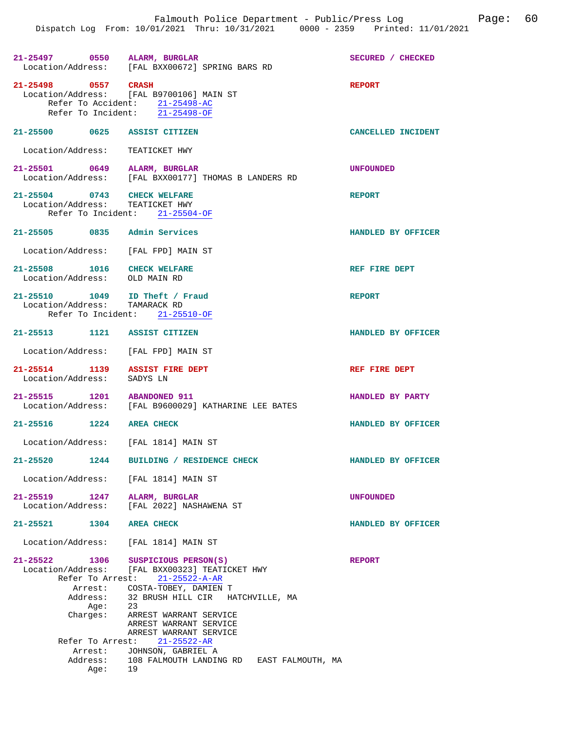| 21-25497 0550 ALARM, BURGLAR                                    | Location/Address: [FAL BXX00672] SPRING BARS RD                                                                                                                                                              | SECURED / CHECKED  |
|-----------------------------------------------------------------|--------------------------------------------------------------------------------------------------------------------------------------------------------------------------------------------------------------|--------------------|
| 21-25498 0557 CRASH                                             | Location/Address: [FAL B9700106] MAIN ST<br>Refer To Accident: 21-25498-AC<br>Refer To Incident: 21-25498-OF                                                                                                 | <b>REPORT</b>      |
| 21-25500 0625 ASSIST CITIZEN                                    |                                                                                                                                                                                                              | CANCELLED INCIDENT |
| Location/Address: TEATICKET HWY                                 |                                                                                                                                                                                                              |                    |
| 21-25501 0649 ALARM, BURGLAR                                    | Location/Address: [FAL BXX00177] THOMAS B LANDERS RD                                                                                                                                                         | <b>UNFOUNDED</b>   |
| 21-25504 0743 CHECK WELFARE<br>Location/Address: TEATICKET HWY  | Refer To Incident: 21-25504-OF                                                                                                                                                                               | <b>REPORT</b>      |
| 21-25505 0835 Admin Services                                    |                                                                                                                                                                                                              | HANDLED BY OFFICER |
| Location/Address: [FAL FPD] MAIN ST                             |                                                                                                                                                                                                              |                    |
| 21-25508 1016 CHECK WELFARE<br>Location/Address: OLD MAIN RD    |                                                                                                                                                                                                              | REF FIRE DEPT      |
| 21-25510 1049 ID Theft / Fraud<br>Location/Address: TAMARACK RD | Refer To Incident: 21-25510-OF                                                                                                                                                                               | <b>REPORT</b>      |
| 21-25513 1121 ASSIST CITIZEN                                    |                                                                                                                                                                                                              | HANDLED BY OFFICER |
| Location/Address: [FAL FPD] MAIN ST                             |                                                                                                                                                                                                              |                    |
| 21-25514 1139 ASSIST FIRE DEPT<br>Location/Address: SADYS LN    |                                                                                                                                                                                                              | REF FIRE DEPT      |
| 21-25515 1201 ABANDONED 911                                     | Location/Address: [FAL B9600029] KATHARINE LEE BATES                                                                                                                                                         | HANDLED BY PARTY   |
| 21-25516 1224 AREA CHECK                                        |                                                                                                                                                                                                              | HANDLED BY OFFICER |
| Location/Address: [FAL 1814] MAIN ST                            |                                                                                                                                                                                                              |                    |
| 1244<br>$21 - 25520$                                            | BUILDING / RESIDENCE CHECK                                                                                                                                                                                   | HANDLED BY OFFICER |
|                                                                 | Location/Address: [FAL 1814] MAIN ST                                                                                                                                                                         |                    |
| 21-25519 1247                                                   | ALARM, BURGLAR<br>Location/Address: [FAL 2022] NASHAWENA ST                                                                                                                                                  | <b>UNFOUNDED</b>   |
| 21-25521 1304 AREA CHECK                                        |                                                                                                                                                                                                              | HANDLED BY OFFICER |
|                                                                 | Location/Address: [FAL 1814] MAIN ST                                                                                                                                                                         |                    |
| $21 - 25522$<br>Address:<br>Age: 23<br>Charges:                 | 1306 SUSPICIOUS PERSON(S)<br>Location/Address: [FAL BXX00323] TEATICKET HWY<br>Refer To Arrest: 21-25522-A-AR<br>Arrest: COSTA-TOBEY, DAMIEN T<br>32 BRUSH HILL CIR HATCHVILLE, MA<br>ARREST WARRANT SERVICE | <b>REPORT</b>      |
|                                                                 | ARREST WARRANT SERVICE<br>ARREST WARRANT SERVICE<br>Refer To Arrest: 21-25522-AR                                                                                                                             |                    |

Arrest: JOHNSON, GABRIEL A<br>Address: 108 FALMOUTH LANDIN 108 FALMOUTH LANDING RD EAST FALMOUTH, MA Age: 19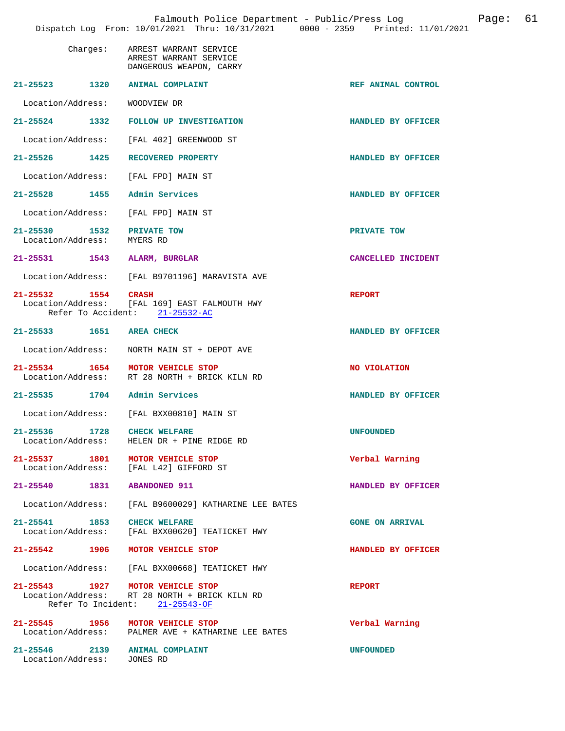|                                                              | Dispatch Log From: 10/01/2021 Thru: 10/31/2021 0000 - 2359 Printed: 11/01/2021                                      | Falmouth Police Department - Public/Press Log<br>Page: | 61 |
|--------------------------------------------------------------|---------------------------------------------------------------------------------------------------------------------|--------------------------------------------------------|----|
| Charges:                                                     | ARREST WARRANT SERVICE<br>ARREST WARRANT SERVICE<br>DANGEROUS WEAPON, CARRY                                         |                                                        |    |
| 21-25523 1320 ANIMAL COMPLAINT                               |                                                                                                                     | REF ANIMAL CONTROL                                     |    |
| Location/Address: WOODVIEW DR                                |                                                                                                                     |                                                        |    |
|                                                              | 21-25524 1332 FOLLOW UP INVESTIGATION                                                                               | HANDLED BY OFFICER                                     |    |
|                                                              | Location/Address: [FAL 402] GREENWOOD ST                                                                            |                                                        |    |
|                                                              | 21-25526 1425 RECOVERED PROPERTY                                                                                    | HANDLED BY OFFICER                                     |    |
|                                                              | Location/Address: [FAL FPD] MAIN ST                                                                                 |                                                        |    |
| 21-25528 1455 Admin Services                                 |                                                                                                                     | HANDLED BY OFFICER                                     |    |
|                                                              | Location/Address: [FAL FPD] MAIN ST                                                                                 |                                                        |    |
| 21-25530<br>Location/Address:                                | 1532 PRIVATE TOW<br>MYERS RD                                                                                        | PRIVATE TOW                                            |    |
| 21-25531 1543 ALARM, BURGLAR                                 |                                                                                                                     | CANCELLED INCIDENT                                     |    |
|                                                              | Location/Address: [FAL B9701196] MARAVISTA AVE                                                                      |                                                        |    |
| 21-25532 1554 CRASH                                          | Location/Address: [FAL 169] EAST FALMOUTH HWY<br>Refer To Accident: 21-25532-AC                                     | <b>REPORT</b>                                          |    |
| 21-25533 1651 AREA CHECK                                     |                                                                                                                     | HANDLED BY OFFICER                                     |    |
|                                                              | Location/Address:     NORTH MAIN ST + DEPOT AVE                                                                     |                                                        |    |
|                                                              | 21-25534 1654 MOTOR VEHICLE STOP<br>Location/Address: RT 28 NORTH + BRICK KILN RD                                   | NO VIOLATION                                           |    |
| 21-25535 1704 Admin Services                                 |                                                                                                                     | HANDLED BY OFFICER                                     |    |
|                                                              | Location/Address: [FAL BXX00810] MAIN ST                                                                            |                                                        |    |
| 21-25536 1728 CHECK WELFARE<br>Location/Address:             | HELEN DR + PINE RIDGE RD                                                                                            | <b>UNFOUNDED</b>                                       |    |
|                                                              | 21-25537 1801 MOTOR VEHICLE STOP<br>Location/Address: [FAL L42] GIFFORD ST                                          | Verbal Warning                                         |    |
| 21-25540 1831 ABANDONED 911                                  |                                                                                                                     | HANDLED BY OFFICER                                     |    |
|                                                              | Location/Address: [FAL B9600029] KATHARINE LEE BATES                                                                |                                                        |    |
| 21-25541 1853 CHECK WELFARE                                  | Location/Address: [FAL BXX00620] TEATICKET HWY                                                                      | <b>GONE ON ARRIVAL</b>                                 |    |
|                                                              | 21-25542 1906 MOTOR VEHICLE STOP                                                                                    | HANDLED BY OFFICER                                     |    |
|                                                              | Location/Address: [FAL BXX00668] TEATICKET HWY                                                                      |                                                        |    |
|                                                              | 21-25543 1927 MOTOR VEHICLE STOP<br>Location/Address: RT 28 NORTH + BRICK KILN RD<br>Refer To Incident: 21-25543-OF | <b>REPORT</b>                                          |    |
|                                                              | 21-25545 1956 MOTOR VEHICLE STOP<br>Location/Address: PALMER AVE + KATHARINE LEE BATES                              | Verbal Warning                                         |    |
| 21-25546 2139 ANIMAL COMPLAINT<br>Location/Address: JONES RD |                                                                                                                     | <b>UNFOUNDED</b>                                       |    |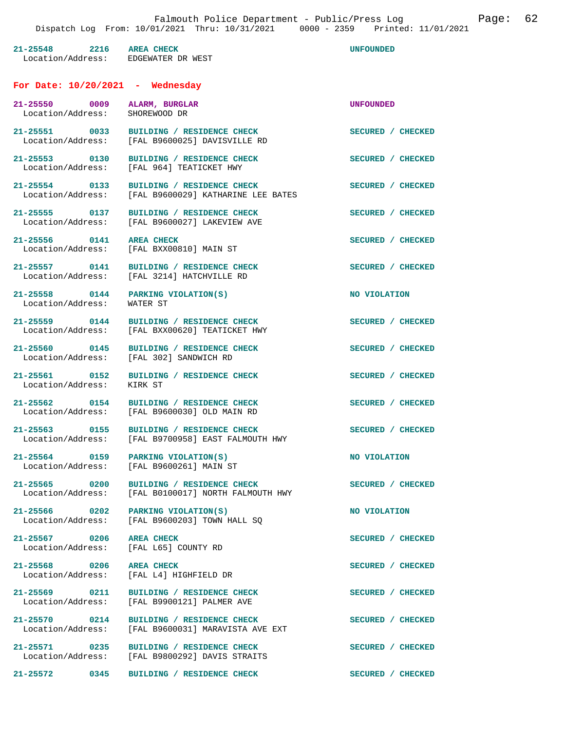| 21-25548 2216 AREA CHECK<br>Location/Address: EDGEWATER DR WEST   |                                                                                                                    | <b>UNFOUNDED</b>  |
|-------------------------------------------------------------------|--------------------------------------------------------------------------------------------------------------------|-------------------|
| For Date: $10/20/2021$ - Wednesday                                |                                                                                                                    |                   |
| 21-25550 0009 ALARM, BURGLAR<br>Location/Address:                 | SHOREWOOD DR                                                                                                       | <b>UNFOUNDED</b>  |
|                                                                   | 21-25551 0033 BUILDING / RESIDENCE CHECK<br>Location/Address: [FAL B9600025] DAVISVILLE RD                         | SECURED / CHECKED |
|                                                                   | 21-25553 0130 BUILDING / RESIDENCE CHEC<br>Location/Address: [FAL 964] TEATICKET HWY<br>BUILDING / RESIDENCE CHECK | SECURED / CHECKED |
| 21-25554 0133                                                     | BUILDING / RESIDENCE CHECK<br>Location/Address: [FAL B9600029] KATHARINE LEE BATES                                 | SECURED / CHECKED |
|                                                                   | 21-25555 0137 BUILDING / RESIDENCE CHECK<br>Location/Address: [FAL B9600027] LAKEVIEW AVE                          | SECURED / CHECKED |
| 21-25556 0141 AREA CHECK                                          | Location/Address: [FAL BXX00810] MAIN ST                                                                           | SECURED / CHECKED |
|                                                                   | 21-25557 0141 BUILDING / RESIDENCE CHECK<br>Location/Address: [FAL 3214] HATCHVILLE RD                             | SECURED / CHECKED |
| Location/Address: WATER ST                                        | 21-25558 0144 PARKING VIOLATION(S)                                                                                 | NO VIOLATION      |
|                                                                   | 21-25559 0144 BUILDING / RESIDENCE CHECK<br>Location/Address: [FAL BXX00620] TEATICKET HWY                         | SECURED / CHECKED |
|                                                                   | 21-25560 0145 BUILDING / RESIDENCE CHECK<br>Location/Address: [FAL 302] SANDWICH RD                                | SECURED / CHECKED |
|                                                                   | 21-25561 0152 BUILDING / RESIDENCE CHECK<br>Location/Address: KIRK ST                                              | SECURED / CHECKED |
|                                                                   | 21-25562 0154 BUILDING / RESIDENCE CHECK<br>Location/Address: [FAL B9600030] OLD MAIN RD                           | SECURED / CHECKED |
|                                                                   | 21-25563 0155 BUILDING / RESIDENCE CHECK<br>Location/Address: [FAL B9700958] EAST FALMOUTH HWY                     | SECURED / CHECKED |
|                                                                   | 21-25564 0159 PARKING VIOLATION(S)<br>Location/Address: [FAL B9600261] MAIN ST                                     | NO VIOLATION      |
| 21-25565 0200                                                     | BUILDING / RESIDENCE CHECK<br>Location/Address: [FAL B0100017] NORTH FALMOUTH HWY                                  | SECURED / CHECKED |
|                                                                   | 21-25566 0202 PARKING VIOLATION(S)<br>Location/Address: [FAL B9600203] TOWN HALL SQ                                | NO VIOLATION      |
| 21-25567 0206 AREA CHECK<br>Location/Address: [FAL L65] COUNTY RD |                                                                                                                    | SECURED / CHECKED |
| 21-25568 0206 AREA CHECK                                          | Location/Address: [FAL L4] HIGHFIELD DR                                                                            | SECURED / CHECKED |
|                                                                   | 21-25569 0211 BUILDING / RESIDENCE CHECK<br>Location/Address: [FAL B9900121] PALMER AVE                            | SECURED / CHECKED |
|                                                                   | 21-25570 0214 BUILDING / RESIDENCE CHECK<br>Location/Address: [FAL B9600031] MARAVISTA AVE EXT                     | SECURED / CHECKED |
|                                                                   | 21-25571 0235 BUILDING / RESIDENCE CHECK<br>Location/Address: [FAL B9800292] DAVIS STRAITS                         | SECURED / CHECKED |
|                                                                   | 21-25572 0345 BUILDING / RESIDENCE CHECK                                                                           | SECURED / CHECKED |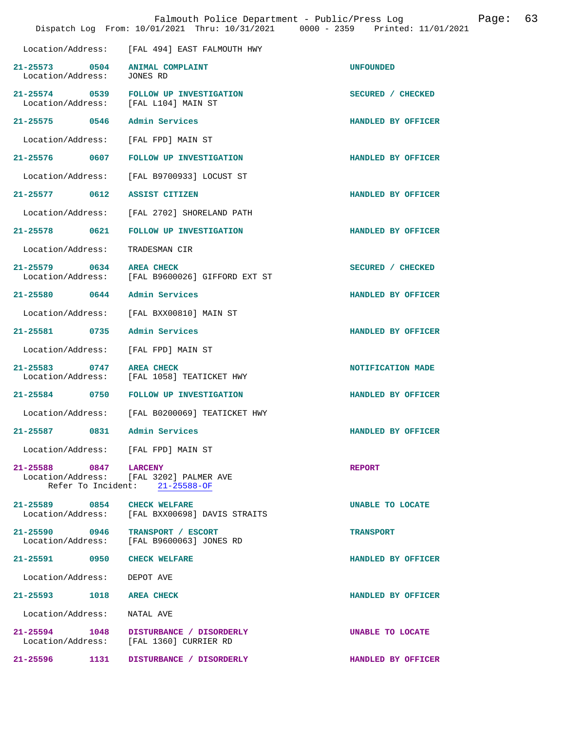|                                           | Falmouth Police Department - Public/Press Log<br>Dispatch Log From: 10/01/2021 Thru: 10/31/2021 0000 - 2359 Printed: 11/01/2021 | 63<br>Page:        |
|-------------------------------------------|---------------------------------------------------------------------------------------------------------------------------------|--------------------|
| Location/Address:                         | [FAL 494] EAST FALMOUTH HWY                                                                                                     |                    |
| 0504<br>$21 - 25573$<br>Location/Address: | <b>ANIMAL COMPLAINT</b><br>JONES RD                                                                                             | <b>UNFOUNDED</b>   |
| $21 - 25574$<br>0539<br>Location/Address: | FOLLOW UP INVESTIGATION<br>[FAL L104] MAIN ST                                                                                   | SECURED / CHECKED  |
| 21-25575 0546                             | Admin Services                                                                                                                  | HANDLED BY OFFICER |
| Location/Address:                         | [FAL FPD] MAIN ST                                                                                                               |                    |
| 21-25576<br>0607                          | FOLLOW UP INVESTIGATION                                                                                                         | HANDLED BY OFFICER |
| Location/Address:                         | [FAL B9700933] LOCUST ST                                                                                                        |                    |
| $21 - 25577$<br>0612                      | ASSIST CITIZEN                                                                                                                  | HANDLED BY OFFICER |
| Location/Address:                         | [FAL 2702] SHORELAND PATH                                                                                                       |                    |
| 0621<br>$21 - 25578$                      | FOLLOW UP INVESTIGATION                                                                                                         | HANDLED BY OFFICER |
| Location/Address:                         | TRADESMAN CIR                                                                                                                   |                    |
| 21-25579 0634<br>Location/Address:        | <b>AREA CHECK</b><br>[FAL B9600026] GIFFORD EXT ST                                                                              | SECURED / CHECKED  |
| 21-25580 0644                             | Admin Services                                                                                                                  | HANDLED BY OFFICER |
| Location/Address:                         | [FAL BXX00810] MAIN ST                                                                                                          |                    |
| $21 - 25581$<br>0735                      | Admin Services                                                                                                                  | HANDLED BY OFFICER |
| Location/Address:                         | [FAL FPD] MAIN ST                                                                                                               |                    |
| $21 - 25583$<br>0747<br>Location/Address: | <b>AREA CHECK</b><br>[FAL 1058] TEATICKET HWY                                                                                   | NOTIFICATION MADE  |
| 21-25584 0750                             | FOLLOW UP INVESTIGATION                                                                                                         | HANDLED BY OFFICER |
|                                           | Location/Address: [FAL B0200069] TEATICKET HWY                                                                                  |                    |
| 21-25587<br>0831                          | Admin Services                                                                                                                  | HANDLED BY OFFICER |
| Location/Address: [FAL FPD] MAIN ST       |                                                                                                                                 |                    |
| 21-25588 0847                             | <b>LARCENY</b><br>Location/Address: [FAL 3202] PALMER AVE<br>Refer To Incident: 21-25588-OF                                     | <b>REPORT</b>      |
| 21-25589 0854                             | <b>CHECK WELFARE</b><br>Location/Address: [FAL BXX00698] DAVIS STRAITS                                                          | UNABLE TO LOCATE   |
| 21-25590 0946<br>Location/Address:        | TRANSPORT / ESCORT<br>[FAL B9600063] JONES RD                                                                                   | <b>TRANSPORT</b>   |
| 21-25591 0950 CHECK WELFARE               |                                                                                                                                 | HANDLED BY OFFICER |
| Location/Address:                         | DEPOT AVE                                                                                                                       |                    |
| 21-25593<br>1018                          | <b>AREA CHECK</b>                                                                                                               | HANDLED BY OFFICER |
| Location/Address:                         | NATAL AVE                                                                                                                       |                    |
| 21-25594 1048                             | DISTURBANCE / DISORDERLY<br>Location/Address: [FAL 1360] CURRIER RD                                                             | UNABLE TO LOCATE   |
| 21-25596<br>1131                          | DISTURBANCE / DISORDERLY                                                                                                        | HANDLED BY OFFICER |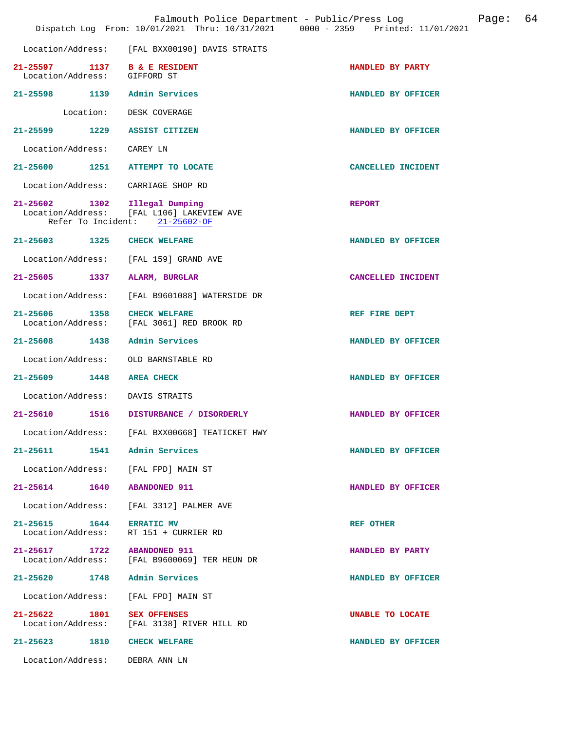|                                                                   | Location/Address: [FAL BXX00190] DAVIS STRAITS                                                 |                         |
|-------------------------------------------------------------------|------------------------------------------------------------------------------------------------|-------------------------|
| 21-25597 1137<br>Location/Address: GIFFORD ST                     | <b>B &amp; E RESIDENT</b>                                                                      | HANDLED BY PARTY        |
| 21-25598 1139 Admin Services                                      |                                                                                                | HANDLED BY OFFICER      |
|                                                                   | Location: DESK COVERAGE                                                                        |                         |
| $21 - 25599$                                                      | 1229 ASSIST CITIZEN                                                                            | HANDLED BY OFFICER      |
| Location/Address: CAREY LN                                        |                                                                                                |                         |
| 21-25600 1251 ATTEMPT TO LOCATE                                   |                                                                                                | CANCELLED INCIDENT      |
| Location/Address: CARRIAGE SHOP RD                                |                                                                                                |                         |
| 21-25602 1302                                                     | Illegal Dumping<br>Location/Address: [FAL L106] LAKEVIEW AVE<br>Refer To Incident: 21-25602-OF | <b>REPORT</b>           |
| 21-25603 1325                                                     | <b>CHECK WELFARE</b>                                                                           | HANDLED BY OFFICER      |
| Location/Address: [FAL 159] GRAND AVE                             |                                                                                                |                         |
| 21-25605 1337 ALARM, BURGLAR                                      |                                                                                                | CANCELLED INCIDENT      |
|                                                                   | Location/Address: [FAL B9601088] WATERSIDE DR                                                  |                         |
| 1358<br>$21 - 25606$                                              | <b>CHECK WELFARE</b><br>Location/Address: [FAL 3061] RED BROOK RD                              | REF FIRE DEPT           |
| 21-25608 1438                                                     | Admin Services                                                                                 | HANDLED BY OFFICER      |
|                                                                   |                                                                                                |                         |
| Location/Address: OLD BARNSTABLE RD                               |                                                                                                |                         |
| 21-25609 1448                                                     | <b>AREA CHECK</b>                                                                              | HANDLED BY OFFICER      |
| Location/Address: DAVIS STRAITS                                   |                                                                                                |                         |
| 21-25610                                                          | 1516 DISTURBANCE / DISORDERLY                                                                  | HANDLED BY OFFICER      |
|                                                                   | Location/Address: [FAL BXX00668] TEATICKET HWY                                                 |                         |
| $21 - 25611$<br>1541                                              | Admin Services                                                                                 | HANDLED BY OFFICER      |
| Location/Address: [FAL FPD] MAIN ST                               |                                                                                                |                         |
| 21-25614 1640 ABANDONED 911                                       |                                                                                                | HANDLED BY OFFICER      |
|                                                                   | Location/Address: [FAL 3312] PALMER AVE                                                        |                         |
| 21-25615 1644 ERRATIC MV<br>Location/Address: RT 151 + CURRIER RD |                                                                                                | <b>REF OTHER</b>        |
| 21-25617 1722 ABANDONED 911                                       | Location/Address: [FAL B9600069] TER HEUN DR                                                   | HANDLED BY PARTY        |
| 21-25620 1748 Admin Services                                      |                                                                                                | HANDLED BY OFFICER      |
| Location/Address: [FAL FPD] MAIN ST                               |                                                                                                |                         |
| 21-25622 1801                                                     | <b>SEX OFFENSES</b><br>Location/Address: [FAL 3138] RIVER HILL RD                              | <b>UNABLE TO LOCATE</b> |
| 21-25623 1810 CHECK WELFARE                                       |                                                                                                | HANDLED BY OFFICER      |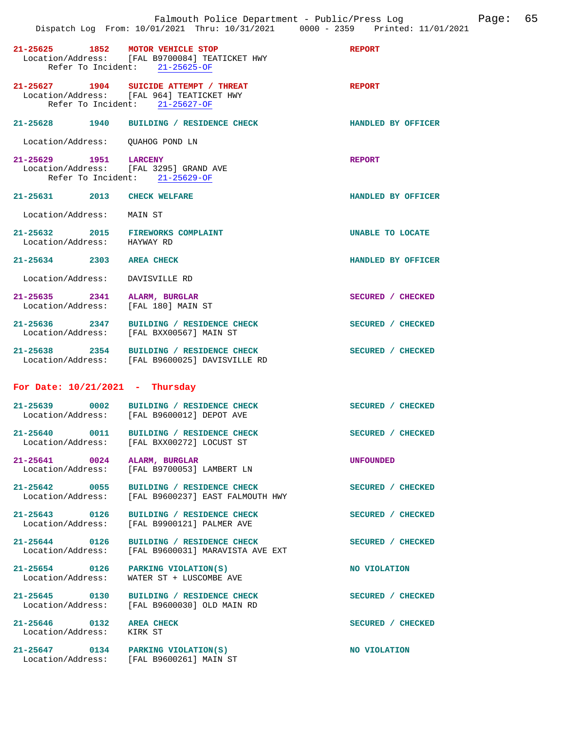|                                                       | Falmouth Police Department - Public/Press Log Fage: 65<br>Dispatch Log From: 10/01/2021 Thru: 10/31/2021 0000 - 2359 Printed: 11/01/2021 |                    |  |
|-------------------------------------------------------|------------------------------------------------------------------------------------------------------------------------------------------|--------------------|--|
|                                                       | 21-25625 1852 MOTOR VEHICLE STOP<br>Location/Address: [FAL B9700084] TEATICKET HWY<br>Refer To Incident: 21-25625-OF                     | <b>REPORT</b>      |  |
|                                                       | 21-25627 1904 SUICIDE ATTEMPT / THREAT<br>Location/Address: [FAL 964] TEATICKET HWY<br>Refer To Incident: 21-25627-OF                    | <b>REPORT</b>      |  |
|                                                       | 21-25628 1940 BUILDING / RESIDENCE CHECK                                                                                                 | HANDLED BY OFFICER |  |
| Location/Address: QUAHOG POND LN                      |                                                                                                                                          |                    |  |
|                                                       | 21-25629 1951 LARCENY<br>Location/Address: [FAL 3295] GRAND AVE<br>Refer To Incident: 21-25629-OF                                        | <b>REPORT</b>      |  |
| 21-25631 2013 CHECK WELFARE                           |                                                                                                                                          | HANDLED BY OFFICER |  |
| Location/Address: MAIN ST                             |                                                                                                                                          |                    |  |
| Location/Address: HAYWAY RD                           | 21-25632 2015 FIREWORKS COMPLAINT                                                                                                        | UNABLE TO LOCATE   |  |
| 21-25634 2303 AREA CHECK                              |                                                                                                                                          | HANDLED BY OFFICER |  |
| Location/Address: DAVISVILLE RD                       |                                                                                                                                          |                    |  |
|                                                       | 21-25635 2341 ALARM, BURGLAR<br>Location/Address: [FAL 180] MAIN ST                                                                      | SECURED / CHECKED  |  |
|                                                       | 21-25636 2347 BUILDING / RESIDENCE CHECK<br>Location/Address: [FAL BXX00567] MAIN ST                                                     | SECURED / CHECKED  |  |
|                                                       | 21-25638 2354 BUILDING / RESIDENCE CHECK<br>Location/Address: [FAL B9600025] DAVISVILLE RD                                               | SECURED / CHECKED  |  |
| For Date: $10/21/2021$ - Thursday                     |                                                                                                                                          |                    |  |
|                                                       | 21-25639 0002 BUILDING / RESIDENCE CHECK<br>Location/Address: [FAL B9600012] DEPOT AVE                                                   | SECURED / CHECKED  |  |
| 21-25640 0011                                         | BUILDING / RESIDENCE CHECK<br>Location/Address: [FAL BXX00272] LOCUST ST                                                                 | SECURED / CHECKED  |  |
| Location/Address:                                     | 21-25641 0024 ALARM, BURGLAR<br>[FAL B9700053] LAMBERT LN                                                                                | UNFOUNDED          |  |
| 21-25642 0055<br>Location/Address:                    | BUILDING / RESIDENCE CHECK<br>[FAL B9600237] EAST FALMOUTH HWY                                                                           | SECURED / CHECKED  |  |
| 21-25643 0126<br>Location/Address:                    | BUILDING / RESIDENCE CHECK<br>[FAL B9900121] PALMER AVE                                                                                  | SECURED / CHECKED  |  |
| 21-25644 0126<br>Location/Address:                    | BUILDING / RESIDENCE CHECK<br>[FAL B9600031] MARAVISTA AVE EXT                                                                           | SECURED / CHECKED  |  |
| Location/Address:                                     | 21-25654 0126 PARKING VIOLATION(S)<br>WATER ST + LUSCOMBE AVE                                                                            | NO VIOLATION       |  |
| 21-25645 0130<br>Location/Address:                    | BUILDING / RESIDENCE CHECK<br>[FAL B9600030] OLD MAIN RD                                                                                 | SECURED / CHECKED  |  |
| 21-25646 0132 AREA CHECK<br>Location/Address: KIRK ST |                                                                                                                                          | SECURED / CHECKED  |  |
|                                                       | 21-25647 0134 PARKING VIOLATION(S)<br>Location/Address: [FAL B9600261] MAIN ST                                                           | NO VIOLATION       |  |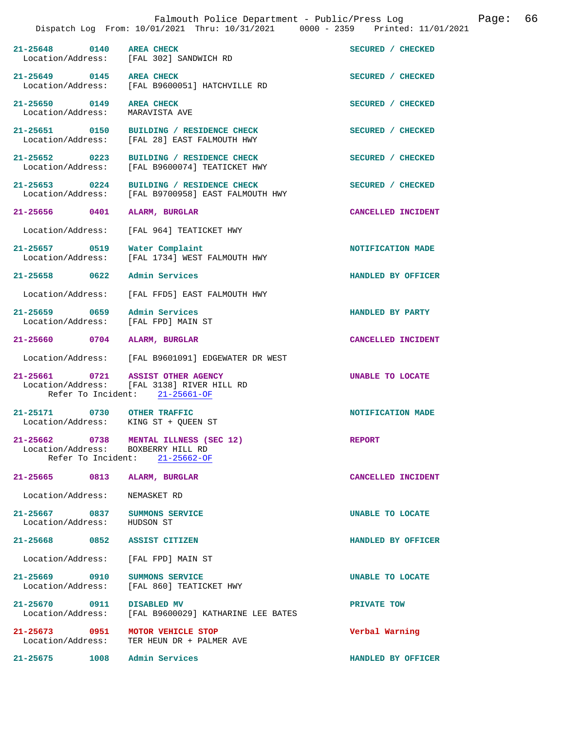|                                                                     |                    | Falmouth Police Department - Public/Press Log<br>Dispatch Log From: 10/01/2021 Thru: 10/31/2021 0000 - 2359 Printed: 11/01/2021 | 66<br>Page:        |
|---------------------------------------------------------------------|--------------------|---------------------------------------------------------------------------------------------------------------------------------|--------------------|
| 21-25648 0140 AREA CHECK                                            |                    | Location/Address: [FAL 302] SANDWICH RD                                                                                         | SECURED / CHECKED  |
| 21-25649 0145 AREA CHECK                                            |                    | Location/Address: [FAL B9600051] HATCHVILLE RD                                                                                  | SECURED / CHECKED  |
| 21-25650 0149<br>Location/Address:                                  |                    | <b>AREA CHECK</b><br>MARAVISTA AVE                                                                                              | SECURED / CHECKED  |
|                                                                     |                    | 21-25651 0150 BUILDING / RESIDENCE CHECK<br>Location/Address: [FAL 28] EAST FALMOUTH HWY                                        | SECURED / CHECKED  |
| $21 - 25652$ 0223                                                   |                    | BUILDING / RESIDENCE CHECK<br>Location/Address: [FAL B9600074] TEATICKET HWY                                                    | SECURED / CHECKED  |
| $21 - 25653$ 0224                                                   |                    | BUILDING / RESIDENCE CHECK<br>Location/Address: [FAL B9700958] EAST FALMOUTH HWY                                                | SECURED / CHECKED  |
| 21-25656 0401                                                       |                    | ALARM, BURGLAR                                                                                                                  | CANCELLED INCIDENT |
| Location/Address:                                                   |                    | [FAL 964] TEATICKET HWY                                                                                                         |                    |
| 21-25657 0519                                                       |                    | Water Complaint<br>Location/Address: [FAL 1734] WEST FALMOUTH HWY                                                               | NOTIFICATION MADE  |
| 21-25658 0622                                                       |                    | Admin Services                                                                                                                  | HANDLED BY OFFICER |
| Location/Address:                                                   |                    | [FAL FFD5] EAST FALMOUTH HWY                                                                                                    |                    |
| 21-25659 0659 Admin Services<br>Location/Address: [FAL FPD] MAIN ST |                    |                                                                                                                                 | HANDLED BY PARTY   |
| 21-25660 0704 ALARM, BURGLAR                                        |                    |                                                                                                                                 | CANCELLED INCIDENT |
|                                                                     |                    | Location/Address: [FAL B9601091] EDGEWATER DR WEST                                                                              |                    |
| 21-25661 0721 ASSIST OTHER AGENCY                                   |                    | Location/Address: [FAL 3138] RIVER HILL RD<br>Refer To Incident: 21-25661-OF                                                    | UNABLE TO LOCATE   |
| 21-25171<br>Location/Address: KING ST + QUEEN ST                    | 0730 OTHER TRAFFIC |                                                                                                                                 | NOTIFICATION MADE  |
| Location/Address: BOXBERRY HILL RD                                  |                    | 21-25662 0738 MENTAL ILLNESS (SEC 12)<br>Refer To Incident: 21-25662-OF                                                         | <b>REPORT</b>      |
| 21-25665 0813                                                       |                    | ALARM, BURGLAR                                                                                                                  | CANCELLED INCIDENT |
| Location/Address:                                                   |                    | NEMASKET RD                                                                                                                     |                    |
| 21-25667 0837<br>Location/Address:                                  |                    | SUMMONS SERVICE<br>HUDSON ST                                                                                                    | UNABLE TO LOCATE   |
| 21-25668                                                            | 0852               | ASSIST CITIZEN                                                                                                                  | HANDLED BY OFFICER |
| Location/Address:                                                   |                    | [FAL FPD] MAIN ST                                                                                                               |                    |
| 21-25669 0910<br>Location/Address:                                  |                    | SUMMONS SERVICE<br>[FAL 860] TEATICKET HWY                                                                                      | UNABLE TO LOCATE   |
| 21-25670 0911<br>Location/Address:                                  |                    | DISABLED MV<br>[FAL B9600029] KATHARINE LEE BATES                                                                               | PRIVATE TOW        |
| 21-25673 0951<br>Location/Address:                                  |                    | MOTOR VEHICLE STOP<br>TER HEUN DR + PALMER AVE                                                                                  | Verbal Warning     |
| 21-25675                                                            | 1008               | Admin Services                                                                                                                  | HANDLED BY OFFICER |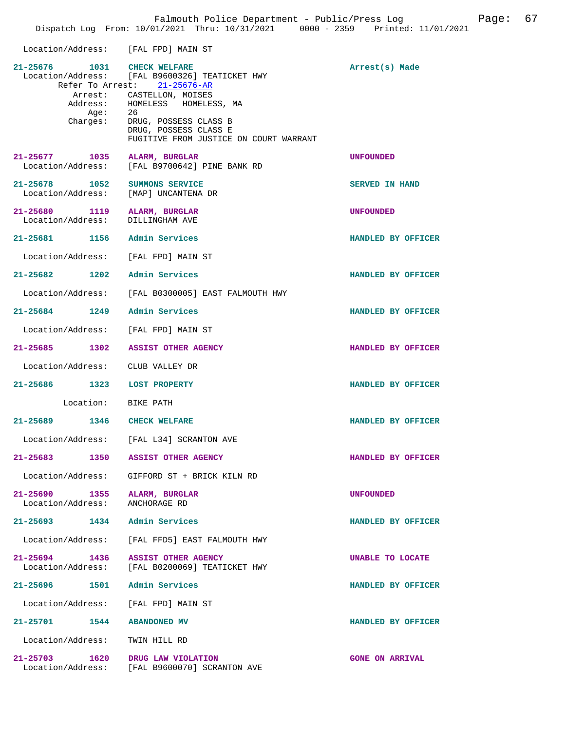| Location/Address: [FAL FPD] MAIN ST                              |                                                                                          |                        |
|------------------------------------------------------------------|------------------------------------------------------------------------------------------|------------------------|
| 21-25676 1031 CHECK WELFARE                                      | Location/Address: [FAL B9600326] TEATICKET HWY<br>Refer To Arrest: 21-25676-AR           | Arrest(s) Made         |
| Aqe:                                                             | Arrest: CASTELLON, MOISES<br>Address: HOMELESS HOMELESS, MA<br>-26                       |                        |
| Charges:                                                         | DRUG, POSSESS CLASS B<br>DRUG, POSSESS CLASS E<br>FUGITIVE FROM JUSTICE ON COURT WARRANT |                        |
| 21-25677 1035 ALARM, BURGLAR                                     | Location/Address: [FAL B9700642] PINE BANK RD                                            | <b>UNFOUNDED</b>       |
| 21-25678 1052<br>Location/Address: [MAP] UNCANTENA DR            | SUMMONS SERVICE                                                                          | SERVED IN HAND         |
| 21-25680 1119 ALARM, BURGLAR<br>Location/Address: DILLINGHAM AVE |                                                                                          | <b>UNFOUNDED</b>       |
| 21-25681 1156 Admin Services                                     |                                                                                          | HANDLED BY OFFICER     |
| Location/Address: [FAL FPD] MAIN ST                              |                                                                                          |                        |
| 21-25682 1202 Admin Services                                     |                                                                                          | HANDLED BY OFFICER     |
|                                                                  | Location/Address: [FAL B0300005] EAST FALMOUTH HWY                                       |                        |
| 21-25684 1249 Admin Services                                     |                                                                                          | HANDLED BY OFFICER     |
| Location/Address: [FAL FPD] MAIN ST                              |                                                                                          |                        |
|                                                                  | 21-25685 1302 ASSIST OTHER AGENCY                                                        | HANDLED BY OFFICER     |
| Location/Address: CLUB VALLEY DR                                 |                                                                                          |                        |
| 21-25686 1323 LOST PROPERTY                                      |                                                                                          | HANDLED BY OFFICER     |
| Location: BIKE PATH                                              |                                                                                          |                        |
| 21-25689 1346 CHECK WELFARE                                      |                                                                                          | HANDLED BY OFFICER     |
|                                                                  | Location/Address: [FAL L34] SCRANTON AVE                                                 |                        |
| 21-25683 1350 ASSIST OTHER AGENCY                                |                                                                                          | HANDLED BY OFFICER     |
|                                                                  | Location/Address: GIFFORD ST + BRICK KILN RD                                             |                        |
| 21-25690 1355 ALARM, BURGLAR<br>Location/Address: ANCHORAGE RD   |                                                                                          | <b>UNFOUNDED</b>       |
| 21-25693 1434 Admin Services                                     |                                                                                          | HANDLED BY OFFICER     |
| Location/Address:                                                | [FAL FFD5] EAST FALMOUTH HWY                                                             |                        |
|                                                                  | 21-25694 1436 ASSIST OTHER AGENCY<br>Location/Address: [FAL B0200069] TEATICKET HWY      | UNABLE TO LOCATE       |
| 21-25696 1501 Admin Services                                     |                                                                                          | HANDLED BY OFFICER     |
| Location/Address: [FAL FPD] MAIN ST                              |                                                                                          |                        |
| 21-25701 1544                                                    | <b>ABANDONED MV</b>                                                                      | HANDLED BY OFFICER     |
| Location/Address:                                                | TWIN HILL RD                                                                             |                        |
| 21-25703 1620                                                    | DRUG LAW VIOLATION<br>Location/Address: [FAL B9600070] SCRANTON AVE                      | <b>GONE ON ARRIVAL</b> |

Falmouth Police Department - Public/Press Log Canade: 67

Dispatch Log From: 10/01/2021 Thru: 10/31/2021 0000 - 2359 Printed: 11/01/2021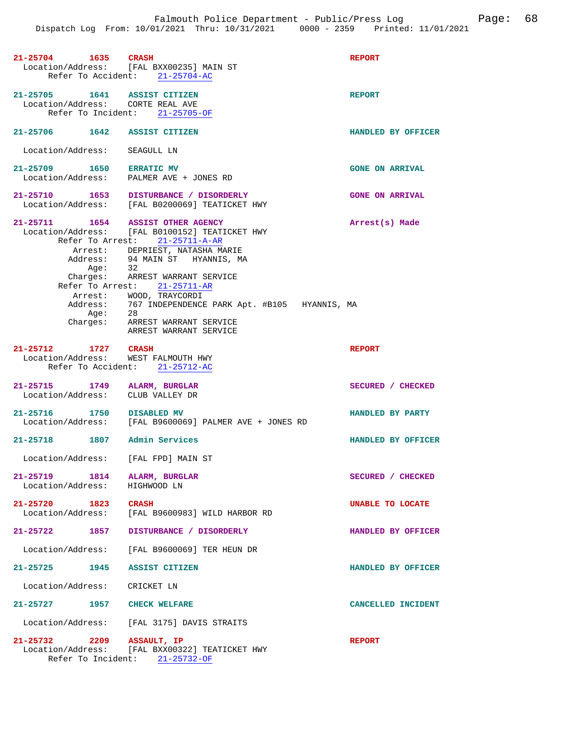| 21-25704 1635                                                    | <b>CRASH</b>                                                                | <b>REPORT</b>          |
|------------------------------------------------------------------|-----------------------------------------------------------------------------|------------------------|
|                                                                  | Location/Address: [FAL BXX00235] MAIN ST                                    |                        |
|                                                                  | Refer To Accident: 21-25704-AC                                              |                        |
|                                                                  |                                                                             |                        |
| 21-25705 1641 ASSIST CITIZEN                                     |                                                                             | <b>REPORT</b>          |
| Location/Address: CORTE REAL AVE                                 |                                                                             |                        |
|                                                                  | Refer To Incident: 21-25705-OF                                              |                        |
|                                                                  |                                                                             |                        |
| 21-25706 1642 ASSIST CITIZEN                                     |                                                                             | HANDLED BY OFFICER     |
|                                                                  |                                                                             |                        |
| Location/Address:                                                | SEAGULL LN                                                                  |                        |
|                                                                  |                                                                             |                        |
| 21-25709 1650 ERRATIC MV                                         | Location/Address: PALMER AVE + JONES RD                                     | <b>GONE ON ARRIVAL</b> |
|                                                                  |                                                                             |                        |
|                                                                  | 21-25710 1653 DISTURBANCE / DISORDERLY                                      | <b>GONE ON ARRIVAL</b> |
|                                                                  | Location/Address: [FAL B0200069] TEATICKET HWY                              |                        |
|                                                                  |                                                                             |                        |
| 21-25711 1654 ASSIST OTHER AGENCY                                |                                                                             | Arrest(s) Made         |
|                                                                  | Location/Address: [FAL B0100152] TEATICKET HWY                              |                        |
|                                                                  | Refer To Arrest: 21-25711-A-AR                                              |                        |
|                                                                  | Arrest: DEPRIEST, NATASHA MARIE                                             |                        |
|                                                                  | Address: 94 MAIN ST HYANNIS, MA                                             |                        |
| Aqe:                                                             | 32                                                                          |                        |
|                                                                  | Charges: ARREST WARRANT SERVICE                                             |                        |
|                                                                  | Refer To Arrest: 21-25711-AR                                                |                        |
|                                                                  | Arrest: WOOD, TRAYCORDI                                                     |                        |
|                                                                  | Address: 767 INDEPENDENCE PARK Apt. #B105 HYANNIS, MA                       |                        |
|                                                                  |                                                                             |                        |
|                                                                  | Age: 28<br>Charges: ARREST WARRANT SERVICE                                  |                        |
|                                                                  | ARREST WARRANT SERVICE                                                      |                        |
|                                                                  |                                                                             |                        |
| 21-25712 1727 CRASH                                              |                                                                             | <b>REPORT</b>          |
| Location/Address: WEST FALMOUTH HWY                              |                                                                             |                        |
|                                                                  | Refer To Accident: 21-25712-AC                                              |                        |
|                                                                  |                                                                             |                        |
| 21-25715 1749 ALARM, BURGLAR<br>Location/Address: CLUB VALLEY DR |                                                                             | SECURED / CHECKED      |
|                                                                  |                                                                             |                        |
| 21-25716 1750 DISABLED MV                                        |                                                                             | HANDLED BY PARTY       |
|                                                                  | Location/Address: [FAL B9600069] PALMER AVE + JONES RD                      |                        |
|                                                                  |                                                                             |                        |
| 21-25718 1807                                                    | Admin Services                                                              | HANDLED BY OFFICER     |
|                                                                  |                                                                             |                        |
| Location/Address: [FAL FPD] MAIN ST                              |                                                                             |                        |
|                                                                  |                                                                             |                        |
| 21-25719 1814 ALARM, BURGLAR                                     |                                                                             | SECURED / CHECKED      |
| Location/Address:                                                | HIGHWOOD LN                                                                 |                        |
|                                                                  |                                                                             |                        |
| 21-25720 1823 CRASH                                              |                                                                             | UNABLE TO LOCATE       |
|                                                                  | Location/Address: [FAL B9600983] WILD HARBOR RD                             |                        |
|                                                                  |                                                                             |                        |
| 21-25722 1857                                                    | DISTURBANCE / DISORDERLY                                                    | HANDLED BY OFFICER     |
|                                                                  |                                                                             |                        |
|                                                                  | Location/Address: [FAL B9600069] TER HEUN DR                                |                        |
|                                                                  |                                                                             |                        |
| 21-25725 1945                                                    | ASSIST CITIZEN                                                              | HANDLED BY OFFICER     |
|                                                                  |                                                                             |                        |
| Location/Address: CRICKET LN                                     |                                                                             |                        |
|                                                                  |                                                                             |                        |
| 21-25727 1957 CHECK WELFARE                                      |                                                                             | CANCELLED INCIDENT     |
|                                                                  |                                                                             |                        |
|                                                                  |                                                                             |                        |
|                                                                  | Location/Address: [FAL 3175] DAVIS STRAITS                                  |                        |
|                                                                  |                                                                             |                        |
|                                                                  | 21-25732 2209 ASSAULT, IP<br>Location/Address: [FAL BXX00322] TEATICKET HWY | <b>REPORT</b>          |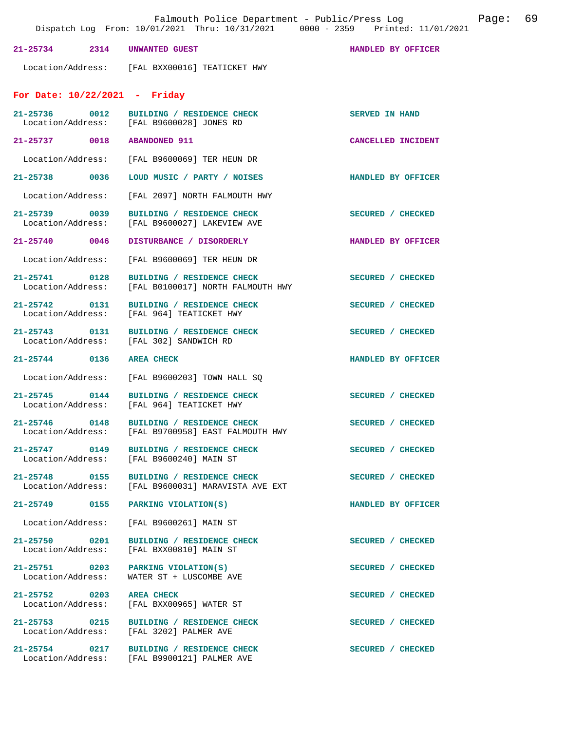|                                    |      | Falmouth Police Department - Public/Press Log<br>Dispatch Log From: 10/01/2021 Thru: 10/31/2021 0000 - 2359 Printed: 11/01/2021 | 69<br>Page:           |
|------------------------------------|------|---------------------------------------------------------------------------------------------------------------------------------|-----------------------|
| $21 - 25734$                       | 2314 | UNWANTED GUEST                                                                                                                  | HANDLED BY OFFICER    |
|                                    |      | Location/Address: [FAL BXX00016] TEATICKET HWY                                                                                  |                       |
| For Date: $10/22/2021$ - Friday    |      |                                                                                                                                 |                       |
|                                    |      | 21-25736 0012 BUILDING / RESIDENCE CHECK<br>Location/Address: [FAL B9600028] JONES RD                                           | <b>SERVED IN HAND</b> |
| 21-25737 0018                      |      | <b>ABANDONED 911</b>                                                                                                            | CANCELLED INCIDENT    |
| Location/Address:                  |      | [FAL B9600069] TER HEUN DR                                                                                                      |                       |
| 21-25738 0036                      |      | LOUD MUSIC / PARTY / NOISES                                                                                                     | HANDLED BY OFFICER    |
| Location/Address:                  |      | [FAL 2097] NORTH FALMOUTH HWY                                                                                                   |                       |
| 21-25739 0039<br>Location/Address: |      | BUILDING / RESIDENCE CHECK<br>[FAL B9600027] LAKEVIEW AVE                                                                       | SECURED / CHECKED     |
| 21-25740 0046                      |      | DISTURBANCE / DISORDERLY                                                                                                        | HANDLED BY OFFICER    |
| Location/Address:                  |      | [FAL B9600069] TER HEUN DR                                                                                                      |                       |
| 21-25741 0128<br>Location/Address: |      | BUILDING / RESIDENCE CHECK<br>[FAL B0100017] NORTH FALMOUTH HWY                                                                 | SECURED / CHECKED     |
| 21-25742 0131<br>Location/Address: |      | BUILDING / RESIDENCE CHECK<br>[FAL 964] TEATICKET HWY                                                                           | SECURED / CHECKED     |
| 21-25743 0131<br>Location/Address: |      | BUILDING / RESIDENCE CHECK<br>[FAL 302] SANDWICH RD                                                                             | SECURED / CHECKED     |
| 21-25744 0136                      |      | <b>AREA CHECK</b>                                                                                                               | HANDLED BY OFFICER    |
| Location/Address:                  |      | [FAL B9600203] TOWN HALL SQ                                                                                                     |                       |
| $21 - 25745$<br>Location/Address:  | 0144 | BUILDING / RESIDENCE CHECK<br>[FAL 964] TEATICKET HWY                                                                           | SECURED / CHECKED     |
| 21-25746 0148<br>Location/Address: |      | BUILDING / RESIDENCE CHECK<br>[FAL B9700958] EAST FALMOUTH HWY                                                                  | SECURED / CHECKED     |
| 21-25747 0149                      |      | BUILDING / RESIDENCE CHECK<br>Location/Address: [FAL B9600240] MAIN ST                                                          | SECURED / CHECKED     |
| Location/Address:                  |      | 21-25748 0155 BUILDING / RESIDENCE CHECK<br>[FAL B9600031] MARAVISTA AVE EXT                                                    | SECURED / CHECKED     |
|                                    |      | 21-25749 0155 PARKING VIOLATION(S)                                                                                              | HANDLED BY OFFICER    |
| Location/Address:                  |      | [FAL B9600261] MAIN ST                                                                                                          |                       |
|                                    |      | 21-25750 0201 BUILDING / RESIDENCE CHECK<br>Location/Address: [FAL BXX00810] MAIN ST                                            | SECURED / CHECKED     |
| 21-25751 0203<br>Location/Address: |      | PARKING VIOLATION(S)<br>WATER ST + LUSCOMBE AVE                                                                                 | SECURED / CHECKED     |
| 21-25752 0203 AREA CHECK           |      | Location/Address: [FAL BXX00965] WATER ST                                                                                       | SECURED / CHECKED     |
| Location/Address:                  |      | 21-25753 0215 BUILDING / RESIDENCE CHECK<br>[FAL 3202] PALMER AVE                                                               | SECURED / CHECKED     |
|                                    |      | 21-25754 0217 BUILDING / RESIDENCE CHECK<br>Location/Address: [FAL B9900121] PALMER AVE                                         | SECURED / CHECKED     |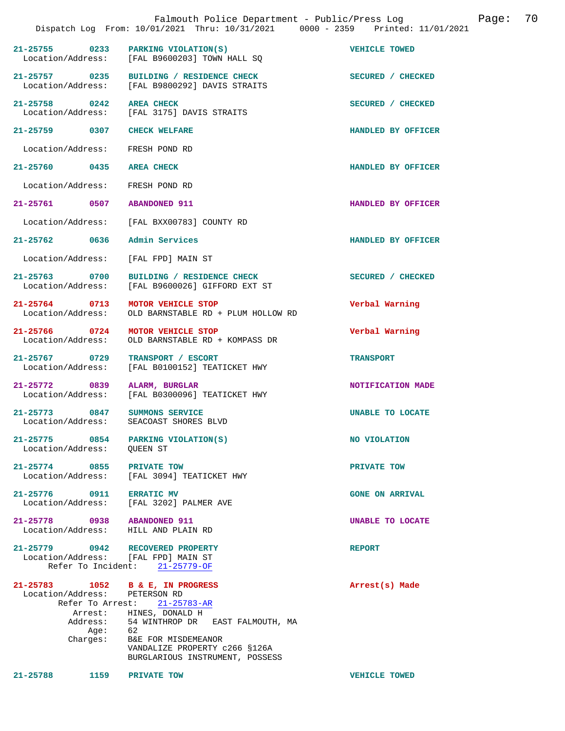|               |                                                                   | Falmouth Police Department - Public/Press Log<br>Dispatch Log From: 10/01/2021 Thru: 10/31/2021 0000 - 2359 Printed: 11/01/2021                                                                                                                        |                                        | Page: | 70 |
|---------------|-------------------------------------------------------------------|--------------------------------------------------------------------------------------------------------------------------------------------------------------------------------------------------------------------------------------------------------|----------------------------------------|-------|----|
| $21 - 25755$  | 0233                                                              | PARKING VIOLATION(S)<br>Location/Address: [FAL B9600203] TOWN HALL SQ                                                                                                                                                                                  | <b>VEHICLE TOWED</b>                   |       |    |
|               | 21-25757 0235<br>Location/Address:                                | BUILDING / RESIDENCE CHECK<br>[FAL B9800292] DAVIS STRAITS                                                                                                                                                                                             | SECURED / CHECKED                      |       |    |
|               | 21-25758 0242<br>Location/Address:                                | <b>AREA CHECK</b><br>[FAL 3175] DAVIS STRAITS                                                                                                                                                                                                          | SECURED / CHECKED                      |       |    |
|               | 21-25759 0307                                                     | <b>CHECK WELFARE</b>                                                                                                                                                                                                                                   | HANDLED BY OFFICER                     |       |    |
|               | Location/Address:                                                 | FRESH POND RD                                                                                                                                                                                                                                          |                                        |       |    |
| 21-25760 0435 |                                                                   | <b>AREA CHECK</b>                                                                                                                                                                                                                                      | HANDLED BY OFFICER                     |       |    |
|               | Location/Address:                                                 | FRESH POND RD                                                                                                                                                                                                                                          |                                        |       |    |
|               | 21-25761 0507                                                     | <b>ABANDONED 911</b>                                                                                                                                                                                                                                   | HANDLED BY OFFICER                     |       |    |
|               | Location/Address:                                                 | [FAL BXX00783] COUNTY RD                                                                                                                                                                                                                               |                                        |       |    |
| 21-25762 0636 |                                                                   | Admin Services                                                                                                                                                                                                                                         | HANDLED BY OFFICER                     |       |    |
|               | Location/Address:                                                 | [FAL FPD] MAIN ST                                                                                                                                                                                                                                      |                                        |       |    |
|               | 21-25763 0700<br>Location/Address:                                | BUILDING / RESIDENCE CHECK<br>[FAL B9600026] GIFFORD EXT ST                                                                                                                                                                                            | SECURED / CHECKED                      |       |    |
|               | 21-25764 0713<br>Location/Address:                                | MOTOR VEHICLE STOP<br>OLD BARNSTABLE RD + PLUM HOLLOW RD                                                                                                                                                                                               | Verbal Warning                         |       |    |
|               | 21-25766 0724<br>Location/Address:                                | MOTOR VEHICLE STOP<br>OLD BARNSTABLE RD + KOMPASS DR                                                                                                                                                                                                   | Verbal Warning                         |       |    |
|               | 21-25767 0729<br>Location/Address:                                | TRANSPORT / ESCORT<br>[FAL B0100152] TEATICKET HWY                                                                                                                                                                                                     | <b>TRANSPORT</b>                       |       |    |
|               | 21-25772 0839<br>Location/Address:                                | ALARM, BURGLAR<br>[FAL B0300096] TEATICKET HWY                                                                                                                                                                                                         | NOTIFICATION MADE                      |       |    |
| $21 - 25773$  | 0847<br>Location/Address:                                         | SUMMONS SERVICE<br>SEACOAST SHORES BLVD                                                                                                                                                                                                                | <b>UNABLE TO LOCATE</b>                |       |    |
|               | 21-25775 0854<br>Location/Address: OUEEN ST                       | PARKING VIOLATION(S)                                                                                                                                                                                                                                   | NO VIOLATION                           |       |    |
|               | 21-25774 0855<br>Location/Address:                                | PRIVATE TOW<br>[FAL 3094] TEATICKET HWY                                                                                                                                                                                                                | PRIVATE TOW                            |       |    |
|               | 21-25776 0911                                                     | <b>ERRATIC MV</b><br>Location/Address: [FAL 3202] PALMER AVE                                                                                                                                                                                           | <b>GONE ON ARRIVAL</b>                 |       |    |
|               | 21-25778 0938<br>Location/Address:                                | <b>ABANDONED 911</b><br>HILL AND PLAIN RD                                                                                                                                                                                                              | <b>UNABLE TO LOCATE</b>                |       |    |
|               |                                                                   | 21-25779 0942 RECOVERED PROPERTY<br>Location/Address: [FAL FPD] MAIN ST<br>Refer To Incident: 21-25779-OF                                                                                                                                              | <b>REPORT</b>                          |       |    |
| 21-25788      | Location/Address:<br>Refer To Arrest:<br>Age:<br>Charges:<br>1159 | 21-25783 1052 B & E, IN PROGRESS<br>PETERSON RD<br>21-25783-AR<br>Arrest: HINES, DONALD H<br>Address: 54 WINTHROP DR EAST FALMOUTH, MA<br>62<br>B&E FOR MISDEMEANOR<br>VANDALIZE PROPERTY c266 §126A<br>BURGLARIOUS INSTRUMENT, POSSESS<br>PRIVATE TOW | Arrest(s) Made<br><b>VEHICLE TOWED</b> |       |    |
|               |                                                                   |                                                                                                                                                                                                                                                        |                                        |       |    |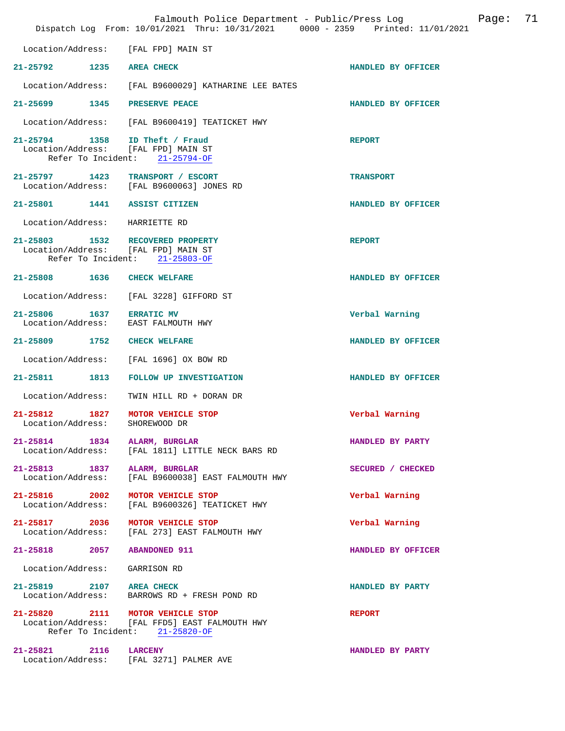|                                               |      | Falmouth Police Department - Public/Press Log<br>Dispatch Log From: 10/01/2021 Thru: 10/31/2021 0000 - 2359 Printed: 11/01/2021 |                    | Page: | 71 |
|-----------------------------------------------|------|---------------------------------------------------------------------------------------------------------------------------------|--------------------|-------|----|
|                                               |      | Location/Address: [FAL FPD] MAIN ST                                                                                             |                    |       |    |
| 21-25792 1235 AREA CHECK                      |      |                                                                                                                                 | HANDLED BY OFFICER |       |    |
| Location/Address:                             |      | [FAL B9600029] KATHARINE LEE BATES                                                                                              |                    |       |    |
| 21-25699 1345                                 |      | PRESERVE PEACE                                                                                                                  | HANDLED BY OFFICER |       |    |
|                                               |      | Location/Address: [FAL B9600419] TEATICKET HWY                                                                                  |                    |       |    |
| Refer To Incident:                            |      | 21-25794 1358 ID Theft / Fraud<br>Location/Address: [FAL FPD] MAIN ST<br>$21 - 25794 - OF$                                      | <b>REPORT</b>      |       |    |
|                                               |      | 21-25797 1423 TRANSPORT / ESCORT<br>Location/Address: [FAL B9600063] JONES RD                                                   | <b>TRANSPORT</b>   |       |    |
| 21-25801 1441 ASSIST CITIZEN                  |      |                                                                                                                                 | HANDLED BY OFFICER |       |    |
| Location/Address:                             |      | HARRIETTE RD                                                                                                                    |                    |       |    |
|                                               |      | 21-25803 1532 RECOVERED PROPERTY<br>Location/Address: [FAL FPD] MAIN ST<br>Refer To Incident: 21-25803-OF                       | <b>REPORT</b>      |       |    |
| 21-25808 1636 CHECK WELFARE                   |      |                                                                                                                                 | HANDLED BY OFFICER |       |    |
| Location/Address:                             |      | [FAL 3228] GIFFORD ST                                                                                                           |                    |       |    |
| 21-25806 1637 ERRATIC MV<br>Location/Address: |      | EAST FALMOUTH HWY                                                                                                               | Verbal Warning     |       |    |
| 21-25809 1752 CHECK WELFARE                   |      |                                                                                                                                 | HANDLED BY OFFICER |       |    |
| Location/Address:                             |      | [FAL 1696] OX BOW RD                                                                                                            |                    |       |    |
| $21 - 25811$                                  | 1813 | <b>FOLLOW UP INVESTIGATION</b>                                                                                                  | HANDLED BY OFFICER |       |    |
| Location/Address:                             |      | TWIN HILL RD + DORAN DR                                                                                                         |                    |       |    |
| 21-25812<br>Location/Address:                 | 1827 | MOTOR VEHICLE STOP<br>SHOREWOOD DR                                                                                              | Verbal Warning     |       |    |
|                                               |      | 21-25814 1834 ALARM, BURGLAR<br>Location/Address: [FAL 1811] LITTLE NECK BARS RD                                                | HANDLED BY PARTY   |       |    |
| Location/Address:                             |      | 21-25813 1837 ALARM, BURGLAR<br>[FAL B9600038] EAST FALMOUTH HWY                                                                | SECURED / CHECKED  |       |    |
| 21-25816 2002<br>Location/Address:            |      | MOTOR VEHICLE STOP<br>[FAL B9600326] TEATICKET HWY                                                                              | Verbal Warning     |       |    |
| 21-25817 2036                                 |      | MOTOR VEHICLE STOP<br>Location/Address: [FAL 273] EAST FALMOUTH HWY                                                             | Verbal Warning     |       |    |
| 21-25818 2057 ABANDONED 911                   |      |                                                                                                                                 | HANDLED BY OFFICER |       |    |
| Location/Address:                             |      | GARRISON RD                                                                                                                     |                    |       |    |
| 21-25819 2107 AREA CHECK<br>Location/Address: |      | BARROWS RD + FRESH POND RD                                                                                                      | HANDLED BY PARTY   |       |    |
|                                               |      | 21-25820 2111 MOTOR VEHICLE STOP<br>Location/Address: [FAL FFD5] EAST FALMOUTH HWY<br>Refer To Incident: 21-25820-OF            | <b>REPORT</b>      |       |    |
| 21-25821 2116 LARCENY                         |      | Location/Address: [FAL 3271] PALMER AVE                                                                                         | HANDLED BY PARTY   |       |    |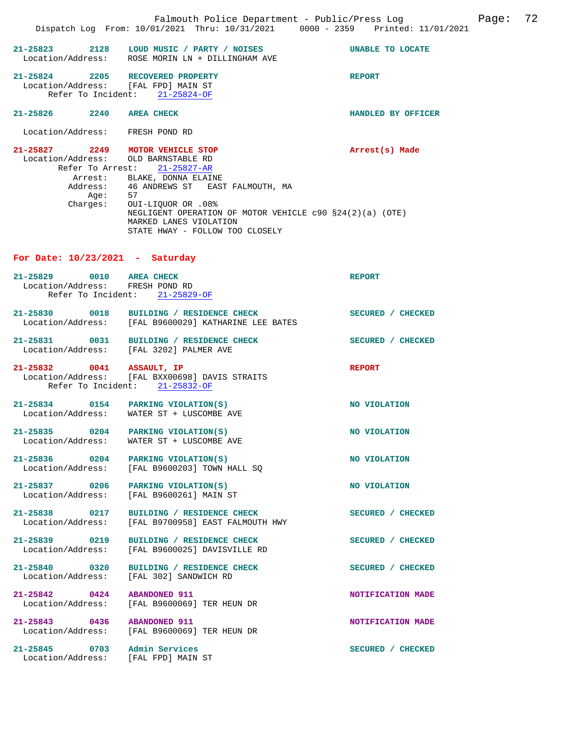|                                                             |          | Falmouth Police Department - Public/Press Log<br>Dispatch Log From: 10/01/2021 Thru: 10/31/2021 0000 - 2359 Printed: 11/01/2021                                                                    |                    | Page: | 72 |
|-------------------------------------------------------------|----------|----------------------------------------------------------------------------------------------------------------------------------------------------------------------------------------------------|--------------------|-------|----|
| 21-25823                                                    |          | 2128 LOUD MUSIC / PARTY / NOISES<br>Location/Address: ROSE MORIN LN + DILLINGHAM AVE                                                                                                               | UNABLE TO LOCATE   |       |    |
| 21-25824                                                    |          | 2205 RECOVERED PROPERTY<br>Location/Address: [FAL FPD] MAIN ST<br>Refer To Incident: 21-25824-OF                                                                                                   | <b>REPORT</b>      |       |    |
| 21-25826 2240 AREA CHECK                                    |          |                                                                                                                                                                                                    | HANDLED BY OFFICER |       |    |
| Location/Address: FRESH POND RD                             |          |                                                                                                                                                                                                    |                    |       |    |
|                                                             |          | 21-25827 2249 MOTOR VEHICLE STOP<br>Location/Address: OLD BARNSTABLE RD<br>Refer To Arrest: 21-25827-AR<br>Arrest: BLAKE, DONNA ELAINE                                                             | Arrest(s) Made     |       |    |
|                                                             | Charges: | Address: 46 ANDREWS ST EAST FALMOUTH, MA<br>Age: 57<br>0UI-LIQUOR OR .08%<br>NEGLIGENT OPERATION OF MOTOR VEHICLE c90 §24(2)(a) (OTE)<br>MARKED LANES VIOLATION<br>STATE HWAY - FOLLOW TOO CLOSELY |                    |       |    |
| For Date: $10/23/2021$ - Saturday                           |          |                                                                                                                                                                                                    |                    |       |    |
| 21-25829 0010 AREA CHECK<br>Location/Address: FRESH POND RD |          | Refer To Incident: 21-25829-OF                                                                                                                                                                     | <b>REPORT</b>      |       |    |
|                                                             |          | 21-25830 0018 BUILDING / RESIDENCE CHECK<br>Location/Address: [FAL B9600029] KATHARINE LEE BATES                                                                                                   | SECURED / CHECKED  |       |    |
| 21-25831                                                    |          | 0031 BUILDING / RESIDENCE CHECK<br>Location/Address: [FAL 3202] PALMER AVE                                                                                                                         | SECURED / CHECKED  |       |    |
| 21-25832 0041 ASSAULT, IP                                   |          | Location/Address: [FAL BXX00698] DAVIS STRAITS<br>Refer To Incident: 21-25832-OF                                                                                                                   | <b>REPORT</b>      |       |    |
| 21-25834                                                    |          | 0154 PARKING VIOLATION(S)<br>Location/Address: WATER ST + LUSCOMBE AVE                                                                                                                             | NO VIOLATION       |       |    |
| 21-25835                                                    |          | 0204 PARKING VIOLATION(S)<br>Location/Address: WATER ST + LUSCOMBE AVE                                                                                                                             | NO VIOLATION       |       |    |
|                                                             |          | 21-25836 0204 PARKING VIOLATION(S)<br>Location/Address: [FAL B9600203] TOWN HALL SQ                                                                                                                | NO VIOLATION       |       |    |
| 21-25837                                                    | 0206     | PARKING VIOLATION(S)                                                                                                                                                                               | NO VIOLATION       |       |    |

Location/Address: [FAL B9600261] MAIN ST

**21-25838 0217 BUILDING / RESIDENCE CHECK SECURED / CHECKED**  Location/Address: [FAL B9700958] EAST FALMOUTH HWY

**21-25839 0219 BUILDING / RESIDENCE CHECK SECURED / CHECKED**  Location/Address: [FAL B9600025] DAVISVILLE RD

**21-25840 0320 BUILDING / RESIDENCE CHECK SECURED / CHECKED**  Location/Address: [FAL 302] SANDWICH RD

**21-25842 0424 ABANDONED 911 NOTIFICATION MADE**  Location/Address: [FAL B9600069] TER HEUN DR

**21-25843 0436 ABANDONED 911 NOTIFICATION MADE**  Location/Address: [FAL B9600069] TER HEUN DR

21-25845 0703 Admin Services **SECURED** / CHECKED Location/Address: [FAL FPD] MAIN ST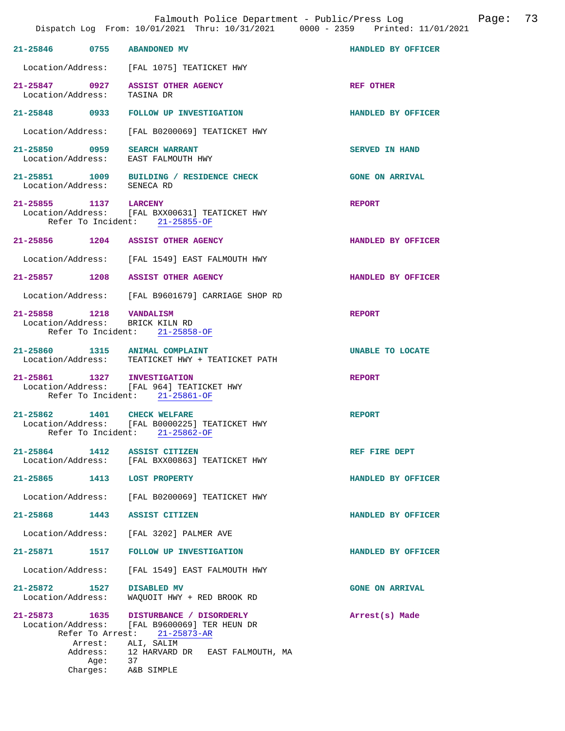|                                    |                     | Falmouth Police Department - Public/Press Log<br>Dispatch Log From: 10/01/2021 Thru: 10/31/2021 0000 - 2359 Printed: 11/01/2021 |                        | Page: | 73 |
|------------------------------------|---------------------|---------------------------------------------------------------------------------------------------------------------------------|------------------------|-------|----|
|                                    |                     | 21-25846 0755 ABANDONED MV                                                                                                      | HANDLED BY OFFICER     |       |    |
|                                    |                     | Location/Address: [FAL 1075] TEATICKET HWY                                                                                      |                        |       |    |
| Location/Address:                  |                     | 21-25847 0927 ASSIST OTHER AGENCY<br>TASINA DR                                                                                  | <b>REF OTHER</b>       |       |    |
|                                    |                     | 21-25848 0933 FOLLOW UP INVESTIGATION                                                                                           | HANDLED BY OFFICER     |       |    |
| Location/Address:                  |                     | [FAL B0200069] TEATICKET HWY                                                                                                    |                        |       |    |
| Location/Address:                  |                     | 21-25850 0959 SEARCH WARRANT<br>EAST FALMOUTH HWY                                                                               | SERVED IN HAND         |       |    |
| Location/Address: SENECA RD        |                     | 21-25851 1009 BUILDING / RESIDENCE CHECK                                                                                        | <b>GONE ON ARRIVAL</b> |       |    |
| 21-25855 1137 LARCENY              |                     | Location/Address: [FAL BXX00631] TEATICKET HWY<br>Refer To Incident: 21-25855-OF                                                | <b>REPORT</b>          |       |    |
|                                    |                     | 21-25856 1204 ASSIST OTHER AGENCY                                                                                               | HANDLED BY OFFICER     |       |    |
|                                    |                     | Location/Address: [FAL 1549] EAST FALMOUTH HWY                                                                                  |                        |       |    |
|                                    |                     | 21-25857 1208 ASSIST OTHER AGENCY                                                                                               | HANDLED BY OFFICER     |       |    |
|                                    |                     | Location/Address: [FAL B9601679] CARRIAGE SHOP RD                                                                               |                        |       |    |
| 21-25858 1218 VANDALISM            |                     | Location/Address: BRICK KILN RD<br>Refer To Incident: 21-25858-OF                                                               | <b>REPORT</b>          |       |    |
|                                    |                     | 21-25860 1315 ANIMAL COMPLAINT<br>Location/Address: TEATICKET HWY + TEATICKET PATH                                              | UNABLE TO LOCATE       |       |    |
|                                    |                     | 21-25861 1327 INVESTIGATION<br>Location/Address: [FAL 964] TEATICKET HWY<br>Refer To Incident: 21-25861-OF                      | <b>REPORT</b>          |       |    |
|                                    |                     | 21-25862 1401 CHECK WELFARE<br>Location/Address: [FAL B0000225] TEATICKET HWY<br>Refer To Incident: 21-25862-OF                 | <b>REPORT</b>          |       |    |
| 21-25864 1412                      |                     | <b>ASSIST CITIZEN</b><br>Location/Address: [FAL BXX00863] TEATICKET HWY                                                         | REF FIRE DEPT          |       |    |
|                                    |                     | 21-25865 1413 LOST PROPERTY                                                                                                     | HANDLED BY OFFICER     |       |    |
| Location/Address:                  |                     | [FAL B0200069] TEATICKET HWY                                                                                                    |                        |       |    |
|                                    |                     | 21-25868 1443 ASSIST CITIZEN                                                                                                    | HANDLED BY OFFICER     |       |    |
| Location/Address:                  |                     | [FAL 3202] PALMER AVE                                                                                                           |                        |       |    |
| 21-25871                           |                     | 1517 FOLLOW UP INVESTIGATION                                                                                                    | HANDLED BY OFFICER     |       |    |
| Location/Address:                  |                     | [FAL 1549] EAST FALMOUTH HWY                                                                                                    |                        |       |    |
| 21-25872 1527<br>Location/Address: |                     | <b>DISABLED MV</b><br>WAQUOIT HWY + RED BROOK RD                                                                                | <b>GONE ON ARRIVAL</b> |       |    |
| Location/Address:                  |                     | 21-25873 1635 DISTURBANCE / DISORDERLY<br>[FAL B9600069] TER HEUN DR<br>Refer To Arrest: 21-25873-AR                            | Arrest(s) Made         |       |    |
|                                    | Arrest:<br>Address: | ALI, SALIM<br>12 HARVARD DR – EAST FALMOUTH, MA                                                                                 |                        |       |    |
|                                    | Aqe:<br>Charges:    | 37<br>A&B SIMPLE                                                                                                                |                        |       |    |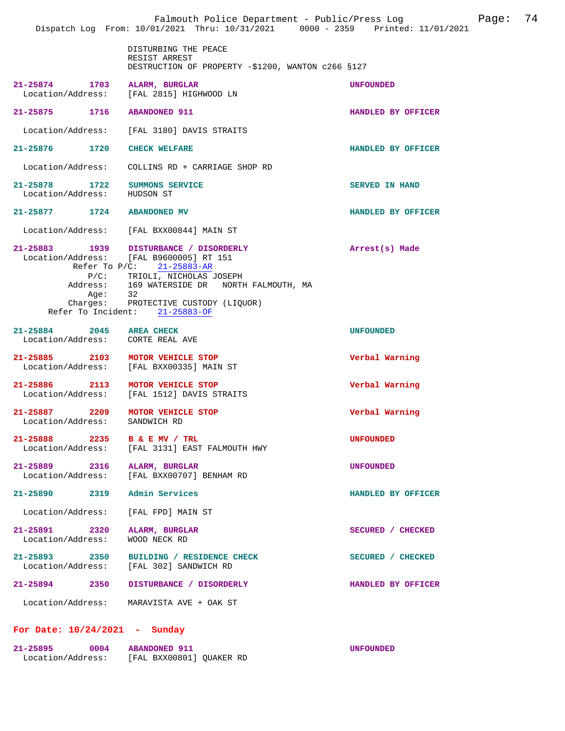|                                                              | Falmouth Police Department - Public/Press Log<br>Dispatch Log From: 10/01/2021 Thru: 10/31/2021 0000 - 2359 Printed: 11/01/2021                                                                                                                                                   |                       | Page: | 74 |
|--------------------------------------------------------------|-----------------------------------------------------------------------------------------------------------------------------------------------------------------------------------------------------------------------------------------------------------------------------------|-----------------------|-------|----|
|                                                              | DISTURBING THE PEACE<br>RESIST ARREST<br>DESTRUCTION OF PROPERTY -\$1200, WANTON c266 §127                                                                                                                                                                                        |                       |       |    |
| 21-25874 1703                                                | ALARM, BURGLAR<br>Location/Address: [FAL 2815] HIGHWOOD LN                                                                                                                                                                                                                        | <b>UNFOUNDED</b>      |       |    |
| 21-25875 1716 ABANDONED 911                                  |                                                                                                                                                                                                                                                                                   | HANDLED BY OFFICER    |       |    |
|                                                              | Location/Address: [FAL 3180] DAVIS STRAITS                                                                                                                                                                                                                                        |                       |       |    |
| 21-25876 1720 CHECK WELFARE                                  |                                                                                                                                                                                                                                                                                   | HANDLED BY OFFICER    |       |    |
|                                                              | Location/Address: COLLINS RD + CARRIAGE SHOP RD                                                                                                                                                                                                                                   |                       |       |    |
| 21-25878 1722<br>Location/Address:                           | <b>SUMMONS SERVICE</b><br>HUDSON ST                                                                                                                                                                                                                                               | <b>SERVED IN HAND</b> |       |    |
| 21-25877 1724 ABANDONED MV                                   |                                                                                                                                                                                                                                                                                   | HANDLED BY OFFICER    |       |    |
|                                                              | Location/Address: [FAL BXX00844] MAIN ST                                                                                                                                                                                                                                          |                       |       |    |
| Age:                                                         | 21-25883 1939 DISTURBANCE / DISORDERLY<br>Location/Address: [FAL B9600005] RT 151<br>Refer To $P/C$ : 21-25883-AR<br>P/C: TRIOLI, NICHOLAS JOSEPH<br>Address: 169 WATERSIDE DR NORTH FALMOUTH, MA<br>32<br>Charges: PROTECTIVE CUSTODY (LIQUOR)<br>Refer To Incident: 21-25883-OF | Arrest(s) Made        |       |    |
| 21-25884 2045 AREA CHECK<br>Location/Address: CORTE REAL AVE |                                                                                                                                                                                                                                                                                   | <b>UNFOUNDED</b>      |       |    |
| 21-25885 2103 MOTOR VEHICLE STOP<br>Location/Address:        | [FAL BXX00335] MAIN ST                                                                                                                                                                                                                                                            | Verbal Warning        |       |    |
| 2113<br>21-25886<br>Location/Address:                        | MOTOR VEHICLE STOP<br>[FAL 1512] DAVIS STRAITS                                                                                                                                                                                                                                    | Verbal Warning        |       |    |
| 21-25887 2209<br>Location/Address:                           | MOTOR VEHICLE STOP<br>SANDWICH RD                                                                                                                                                                                                                                                 | Verbal Warning        |       |    |
| 21-25888 2235 B & E MV / TRL                                 | Location/Address: [FAL 3131] EAST FALMOUTH HWY                                                                                                                                                                                                                                    | <b>UNFOUNDED</b>      |       |    |
| 21-25889 2316 ALARM, BURGLAR<br>Location/Address:            | [FAL BXX00707] BENHAM RD                                                                                                                                                                                                                                                          | <b>UNFOUNDED</b>      |       |    |
| 21-25890<br>2319                                             | Admin Services                                                                                                                                                                                                                                                                    | HANDLED BY OFFICER    |       |    |
| Location/Address:                                            | [FAL FPD] MAIN ST                                                                                                                                                                                                                                                                 |                       |       |    |
| 21-25891 2320<br>Location/Address:                           | ALARM, BURGLAR<br>WOOD NECK RD                                                                                                                                                                                                                                                    | SECURED / CHECKED     |       |    |
|                                                              | 21-25893 2350 BUILDING / RESIDENCE CHECK<br>Location/Address: [FAL 302] SANDWICH RD                                                                                                                                                                                               | SECURED / CHECKED     |       |    |
| 21-25894<br>2350                                             | DISTURBANCE / DISORDERLY                                                                                                                                                                                                                                                          | HANDLED BY OFFICER    |       |    |
|                                                              | Location/Address: MARAVISTA AVE + OAK ST                                                                                                                                                                                                                                          |                       |       |    |

## **For Date: 10/24/2021 - Sunday**

| 21-25895          | 0004 | <b>ABANDONED 911</b>     | <b>UNFOUNDED</b> |
|-------------------|------|--------------------------|------------------|
| Location/Address: |      | [FAL BXX00801] OUAKER RD |                  |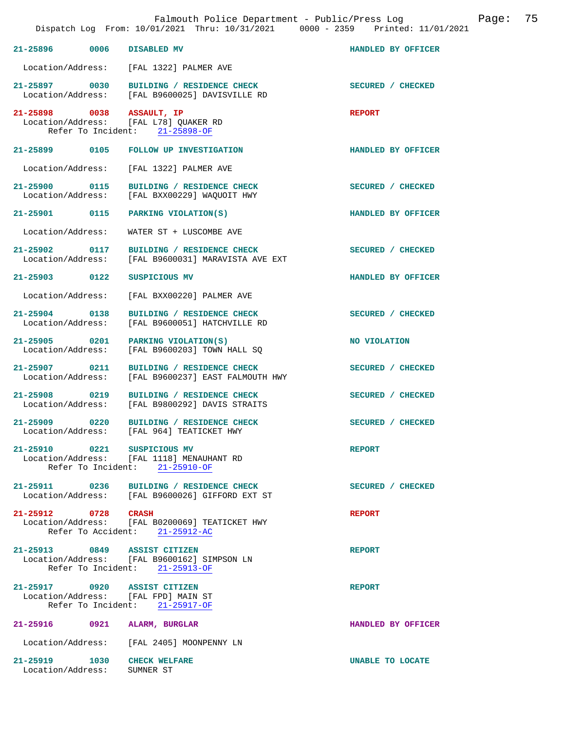|                             | Falmouth Police Department - Public/Press Log<br>Dispatch Log From: 10/01/2021 Thru: 10/31/2021 0000 - 2359 Printed: 11/01/2021 |                          | Page: 75 |  |
|-----------------------------|---------------------------------------------------------------------------------------------------------------------------------|--------------------------|----------|--|
|                             | 21-25896 0006 DISABLED MV                                                                                                       | HANDLED BY OFFICER       |          |  |
|                             | Location/Address: [FAL 1322] PALMER AVE                                                                                         |                          |          |  |
|                             | 21-25897 0030 BUILDING / RESIDENCE CHECK<br>Location/Address: [FAL B9600025] DAVISVILLE RD                                      | SECURED / CHECKED        |          |  |
|                             | 21-25898 0038 ASSAULT, IP<br>Location/Address: [FAL L78] QUAKER RD<br>Refer To Incident: 21-25898-OF                            | <b>REPORT</b>            |          |  |
|                             | 21-25899 0105 FOLLOW UP INVESTIGATION                                                                                           | HANDLED BY OFFICER       |          |  |
| Location/Address:           | [FAL 1322] PALMER AVE                                                                                                           |                          |          |  |
|                             | 21-25900 0115 BUILDING / RESIDENCE CHECK<br>Location/Address: [FAL BXX00229] WAQUOIT HWY                                        | SECURED / CHECKED        |          |  |
|                             | 21-25901 0115 PARKING VIOLATION(S)                                                                                              | HANDLED BY OFFICER       |          |  |
| Location/Address:           | WATER ST + LUSCOMBE AVE                                                                                                         |                          |          |  |
| Location/Address:           | 21-25902 0117 BUILDING / RESIDENCE CHECK<br>[FAL B9600031] MARAVISTA AVE EXT                                                    | <b>SECURED / CHECKED</b> |          |  |
|                             | 21-25903 0122 SUSPICIOUS MV                                                                                                     | HANDLED BY OFFICER       |          |  |
| Location/Address:           | [FAL BXX00220] PALMER AVE                                                                                                       |                          |          |  |
| Location/Address:           | 21-25904 0138 BUILDING / RESIDENCE CHECK<br>[FAL B9600051] HATCHVILLE RD                                                        | SECURED / CHECKED        |          |  |
| Location/Address:           | $21-25905$ 0201 PARKING VIOLATION(S)<br>[FAL B9600203] TOWN HALL SQ                                                             | NO VIOLATION             |          |  |
|                             | 21-25907 0211 BUILDING / RESIDENCE CHECK<br>Location/Address: [FAL B9600237] EAST FALMOUTH HWY                                  | SECURED / CHECKED        |          |  |
|                             | 21-25908 0219 BUILDING / RESIDENCE CHECK<br>Location/Address: [FAL B9800292] DAVIS STRAITS                                      | SECURED / CHECKED        |          |  |
| 21-25909 0220               | BUILDING / RESIDENCE CHECK<br>Location/Address: [FAL 964] TEATICKET HWY                                                         | SECURED / CHECKED        |          |  |
|                             | 21-25910 0221 SUSPICIOUS MV<br>Location/Address: [FAL 1118] MENAUHANT RD<br>Refer To Incident: 21-25910-OF                      | <b>REPORT</b>            |          |  |
|                             | 21-25911 0236 BUILDING / RESIDENCE CHECK<br>Location/Address: [FAL B9600026] GIFFORD EXT ST                                     | SECURED / CHECKED        |          |  |
| 21-25912 0728 CRASH         | Location/Address: [FAL B0200069] TEATICKET HWY<br>Refer To Accident: 21-25912-AC                                                | <b>REPORT</b>            |          |  |
|                             | 21-25913 0849 ASSIST CITIZEN<br>Location/Address: [FAL B9600162] SIMPSON LN<br>Refer To Incident: 21-25913-OF                   | <b>REPORT</b>            |          |  |
|                             | 21-25917 0920 ASSIST CITIZEN<br>Location/Address: [FAL FPD] MAIN ST<br>Refer To Incident: 21-25917-OF                           | <b>REPORT</b>            |          |  |
|                             | 21-25916 0921 ALARM, BURGLAR                                                                                                    | HANDLED BY OFFICER       |          |  |
|                             | Location/Address: [FAL 2405] MOONPENNY LN                                                                                       |                          |          |  |
| Location/Address: SUMNER ST | 21-25919 1030 CHECK WELFARE                                                                                                     | UNABLE TO LOCATE         |          |  |
|                             |                                                                                                                                 |                          |          |  |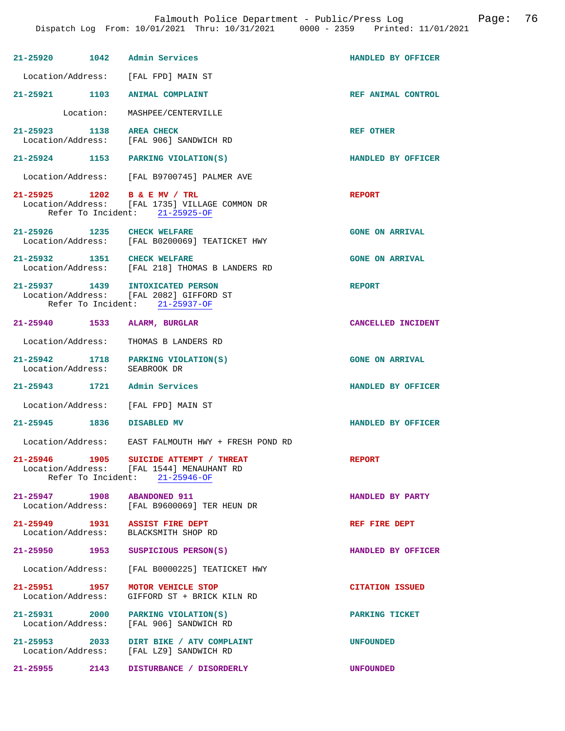|                               | 21-25920 1042 Admin Services                                                                                          | HANDLED BY OFFICER     |
|-------------------------------|-----------------------------------------------------------------------------------------------------------------------|------------------------|
|                               | Location/Address: [FAL FPD] MAIN ST                                                                                   |                        |
|                               | 21-25921 1103 ANIMAL COMPLAINT                                                                                        | REF ANIMAL CONTROL     |
|                               | Location: MASHPEE/CENTERVILLE                                                                                         |                        |
| 21-25923 1138 AREA CHECK      | Location/Address: [FAL 906] SANDWICH RD                                                                               | REF OTHER              |
|                               | 21-25924 1153 PARKING VIOLATION(S)                                                                                    | HANDLED BY OFFICER     |
|                               | Location/Address: [FAL B9700745] PALMER AVE                                                                           |                        |
|                               | 21-25925 1202 B & E MV / TRL<br>Location/Address: [FAL 1735] VILLAGE COMMON DR<br>Refer To Incident: 21-25925-OF      | <b>REPORT</b>          |
|                               | 21-25926 1235 CHECK WELFARE<br>Location/Address: [FAL B0200069] TEATICKET HWY                                         | <b>GONE ON ARRIVAL</b> |
|                               | 21-25932 1351 CHECK WELFARE<br>Location/Address: [FAL 218] THOMAS B LANDERS RD                                        | <b>GONE ON ARRIVAL</b> |
|                               | 21-25937 1439 INTOXICATED PERSON<br>Location/Address: [FAL 2082] GIFFORD ST<br>Refer To Incident: 21-25937-OF         | <b>REPORT</b>          |
|                               | 21-25940 1533 ALARM, BURGLAR                                                                                          | CANCELLED INCIDENT     |
|                               | Location/Address: THOMAS B LANDERS RD                                                                                 |                        |
| Location/Address: SEABROOK DR | 21-25942 1718 PARKING VIOLATION(S)                                                                                    | <b>GONE ON ARRIVAL</b> |
|                               | 21-25943 1721 Admin Services                                                                                          | HANDLED BY OFFICER     |
|                               | Location/Address: [FAL FPD] MAIN ST                                                                                   |                        |
| 21-25945 1836 DISABLED MV     |                                                                                                                       | HANDLED BY OFFICER     |
|                               | Location/Address: EAST FALMOUTH HWY + FRESH POND RD                                                                   |                        |
|                               | 21-25946 1905 SUICIDE ATTEMPT / THREAT<br>Location/Address: [FAL 1544] MENAUHANT RD<br>Refer To Incident: 21-25946-OF | <b>REPORT</b>          |
|                               | 21-25947 1908 ABANDONED 911<br>Location/Address: [FAL B9600069] TER HEUN DR                                           | HANDLED BY PARTY       |
|                               | 21-25949 1931 ASSIST FIRE DEPT<br>Location/Address: BLACKSMITH SHOP RD                                                | REF FIRE DEPT          |
| 21-25950                      | 1953 SUSPICIOUS PERSON(S)                                                                                             | HANDLED BY OFFICER     |
|                               | Location/Address: [FAL B0000225] TEATICKET HWY                                                                        |                        |
|                               | 21-25951 1957 MOTOR VEHICLE STOP<br>Location/Address: GIFFORD ST + BRICK KILN RD                                      | <b>CITATION ISSUED</b> |
|                               | 21-25931 2000 PARKING VIOLATION(S)<br>Location/Address: [FAL 906] SANDWICH RD                                         | PARKING TICKET         |
|                               | 21-25953 2033 DIRT BIKE / ATV COMPLAINT<br>Location/Address: [FAL LZ9] SANDWICH RD                                    | <b>UNFOUNDED</b>       |
|                               | 21-25955 2143 DISTURBANCE / DISORDERLY                                                                                | <b>UNFOUNDED</b>       |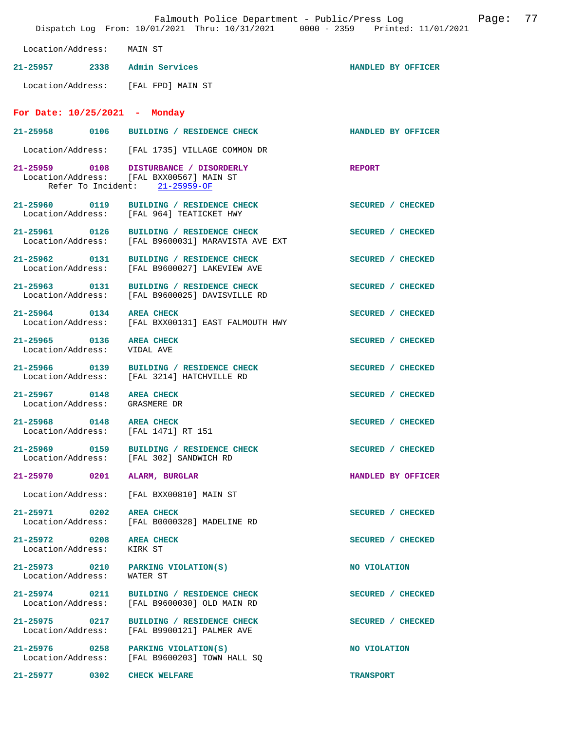|                                           | Dispatch Log From: 10/01/2021 Thru: 10/31/2021 0000 - 2359 Printed: 11/01/2021            | Falmouth Police Department - Public/Press Log | Page: | 77 |
|-------------------------------------------|-------------------------------------------------------------------------------------------|-----------------------------------------------|-------|----|
| Location/Address:                         | MAIN ST                                                                                   |                                               |       |    |
| $21 - 25957$                              | 2338 Admin Services                                                                       | HANDLED BY OFFICER                            |       |    |
|                                           | Location/Address: [FAL FPD] MAIN ST                                                       |                                               |       |    |
| For Date: $10/25/2021$ - Monday           |                                                                                           |                                               |       |    |
| 21-25958<br>0106                          | BUILDING / RESIDENCE CHECK                                                                | HANDLED BY OFFICER                            |       |    |
|                                           | Location/Address: [FAL 1735] VILLAGE COMMON DR                                            |                                               |       |    |
| 21-25959 0108<br>Refer To Incident:       | DISTURBANCE / DISORDERLY<br>Location/Address: [FAL BXX00567] MAIN ST<br>$21 - 25959 - OF$ | <b>REPORT</b>                                 |       |    |
| $21 - 25960$<br>0119                      | BUILDING / RESIDENCE CHECK<br>Location/Address: [FAL 964] TEATICKET HWY                   | SECURED / CHECKED                             |       |    |
| 21-25961<br>0126<br>Location/Address:     | BUILDING / RESIDENCE CHECK<br>[FAL B9600031] MARAVISTA AVE EXT                            | SECURED / CHECKED                             |       |    |
| $21 - 25962$<br>0131<br>Location/Address: | BUILDING / RESIDENCE CHECK<br>[FAL B9600027] LAKEVIEW AVE                                 | SECURED / CHECKED                             |       |    |
| 21-25963<br>0131<br>Location/Address:     | BUILDING / RESIDENCE CHECK<br>[FAL B9600025] DAVISVILLE RD                                | SECURED / CHECKED                             |       |    |
| 21-25964 0134                             | <b>AREA CHECK</b><br>Location/Address: [FAL BXX00131] EAST FALMOUTH HWY                   | SECURED / CHECKED                             |       |    |
| 21-25965<br>0136<br>Location/Address:     | <b>AREA CHECK</b><br>VIDAL AVE                                                            | SECURED / CHECKED                             |       |    |
| 21-25966 0139                             | BUILDING / RESIDENCE CHECK<br>Location/Address: [FAL 3214] HATCHVILLE RD                  | SECURED / CHECKED                             |       |    |
| $21 - 25967$<br>0148<br>Location/Address: | <b>AREA CHECK</b><br>GRASMERE DR                                                          | SECURED / CHECKED                             |       |    |
| $21 - 25968$<br>0148<br>Location/Address: | <b>AREA CHECK</b><br>[FAL 1471] RT 151                                                    | SECURED / CHECKED                             |       |    |
| 21-25969 0159<br>Location/Address:        | BUILDING / RESIDENCE CHECK<br>[FAL 302] SANDWICH RD                                       | SECURED / CHECKED                             |       |    |
| 21-25970<br>0201                          | ALARM, BURGLAR                                                                            | HANDLED BY OFFICER                            |       |    |
| Location/Address:                         | [FAL BXX00810] MAIN ST                                                                    |                                               |       |    |
| 21-25971 0202<br>Location/Address:        | <b>AREA CHECK</b><br>[FAL B0000328] MADELINE RD                                           | SECURED / CHECKED                             |       |    |
| 21-25972 0208<br>Location/Address:        | <b>AREA CHECK</b><br>KIRK ST                                                              | SECURED / CHECKED                             |       |    |
| 21-25973 0210<br>Location/Address:        | PARKING VIOLATION(S)<br>WATER ST                                                          | NO VIOLATION                                  |       |    |
| 21-25974 0211<br>Location/Address:        | BUILDING / RESIDENCE CHECK<br>[FAL B9600030] OLD MAIN RD                                  | SECURED / CHECKED                             |       |    |
| $21 - 25975$<br>0217<br>Location/Address: | BUILDING / RESIDENCE CHECK<br>[FAL B9900121] PALMER AVE                                   | SECURED / CHECKED                             |       |    |
| 21-25976 0258<br>Location/Address:        | PARKING VIOLATION(S)<br>[FAL B9600203] TOWN HALL SQ                                       | NO VIOLATION                                  |       |    |
| 21-25977<br>0302                          | <b>CHECK WELFARE</b>                                                                      | <b>TRANSPORT</b>                              |       |    |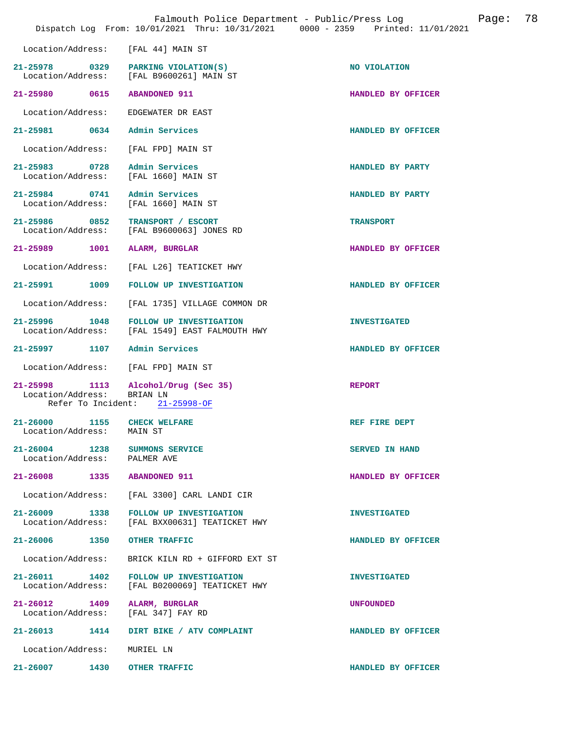|                                                               |      | Falmouth Police Department - Public/Press Log<br>Dispatch Log From: 10/01/2021 Thru: 10/31/2021 0000 - 2359 Printed: 11/01/2021 | Page:                 | 78 |
|---------------------------------------------------------------|------|---------------------------------------------------------------------------------------------------------------------------------|-----------------------|----|
| Location/Address:                                             |      | [FAL 44] MAIN ST                                                                                                                |                       |    |
| 21–25978 0329<br>Location/Address:                            |      | PARKING VIOLATION(S)<br>[FAL B9600261] MAIN ST                                                                                  | NO VIOLATION          |    |
| 21-25980 0615                                                 |      | <b>ABANDONED 911</b>                                                                                                            | HANDLED BY OFFICER    |    |
| Location/Address:                                             |      | EDGEWATER DR EAST                                                                                                               |                       |    |
| 21-25981 0634                                                 |      | Admin Services                                                                                                                  | HANDLED BY OFFICER    |    |
| Location/Address:                                             |      | [FAL FPD] MAIN ST                                                                                                               |                       |    |
| 21-25983 0728<br>Location/Address:                            |      | Admin Services<br>[FAL 1660] MAIN ST                                                                                            | HANDLED BY PARTY      |    |
| 21-25984 0741<br>Location/Address:                            |      | Admin Services<br>[FAL 1660] MAIN ST                                                                                            | HANDLED BY PARTY      |    |
| 21-25986 0852<br>Location/Address:                            |      | TRANSPORT / ESCORT<br>[FAL B9600063] JONES RD                                                                                   | <b>TRANSPORT</b>      |    |
| 21-25989 1001                                                 |      | ALARM, BURGLAR                                                                                                                  | HANDLED BY OFFICER    |    |
| Location/Address:                                             |      | [FAL L26] TEATICKET HWY                                                                                                         |                       |    |
| 21-25991                                                      | 1009 | FOLLOW UP INVESTIGATION                                                                                                         | HANDLED BY OFFICER    |    |
| Location/Address:                                             |      | [FAL 1735] VILLAGE COMMON DR                                                                                                    |                       |    |
| 21-25996 1048<br>Location/Address:                            |      | FOLLOW UP INVESTIGATION<br>[FAL 1549] EAST FALMOUTH HWY                                                                         | <b>INVESTIGATED</b>   |    |
| 21-25997 1107                                                 |      | Admin Services                                                                                                                  | HANDLED BY OFFICER    |    |
| Location/Address:                                             |      | [FAL FPD] MAIN ST                                                                                                               |                       |    |
| 21-25998 1113<br>Location/Address:<br>Refer To Incident:      |      | Alcohol/Drug (Sec 35)<br>BRIAN LN<br>$21 - 25998 - OF$                                                                          | <b>REPORT</b>         |    |
| 21-26000<br>Location/Address:                                 | 1155 | <b>CHECK WELFARE</b><br>MAIN ST                                                                                                 | REF FIRE DEPT         |    |
| 21-26004 1238 SUMMONS SERVICE<br>Location/Address: PALMER AVE |      |                                                                                                                                 | <b>SERVED IN HAND</b> |    |
| 21-26008 1335 ABANDONED 911                                   |      |                                                                                                                                 | HANDLED BY OFFICER    |    |
| Location/Address:                                             |      | [FAL 3300] CARL LANDI CIR                                                                                                       |                       |    |
|                                                               |      | 21-26009 1338 FOLLOW UP INVESTIGATION<br>Location/Address: [FAL BXX00631] TEATICKET HWY                                         | <b>INVESTIGATED</b>   |    |
| 21-26006 1350 OTHER TRAFFIC                                   |      |                                                                                                                                 | HANDLED BY OFFICER    |    |
| Location/Address:                                             |      | BRICK KILN RD + GIFFORD EXT ST                                                                                                  |                       |    |
| 21-26011 1402<br>Location/Address:                            |      | FOLLOW UP INVESTIGATION<br>[FAL B0200069] TEATICKET HWY                                                                         | <b>INVESTIGATED</b>   |    |
| 21-26012 1409<br>Location/Address:                            |      | ALARM, BURGLAR<br>[FAL 347] FAY RD                                                                                              | <b>UNFOUNDED</b>      |    |
|                                                               |      | 21-26013 1414 DIRT BIKE / ATV COMPLAINT                                                                                         | HANDLED BY OFFICER    |    |
| Location/Address:                                             |      | MURIEL LN                                                                                                                       |                       |    |
| 21-26007 1430                                                 |      | OTHER TRAFFIC                                                                                                                   | HANDLED BY OFFICER    |    |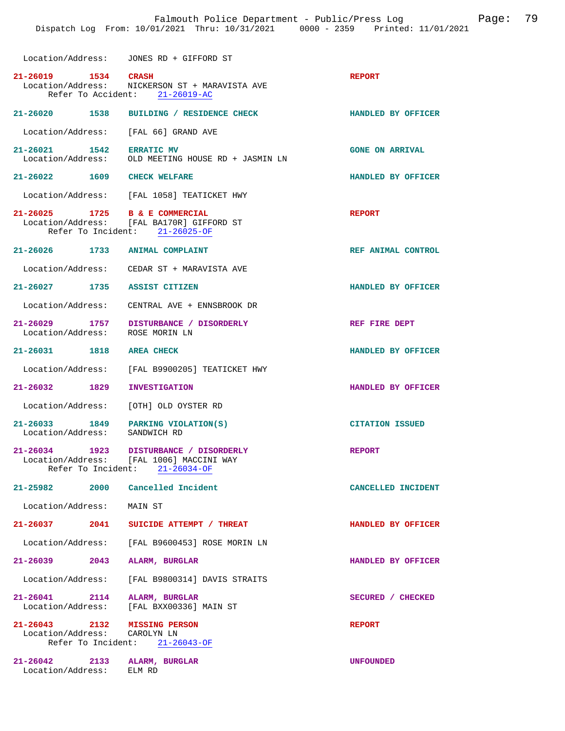Location/Address: JONES RD + GIFFORD ST

| 21-26019 1534 CRASH                                         | Location/Address: NICKERSON ST + MARAVISTA AVE<br>Refer To Accident: 21-26019-AC                                     | <b>REPORT</b>          |
|-------------------------------------------------------------|----------------------------------------------------------------------------------------------------------------------|------------------------|
|                                                             | 21-26020 1538 BUILDING / RESIDENCE CHECK                                                                             | HANDLED BY OFFICER     |
| Location/Address: [FAL 66] GRAND AVE                        |                                                                                                                      |                        |
| 21-26021 1542                                               | <b>ERRATIC MV</b><br>Location/Address: OLD MEETING HOUSE RD + JASMIN LN                                              | <b>GONE ON ARRIVAL</b> |
| 21-26022 1609 CHECK WELFARE                                 |                                                                                                                      | HANDLED BY OFFICER     |
|                                                             | Location/Address: [FAL 1058] TEATICKET HWY                                                                           |                        |
| 21-26025 1725 B & E COMMERCIAL                              | Location/Address: [FAL BA170R] GIFFORD ST<br>Refer To Incident: 21-26025-OF                                          | <b>REPORT</b>          |
| 21-26026 1733 ANIMAL COMPLAINT                              |                                                                                                                      | REF ANIMAL CONTROL     |
|                                                             | Location/Address: CEDAR ST + MARAVISTA AVE                                                                           |                        |
| 21-26027 1735 ASSIST CITIZEN                                |                                                                                                                      | HANDLED BY OFFICER     |
| Location/Address:                                           | CENTRAL AVE + ENNSBROOK DR                                                                                           |                        |
| Location/Address:                                           | 21-26029 1757 DISTURBANCE / DISORDERLY<br>ROSE MORIN LN                                                              | REF FIRE DEPT          |
| 21-26031 1818 AREA CHECK                                    |                                                                                                                      | HANDLED BY OFFICER     |
|                                                             | Location/Address: [FAL B9900205] TEATICKET HWY                                                                       |                        |
| 21-26032 1829                                               | <b>INVESTIGATION</b>                                                                                                 | HANDLED BY OFFICER     |
| Location/Address:                                           | [OTH] OLD OYSTER RD                                                                                                  |                        |
| $21-26033$ 1849 PARKING VIOLATION(S)<br>Location/Address:   | SANDWICH RD                                                                                                          | <b>CITATION ISSUED</b> |
|                                                             | 21-26034 1923 DISTURBANCE / DISORDERLY<br>Location/Address: [FAL 1006] MACCINI WAY<br>Refer To Incident: 21-26034-OF | <b>REPORT</b>          |
| 2000<br>21-25982                                            | Cancelled Incident                                                                                                   | CANCELLED INCIDENT     |
| Location/Address:                                           | MAIN ST                                                                                                              |                        |
| 21-26037<br>2041                                            | SUICIDE ATTEMPT / THREAT                                                                                             | HANDLED BY OFFICER     |
| Location/Address:                                           | [FAL B9600453] ROSE MORIN LN                                                                                         |                        |
| $21 - 26039$<br>2043                                        | ALARM, BURGLAR                                                                                                       | HANDLED BY OFFICER     |
| Location/Address:                                           | [FAL B9800314] DAVIS STRAITS                                                                                         |                        |
| 21-26041<br>2114<br>Location/Address:                       | ALARM, BURGLAR<br>[FAL BXX00336] MAIN ST                                                                             | SECURED / CHECKED      |
| 21-26043<br>2132<br>Location/Address:<br>Refer To Incident: | <b>MISSING PERSON</b><br>CAROLYN LN<br>$21 - 26043 - OF$                                                             | <b>REPORT</b>          |
| $21 - 26042$<br>2133<br>Location/Address:                   | ALARM, BURGLAR<br>ELM RD                                                                                             | <b>UNFOUNDED</b>       |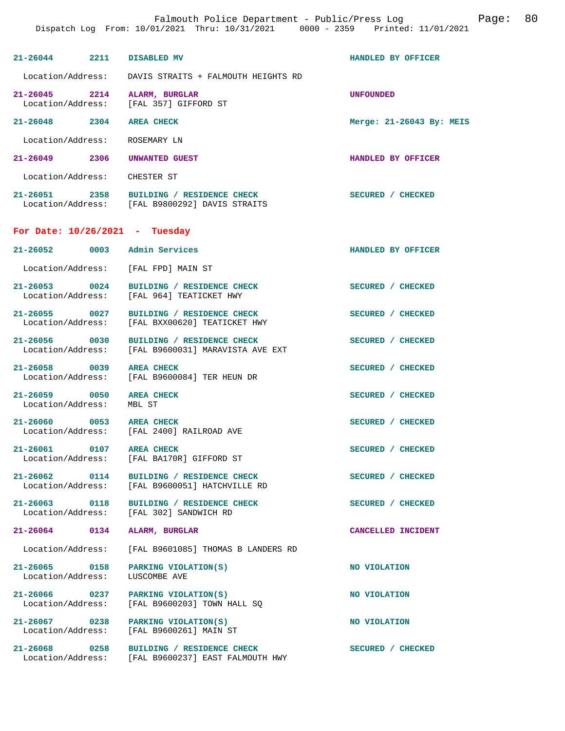| 21-26044 2211 DISABLED MV                                              |                                                                                                | HANDLED BY OFFICER       |
|------------------------------------------------------------------------|------------------------------------------------------------------------------------------------|--------------------------|
|                                                                        | Location/Address: DAVIS STRAITS + FALMOUTH HEIGHTS RD                                          |                          |
| 21-26045 2214 ALARM, BURGLAR<br>Location/Address: [FAL 357] GIFFORD ST |                                                                                                | <b>UNFOUNDED</b>         |
| 21-26048 2304 AREA CHECK                                               |                                                                                                | Merge: 21-26043 By: MEIS |
| Location/Address: ROSEMARY LN                                          |                                                                                                |                          |
| 21-26049 2306 UNWANTED GUEST                                           |                                                                                                | HANDLED BY OFFICER       |
| Location/Address: CHESTER ST                                           |                                                                                                |                          |
|                                                                        | 21-26051 2358 BUILDING / RESIDENCE CHECK<br>Location/Address: [FAL B9800292] DAVIS STRAITS     | <b>SECURED / CHECKED</b> |
| For Date: $10/26/2021$ - Tuesday                                       |                                                                                                |                          |
| 21-26052 0003 Admin Services                                           |                                                                                                | HANDLED BY OFFICER       |
| Location/Address: [FAL FPD] MAIN ST                                    |                                                                                                |                          |
|                                                                        | 21-26053 0024 BUILDING / RESIDENCE CHECK<br>Location/Address: [FAL 964] TEATICKET HWY          | SECURED / CHECKED        |
|                                                                        | 21-26055 0027 BUILDING / RESIDENCE CHECK<br>Location/Address: [FAL BXX00620] TEATICKET HWY     | SECURED / CHECKED        |
|                                                                        | 21-26056 0030 BUILDING / RESIDENCE CHECK<br>Location/Address: [FAL B9600031] MARAVISTA AVE EXT | SECURED / CHECKED        |
|                                                                        | 21-26058 0039 AREA CHECK<br>Location/Address: [FAL B9600084] TER HEUN DR                       | SECURED / CHECKED        |
| 21-26059 0050 AREA CHECK<br>Location/Address: MBL ST                   |                                                                                                | SECURED / CHECKED        |
| 21-26060 0053 AREA CHECK                                               | Location/Address: [FAL 2400] RAILROAD AVE                                                      | SECURED / CHECKED        |
| 21-26061 0107 AREA CHECK                                               | Location/Address: [FAL BA170R] GIFFORD ST                                                      | SECURED / CHECKED        |
|                                                                        | 21-26062 0114 BUILDING / RESIDENCE CHECK<br>Location/Address: [FAL B9600051] HATCHVILLE RD     | SECURED / CHECKED        |
|                                                                        | 21-26063 0118 BUILDING / RESIDENCE CHECK<br>Location/Address: [FAL 302] SANDWICH RD            | SECURED / CHECKED        |
| 21-26064 0134                                                          | ALARM, BURGLAR                                                                                 | CANCELLED INCIDENT       |
|                                                                        | Location/Address: [FAL B9601085] THOMAS B LANDERS RD                                           |                          |
| 21-26065 0158<br>Location/Address:                                     | PARKING VIOLATION(S)<br>LUSCOMBE AVE                                                           | NO VIOLATION             |
|                                                                        | 21-26066 0237 PARKING VIOLATION(S)<br>Location/Address: [FAL B9600203] TOWN HALL SQ            | NO VIOLATION             |
|                                                                        | 21-26067 0238 PARKING VIOLATION(S)<br>Location/Address: [FAL B9600261] MAIN ST                 | NO VIOLATION             |
| 21-26068                                                               | 0258 BUILDING / RESIDENCE CHECK                                                                | SECURED / CHECKED        |

Location/Address: [FAL B9600237] EAST FALMOUTH HWY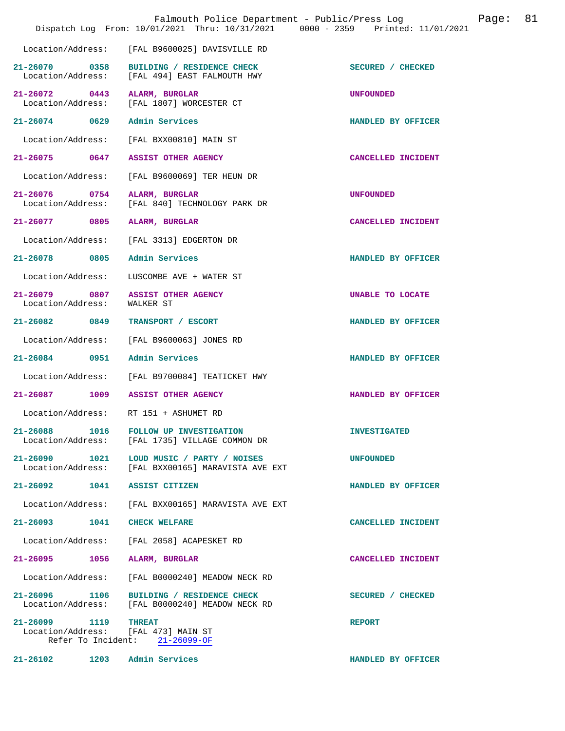|                                                      |                                                 | Falmouth Police Department - Public/Press Log<br>Dispatch Log From: 10/01/2021 Thru: 10/31/2021 0000 - 2359 Printed: 11/01/2021 |                     | Page: | 81 |
|------------------------------------------------------|-------------------------------------------------|---------------------------------------------------------------------------------------------------------------------------------|---------------------|-------|----|
| Location/Address:                                    |                                                 | [FAL B9600025] DAVISVILLE RD                                                                                                    |                     |       |    |
| 21-26070 0358<br>Location/Address:                   |                                                 | BUILDING / RESIDENCE CHECK<br>[FAL 494] EAST FALMOUTH HWY                                                                       | SECURED / CHECKED   |       |    |
| 21-26072 0443<br>Location/Address:                   |                                                 | ALARM, BURGLAR<br>[FAL 1807] WORCESTER CT                                                                                       | <b>UNFOUNDED</b>    |       |    |
| 21-26074 0629                                        |                                                 | Admin Services                                                                                                                  | HANDLED BY OFFICER  |       |    |
| Location/Address:                                    |                                                 | [FAL BXX00810] MAIN ST                                                                                                          |                     |       |    |
| 21-26075                                             | 0647                                            | ASSIST OTHER AGENCY                                                                                                             | CANCELLED INCIDENT  |       |    |
| Location/Address:                                    |                                                 | [FAL B9600069] TER HEUN DR                                                                                                      |                     |       |    |
| 21-26076 0754<br>Location/Address:                   |                                                 | ALARM, BURGLAR<br>[FAL 840] TECHNOLOGY PARK DR                                                                                  | <b>UNFOUNDED</b>    |       |    |
| $21 - 26077$                                         | 0805                                            | ALARM, BURGLAR                                                                                                                  | CANCELLED INCIDENT  |       |    |
| Location/Address:                                    |                                                 | [FAL 3313] EDGERTON DR                                                                                                          |                     |       |    |
| 21-26078                                             | 0805                                            | Admin Services                                                                                                                  | HANDLED BY OFFICER  |       |    |
| Location/Address:                                    |                                                 | LUSCOMBE AVE + WATER ST                                                                                                         |                     |       |    |
| 21-26079 0807<br>Location/Address:                   | WALKER ST                                       | <b>ASSIST OTHER AGENCY</b>                                                                                                      | UNABLE TO LOCATE    |       |    |
| $21 - 26082$                                         | 0849                                            | TRANSPORT / ESCORT                                                                                                              | HANDLED BY OFFICER  |       |    |
| Location/Address:                                    |                                                 | [FAL B9600063] JONES RD                                                                                                         |                     |       |    |
| 21-26084                                             | 0951                                            | Admin Services                                                                                                                  | HANDLED BY OFFICER  |       |    |
| Location/Address:                                    |                                                 | [FAL B9700084] TEATICKET HWY                                                                                                    |                     |       |    |
| 21-26087 1009                                        |                                                 | <b>ASSIST OTHER AGENCY</b>                                                                                                      | HANDLED BY OFFICER  |       |    |
| Location/Address: RT 151 + ASHUMET RD                |                                                 |                                                                                                                                 |                     |       |    |
| $21 - 26088$<br>Location/Address:                    | 1016                                            | <b>FOLLOW UP INVESTIGATION</b><br>[FAL 1735] VILLAGE COMMON DR                                                                  | <b>INVESTIGATED</b> |       |    |
| $21 - 26090$<br>Location/Address:                    | 1021                                            | LOUD MUSIC / PARTY / NOISES<br>[FAL BXX00165] MARAVISTA AVE EXT                                                                 | <b>UNFOUNDED</b>    |       |    |
| 21-26092                                             | 1041                                            | <b>ASSIST CITIZEN</b>                                                                                                           | HANDLED BY OFFICER  |       |    |
| Location/Address:                                    |                                                 | [FAL BXX00165] MARAVISTA AVE EXT                                                                                                |                     |       |    |
| $21 - 26093$                                         | 1041                                            | <b>CHECK WELFARE</b>                                                                                                            | CANCELLED INCIDENT  |       |    |
| Location/Address:                                    |                                                 | [FAL 2058] ACAPESKET RD                                                                                                         |                     |       |    |
| $21 - 26095$                                         | 1056                                            | ALARM, BURGLAR                                                                                                                  | CANCELLED INCIDENT  |       |    |
| Location/Address:                                    |                                                 | [FAL B0000240] MEADOW NECK RD                                                                                                   |                     |       |    |
| 21-26096 1106<br>Location/Address:                   |                                                 | BUILDING / RESIDENCE CHECK<br>[FAL B0000240] MEADOW NECK RD                                                                     | SECURED / CHECKED   |       |    |
| 21-26099 1119<br>Location/Address: [FAL 473] MAIN ST | <b>THREAT</b><br>Refer To Incident: 21-26099-OF |                                                                                                                                 | <b>REPORT</b>       |       |    |
| 21-26102                                             | 1203                                            | Admin Services                                                                                                                  | HANDLED BY OFFICER  |       |    |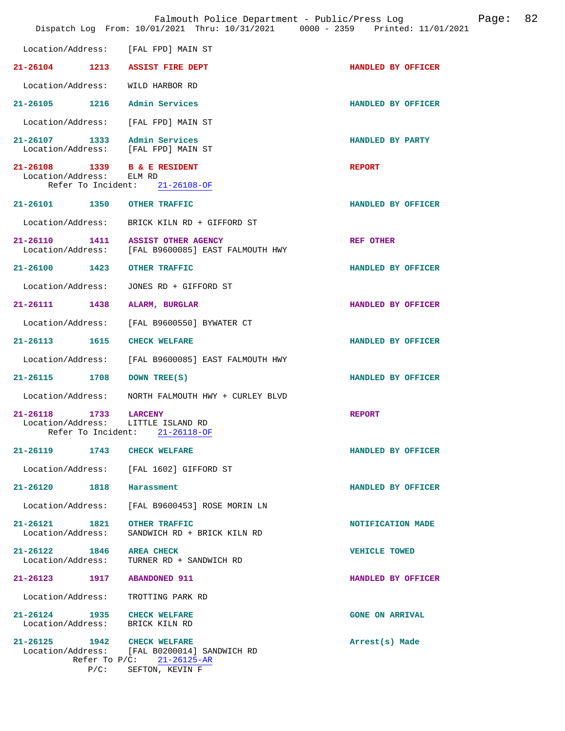|                                    |                            | Falmouth Police Department - Public/Press Log<br>Dispatch Log From: 10/01/2021 Thru: 10/31/2021 0000 - 2359 Printed: 11/01/2021 |                        | Page: | 82 |
|------------------------------------|----------------------------|---------------------------------------------------------------------------------------------------------------------------------|------------------------|-------|----|
|                                    |                            | Location/Address: [FAL FPD] MAIN ST                                                                                             |                        |       |    |
|                                    |                            | 21-26104 1213 ASSIST FIRE DEPT                                                                                                  | HANDLED BY OFFICER     |       |    |
| Location/Address:                  |                            | WILD HARBOR RD                                                                                                                  |                        |       |    |
|                                    |                            | 21-26105 1216 Admin Services                                                                                                    | HANDLED BY OFFICER     |       |    |
|                                    |                            | Location/Address: [FAL FPD] MAIN ST                                                                                             |                        |       |    |
|                                    |                            | 21-26107 1333 Admin Services<br>Location/Address: [FAL FPD] MAIN ST                                                             | HANDLED BY PARTY       |       |    |
| Location/Address:                  |                            | 21-26108 1339 B & E RESIDENT<br>ELM RD<br>Refer To Incident: 21-26108-OF                                                        | <b>REPORT</b>          |       |    |
| 21-26101 1350                      |                            | <b>OTHER TRAFFIC</b>                                                                                                            | HANDLED BY OFFICER     |       |    |
|                                    |                            | Location/Address: BRICK KILN RD + GIFFORD ST                                                                                    |                        |       |    |
| 21-26110 1411                      |                            | <b>ASSIST OTHER AGENCY</b><br>Location/Address: [FAL B9600085] EAST FALMOUTH HWY                                                | <b>REF OTHER</b>       |       |    |
| 21-26100 1423                      |                            | <b>OTHER TRAFFIC</b>                                                                                                            | HANDLED BY OFFICER     |       |    |
| Location/Address:                  |                            | JONES RD + GIFFORD ST                                                                                                           |                        |       |    |
| 21-26111 1438                      |                            | ALARM, BURGLAR                                                                                                                  | HANDLED BY OFFICER     |       |    |
| Location/Address:                  |                            | [FAL B9600550] BYWATER CT                                                                                                       |                        |       |    |
| 21-26113 1615                      |                            | <b>CHECK WELFARE</b>                                                                                                            | HANDLED BY OFFICER     |       |    |
| Location/Address:                  |                            | [FAL B9600085] EAST FALMOUTH HWY                                                                                                |                        |       |    |
| $21 - 26115$                       | 1708                       | DOWN TREE(S)                                                                                                                    | HANDLED BY OFFICER     |       |    |
| Location/Address:                  |                            | NORTH FALMOUTH HWY + CURLEY BLVD                                                                                                |                        |       |    |
| $21 - 26118$<br>Location/Address:  | 1733<br>Refer To Incident: | <b>LARCENY</b><br>LITTLE ISLAND RD<br>21-26118-OF                                                                               | <b>REPORT</b>          |       |    |
| $21 - 26119$                       | 1743                       | <b>CHECK WELFARE</b>                                                                                                            | HANDLED BY OFFICER     |       |    |
|                                    |                            | Location/Address: [FAL 1602] GIFFORD ST                                                                                         |                        |       |    |
| 21-26120 1818                      |                            | Harassment                                                                                                                      | HANDLED BY OFFICER     |       |    |
| Location/Address:                  |                            | [FAL B9600453] ROSE MORIN LN                                                                                                    |                        |       |    |
| 21-26121 1821<br>Location/Address: |                            | <b>OTHER TRAFFIC</b><br>SANDWICH RD + BRICK KILN RD                                                                             | NOTIFICATION MADE      |       |    |
| 21-26122 1846<br>Location/Address: |                            | <b>AREA CHECK</b><br>TURNER RD + SANDWICH RD                                                                                    | <b>VEHICLE TOWED</b>   |       |    |
| 21-26123 1917                      |                            | <b>ABANDONED 911</b>                                                                                                            | HANDLED BY OFFICER     |       |    |
| Location/Address:                  |                            | TROTTING PARK RD                                                                                                                |                        |       |    |
| 21-26124 1935<br>Location/Address: |                            | CHECK WELFARE<br>BRICK KILN RD                                                                                                  | <b>GONE ON ARRIVAL</b> |       |    |
| 21-26125 1942 CHECK WELFARE        | $P/C$ :                    | Location/Address: [FAL B0200014] SANDWICH RD<br>Refer To $P/C:$ 21-26125-AR<br>SEFTON, KEVIN F                                  | Arrest(s) Made         |       |    |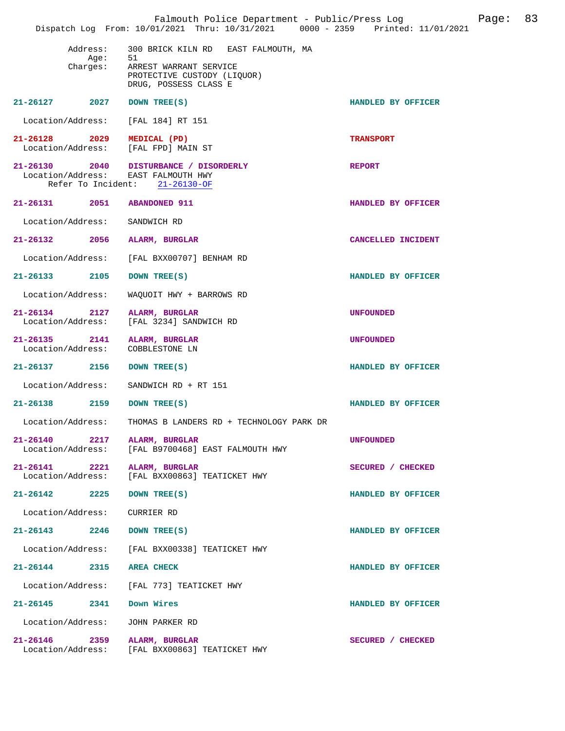|                                                                   | Falmouth Police Department - Public/Press Log Fage: 83<br>Dispatch Log From: 10/01/2021 Thru: 10/31/2021 0000 - 2359 Printed: 11/01/2021 |                    |  |
|-------------------------------------------------------------------|------------------------------------------------------------------------------------------------------------------------------------------|--------------------|--|
| Address:<br>Age:<br>Charges:                                      | 300 BRICK KILN RD EAST FALMOUTH, MA<br>51<br>ARREST WARRANT SERVICE<br>PROTECTIVE CUSTODY (LIQUOR)<br>DRUG, POSSESS CLASS E              |                    |  |
| 21-26127 2027 DOWN TREE(S)                                        |                                                                                                                                          | HANDLED BY OFFICER |  |
| Location/Address:                                                 | [FAL 184] RT 151                                                                                                                         |                    |  |
| 21-26128 2029 MEDICAL (PD)<br>Location/Address: [FAL FPD] MAIN ST |                                                                                                                                          | <b>TRANSPORT</b>   |  |
| Location/Address: EAST FALMOUTH HWY                               | 21-26130 2040 DISTURBANCE / DISORDERLY<br>Refer To Incident: 21-26130-OF                                                                 | <b>REPORT</b>      |  |
| 21-26131 2051 ABANDONED 911                                       |                                                                                                                                          | HANDLED BY OFFICER |  |
| Location/Address: SANDWICH RD                                     |                                                                                                                                          |                    |  |
| 21-26132 2056 ALARM, BURGLAR                                      |                                                                                                                                          | CANCELLED INCIDENT |  |
|                                                                   | Location/Address: [FAL BXX00707] BENHAM RD                                                                                               |                    |  |
| 21-26133 2105                                                     | DOWN TREE(S)                                                                                                                             | HANDLED BY OFFICER |  |
| Location/Address:                                                 | WAQUOIT HWY + BARROWS RD                                                                                                                 |                    |  |
| 21-26134 2127 ALARM, BURGLAR<br>Location/Address:                 | [FAL 3234] SANDWICH RD                                                                                                                   | <b>UNFOUNDED</b>   |  |
| 21-26135 2141 ALARM, BURGLAR<br>Location/Address: COBBLESTONE LN  |                                                                                                                                          | <b>UNFOUNDED</b>   |  |
| 21-26137 2156                                                     | DOWN TREE(S)                                                                                                                             | HANDLED BY OFFICER |  |
| Location/Address:                                                 | SANDWICH RD + RT 151                                                                                                                     |                    |  |
| 21-26138 2159 DOWN TREE(S)                                        |                                                                                                                                          | HANDLED BY OFFICER |  |
|                                                                   | Location/Address: THOMAS B LANDERS RD + TECHNOLOGY PARK DR                                                                               |                    |  |
| 21-26140<br>2217<br>Location/Address:                             | ALARM, BURGLAR<br>[FAL B9700468] EAST FALMOUTH HWY                                                                                       | <b>UNFOUNDED</b>   |  |
| 21-26141<br>2221<br>Location/Address:                             | ALARM, BURGLAR<br>[FAL BXX00863] TEATICKET HWY                                                                                           | SECURED / CHECKED  |  |
| $21 - 26142$ 2225                                                 | DOWN TREE(S)                                                                                                                             | HANDLED BY OFFICER |  |
| Location/Address:                                                 | CURRIER RD                                                                                                                               |                    |  |
| $21 - 26143$ 2246                                                 | DOWN TREE(S)                                                                                                                             | HANDLED BY OFFICER |  |
| Location/Address:                                                 | [FAL BXX00338] TEATICKET HWY                                                                                                             |                    |  |
| 21-26144<br>2315                                                  | <b>AREA CHECK</b>                                                                                                                        | HANDLED BY OFFICER |  |
| Location/Address:                                                 | [FAL 773] TEATICKET HWY                                                                                                                  |                    |  |
| 21-26145 2341                                                     | Down Wires                                                                                                                               | HANDLED BY OFFICER |  |
| Location/Address:                                                 | JOHN PARKER RD                                                                                                                           |                    |  |
| 21-26146<br>2359<br>Location/Address:                             | ALARM, BURGLAR<br>[FAL BXX00863] TEATICKET HWY                                                                                           | SECURED / CHECKED  |  |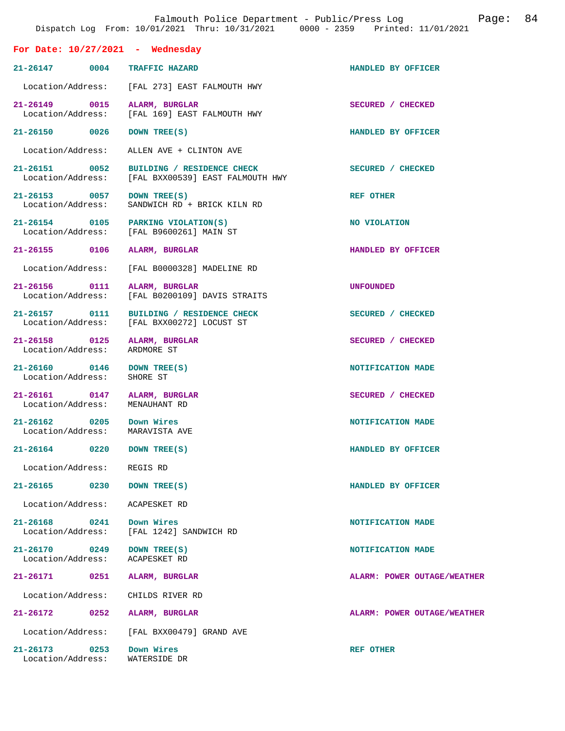| Falmouth Police Department - Public/Press Log<br>Page:<br>Dispatch Log From: 10/01/2021 Thru: 10/31/2021 0000 - 2359 Printed: 11/01/2021 |                                                                |                             |  |
|------------------------------------------------------------------------------------------------------------------------------------------|----------------------------------------------------------------|-----------------------------|--|
| For Date: $10/27/2021$ - Wednesday                                                                                                       |                                                                |                             |  |
| $21 - 26147$<br>0004                                                                                                                     | <b>TRAFFIC HAZARD</b>                                          | HANDLED BY OFFICER          |  |
|                                                                                                                                          | Location/Address: [FAL 273] EAST FALMOUTH HWY                  |                             |  |
| 21-26149 0015<br>Location/Address:                                                                                                       | ALARM, BURGLAR<br>[FAL 169] EAST FALMOUTH HWY                  | SECURED / CHECKED           |  |
| 21-26150 0026                                                                                                                            | DOWN TREE(S)                                                   | HANDLED BY OFFICER          |  |
| Location/Address:                                                                                                                        | ALLEN AVE + CLINTON AVE                                        |                             |  |
| 21-26151 0052<br>Location/Address:                                                                                                       | BUILDING / RESIDENCE CHECK<br>[FAL BXX00539] EAST FALMOUTH HWY | SECURED / CHECKED           |  |
| 21-26153 0057<br>Location/Address:                                                                                                       | DOWN TREE(S)<br>SANDWICH RD + BRICK KILN RD                    | <b>REF OTHER</b>            |  |
| 21-26154 0105<br>Location/Address:                                                                                                       | PARKING VIOLATION(S)<br>[FAL B9600261] MAIN ST                 | NO VIOLATION                |  |
| 21-26155 0106                                                                                                                            | ALARM, BURGLAR                                                 | HANDLED BY OFFICER          |  |
| Location/Address:                                                                                                                        | [FAL B0000328] MADELINE RD                                     |                             |  |
| 21-26156 0111<br>Location/Address:                                                                                                       | ALARM, BURGLAR<br>[FAL B0200109] DAVIS STRAITS                 | <b>UNFOUNDED</b>            |  |
| 21-26157 0111<br>Location/Address:                                                                                                       | BUILDING / RESIDENCE CHECK<br>[FAL BXX00272] LOCUST ST         | SECURED / CHECKED           |  |
| 21-26158 0125<br>Location/Address:                                                                                                       | ALARM, BURGLAR<br>ARDMORE ST                                   | SECURED / CHECKED           |  |
| 21-26160 0146<br>Location/Address:                                                                                                       | DOWN TREE(S)<br>SHORE ST                                       | NOTIFICATION MADE           |  |
| 21-26161 0147<br>Location/Address:                                                                                                       | ALARM, BURGLAR<br>MENAUHANT RD                                 | SECURED / CHECKED           |  |
| 0205<br>$21 - 26162$<br>Location/Address:                                                                                                | Down Wires<br>MARAVISTA AVE                                    | NOTIFICATION MADE           |  |
| 21-26164<br>0220                                                                                                                         | DOWN TREE(S)                                                   | HANDLED BY OFFICER          |  |
| Location/Address:                                                                                                                        | REGIS RD                                                       |                             |  |
| 21-26165<br>0230                                                                                                                         | DOWN TREE(S)                                                   | HANDLED BY OFFICER          |  |
| Location/Address:                                                                                                                        | ACAPESKET RD                                                   |                             |  |
| $21 - 26168$<br>0241<br>Location/Address:                                                                                                | Down Wires<br>[FAL 1242] SANDWICH RD                           | NOTIFICATION MADE           |  |
| $21 - 26170$<br>0249<br>Location/Address:                                                                                                | DOWN TREE(S)<br>ACAPESKET RD                                   | NOTIFICATION MADE           |  |
| 21-26171<br>0251                                                                                                                         | ALARM, BURGLAR                                                 | ALARM: POWER OUTAGE/WEATHER |  |
| Location/Address:                                                                                                                        | CHILDS RIVER RD                                                |                             |  |
| 21-26172<br>0252                                                                                                                         | ALARM, BURGLAR                                                 | ALARM: POWER OUTAGE/WEATHER |  |
| Location/Address:                                                                                                                        | [FAL BXX00479] GRAND AVE                                       |                             |  |
| $21 - 26173$<br>0253<br>Location/Address:                                                                                                | Down Wires<br>WATERSIDE DR                                     | <b>REF OTHER</b>            |  |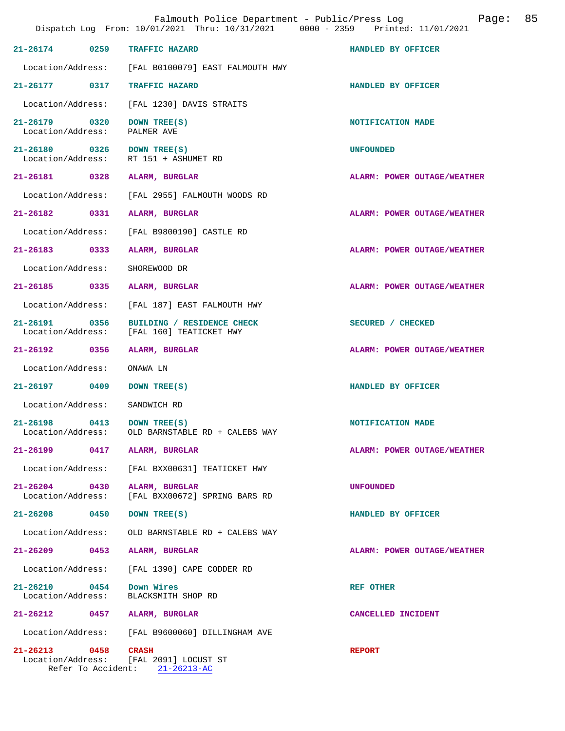|                                    |      | Falmouth Police Department - Public/Press Log<br>Dispatch Log From: 10/01/2021 Thru: 10/31/2021 0000 - 2359 Printed: 11/01/2021 | 85<br>Page:                 |
|------------------------------------|------|---------------------------------------------------------------------------------------------------------------------------------|-----------------------------|
| 21-26174 0259                      |      | TRAFFIC HAZARD                                                                                                                  | HANDLED BY OFFICER          |
| Location/Address:                  |      | [FAL B0100079] EAST FALMOUTH HWY                                                                                                |                             |
|                                    |      | 21-26177 0317 TRAFFIC HAZARD                                                                                                    | HANDLED BY OFFICER          |
| Location/Address:                  |      | [FAL 1230] DAVIS STRAITS                                                                                                        |                             |
| 21-26179 0320<br>Location/Address: |      | DOWN TREE(S)<br>PALMER AVE                                                                                                      | NOTIFICATION MADE           |
| 21-26180 0326<br>Location/Address: |      | DOWN TREE(S)<br>RT 151 + ASHUMET RD                                                                                             | <b>UNFOUNDED</b>            |
|                                    |      | 21-26181 0328 ALARM, BURGLAR                                                                                                    | ALARM: POWER OUTAGE/WEATHER |
| Location/Address:                  |      | [FAL 2955] FALMOUTH WOODS RD                                                                                                    |                             |
| 21-26182                           | 0331 | ALARM, BURGLAR                                                                                                                  | ALARM: POWER OUTAGE/WEATHER |
| Location/Address:                  |      | [FAL B9800190] CASTLE RD                                                                                                        |                             |
| 21-26183 0333                      |      | ALARM, BURGLAR                                                                                                                  | ALARM: POWER OUTAGE/WEATHER |
| Location/Address:                  |      | SHOREWOOD DR                                                                                                                    |                             |
| 21-26185 0335                      |      | ALARM, BURGLAR                                                                                                                  | ALARM: POWER OUTAGE/WEATHER |
| Location/Address:                  |      | [FAL 187] EAST FALMOUTH HWY                                                                                                     |                             |
| 21-26191 0356<br>Location/Address: |      | BUILDING / RESIDENCE CHECK<br>[FAL 160] TEATICKET HWY                                                                           | SECURED / CHECKED           |
| 21-26192 0356                      |      | ALARM, BURGLAR                                                                                                                  | ALARM: POWER OUTAGE/WEATHER |
| Location/Address:                  |      | ONAWA LN                                                                                                                        |                             |
| 21-26197 0409                      |      | DOWN TREE(S)                                                                                                                    | HANDLED BY OFFICER          |
| Location/Address:                  |      | SANDWICH RD                                                                                                                     |                             |
| $21 - 26198$<br>Location/Address:  | 0413 | DOWN TREE(S)<br>OLD BARNSTABLE RD + CALEBS WAY                                                                                  | NOTIFICATION MADE           |
| 21-26199                           | 0417 | ALARM, BURGLAR                                                                                                                  | ALARM: POWER OUTAGE/WEATHER |
| Location/Address:                  |      | [FAL BXX00631] TEATICKET HWY                                                                                                    |                             |
| 21-26204 0430<br>Location/Address: |      | ALARM, BURGLAR<br>[FAL BXX00672] SPRING BARS RD                                                                                 | <b>UNFOUNDED</b>            |
| 21-26208 0450                      |      | DOWN TREE(S)                                                                                                                    | HANDLED BY OFFICER          |
| Location/Address:                  |      | OLD BARNSTABLE RD + CALEBS WAY                                                                                                  |                             |
| 21-26209                           | 0453 | ALARM, BURGLAR                                                                                                                  | ALARM: POWER OUTAGE/WEATHER |
| Location/Address:                  |      | [FAL 1390] CAPE CODDER RD                                                                                                       |                             |
| 21-26210 0454<br>Location/Address: |      | Down Wires<br>BLACKSMITH SHOP RD                                                                                                | <b>REF OTHER</b>            |
|                                    |      | 21-26212 0457 ALARM, BURGLAR                                                                                                    | CANCELLED INCIDENT          |
| Location/Address:                  |      | [FAL B9600060] DILLINGHAM AVE                                                                                                   |                             |
| 21-26213 0458                      |      | <b>CRASH</b><br>Location/Address: [FAL 2091] LOCUST ST<br>Refer To Accident: 21-26213-AC                                        | <b>REPORT</b>               |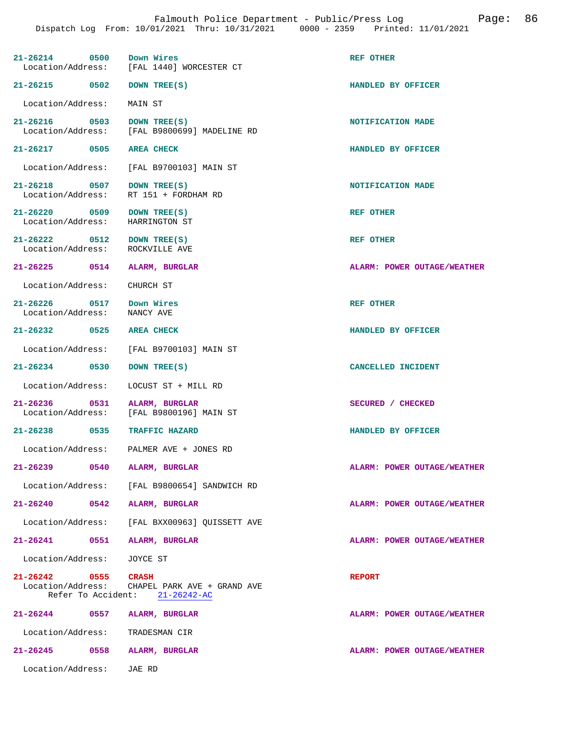| 21-26214 0500                                            | Down Wires<br>Location/Address: [FAL 1440] WORCESTER CT   | <b>REF OTHER</b>                   |
|----------------------------------------------------------|-----------------------------------------------------------|------------------------------------|
| 21-26215 0502                                            | DOWN TREE(S)                                              | HANDLED BY OFFICER                 |
| Location/Address:                                        | MAIN ST                                                   |                                    |
| 21-26216 0503<br>Location/Address:                       | DOWN TREE(S)<br>[FAL B9800699] MADELINE RD                | NOTIFICATION MADE                  |
| 21-26217 0505                                            | <b>AREA CHECK</b>                                         | HANDLED BY OFFICER                 |
| Location/Address:                                        | [FAL B9700103] MAIN ST                                    |                                    |
| 0507<br>21-26218<br>Location/Address:                    | DOWN TREE(S)<br>RT 151 + FORDHAM RD                       | NOTIFICATION MADE                  |
| 21-26220 0509<br>Location/Address:                       | DOWN TREE(S)<br>HARRINGTON ST                             | <b>REF OTHER</b>                   |
| $21 - 26222$<br>0512<br>Location/Address:                | DOWN TREE(S)<br>ROCKVILLE AVE                             | <b>REF OTHER</b>                   |
| 21-26225 0514                                            | ALARM, BURGLAR                                            | ALARM: POWER OUTAGE/WEATHER        |
| Location/Address:                                        | CHURCH ST                                                 |                                    |
| 21-26226 0517<br>Location/Address:                       | Down Wires<br>NANCY AVE                                   | <b>REF OTHER</b>                   |
| 21-26232 0525                                            | <b>AREA CHECK</b>                                         | HANDLED BY OFFICER                 |
| Location/Address:                                        | [FAL B9700103] MAIN ST                                    |                                    |
| 21-26234 0530                                            | DOWN TREE(S)                                              | CANCELLED INCIDENT                 |
| Location/Address:                                        | LOCUST ST + MILL RD                                       |                                    |
| 21-26236 0531<br>Location/Address:                       | ALARM, BURGLAR<br>[FAL B9800196] MAIN ST                  | SECURED / CHECKED                  |
| 21-26238 0535                                            | <b>TRAFFIC HAZARD</b>                                     | HANDLED BY OFFICER                 |
| Location/Address:                                        | PALMER AVE + JONES RD                                     |                                    |
| $21 - 26239$<br>0540                                     | ALARM, BURGLAR                                            | ALARM: POWER OUTAGE/WEATHER        |
| Location/Address:                                        | [FAL B9800654] SANDWICH RD                                |                                    |
| 21-26240<br>0542                                         | ALARM, BURGLAR                                            | <b>ALARM: POWER OUTAGE/WEATHER</b> |
| Location/Address:                                        | [FAL BXX00963] OUISSETT AVE                               |                                    |
| 21-26241 0551                                            | ALARM, BURGLAR                                            | ALARM: POWER OUTAGE/WEATHER        |
| Location/Address:                                        | JOYCE ST                                                  |                                    |
| 21-26242 0555<br>Location/Address:<br>Refer To Accident: | CRASH<br>CHAPEL PARK AVE + GRAND AVE<br>$21 - 26242 - AC$ | <b>REPORT</b>                      |
| $21 - 26244$<br>0557                                     | ALARM, BURGLAR                                            | ALARM: POWER OUTAGE/WEATHER        |
| Location/Address:                                        | TRADESMAN CIR                                             |                                    |
| 21-26245<br>0558                                         | ALARM, BURGLAR                                            | ALARM: POWER OUTAGE/WEATHER        |
| Location/Address:                                        | JAE RD                                                    |                                    |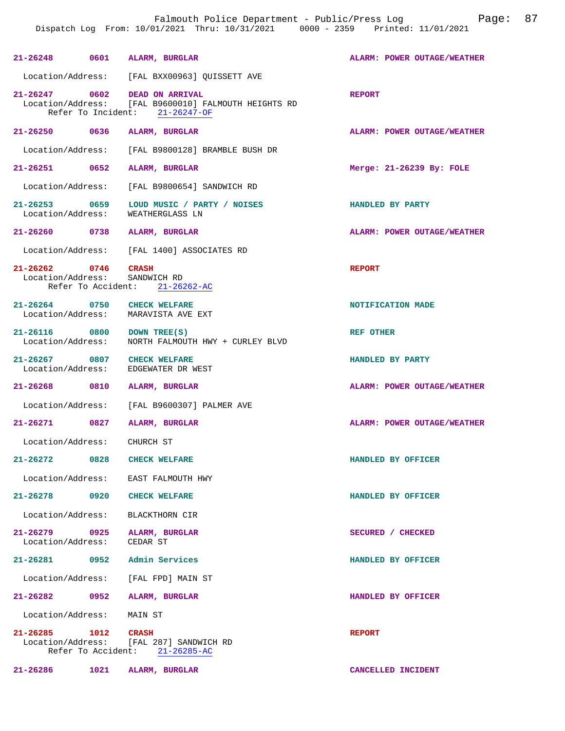|                                                      |      | 21-26248 0601 ALARM, BURGLAR                                                                                            | ALARM: POWER OUTAGE/WEATHER        |
|------------------------------------------------------|------|-------------------------------------------------------------------------------------------------------------------------|------------------------------------|
|                                                      |      | Location/Address: [FAL BXX00963] QUISSETT AVE                                                                           |                                    |
|                                                      |      | 21-26247 0602 DEAD ON ARRIVAL<br>Location/Address: [FAL B9600010] FALMOUTH HEIGHTS RD<br>Refer To Incident: 21-26247-OF | <b>REPORT</b>                      |
|                                                      |      | 21-26250 0636 ALARM, BURGLAR                                                                                            | ALARM: POWER OUTAGE/WEATHER        |
| Location/Address:                                    |      | [FAL B9800128] BRAMBLE BUSH DR                                                                                          |                                    |
| 21-26251 0652                                        |      | ALARM, BURGLAR                                                                                                          | Merge: 21-26239 By: FOLE           |
| Location/Address:                                    |      | [FAL B9800654] SANDWICH RD                                                                                              |                                    |
| 21-26253 0659<br>Location/Address:                   |      | LOUD MUSIC / PARTY / NOISES<br>WEATHERGLASS LN                                                                          | HANDLED BY PARTY                   |
|                                                      |      | 21-26260 0738 ALARM, BURGLAR                                                                                            | <b>ALARM: POWER OUTAGE/WEATHER</b> |
|                                                      |      | Location/Address: [FAL 1400] ASSOCIATES RD                                                                              |                                    |
| 21-26262 0746 CRASH<br>Location/Address: SANDWICH RD |      | Refer To Accident: 21-26262-AC                                                                                          | <b>REPORT</b>                      |
| 21-26264 0750 CHECK WELFARE                          |      | Location/Address: MARAVISTA AVE EXT                                                                                     | NOTIFICATION MADE                  |
| 21-26116 0800 DOWN TREE(S)<br>Location/Address:      |      | NORTH FALMOUTH HWY + CURLEY BLVD                                                                                        | REF OTHER                          |
| 21-26267 0807 CHECK WELFARE<br>Location/Address:     |      | EDGEWATER DR WEST                                                                                                       | HANDLED BY PARTY                   |
|                                                      |      | 21-26268 0810 ALARM, BURGLAR                                                                                            | ALARM: POWER OUTAGE/WEATHER        |
|                                                      |      | Location/Address: [FAL B9600307] PALMER AVE                                                                             |                                    |
|                                                      |      | 21-26271 0827 ALARM, BURGLAR                                                                                            | <b>ALARM: POWER OUTAGE/WEATHER</b> |
| Location/Address: CHURCH ST                          |      |                                                                                                                         |                                    |
| 21-26272                                             | 0828 | <b>CHECK WELFARE</b>                                                                                                    | HANDLED BY OFFICER                 |
|                                                      |      | Location/Address: EAST FALMOUTH HWY                                                                                     |                                    |
| 21-26278 0920 CHECK WELFARE                          |      |                                                                                                                         | HANDLED BY OFFICER                 |
| Location/Address:                                    |      | BLACKTHORN CIR                                                                                                          |                                    |
| Location/Address:                                    |      | 21-26279 0925 ALARM, BURGLAR<br>CEDAR ST                                                                                | SECURED / CHECKED                  |
| 21-26281 0952                                        |      | Admin Services                                                                                                          | HANDLED BY OFFICER                 |
| Location/Address:                                    |      | [FAL FPD] MAIN ST                                                                                                       |                                    |
| 21-26282 0952                                        |      | ALARM, BURGLAR                                                                                                          | HANDLED BY OFFICER                 |
| Location/Address:                                    |      | MAIN ST                                                                                                                 |                                    |
| 21-26285 1012 CRASH                                  |      | Location/Address: [FAL 287] SANDWICH RD<br>Refer To Accident: 21-26285-AC                                               | <b>REPORT</b>                      |
| 21-26286                                             | 1021 | ALARM, BURGLAR                                                                                                          | CANCELLED INCIDENT                 |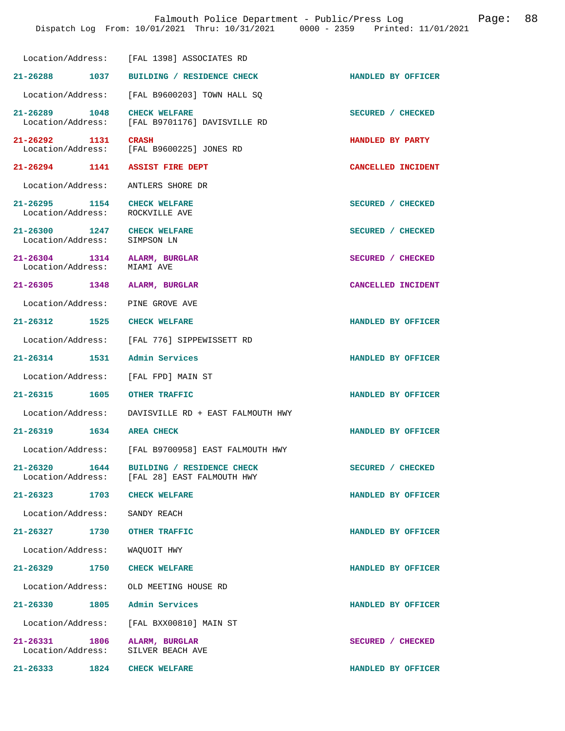|                                                                | Dispatch Log From: 10/01/2021 Thru: 10/31/2021 0000 - 2359 Printed: 11/01/2021           |                    |
|----------------------------------------------------------------|------------------------------------------------------------------------------------------|--------------------|
|                                                                | Location/Address: [FAL 1398] ASSOCIATES RD                                               |                    |
|                                                                | 21-26288 1037 BUILDING / RESIDENCE CHECK                                                 | HANDLED BY OFFICER |
|                                                                | Location/Address: [FAL B9600203] TOWN HALL SQ                                            |                    |
| 21-26289 1048 CHECK WELFARE                                    | Location/Address: [FAL B9701176] DAVISVILLE RD                                           | SECURED / CHECKED  |
| 21-26292 1131                                                  | <b>CRASH</b><br>Location/Address: [FAL B9600225] JONES RD                                | HANDLED BY PARTY   |
|                                                                | 21-26294 1141 ASSIST FIRE DEPT                                                           | CANCELLED INCIDENT |
|                                                                | Location/Address: ANTLERS SHORE DR                                                       |                    |
| 21-26295 1154 CHECK WELFARE<br>Location/Address: ROCKVILLE AVE |                                                                                          | SECURED / CHECKED  |
| 21-26300 1247 CHECK WELFARE<br>Location/Address:               | SIMPSON LN                                                                               | SECURED / CHECKED  |
| 21-26304 1314 ALARM, BURGLAR<br>Location/Address: MIAMI AVE    |                                                                                          | SECURED / CHECKED  |
| 21-26305 1348 ALARM, BURGLAR                                   |                                                                                          | CANCELLED INCIDENT |
| Location/Address: PINE GROVE AVE                               |                                                                                          |                    |
| 21-26312 1525 CHECK WELFARE                                    |                                                                                          | HANDLED BY OFFICER |
|                                                                | Location/Address: [FAL 776] SIPPEWISSETT RD                                              |                    |
| 21-26314 1531 Admin Services                                   |                                                                                          | HANDLED BY OFFICER |
|                                                                | Location/Address: [FAL FPD] MAIN ST                                                      |                    |
|                                                                |                                                                                          | HANDLED BY OFFICER |
|                                                                | Location/Address: DAVISVILLE RD + EAST FALMOUTH HWY                                      |                    |
| 21-26319 1634 AREA CHECK                                       |                                                                                          | HANDLED BY OFFICER |
|                                                                | Location/Address: [FAL B9700958] EAST FALMOUTH HWY                                       |                    |
|                                                                | 21-26320 1644 BUILDING / RESIDENCE CHECK<br>Location/Address: [FAL 28] EAST FALMOUTH HWY | SECURED / CHECKED  |
| 21-26323 1703 CHECK WELFARE                                    |                                                                                          | HANDLED BY OFFICER |
| Location/Address: SANDY REACH                                  |                                                                                          |                    |
| 21-26327 1730 OTHER TRAFFIC                                    |                                                                                          | HANDLED BY OFFICER |
| Location/Address: WAQUOIT HWY                                  |                                                                                          |                    |
| 21-26329 1750 CHECK WELFARE                                    |                                                                                          | HANDLED BY OFFICER |
|                                                                | Location/Address: OLD MEETING HOUSE RD                                                   |                    |
| 21-26330 1805 Admin Services                                   |                                                                                          | HANDLED BY OFFICER |
|                                                                | Location/Address: [FAL BXX00810] MAIN ST                                                 |                    |
| 21-26331 1806 ALARM, BURGLAR<br>Location/Address:              | SILVER BEACH AVE                                                                         | SECURED / CHECKED  |

**21-26333 1824 CHECK WELFARE HANDLED BY OFFICER** 

Falmouth Police Department - Public/Press Log Page: 88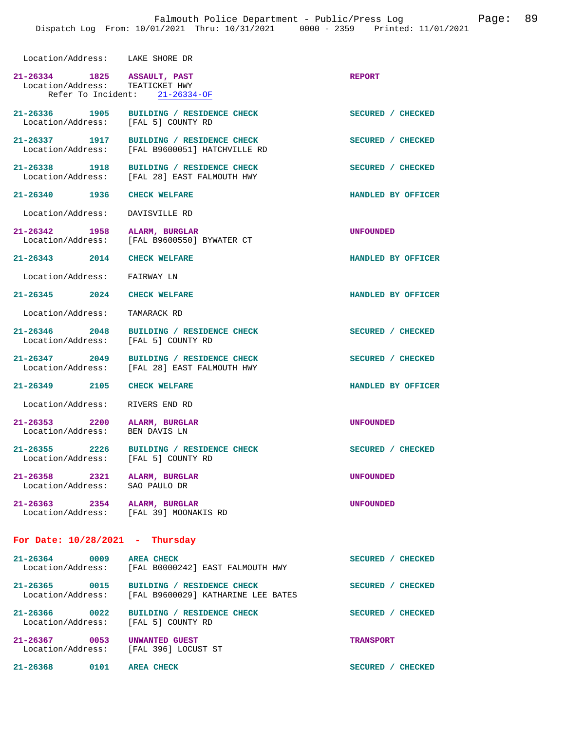| Location/Address: LAKE SHORE DR                                |                                                                                           |                    |
|----------------------------------------------------------------|-------------------------------------------------------------------------------------------|--------------------|
| 21-26334 1825 ASSAULT, PAST<br>Location/Address: TEATICKET HWY | Refer To Incident: 21-26334-OF                                                            | <b>REPORT</b>      |
| 21-26336 1905<br>Location/Address: [FAL 5] COUNTY RD           | BUILDING / RESIDENCE CHECK                                                                | SECURED / CHECKED  |
| Location/Address:                                              | 21-26337 1917 BUILDING / RESIDENCE CHECK<br>[FAL B9600051] HATCHVILLE RD                  | SECURED / CHECKED  |
| 21-26338 1918                                                  | BUILDING / RESIDENCE CHECK<br>Location/Address: [FAL 28] EAST FALMOUTH HWY                | SECURED / CHECKED  |
| 21-26340 1936                                                  | <b>CHECK WELFARE</b>                                                                      | HANDLED BY OFFICER |
| Location/Address:                                              | DAVISVILLE RD                                                                             |                    |
| 21-26342 1958<br>Location/Address:                             | ALARM, BURGLAR<br>[FAL B9600550] BYWATER CT                                               | <b>UNFOUNDED</b>   |
| 21-26343 2014 CHECK WELFARE                                    |                                                                                           | HANDLED BY OFFICER |
| Location/Address:                                              | FAIRWAY LN                                                                                |                    |
| $21 - 26345$ 2024                                              | <b>CHECK WELFARE</b>                                                                      | HANDLED BY OFFICER |
| Location/Address:                                              | TAMARACK RD                                                                               |                    |
| 21-26346 2048<br>Location/Address:                             | BUILDING / RESIDENCE CHECK<br>[FAL 5] COUNTY RD                                           | SECURED / CHECKED  |
| 21-26347 2049<br>Location/Address:                             | BUILDING / RESIDENCE CHECK<br>[FAL 28] EAST FALMOUTH HWY                                  | SECURED / CHECKED  |
| 21-26349 2105                                                  | <b>CHECK WELFARE</b>                                                                      | HANDLED BY OFFICER |
| Location/Address:                                              | RIVERS END RD                                                                             |                    |
| 21-26353 2200<br>Location/Address:                             | ALARM, BURGLAR<br>BEN DAVIS LN                                                            | <b>UNFOUNDED</b>   |
| 21-26355 2226<br>Location/Address:                             | BUILDING / RESIDENCE CHECK<br>[FAL 5] COUNTY RD                                           | SECURED / CHECKED  |
| 21-26358 2321 ALARM, BURGLAR<br>Location/Address:              | SAO PAULO DR                                                                              | <b>UNFOUNDED</b>   |
| 21-26363 2354 ALARM, BURGLAR                                   | Location/Address: [FAL 39] MOONAKIS RD                                                    | <b>UNFOUNDED</b>   |
| For Date: $10/28/2021$ - Thursday                              |                                                                                           |                    |
| $21 - 26364$<br>0009<br>Location/Address:                      | <b>AREA CHECK</b><br>[FAL B0000242] EAST FALMOUTH HWY                                     | SECURED / CHECKED  |
| 21-26365 0015                                                  | <b>BUILDING / RESIDENCE CHECK</b><br>Location/Address: [FAL B9600029] KATHARINE LEE BATES | SECURED / CHECKED  |
| 21-26366 0022<br>Location/Address:                             | BUILDING / RESIDENCE CHECK<br>[FAL 5] COUNTY RD                                           | SECURED / CHECKED  |
| 21-26367 0053<br>Location/Address:                             | UNWANTED GUEST<br>[FAL 396] LOCUST ST                                                     | <b>TRANSPORT</b>   |
| $21 - 26368$<br>0101                                           | <b>AREA CHECK</b>                                                                         | SECURED / CHECKED  |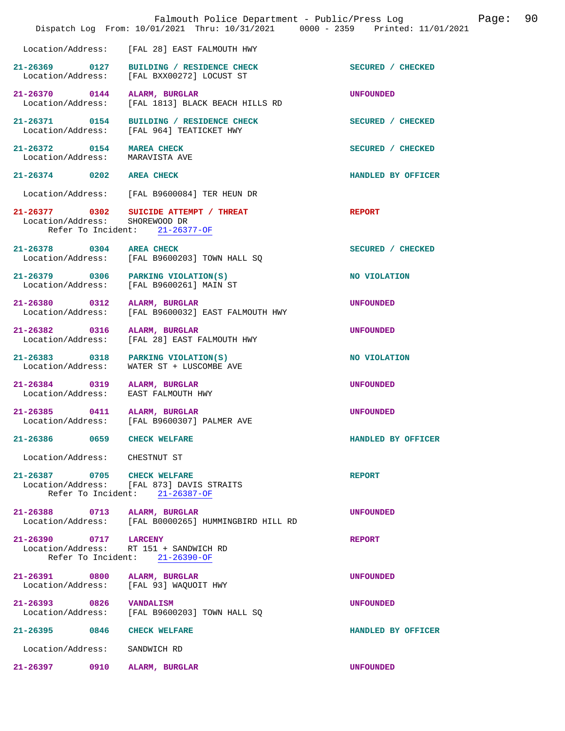|                                                   | Falmouth Police Department - Public/Press Log<br>Dispatch Log From: 10/01/2021 Thru: 10/31/2021 0000 - 2359 Printed: 11/01/2021 | Page:              | 90 |
|---------------------------------------------------|---------------------------------------------------------------------------------------------------------------------------------|--------------------|----|
| Location/Address:                                 | [FAL 28] EAST FALMOUTH HWY                                                                                                      |                    |    |
|                                                   | 21-26369 0127 BUILDING / RESIDENCE CHECK<br>Location/Address: [FAL BXX00272] LOCUST ST                                          | SECURED / CHECKED  |    |
| 21-26370 0144<br>Location/Address:                | ALARM, BURGLAR<br>[FAL 1813] BLACK BEACH HILLS RD                                                                               | <b>UNFOUNDED</b>   |    |
|                                                   | 21-26371 0154 BUILDING / RESIDENCE CHECK<br>Location/Address: [FAL 964] TEATICKET HWY                                           | SECURED / CHECKED  |    |
| 21-26372 0154 MAREA CHECK<br>Location/Address:    | MARAVISTA AVE                                                                                                                   | SECURED / CHECKED  |    |
| 21-26374 0202 AREA CHECK                          |                                                                                                                                 | HANDLED BY OFFICER |    |
|                                                   | Location/Address: [FAL B9600084] TER HEUN DR                                                                                    |                    |    |
|                                                   | 21-26377 0302 SUICIDE ATTEMPT / THREAT<br>Location/Address: SHOREWOOD DR<br>Refer To Incident: 21-26377-OF                      | <b>REPORT</b>      |    |
| 21-26378 0304 AREA CHECK                          | Location/Address: [FAL B9600203] TOWN HALL SQ                                                                                   | SECURED / CHECKED  |    |
|                                                   | 21-26379 0306 PARKING VIOLATION(S)<br>Location/Address: [FAL B9600261] MAIN ST                                                  | NO VIOLATION       |    |
| 21-26380 0312 ALARM, BURGLAR<br>Location/Address: | [FAL B9600032] EAST FALMOUTH HWY                                                                                                | <b>UNFOUNDED</b>   |    |
| 21-26382 0316 ALARM, BURGLAR<br>Location/Address: | [FAL 28] EAST FALMOUTH HWY                                                                                                      | UNFOUNDED          |    |
| Location/Address:                                 | 21-26383 0318 PARKING VIOLATION(S)<br>WATER ST + LUSCOMBE AVE                                                                   | NO VIOLATION       |    |
| 21-26384 0319 ALARM, BURGLAR<br>Location/Address: | EAST FALMOUTH HWY                                                                                                               | <b>UNFOUNDED</b>   |    |
| 21-26385 0411 ALARM, BURGLAR                      | Location/Address: [FAL B9600307] PALMER AVE                                                                                     | <b>UNFOUNDED</b>   |    |
| 21-26386 0659 CHECK WELFARE                       |                                                                                                                                 | HANDLED BY OFFICER |    |
| Location/Address: CHESTNUT ST                     |                                                                                                                                 |                    |    |
| 21-26387 0705 CHECK WELFARE                       | Location/Address: [FAL 873] DAVIS STRAITS<br>Refer To Incident: 21-26387-OF                                                     | <b>REPORT</b>      |    |
| 21-26388 0713 ALARM, BURGLAR                      | Location/Address: [FAL B0000265] HUMMINGBIRD HILL RD                                                                            | <b>UNFOUNDED</b>   |    |
| 21-26390 0717 LARCENY                             | Location/Address: RT 151 + SANDWICH RD<br>Refer To Incident: 21-26390-OF                                                        | <b>REPORT</b>      |    |
| 21-26391 0800 ALARM, BURGLAR                      | Location/Address: [FAL 93] WAQUOIT HWY                                                                                          | <b>UNFOUNDED</b>   |    |
| 21-26393 0826 VANDALISM                           | Location/Address: [FAL B9600203] TOWN HALL SQ                                                                                   | <b>UNFOUNDED</b>   |    |
| 21-26395 0846 CHECK WELFARE                       |                                                                                                                                 | HANDLED BY OFFICER |    |
| Location/Address:                                 | SANDWICH RD                                                                                                                     |                    |    |
| 21-26397 0910 ALARM, BURGLAR                      |                                                                                                                                 | <b>UNFOUNDED</b>   |    |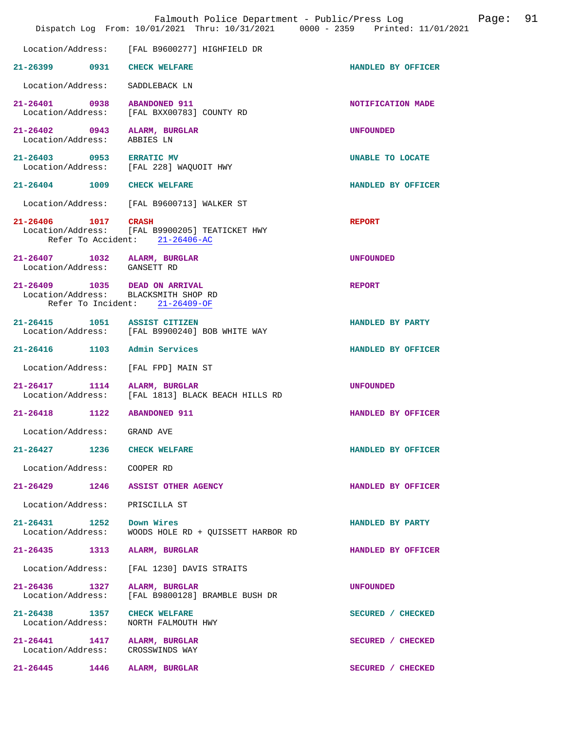|                                        |                                                                                                         | Falmouth Police Department - Public/Press Log<br>Dispatch Log From: 10/01/2021 Thru: 10/31/2021 0000 - 2359 Printed: 11/01/2021 |                    | Page: | 91 |
|----------------------------------------|---------------------------------------------------------------------------------------------------------|---------------------------------------------------------------------------------------------------------------------------------|--------------------|-------|----|
| Location/Address:                      | [FAL B9600277] HIGHFIELD DR                                                                             |                                                                                                                                 |                    |       |    |
| 21–26399 0931                          | <b>CHECK WELFARE</b>                                                                                    |                                                                                                                                 | HANDLED BY OFFICER |       |    |
| Location/Address:                      | SADDLEBACK LN                                                                                           |                                                                                                                                 |                    |       |    |
| 21-26401 0938<br>Location/Address:     | <b>ABANDONED 911</b><br>[FAL BXX00783] COUNTY RD                                                        |                                                                                                                                 | NOTIFICATION MADE  |       |    |
| $21 - 26402$ 0943<br>Location/Address: | ALARM, BURGLAR<br>ABBIES LN                                                                             |                                                                                                                                 | <b>UNFOUNDED</b>   |       |    |
| 21-26403 0953 ERRATIC MV               | Location/Address: [FAL 228] WAQUOIT HWY                                                                 |                                                                                                                                 | UNABLE TO LOCATE   |       |    |
| $21 - 26404$ 1009                      | <b>CHECK WELFARE</b>                                                                                    |                                                                                                                                 | HANDLED BY OFFICER |       |    |
| Location/Address:                      | [FAL B9600713] WALKER ST                                                                                |                                                                                                                                 |                    |       |    |
| 21-26406 1017<br>Location/Address:     | <b>CRASH</b><br>[FAL B9900205] TEATICKET HWY<br>Refer To Accident: 21-26406-AC                          |                                                                                                                                 | <b>REPORT</b>      |       |    |
| Location/Address: GANSETT RD           | 21-26407 1032 ALARM, BURGLAR                                                                            |                                                                                                                                 | <b>UNFOUNDED</b>   |       |    |
|                                        | 21-26409 1035 DEAD ON ARRIVAL<br>Location/Address: BLACKSMITH SHOP RD<br>Refer To Incident: 21-26409-OF |                                                                                                                                 | <b>REPORT</b>      |       |    |
| $21 - 26415$                           | 1051 ASSIST CITIZEN<br>Location/Address: [FAL B9900240] BOB WHITE WAY                                   |                                                                                                                                 | HANDLED BY PARTY   |       |    |
|                                        | 21-26416 1103 Admin Services                                                                            |                                                                                                                                 | HANDLED BY OFFICER |       |    |
| Location/Address:                      | [FAL FPD] MAIN ST                                                                                       |                                                                                                                                 |                    |       |    |
| 21-26417 1114<br>Location/Address:     | ALARM, BURGLAR<br>[FAL 1813] BLACK BEACH HILLS RD                                                       |                                                                                                                                 | <b>UNFOUNDED</b>   |       |    |
| 1122<br>$21 - 26418$                   | <b>ABANDONED 911</b>                                                                                    |                                                                                                                                 | HANDLED BY OFFICER |       |    |
| Location/Address:                      | GRAND AVE                                                                                               |                                                                                                                                 |                    |       |    |
| $21 - 26427$                           | 1236<br><b>CHECK WELFARE</b>                                                                            |                                                                                                                                 | HANDLED BY OFFICER |       |    |
| Location/Address:                      | COOPER RD                                                                                               |                                                                                                                                 |                    |       |    |
| $21 - 26429$                           | 1246<br>ASSIST OTHER AGENCY                                                                             |                                                                                                                                 | HANDLED BY OFFICER |       |    |
| Location/Address:                      | PRISCILLA ST                                                                                            |                                                                                                                                 |                    |       |    |
| $21 - 26431$ 1252<br>Location/Address: | Down Wires                                                                                              | WOODS HOLE RD + OUISSETT HARBOR RD                                                                                              | HANDLED BY PARTY   |       |    |
| $21 - 26435$<br>1313                   | ALARM, BURGLAR                                                                                          |                                                                                                                                 | HANDLED BY OFFICER |       |    |
| Location/Address:                      | [FAL 1230] DAVIS STRAITS                                                                                |                                                                                                                                 |                    |       |    |
| 21-26436 1327<br>Location/Address:     | ALARM, BURGLAR<br>[FAL B9800128] BRAMBLE BUSH DR                                                        |                                                                                                                                 | <b>UNFOUNDED</b>   |       |    |
| 21-26438 1357<br>Location/Address:     | <b>CHECK WELFARE</b><br>NORTH FALMOUTH HWY                                                              |                                                                                                                                 | SECURED / CHECKED  |       |    |
| 21-26441 1417<br>Location/Address:     | ALARM, BURGLAR<br>CROSSWINDS WAY                                                                        |                                                                                                                                 | SECURED / CHECKED  |       |    |
| 21-26445 1446                          | ALARM, BURGLAR                                                                                          |                                                                                                                                 | SECURED / CHECKED  |       |    |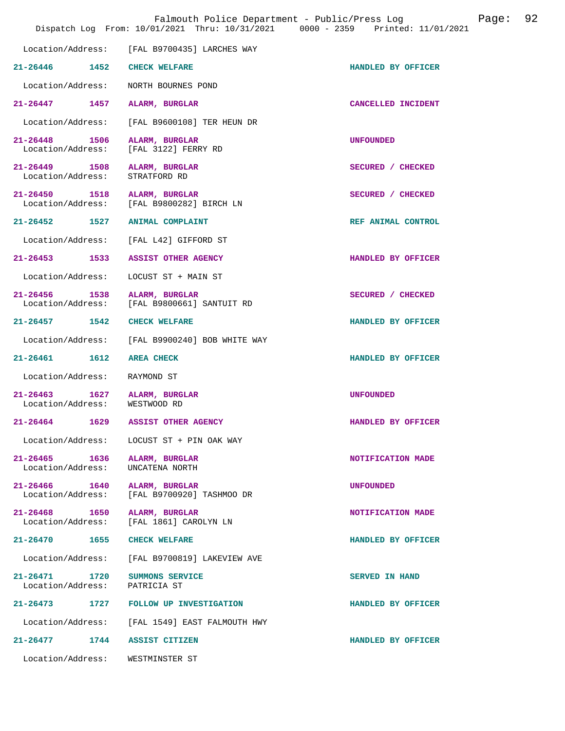|                                           | Falmouth Police Department - Public/Press Log<br>Dispatch Log From: 10/01/2021 Thru: 10/31/2021 0000 - 2359 Printed: 11/01/2021 |                    | Page: | 92 |
|-------------------------------------------|---------------------------------------------------------------------------------------------------------------------------------|--------------------|-------|----|
| Location/Address:                         | [FAL B9700435] LARCHES WAY                                                                                                      |                    |       |    |
| $21 - 26446$ 1452                         | <b>CHECK WELFARE</b>                                                                                                            | HANDLED BY OFFICER |       |    |
| Location/Address:                         | NORTH BOURNES POND                                                                                                              |                    |       |    |
| 1457<br>$21 - 26447$                      | ALARM, BURGLAR                                                                                                                  | CANCELLED INCIDENT |       |    |
| Location/Address:                         | [FAL B9600108] TER HEUN DR                                                                                                      |                    |       |    |
| $21 - 26448$<br>1506<br>Location/Address: | ALARM, BURGLAR<br>[FAL 3122] FERRY RD                                                                                           | <b>UNFOUNDED</b>   |       |    |
| 21-26449 1508<br>Location/Address:        | ALARM, BURGLAR<br>STRATFORD RD                                                                                                  | SECURED / CHECKED  |       |    |
| 21-26450 1518<br>Location/Address:        | ALARM, BURGLAR<br>[FAL B9800282] BIRCH LN                                                                                       | SECURED / CHECKED  |       |    |
|                                           | 21-26452 1527 ANIMAL COMPLAINT                                                                                                  | REF ANIMAL CONTROL |       |    |
| Location/Address:                         | [FAL L42] GIFFORD ST                                                                                                            |                    |       |    |
| $21 - 26453$<br>1533                      | <b>ASSIST OTHER AGENCY</b>                                                                                                      | HANDLED BY OFFICER |       |    |
| Location/Address:                         | LOCUST ST + MAIN ST                                                                                                             |                    |       |    |
| $21 - 26456$<br>1538<br>Location/Address: | ALARM, BURGLAR<br>[FAL B9800661] SANTUIT RD                                                                                     | SECURED / CHECKED  |       |    |
| $21 - 26457$ 1542                         | <b>CHECK WELFARE</b>                                                                                                            | HANDLED BY OFFICER |       |    |
| Location/Address:                         | [FAL B9900240] BOB WHITE WAY                                                                                                    |                    |       |    |
| $21 - 26461$<br>1612                      | <b>AREA CHECK</b>                                                                                                               | HANDLED BY OFFICER |       |    |
| Location/Address:                         | RAYMOND ST                                                                                                                      |                    |       |    |
| $21 - 26463$<br>1627<br>Location/Address: | ALARM, BURGLAR<br>WESTWOOD RD                                                                                                   | <b>UNFOUNDED</b>   |       |    |
| 1629<br>$21 - 26464$                      | <b>ASSIST OTHER AGENCY</b>                                                                                                      | HANDLED BY OFFICER |       |    |
| Location/Address:                         | LOCUST ST + PIN OAK WAY                                                                                                         |                    |       |    |
| 21-26465 1636<br>Location/Address:        | ALARM, BURGLAR<br>UNCATENA NORTH                                                                                                | NOTIFICATION MADE  |       |    |
| 21-26466 1640<br>Location/Address:        | ALARM, BURGLAR<br>[FAL B9700920] TASHMOO DR                                                                                     | <b>UNFOUNDED</b>   |       |    |
| 21-26468 1650<br>Location/Address:        | ALARM, BURGLAR<br>[FAL 1861] CAROLYN LN                                                                                         | NOTIFICATION MADE  |       |    |
| $21 - 26470$<br>1655                      | <b>CHECK WELFARE</b>                                                                                                            | HANDLED BY OFFICER |       |    |
| Location/Address:                         | [FAL B9700819] LAKEVIEW AVE                                                                                                     |                    |       |    |
| 21-26471 1720<br>Location/Address:        | SUMMONS SERVICE<br>PATRICIA ST                                                                                                  | SERVED IN HAND     |       |    |
|                                           | 21-26473 1727 FOLLOW UP INVESTIGATION                                                                                           | HANDLED BY OFFICER |       |    |
| Location/Address:                         | [FAL 1549] EAST FALMOUTH HWY                                                                                                    |                    |       |    |
| $21 - 26477$<br>1744                      | ASSIST CITIZEN                                                                                                                  | HANDLED BY OFFICER |       |    |
| Location/Address:                         | WESTMINSTER ST                                                                                                                  |                    |       |    |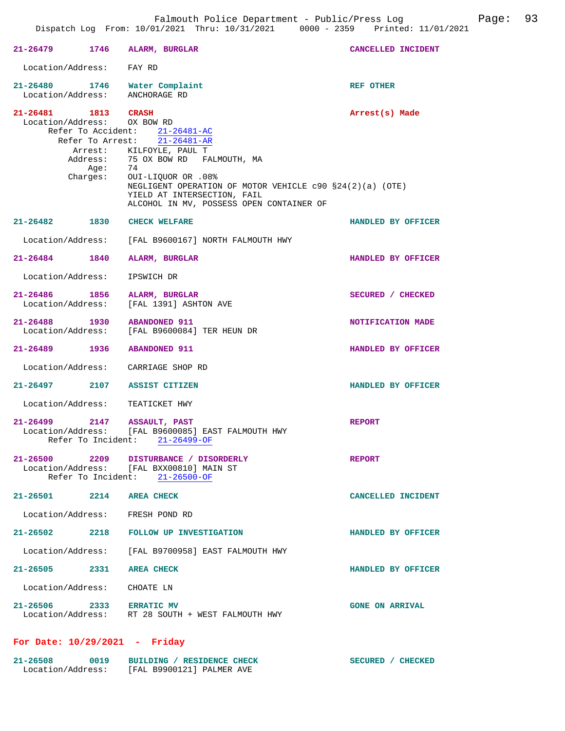|                                    | 21-26479 1746 ALARM, BURGLAR                                                                                                                                                                                                                    | CANCELLED INCIDENT     |
|------------------------------------|-------------------------------------------------------------------------------------------------------------------------------------------------------------------------------------------------------------------------------------------------|------------------------|
| Location/Address: FAY RD           |                                                                                                                                                                                                                                                 |                        |
|                                    | 21-26480 1746 Water Complaint<br>Location/Address: ANCHORAGE RD                                                                                                                                                                                 | REF OTHER              |
| 21-26481 1813 CRASH                | Location/Address: 0X BOW RD<br>Refer To Accident: 21-26481-AC<br>Refer To Arrest: 21-26481-AR                                                                                                                                                   | Arrest(s) Made         |
|                                    | Arrest: KILFOYLE, PAUL T<br>Address: 75 OX BOW RD FALMOUTH, MA<br>Age: 74<br>Charges: OUI-LIQUOR OR .08%<br>NEGLIGENT OPERATION OF MOTOR VEHICLE c90 §24(2)(a) (OTE)<br>YIELD AT INTERSECTION, FAIL<br>ALCOHOL IN MV, POSSESS OPEN CONTAINER OF |                        |
|                                    | 21-26482 1830 CHECK WELFARE                                                                                                                                                                                                                     | HANDLED BY OFFICER     |
|                                    | Location/Address: [FAL B9600167] NORTH FALMOUTH HWY                                                                                                                                                                                             |                        |
| 21-26484 1840                      | ALARM, BURGLAR                                                                                                                                                                                                                                  | HANDLED BY OFFICER     |
| Location/Address:                  | IPSWICH DR                                                                                                                                                                                                                                      |                        |
| 21-26486 1856<br>Location/Address: | ALARM, BURGLAR<br>[FAL 1391] ASHTON AVE                                                                                                                                                                                                         | SECURED / CHECKED      |
| 21-26488 1930                      | <b>ABANDONED 911</b><br>Location/Address: [FAL B9600084] TER HEUN DR                                                                                                                                                                            | NOTIFICATION MADE      |
|                                    | 21-26489 1936 ABANDONED 911                                                                                                                                                                                                                     | HANDLED BY OFFICER     |
|                                    | Location/Address: CARRIAGE SHOP RD                                                                                                                                                                                                              |                        |
|                                    | 21-26497 2107 ASSIST CITIZEN                                                                                                                                                                                                                    | HANDLED BY OFFICER     |
|                                    | Location/Address: TEATICKET HWY                                                                                                                                                                                                                 |                        |
| 21-26499 2147                      | <b>ASSAULT, PAST</b><br>Location/Address: [FAL B9600085] EAST FALMOUTH HWY<br>Refer To Incident: 21-26499-OF                                                                                                                                    | <b>REPORT</b>          |
| 21-26500                           | 2209 DISTURBANCE / DISORDERLY<br>Location/Address: [FAL BXX00810] MAIN ST<br>Refer To Incident: 21-26500-OF                                                                                                                                     | <b>REPORT</b>          |
| 21-26501 2214 AREA CHECK           |                                                                                                                                                                                                                                                 | CANCELLED INCIDENT     |
|                                    | Location/Address: FRESH POND RD                                                                                                                                                                                                                 |                        |
| $21 - 26502$                       | 2218 FOLLOW UP INVESTIGATION                                                                                                                                                                                                                    | HANDLED BY OFFICER     |
|                                    | Location/Address: [FAL B9700958] EAST FALMOUTH HWY                                                                                                                                                                                              |                        |
| 21-26505 2331                      | <b>AREA CHECK</b>                                                                                                                                                                                                                               | HANDLED BY OFFICER     |
|                                    | Location/Address: CHOATE LN                                                                                                                                                                                                                     |                        |
| 21-26506 2333                      | <b>ERRATIC MV</b><br>Location/Address: RT 28 SOUTH + WEST FALMOUTH HWY                                                                                                                                                                          | <b>GONE ON ARRIVAL</b> |

## **For Date: 10/29/2021 - Friday**

| $21 - 26508$      | 0019 | BUILDING / RESIDENCE CHECK | SECURED / CHECKED |
|-------------------|------|----------------------------|-------------------|
| Location/Address: |      | [FAL B9900121] PALMER AVE  |                   |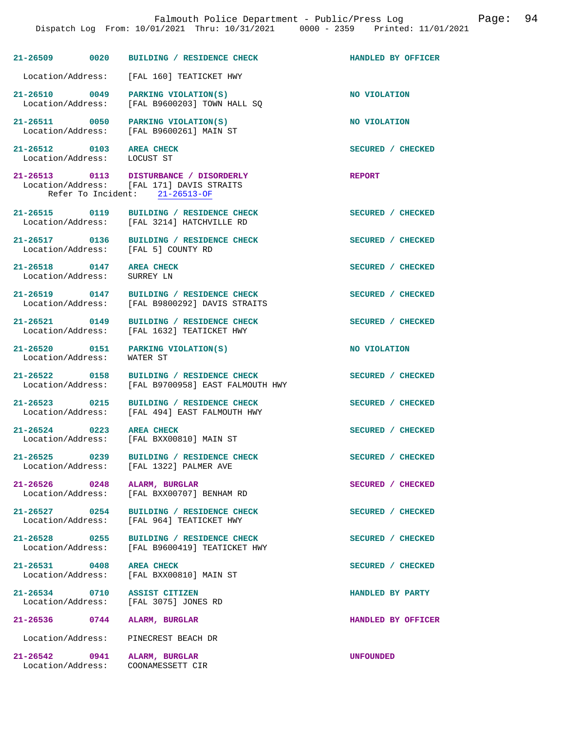|                                                         | 21-26509 0020 BUILDING / RESIDENCE CHECK                                                                              | HANDLED BY OFFICER |
|---------------------------------------------------------|-----------------------------------------------------------------------------------------------------------------------|--------------------|
|                                                         | Location/Address: [FAL 160] TEATICKET HWY                                                                             |                    |
| 21-26510 0049<br>Location/Address:                      | PARKING VIOLATION(S)<br>[FAL B9600203] TOWN HALL SO                                                                   | NO VIOLATION       |
|                                                         | 21-26511 0050 PARKING VIOLATION(S)<br>Location/Address: [FAL B9600261] MAIN ST                                        | NO VIOLATION       |
| 21-26512 0103 AREA CHECK<br>Location/Address: LOCUST ST |                                                                                                                       | SECURED / CHECKED  |
|                                                         | 21-26513 0113 DISTURBANCE / DISORDERLY<br>Location/Address: [FAL 171] DAVIS STRAITS<br>Refer To Incident: 21-26513-OF | <b>REPORT</b>      |
|                                                         | 21-26515 0119 BUILDING / RESIDENCE CHECK<br>Location/Address: [FAL 3214] HATCHVILLE RD                                | SECURED / CHECKED  |
| 21-26517 0136                                           | BUILDING / RESIDENCE CHECK<br>Location/Address: [FAL 5] COUNTY RD                                                     | SECURED / CHECKED  |
| 21-26518 0147 AREA CHECK<br>Location/Address:           | SURREY LN                                                                                                             | SECURED / CHECKED  |
| Location/Address:                                       | 21-26519 0147 BUILDING / RESIDENCE CHECK<br>[FAL B9800292] DAVIS STRAITS                                              | SECURED / CHECKED  |
| Location/Address:                                       | 21-26521 0149 BUILDING / RESIDENCE CHECK<br>[FAL 1632] TEATICKET HWY                                                  | SECURED / CHECKED  |
| Location/Address:                                       | 21-26520 0151 PARKING VIOLATION(S)<br>WATER ST                                                                        | NO VIOLATION       |
|                                                         | 21-26522 0158 BUILDING / RESIDENCE CHECK<br>Location/Address: [FAL B9700958] EAST FALMOUTH HWY                        | SECURED / CHECKED  |
| 21-26523 0215<br>Location/Address:                      | BUILDING / RESIDENCE CHECK<br>[FAL 494] EAST FALMOUTH HWY                                                             | SECURED / CHECKED  |
|                                                         | 21-26524 0223 AREA CHECK<br>Location/Address: [FAL BXX00810] MAIN ST                                                  | SECURED / CHECKED  |
|                                                         | 21-26525 0239 BUILDING / RESIDENCE CHECK<br>Location/Address: [FAL 1322] PALMER AVE                                   | SECURED / CHECKED  |
| 21-26526 0248 ALARM, BURGLAR<br>Location/Address:       | [FAL BXX00707] BENHAM RD                                                                                              | SECURED / CHECKED  |
|                                                         | 21-26527 0254 BUILDING / RESIDENCE CHECK<br>Location/Address: [FAL 964] TEATICKET HWY                                 | SECURED / CHECKED  |
| Location/Address:                                       | 21-26528 0255 BUILDING / RESIDENCE CHECK<br>[FAL B9600419] TEATICKET HWY                                              | SECURED / CHECKED  |
| 21-26531 0408 AREA CHECK                                | Location/Address: [FAL BXX00810] MAIN ST                                                                              | SECURED / CHECKED  |
| 21-26534 0710 ASSIST CITIZEN                            | Location/Address: [FAL 3075] JONES RD                                                                                 | HANDLED BY PARTY   |
| 21-26536 0744 ALARM, BURGLAR                            |                                                                                                                       | HANDLED BY OFFICER |
|                                                         | Location/Address: PINECREST BEACH DR                                                                                  |                    |
| 21-26542 0941 ALARM, BURGLAR<br>Location/Address:       | COONAMESSETT CIR                                                                                                      | <b>UNFOUNDED</b>   |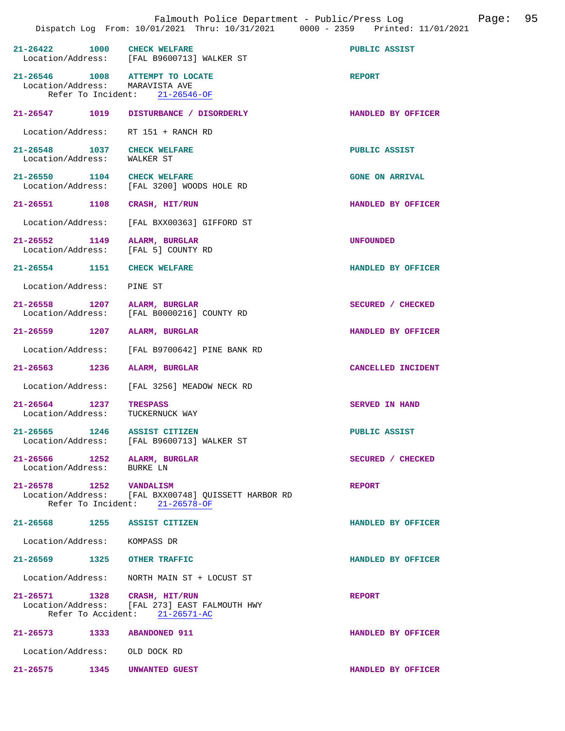|                                        | Falmouth Police Department - Public/Press Log<br>Dispatch Log From: 10/01/2021 Thru: 10/31/2021 0000 - 2359 Printed: 11/01/2021 | 95<br>Page:            |
|----------------------------------------|---------------------------------------------------------------------------------------------------------------------------------|------------------------|
| $21 - 26422$                           | 1000 CHECK WELFARE<br>Location/Address: [FAL B9600713] WALKER ST                                                                | PUBLIC ASSIST          |
|                                        | $21-26546$ 1008 ATTEMPT TO LOCATE<br>Location/Address: MARAVISTA AVE<br>Refer To Incident: 21-26546-OF                          | <b>REPORT</b>          |
| $21 - 26547$                           | 1019<br>DISTURBANCE / DISORDERLY                                                                                                | HANDLED BY OFFICER     |
| Location/Address:                      | RT 151 + RANCH RD                                                                                                               |                        |
| 21-26548 1037<br>Location/Address:     | <b>CHECK WELFARE</b><br>WALKER ST                                                                                               | PUBLIC ASSIST          |
| 21-26550 1104                          | <b>CHECK WELFARE</b><br>Location/Address: [FAL 3200] WOODS HOLE RD                                                              | <b>GONE ON ARRIVAL</b> |
| 21-26551 1108                          | CRASH, HIT/RUN                                                                                                                  | HANDLED BY OFFICER     |
| Location/Address:                      | [FAL BXX00363] GIFFORD ST                                                                                                       |                        |
| 21-26552 1149<br>Location/Address:     | ALARM, BURGLAR<br>[FAL 5] COUNTY RD                                                                                             | <b>UNFOUNDED</b>       |
| $21 - 26554$<br>1151                   | <b>CHECK WELFARE</b>                                                                                                            | HANDLED BY OFFICER     |
| Location/Address:                      | PINE ST                                                                                                                         |                        |
| 21-26558 1207<br>Location/Address:     | ALARM, BURGLAR<br>[FAL B0000216] COUNTY RD                                                                                      | SECURED / CHECKED      |
| 21-26559 1207                          | ALARM, BURGLAR                                                                                                                  | HANDLED BY OFFICER     |
| Location/Address:                      | [FAL B9700642] PINE BANK RD                                                                                                     |                        |
| 21-26563<br>1236                       | ALARM, BURGLAR                                                                                                                  | CANCELLED INCIDENT     |
| Location/Address:                      | [FAL 3256] MEADOW NECK RD                                                                                                       |                        |
| $21 - 26564$ 1237<br>Location/Address: | <b>TRESPASS</b><br>TUCKERNUCK WAY                                                                                               | SERVED IN HAND         |
|                                        | 21-26565 1246 ASSIST CITIZEN<br>Location/Address: [FAL B9600713] WALKER ST                                                      | PUBLIC ASSIST          |
| Location/Address:                      | 21-26566 1252 ALARM, BURGLAR<br>BURKE LN                                                                                        | SECURED / CHECKED      |
| 21-26578 1252 VANDALISM                | Location/Address: [FAL BXX00748] QUISSETT HARBOR RD<br>Refer To Incident: 21-26578-OF                                           | <b>REPORT</b>          |
|                                        | 21-26568 1255 ASSIST CITIZEN                                                                                                    | HANDLED BY OFFICER     |
| Location/Address: KOMPASS DR           |                                                                                                                                 |                        |
|                                        | 21-26569 1325 OTHER TRAFFIC                                                                                                     | HANDLED BY OFFICER     |
| Location/Address:                      | NORTH MAIN ST + LOCUST ST                                                                                                       |                        |
|                                        | 21-26571 1328 CRASH, HIT/RUN<br>Location/Address: [FAL 273] EAST FALMOUTH HWY<br>Refer To Accident: 21-26571-AC                 | <b>REPORT</b>          |
|                                        | 21-26573 1333 ABANDONED 911                                                                                                     | HANDLED BY OFFICER     |
|                                        | Location/Address: OLD DOCK RD                                                                                                   |                        |
| 21-26575                               | 1345<br>UNWANTED GUEST                                                                                                          | HANDLED BY OFFICER     |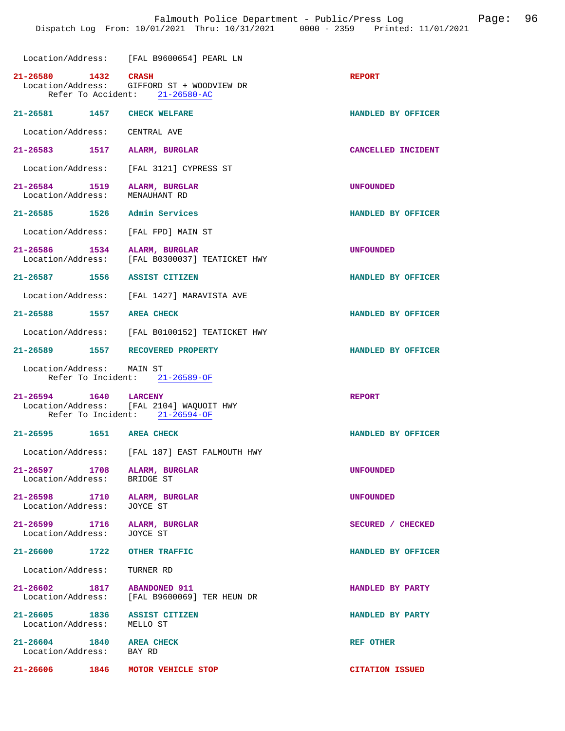Location/Address: [FAL B9600654] PEARL LN

| 21-26580 1432 CRASH                                        | Location/Address: GIFFORD ST + WOODVIEW DR<br>Refer To Accident: 21-26580-AC                        | <b>REPORT</b>          |
|------------------------------------------------------------|-----------------------------------------------------------------------------------------------------|------------------------|
| 21-26581 1457                                              | <b>CHECK WELFARE</b>                                                                                | HANDLED BY OFFICER     |
| Location/Address: CENTRAL AVE                              |                                                                                                     |                        |
| 21-26583 1517 ALARM, BURGLAR                               |                                                                                                     | CANCELLED INCIDENT     |
|                                                            | Location/Address: [FAL 3121] CYPRESS ST                                                             |                        |
| 21-26584 1519<br>Location/Address:                         | ALARM, BURGLAR<br>MENAUHANT RD                                                                      | <b>UNFOUNDED</b>       |
| 21-26585 1526                                              | Admin Services                                                                                      | HANDLED BY OFFICER     |
| Location/Address: [FAL FPD] MAIN ST                        |                                                                                                     |                        |
| 21-26586 1534                                              | ALARM, BURGLAR<br>Location/Address: [FAL B0300037] TEATICKET HWY                                    | <b>UNFOUNDED</b>       |
| 21-26587 1556                                              | <b>ASSIST CITIZEN</b>                                                                               | HANDLED BY OFFICER     |
|                                                            | Location/Address: [FAL 1427] MARAVISTA AVE                                                          |                        |
| 21-26588 1557                                              | <b>AREA CHECK</b>                                                                                   | HANDLED BY OFFICER     |
|                                                            | Location/Address: [FAL B0100152] TEATICKET HWY                                                      |                        |
| 21-26589 1557 RECOVERED PROPERTY                           |                                                                                                     | HANDLED BY OFFICER     |
| Location/Address: MAIN ST                                  | Refer To Incident: 21-26589-OF                                                                      |                        |
|                                                            | 21-26594 1640 LARCENY<br>Location/Address: [FAL 2104] WAQUOIT HWY<br>Refer To Incident: 21-26594-OF | <b>REPORT</b>          |
| 21-26595 1651 AREA CHECK                                   |                                                                                                     | HANDLED BY OFFICER     |
|                                                            | Location/Address: [FAL 187] EAST FALMOUTH HWY                                                       |                        |
| 21-26597 1708<br>Location/Address:                         | ALARM, BURGLAR<br>BRIDGE ST                                                                         | <b>UNFOUNDED</b>       |
| 21-26598 1710 ALARM, BURGLAR<br>Location/Address:          | JOYCE ST                                                                                            | <b>UNFOUNDED</b>       |
| 21-26599 1716 ALARM, BURGLAR<br>Location/Address: JOYCE ST |                                                                                                     | SECURED / CHECKED      |
| $21 - 26600$ 1722                                          | <b>OTHER TRAFFIC</b>                                                                                | HANDLED BY OFFICER     |
| Location/Address:                                          | TURNER RD                                                                                           |                        |
| 21-26602 1817 ABANDONED 911                                | Location/Address: [FAL B9600069] TER HEUN DR                                                        | HANDLED BY PARTY       |
| 21-26605 1836 ASSIST CITIZEN<br>Location/Address: MELLO ST |                                                                                                     | HANDLED BY PARTY       |
| 21-26604 1840 AREA CHECK<br>Location/Address: BAY RD       |                                                                                                     | <b>REF OTHER</b>       |
| 21-26606 1846                                              | MOTOR VEHICLE STOP                                                                                  | <b>CITATION ISSUED</b> |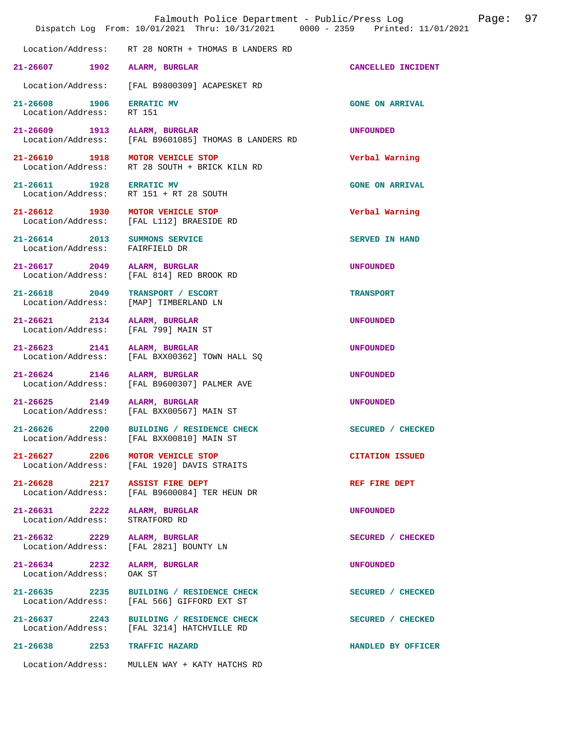| Page:<br>Falmouth Police Department - Public/Press Log<br>Dispatch Log From: 10/01/2021 Thru: 10/31/2021 0000 - 2359 Printed: 11/01/2021 |                                                                          |                           |  | 97 |
|------------------------------------------------------------------------------------------------------------------------------------------|--------------------------------------------------------------------------|---------------------------|--|----|
|                                                                                                                                          | Location/Address: RT 28 NORTH + THOMAS B LANDERS RD                      |                           |  |    |
| $21 - 26607$<br>1902                                                                                                                     | ALARM, BURGLAR                                                           | <b>CANCELLED INCIDENT</b> |  |    |
| Location/Address:                                                                                                                        | [FAL B9800309] ACAPESKET RD                                              |                           |  |    |
| 21-26608<br>1906<br>Location/Address:                                                                                                    | <b>ERRATIC MV</b><br>RT 151                                              | <b>GONE ON ARRIVAL</b>    |  |    |
| 21-26609 1913<br>Location/Address:                                                                                                       | ALARM, BURGLAR<br>[FAL B9601085] THOMAS B LANDERS RD                     | <b>UNFOUNDED</b>          |  |    |
| 21-26610 1918 MOTOR VEHICLE STOP                                                                                                         | Location/Address: RT 28 SOUTH + BRICK KILN RD                            | Verbal Warning            |  |    |
| 21-26611 1928                                                                                                                            | <b>ERRATIC MV</b><br>Location/Address: RT 151 + RT 28 SOUTH              | <b>GONE ON ARRIVAL</b>    |  |    |
| 21-26612 1930                                                                                                                            | MOTOR VEHICLE STOP<br>Location/Address: [FAL L112] BRAESIDE RD           | Verbal Warning            |  |    |
| $21 - 26614$ 2013<br>Location/Address:                                                                                                   | SUMMONS SERVICE<br>FAIRFIELD DR                                          | <b>SERVED IN HAND</b>     |  |    |
| 21-26617 2049                                                                                                                            | ALARM, BURGLAR<br>Location/Address: [FAL 814] RED BROOK RD               | <b>UNFOUNDED</b>          |  |    |
| 21-26618 2049<br>Location/Address:                                                                                                       | TRANSPORT / ESCORT<br>[MAP] TIMBERLAND LN                                | <b>TRANSPORT</b>          |  |    |
| 21-26621 2134<br>Location/Address:                                                                                                       | ALARM, BURGLAR<br>[FAL 799] MAIN ST                                      | <b>UNFOUNDED</b>          |  |    |
| $21 - 26623$<br>2141<br>Location/Address:                                                                                                | ALARM, BURGLAR<br>[FAL BXX00362] TOWN HALL SQ                            | <b>UNFOUNDED</b>          |  |    |
| 21-26624 2146<br>Location/Address:                                                                                                       | ALARM, BURGLAR<br>[FAL B9600307] PALMER AVE                              | <b>UNFOUNDED</b>          |  |    |
| $21 - 26625$<br>2149<br>Location/Address:                                                                                                | ALARM, BURGLAR<br>[FAL BXX00567] MAIN ST                                 | <b>UNFOUNDED</b>          |  |    |
| 21-26626 2200                                                                                                                            | BUILDING / RESIDENCE CHECK<br>Location/Address: [FAL BXX00810] MAIN ST   | SECURED / CHECKED         |  |    |
| 21-26627 2206                                                                                                                            | MOTOR VEHICLE STOP<br>Location/Address: [FAL 1920] DAVIS STRAITS         | <b>CITATION ISSUED</b>    |  |    |
| 21-26628 2217 ASSIST FIRE DEPT                                                                                                           | Location/Address: [FAL B9600084] TER HEUN DR                             | REF FIRE DEPT             |  |    |
| $21 - 26631$ 2222<br>Location/Address:                                                                                                   | ALARM, BURGLAR<br>STRATFORD RD                                           | <b>UNFOUNDED</b>          |  |    |
| $21 - 26632$ 2229                                                                                                                        | ALARM, BURGLAR<br>Location/Address: [FAL 2821] BOUNTY LN                 | SECURED / CHECKED         |  |    |
| 21-26634 2232<br>Location/Address:                                                                                                       | ALARM, BURGLAR<br>OAK ST                                                 | <b>UNFOUNDED</b>          |  |    |
| 21-26635 2235                                                                                                                            | BUILDING / RESIDENCE CHECK<br>Location/Address: [FAL 566] GIFFORD EXT ST | SECURED / CHECKED         |  |    |
| 21-26637 2243                                                                                                                            | BUILDING / RESIDENCE CHECK<br>Location/Address: [FAL 3214] HATCHVILLE RD | SECURED / CHECKED         |  |    |
| $21 - 26638$ 2253                                                                                                                        | <b>TRAFFIC HAZARD</b>                                                    | HANDLED BY OFFICER        |  |    |
|                                                                                                                                          | Location/Address: MULLEN WAY + KATY HATCHS RD                            |                           |  |    |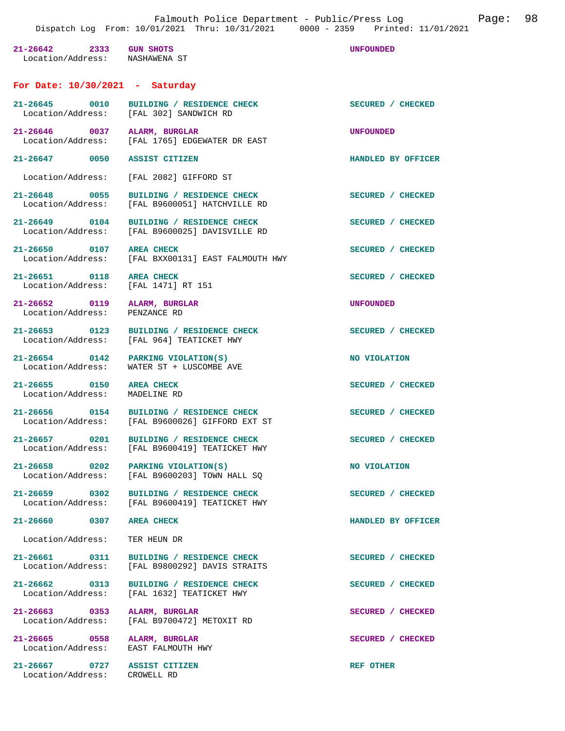**21-26642 2333 GUN SHOTS UNFOUNDED**  Location/Address: **For Date: 10/30/2021 - Saturday 21-26645 0010 BUILDING / RESIDENCE CHECK SECURED / CHECKED**  Location/Address: [FAL 302] SANDWICH RD **21-26646 0037 ALARM, BURGLAR UNFOUNDED**  [FAL 1765] EDGEWATER DR EAST **21-26647 0050 ASSIST CITIZEN HANDLED BY OFFICER**  Location/Address: [FAL 2082] GIFFORD ST 21-26648 0055 BUILDING / RESIDENCE CHECK<br>
Location/Address: [FAL B9600051] HATCHVILLE RD [FAL B9600051] HATCHVILLE RD 21-26649 0104 BUILDING / RESIDENCE CHECK<br>
Location/Address: [FAL B9600025] DAVISVILLE RD [FAL B9600025] DAVISVILLE RD 21-26650 0107 AREA CHECK **SECURED** / CHECKED 1007 AREA CHECK SECURED / CHECKED [FAL BXX00131] EAST FALMOUTH HWY **21-26651 0118 AREA CHECK SECURED / CHECKED**  Location/Address: [FAL 1471] RT 151 **21-26652 0119 ALARM, BURGLAR UNFOUNDED**  Location/Address: PENZANCE RD **21-26653 0123 BUILDING / RESIDENCE CHECK SECURED / CHECKED**  [FAL 964] TEATICKET HWY **21-26654** 0142 PARKING VIOLATION(S) NO VIOLATION<br>
Location/Address: WATER ST + LUSCOMBE AVE WATER ST + LUSCOMBE AVE 21-26655 0150 AREA CHECK SECURED / CHECKED Location/Address: MADELINE RD Location/Address: **21-26656 0154 BUILDING / RESIDENCE CHECK SECURED / CHECKED**  Location/Address: [FAL B9600026] GIFFORD EXT ST **21-26657 0201 BUILDING / RESIDENCE CHECK SECURED / CHECKED**  Location/Address: [FAL B9600419] TEATICKET HWY **21-26658** 0202 PARKING VIOLATION(S) **NO VIOLATION NO VIOLATION NO** VIOLATION [FAL B9600203] TOWN HALL SQ 21-26659 0302 BUILDING / RESIDENCE CHECK<br>
Location/Address: [FAL B9600419] TEATICKET HWY [FAL B9600419] TEATICKET HWY **21-26660 0307 AREA CHECK HANDLED BY OFFICER**  Location/Address: TER HEUN DR 21-26661 0311 BUILDING / RESIDENCE CHECK<br>
Location/Address: [FAL B9800292] DAVIS STRAITS [FAL B9800292] DAVIS STRAITS 21-26662 0313 BUILDING / RESIDENCE CHECK SECURED / CHECKED Location/Address: [FAL 1632] TEATICKET HWY [FAL 1632] TEATICKET HWY **21-26663 0353 ALARM, BURGLAR SECURED / CHECKED**  Location/Address: [FAL B9700472] METOXIT RD

**21-26665 0558 ALARM, BURGLAR SECURED / CHECKED**  Location/Address: EAST FALMOUTH HWY

21-26667 0727 ASSIST CITIZEN **REF OTHER** Location/Address: CROWELL RD Location/Address: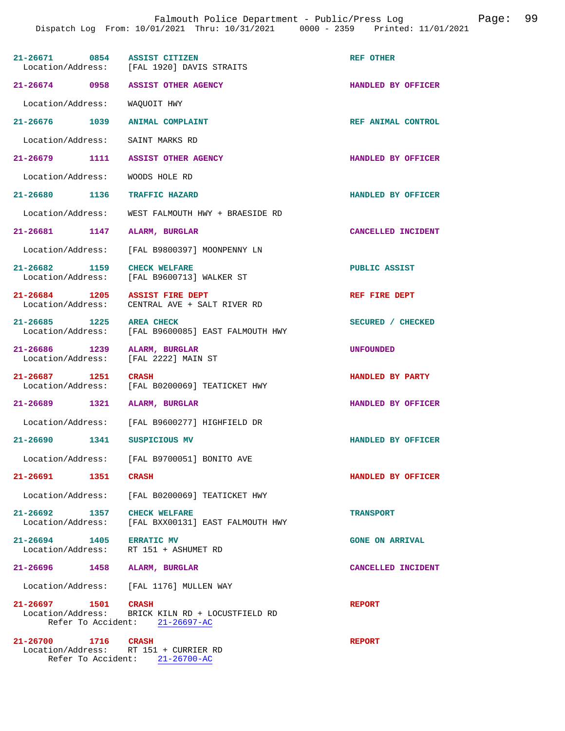Falmouth Police Department - Public/Press Log Page: 99

| 21-26671 0854                                                | <b>ASSIST CITIZEN</b><br>Location/Address: [FAL 1920] DAVIS STRAITS                | REF OTHER                 |
|--------------------------------------------------------------|------------------------------------------------------------------------------------|---------------------------|
| 21-26674 0958                                                | ASSIST OTHER AGENCY                                                                | HANDLED BY OFFICER        |
| Location/Address:                                            | WAQUOIT HWY                                                                        |                           |
| 21-26676 1039                                                | <b>ANIMAL COMPLAINT</b>                                                            | REF ANIMAL CONTROL        |
| Location/Address:                                            | SAINT MARKS RD                                                                     |                           |
| 21-26679 1111 ASSIST OTHER AGENCY                            |                                                                                    | HANDLED BY OFFICER        |
| Location/Address:                                            | WOODS HOLE RD                                                                      |                           |
| 21-26680 1136                                                | TRAFFIC HAZARD                                                                     | HANDLED BY OFFICER        |
| Location/Address:                                            | WEST FALMOUTH HWY + BRAESIDE RD                                                    |                           |
| 21-26681 1147                                                | ALARM, BURGLAR                                                                     | CANCELLED INCIDENT        |
| Location/Address:                                            | [FAL B9800397] MOONPENNY LN                                                        |                           |
| 21-26682 1159<br>Location/Address:                           | <b>CHECK WELFARE</b><br>[FAL B9600713] WALKER ST                                   | PUBLIC ASSIST             |
| 21-26684 1205<br>Location/Address:                           | <b>ASSIST FIRE DEPT</b><br>CENTRAL AVE + SALT RIVER RD                             | REF FIRE DEPT             |
| 21-26685 1225<br>Location/Address:                           | <b>AREA CHECK</b><br>[FAL B9600085] EAST FALMOUTH HWY                              | SECURED / CHECKED         |
| 21-26686 1239<br>Location/Address:                           | ALARM, BURGLAR<br>[FAL 2222] MAIN ST                                               | <b>UNFOUNDED</b>          |
| 21-26687 1251<br>Location/Address:                           | <b>CRASH</b><br>[FAL B0200069] TEATICKET HWY                                       | HANDLED BY PARTY          |
| 21-26689 1321                                                | <b>ALARM, BURGLAR</b>                                                              | HANDLED BY OFFICER        |
| Location/Address:                                            | [FAL B9600277] HIGHFIELD DR                                                        |                           |
| 21-26690 1341                                                | SUSPICIOUS MV                                                                      | <b>HANDLED BY OFFICER</b> |
|                                                              | Location/Address: [FAL B9700051] BONITO AVE                                        |                           |
| $21 - 26691$<br>1351                                         | <b>CRASH</b>                                                                       | HANDLED BY OFFICER        |
|                                                              | Location/Address: [FAL B0200069] TEATICKET HWY                                     |                           |
| $21 - 26692$ 1357<br>Location/Address:                       | <b>CHECK WELFARE</b><br>[FAL BXX00131] EAST FALMOUTH HWY                           | <b>TRANSPORT</b>          |
| 21-26694 1405<br>Location/Address:                           | <b>ERRATIC MV</b><br>RT 151 + ASHUMET RD                                           | <b>GONE ON ARRIVAL</b>    |
| 21-26696 1458                                                | ALARM, BURGLAR                                                                     | CANCELLED INCIDENT        |
|                                                              | Location/Address: [FAL 1176] MULLEN WAY                                            |                           |
| 21-26697 1501 CRASH                                          | Location/Address: BRICK KILN RD + LOCUSTFIELD RD<br>Refer To Accident: 21-26697-AC | <b>REPORT</b>             |
| 21-26700 1716 CRASH<br>Location/Address: RT 151 + CURRIER RD | Refer To Accident: 21-26700-AC                                                     | <b>REPORT</b>             |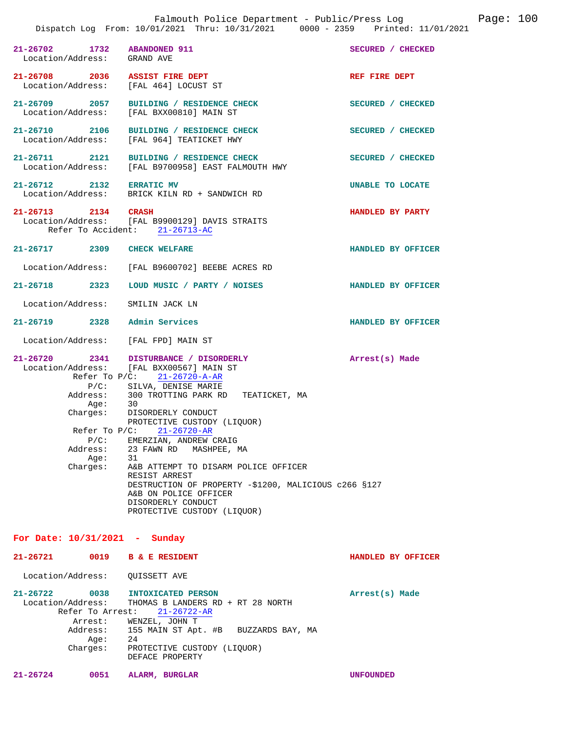| 21-26702 1732 ABANDONED 911<br>Location/Address: GRAND AVE |                                                                                                                                                                                                                                                                                                                                                                                                                                                                                                                                                                            | SECURED / CHECKED  |
|------------------------------------------------------------|----------------------------------------------------------------------------------------------------------------------------------------------------------------------------------------------------------------------------------------------------------------------------------------------------------------------------------------------------------------------------------------------------------------------------------------------------------------------------------------------------------------------------------------------------------------------------|--------------------|
| 21-26708 2036 ASSIST FIRE DEPT                             | Location/Address: [FAL 464] LOCUST ST                                                                                                                                                                                                                                                                                                                                                                                                                                                                                                                                      | REF FIRE DEPT      |
|                                                            | 21-26709 2057 BUILDING / RESIDENCE CHECK<br>Location/Address: [FAL BXX00810] MAIN ST                                                                                                                                                                                                                                                                                                                                                                                                                                                                                       | SECURED / CHECKED  |
|                                                            | 21-26710 2106 BUILDING / RESIDENCE CHECK<br>Location/Address: [FAL 964] TEATICKET HWY                                                                                                                                                                                                                                                                                                                                                                                                                                                                                      | SECURED / CHECKED  |
| 21-26711 2121                                              | BUILDING / RESIDENCE CHECK<br>Location/Address: [FAL B9700958] EAST FALMOUTH HWY                                                                                                                                                                                                                                                                                                                                                                                                                                                                                           | SECURED / CHECKED  |
| 21-26712 2132 ERRATIC MV                                   | Location/Address: BRICK KILN RD + SANDWICH RD                                                                                                                                                                                                                                                                                                                                                                                                                                                                                                                              | UNABLE TO LOCATE   |
|                                                            | 21-26713 2134 CRASH<br>Location/Address: [FAL B9900129] DAVIS STRAITS<br>Refer To Accident: 21-26713-AC                                                                                                                                                                                                                                                                                                                                                                                                                                                                    | HANDLED BY PARTY   |
| 21-26717 2309 CHECK WELFARE                                |                                                                                                                                                                                                                                                                                                                                                                                                                                                                                                                                                                            | HANDLED BY OFFICER |
|                                                            | Location/Address: [FAL B9600702] BEEBE ACRES RD                                                                                                                                                                                                                                                                                                                                                                                                                                                                                                                            |                    |
|                                                            | 21-26718 2323 LOUD MUSIC / PARTY / NOISES                                                                                                                                                                                                                                                                                                                                                                                                                                                                                                                                  | HANDLED BY OFFICER |
| Location/Address: SMILIN JACK LN                           |                                                                                                                                                                                                                                                                                                                                                                                                                                                                                                                                                                            |                    |
| 21-26719 2328 Admin Services                               |                                                                                                                                                                                                                                                                                                                                                                                                                                                                                                                                                                            | HANDLED BY OFFICER |
| Location/Address: [FAL FPD] MAIN ST                        |                                                                                                                                                                                                                                                                                                                                                                                                                                                                                                                                                                            |                    |
| Age:<br>Age:<br>Charges:                                   | 21-26720 2341 DISTURBANCE / DISORDERLY<br>Location/Address: [FAL BXX00567] MAIN ST<br>Refer To P/C: 21-26720-A-AR<br>P/C: SILVA, DENISE MARIE<br>Address: 300 TROTTING PARK RD TEATICKET, MA<br>30<br>Charges: DISORDERLY CONDUCT<br>PROTECTIVE CUSTODY (LIQUOR)<br>Refer To $P/C$ : 21-26720-AR<br>$P/C$ : EMERZIAN, ANDREW CRAIG<br>Address: 23 FAWN RD MASHPEE, MA<br>31<br>A&B ATTEMPT TO DISARM POLICE OFFICER<br>RESIST ARREST<br>DESTRUCTION OF PROPERTY -\$1200, MALICIOUS c266 §127<br>A&B ON POLICE OFFICER<br>DISORDERLY CONDUCT<br>PROTECTIVE CUSTODY (LIQUOR) | Arrest(s) Made     |

**For Date: 10/31/2021 - Sunday 21-26721 0019 B & E RESIDENT HANDLED BY OFFICER**  Location/Address: QUISSETT AVE **21-26722 0038 INTOXICATED PERSON Arrest(s) Made**  Location/Address: THOMAS B LANDERS RD + RT 28 NORTH Refer To Arrest: 21-26722-AR Arrest: WENZEL, JOHN T Address: 155 MAIN ST Apt. #B BUZZARDS BAY, MA Age:<br>:Charges --<br>24<br>PROTECTIVE CUSTODY (LIQUOR) DEFACE PROPERTY

**21-26724 0051 ALARM, BURGLAR UNFOUNDED**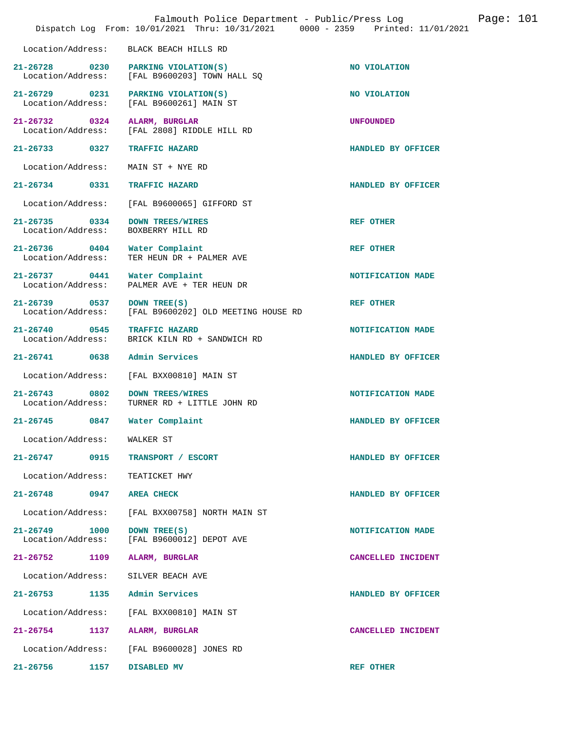|                                           | Falmouth Police Department - Public/Press Log<br>Dispatch Log From: 10/01/2021 Thru: 10/31/2021 0000 - 2359 Printed: 11/01/2021 |                    | Page: $101$ |
|-------------------------------------------|---------------------------------------------------------------------------------------------------------------------------------|--------------------|-------------|
| Location/Address:                         | BLACK BEACH HILLS RD                                                                                                            |                    |             |
| 21-26728 0230<br>Location/Address:        | PARKING VIOLATION(S)<br>[FAL B9600203] TOWN HALL SQ                                                                             | NO VIOLATION       |             |
| 21-26729 0231<br>Location/Address:        | PARKING VIOLATION(S)<br>[FAL B9600261] MAIN ST                                                                                  | NO VIOLATION       |             |
| 21-26732 0324<br>Location/Address:        | ALARM, BURGLAR<br>[FAL 2808] RIDDLE HILL RD                                                                                     | <b>UNFOUNDED</b>   |             |
| 21-26733 0327                             | <b>TRAFFIC HAZARD</b>                                                                                                           | HANDLED BY OFFICER |             |
| Location/Address:                         | MAIN ST + NYE RD                                                                                                                |                    |             |
| 21-26734 0331                             | <b>TRAFFIC HAZARD</b>                                                                                                           | HANDLED BY OFFICER |             |
| Location/Address:                         | [FAL B9600065] GIFFORD ST                                                                                                       |                    |             |
| 21-26735 0334<br>Location/Address:        | <b>DOWN TREES/WIRES</b><br>BOXBERRY HILL RD                                                                                     | <b>REF OTHER</b>   |             |
| 21-26736 0404<br>Location/Address:        | Water Complaint<br>TER HEUN DR + PALMER AVE                                                                                     | <b>REF OTHER</b>   |             |
| $21 - 26737$<br>0441<br>Location/Address: | Water Complaint<br>PALMER AVE + TER HEUN DR                                                                                     | NOTIFICATION MADE  |             |
| 21-26739 0537<br>Location/Address:        | DOWN TREE(S)<br>[FAL B9600202] OLD MEETING HOUSE RD                                                                             | <b>REF OTHER</b>   |             |
| $21 - 26740$<br>0545<br>Location/Address: | <b>TRAFFIC HAZARD</b><br>BRICK KILN RD + SANDWICH RD                                                                            | NOTIFICATION MADE  |             |
| $21 - 26741$<br>0638                      | Admin Services                                                                                                                  | HANDLED BY OFFICER |             |
| Location/Address:                         | [FAL BXX00810] MAIN ST                                                                                                          |                    |             |
| $21 - 26743$<br>0802<br>Location/Address: | <b>DOWN TREES/WIRES</b><br>TURNER RD + LITTLE JOHN RD                                                                           | NOTIFICATION MADE  |             |
| 21-26745<br>0847                          | Water Complaint                                                                                                                 | HANDLED BY OFFICER |             |
| Location/Address: WALKER ST               |                                                                                                                                 |                    |             |
| 21-26747 0915                             | TRANSPORT / ESCORT                                                                                                              | HANDLED BY OFFICER |             |
| Location/Address:                         | TEATICKET HWY                                                                                                                   |                    |             |
| $21 - 26748$<br>0947                      | <b>AREA CHECK</b>                                                                                                               | HANDLED BY OFFICER |             |
| Location/Address:                         | [FAL BXX00758] NORTH MAIN ST                                                                                                    |                    |             |
| $21 - 26749$<br>1000<br>Location/Address: | DOWN TREE(S)<br>[FAL B9600012] DEPOT AVE                                                                                        | NOTIFICATION MADE  |             |
| $21 - 26752$<br>1109                      | ALARM, BURGLAR                                                                                                                  | CANCELLED INCIDENT |             |
| Location/Address:                         | SILVER BEACH AVE                                                                                                                |                    |             |
| 1135<br>21-26753                          | Admin Services                                                                                                                  | HANDLED BY OFFICER |             |
| Location/Address:                         | [FAL BXX00810] MAIN ST                                                                                                          |                    |             |
| $21 - 26754$<br>1137                      | ALARM, BURGLAR                                                                                                                  | CANCELLED INCIDENT |             |
| Location/Address:                         | [FAL B9600028] JONES RD                                                                                                         |                    |             |
| 21-26756<br>1157                          | DISABLED MV                                                                                                                     | <b>REF OTHER</b>   |             |